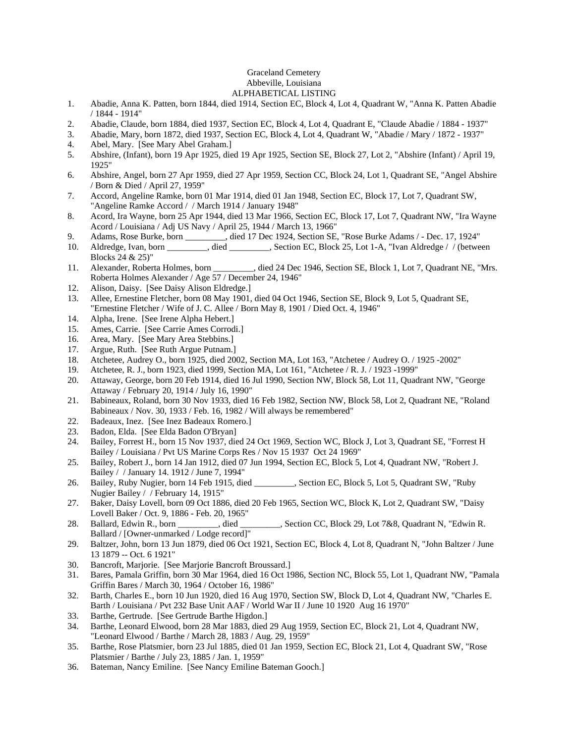## Graceland Cemetery Abbeville, Louisiana ALPHABETICAL LISTING

- 1. Abadie, Anna K. Patten, born 1844, died 1914, Section EC, Block 4, Lot 4, Quadrant W, "Anna K. Patten Abadie / 1844 - 1914"
- 2. Abadie, Claude, born 1884, died 1937, Section EC, Block 4, Lot 4, Quadrant E, "Claude Abadie / 1884 1937"
- 3. Abadie, Mary, born 1872, died 1937, Section EC, Block 4, Lot 4, Quadrant W, "Abadie / Mary / 1872 1937" 4. Abel, Mary. [See Mary Abel Graham.]
- 5. Abshire, (Infant), born 19 Apr 1925, died 19 Apr 1925, Section SE, Block 27, Lot 2, "Abshire (Infant) / April 19, 1925"
- 6. Abshire, Angel, born 27 Apr 1959, died 27 Apr 1959, Section CC, Block 24, Lot 1, Quadrant SE, "Angel Abshire / Born & Died / April 27, 1959"
- 7. Accord, Angeline Ramke, born 01 Mar 1914, died 01 Jan 1948, Section EC, Block 17, Lot 7, Quadrant SW, "Angeline Ramke Accord / / March 1914 / January 1948"
- 8. Acord, Ira Wayne, born 25 Apr 1944, died 13 Mar 1966, Section EC, Block 17, Lot 7, Quadrant NW, "Ira Wayne Acord / Louisiana / Adj US Navy / April 25, 1944 / March 13, 1966"
- 9. Adams, Rose Burke, born \_\_\_\_\_\_\_\_\_, died 17 Dec 1924, Section SE, "Rose Burke Adams / Dec. 17, 1924"
- 10. Aldredge, Ivan, born \_\_\_\_\_\_\_, died \_\_\_\_\_\_\_, Section EC, Block 25, Lot 1-A, "Ivan Aldredge / / (between Blocks 24 & 25)"
- 11. Alexander, Roberta Holmes, born \_\_\_\_\_\_\_\_\_, died 24 Dec 1946, Section SE, Block 1, Lot 7, Quadrant NE, "Mrs. Roberta Holmes Alexander / Age 57 / December 24, 1946"
- 12. Alison, Daisy. [See Daisy Alison Eldredge.]
- 13. Allee, Ernestine Fletcher, born 08 May 1901, died 04 Oct 1946, Section SE, Block 9, Lot 5, Quadrant SE, "Ernestine Fletcher / Wife of J. C. Allee / Born May 8, 1901 / Died Oct. 4, 1946"
- 14. Alpha, Irene. [See Irene Alpha Hebert.]
- 15. Ames, Carrie. [See Carrie Ames Corrodi.]
- 16. Area, Mary. [See Mary Area Stebbins.]
- 17. Argue, Ruth. [See Ruth Argue Putnam.]
- 18. Atchetee, Audrey O., born 1925, died 2002, Section MA, Lot 163, "Atchetee / Audrey O. / 1925 -2002"
- 19. Atchetee, R. J., born 1923, died 1999, Section MA, Lot 161, "Atchetee / R. J. / 1923 -1999"
- 20. Attaway, George, born 20 Feb 1914, died 16 Jul 1990, Section NW, Block 58, Lot 11, Quadrant NW, "George Attaway / February 20, 1914 / July 16, 1990"
- 21. Babineaux, Roland, born 30 Nov 1933, died 16 Feb 1982, Section NW, Block 58, Lot 2, Quadrant NE, "Roland Babineaux / Nov. 30, 1933 / Feb. 16, 1982 / Will always be remembered"
- 22. Badeaux, Inez. [See Inez Badeaux Romero.]
- 23. Badon, Elda. [See Elda Badon O'Bryan]
- 24. Bailey, Forrest H., born 15 Nov 1937, died 24 Oct 1969, Section WC, Block J, Lot 3, Quadrant SE, "Forrest H Bailey / Louisiana / Pvt US Marine Corps Res / Nov 15 1937 Oct 24 1969"
- 25. Bailey, Robert J., born 14 Jan 1912, died 07 Jun 1994, Section EC, Block 5, Lot 4, Quadrant NW, "Robert J. Bailey / / January 14. 1912 / June 7, 1994"
- 26. Bailey, Ruby Nugier, born 14 Feb 1915, died Section EC, Block 5, Lot 5, Quadrant SW, "Ruby Nugier Bailey / / February 14, 1915"
- 27. Baker, Daisy Lovell, born 09 Oct 1886, died 20 Feb 1965, Section WC, Block K, Lot 2, Quadrant SW, "Daisy Lovell Baker / Oct. 9, 1886 - Feb. 20, 1965"
- 28. Ballard, Edwin R., born \_\_\_\_\_\_\_, died \_\_\_\_\_\_\_, Section CC, Block 29, Lot 7&8, Quadrant N, "Edwin R. Ballard / [Owner-unmarked / Lodge record]"
- 29. Baltzer, John, born 13 Jun 1879, died 06 Oct 1921, Section EC, Block 4, Lot 8, Quadrant N, "John Baltzer / June 13 1879 -- Oct. 6 1921"
- 30. Bancroft, Marjorie. [See Marjorie Bancroft Broussard.]
- 31. Bares, Pamala Griffin, born 30 Mar 1964, died 16 Oct 1986, Section NC, Block 55, Lot 1, Quadrant NW, "Pamala Griffin Bares / March 30, 1964 / October 16, 1986"
- 32. Barth, Charles E., born 10 Jun 1920, died 16 Aug 1970, Section SW, Block D, Lot 4, Quadrant NW, "Charles E. Barth / Louisiana / Pvt 232 Base Unit AAF / World War II / June 10 1920 Aug 16 1970"
- 33. Barthe, Gertrude. [See Gertrude Barthe Higdon.]
- 34. Barthe, Leonard Elwood, born 28 Mar 1883, died 29 Aug 1959, Section EC, Block 21, Lot 4, Quadrant NW, "Leonard Elwood / Barthe / March 28, 1883 / Aug. 29, 1959"
- 35. Barthe, Rose Platsmier, born 23 Jul 1885, died 01 Jan 1959, Section EC, Block 21, Lot 4, Quadrant SW, "Rose Platsmier / Barthe / July 23, 1885 / Jan. 1, 1959"
- 36. Bateman, Nancy Emiline. [See Nancy Emiline Bateman Gooch.]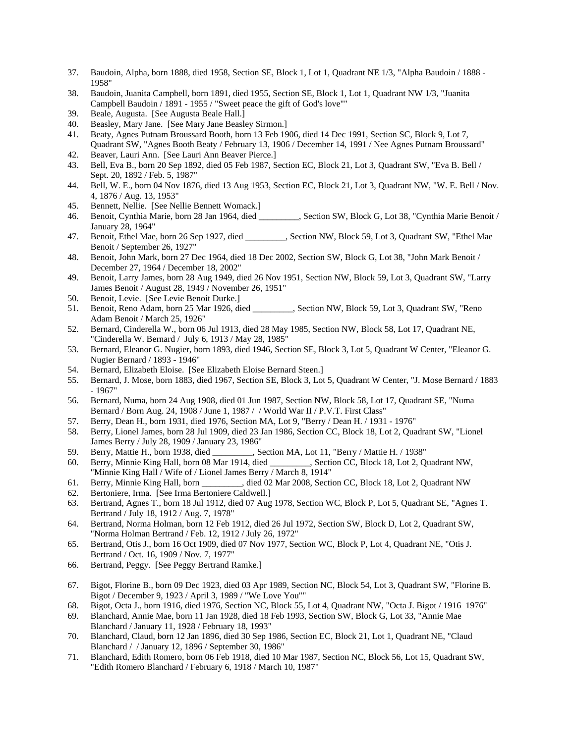- 37. Baudoin, Alpha, born 1888, died 1958, Section SE, Block 1, Lot 1, Quadrant NE 1/3, "Alpha Baudoin / 1888 1958"
- 38. Baudoin, Juanita Campbell, born 1891, died 1955, Section SE, Block 1, Lot 1, Quadrant NW 1/3, "Juanita Campbell Baudoin / 1891 - 1955 / "Sweet peace the gift of God's love""
- 39. Beale, Augusta. [See Augusta Beale Hall.]
- 40. Beasley, Mary Jane. [See Mary Jane Beasley Sirmon.]
- 41. Beaty, Agnes Putnam Broussard Booth, born 13 Feb 1906, died 14 Dec 1991, Section SC, Block 9, Lot 7, Quadrant SW, "Agnes Booth Beaty / February 13, 1906 / December 14, 1991 / Nee Agnes Putnam Broussard"
- 42. Beaver, Lauri Ann. [See Lauri Ann Beaver Pierce.]
- 43. Bell, Eva B., born 20 Sep 1892, died 05 Feb 1987, Section EC, Block 21, Lot 3, Quadrant SW, "Eva B. Bell / Sept. 20, 1892 / Feb. 5, 1987"
- 44. Bell, W. E., born 04 Nov 1876, died 13 Aug 1953, Section EC, Block 21, Lot 3, Quadrant NW, "W. E. Bell / Nov. 4, 1876 / Aug. 13, 1953"
- 45. Bennett, Nellie. [See Nellie Bennett Womack.]
- 46. Benoit, Cynthia Marie, born 28 Jan 1964, died \_\_\_\_\_\_\_\_\_, Section SW, Block G, Lot 38, "Cynthia Marie Benoit / January 28, 1964"
- 47. Benoit, Ethel Mae, born 26 Sep 1927, died \_\_\_\_\_\_\_\_\_, Section NW, Block 59, Lot 3, Quadrant SW, "Ethel Mae Benoit / September 26, 1927"
- 48. Benoit, John Mark, born 27 Dec 1964, died 18 Dec 2002, Section SW, Block G, Lot 38, "John Mark Benoit / December 27, 1964 / December 18, 2002"
- 49. Benoit, Larry James, born 28 Aug 1949, died 26 Nov 1951, Section NW, Block 59, Lot 3, Quadrant SW, "Larry James Benoit / August 28, 1949 / November 26, 1951"
- 50. Benoit, Levie. [See Levie Benoit Durke.]
- 51. Benoit, Reno Adam, born 25 Mar 1926, died \_\_\_\_\_\_\_\_\_, Section NW, Block 59, Lot 3, Quadrant SW, "Reno Adam Benoit / March 25, 1926"
- 52. Bernard, Cinderella W., born 06 Jul 1913, died 28 May 1985, Section NW, Block 58, Lot 17, Quadrant NE, "Cinderella W. Bernard / July 6, 1913 / May 28, 1985"
- 53. Bernard, Eleanor G. Nugier, born 1893, died 1946, Section SE, Block 3, Lot 5, Quadrant W Center, "Eleanor G. Nugier Bernard / 1893 - 1946"
- 54. Bernard, Elizabeth Eloise. [See Elizabeth Eloise Bernard Steen.]
- 55. Bernard, J. Mose, born 1883, died 1967, Section SE, Block 3, Lot 5, Quadrant W Center, "J. Mose Bernard / 1883 - 1967"
- 56. Bernard, Numa, born 24 Aug 1908, died 01 Jun 1987, Section NW, Block 58, Lot 17, Quadrant SE, "Numa Bernard / Born Aug. 24, 1908 / June 1, 1987 / / World War II / P.V.T. First Class"
- 57. Berry, Dean H., born 1931, died 1976, Section MA, Lot 9, "Berry / Dean H. / 1931 1976"
- 58. Berry, Lionel James, born 28 Jul 1909, died 23 Jan 1986, Section CC, Block 18, Lot 2, Quadrant SW, "Lionel James Berry / July 28, 1909 / January 23, 1986"
- 59. Berry, Mattie H., born 1938, died \_\_\_\_\_\_\_\_\_, Section MA, Lot 11, "Berry / Mattie H. / 1938"
- 60. Berry, Minnie King Hall, born 08 Mar 1914, died \_\_\_\_\_\_\_\_\_, Section CC, Block 18, Lot 2, Quadrant NW, "Minnie King Hall / Wife of / Lionel James Berry / March 8, 1914"
- 61. Berry, Minnie King Hall, born \_\_\_\_\_\_\_\_\_, died 02 Mar 2008, Section CC, Block 18, Lot 2, Quadrant NW
- 62. Bertoniere, Irma. [See Irma Bertoniere Caldwell.]
- 63. Bertrand, Agnes T., born 18 Jul 1912, died 07 Aug 1978, Section WC, Block P, Lot 5, Quadrant SE, "Agnes T. Bertrand / July 18, 1912 / Aug. 7, 1978"
- 64. Bertrand, Norma Holman, born 12 Feb 1912, died 26 Jul 1972, Section SW, Block D, Lot 2, Quadrant SW, "Norma Holman Bertrand / Feb. 12, 1912 / July 26, 1972"
- 65. Bertrand, Otis J., born 16 Oct 1909, died 07 Nov 1977, Section WC, Block P, Lot 4, Quadrant NE, "Otis J. Bertrand / Oct. 16, 1909 / Nov. 7, 1977"
- 66. Bertrand, Peggy. [See Peggy Bertrand Ramke.]
- 67. Bigot, Florine B., born 09 Dec 1923, died 03 Apr 1989, Section NC, Block 54, Lot 3, Quadrant SW, "Florine B. Bigot / December 9, 1923 / April 3, 1989 / "We Love You""
- 68. Bigot, Octa J., born 1916, died 1976, Section NC, Block 55, Lot 4, Quadrant NW, "Octa J. Bigot / 1916 1976"
- 69. Blanchard, Annie Mae, born 11 Jan 1928, died 18 Feb 1993, Section SW, Block G, Lot 33, "Annie Mae Blanchard / January 11, 1928 / February 18, 1993"
- 70. Blanchard, Claud, born 12 Jan 1896, died 30 Sep 1986, Section EC, Block 21, Lot 1, Quadrant NE, "Claud Blanchard / / January 12, 1896 / September 30, 1986"
- 71. Blanchard, Edith Romero, born 06 Feb 1918, died 10 Mar 1987, Section NC, Block 56, Lot 15, Quadrant SW, "Edith Romero Blanchard / February 6, 1918 / March 10, 1987"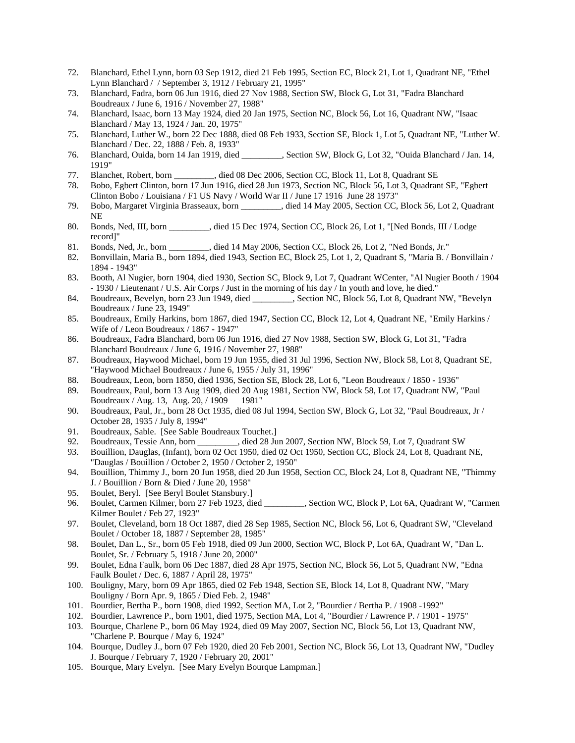- 72. Blanchard, Ethel Lynn, born 03 Sep 1912, died 21 Feb 1995, Section EC, Block 21, Lot 1, Quadrant NE, "Ethel Lynn Blanchard / / September 3, 1912 / February 21, 1995"
- 73. Blanchard, Fadra, born 06 Jun 1916, died 27 Nov 1988, Section SW, Block G, Lot 31, "Fadra Blanchard Boudreaux / June 6, 1916 / November 27, 1988"
- 74. Blanchard, Isaac, born 13 May 1924, died 20 Jan 1975, Section NC, Block 56, Lot 16, Quadrant NW, "Isaac Blanchard / May 13, 1924 / Jan. 20, 1975"
- 75. Blanchard, Luther W., born 22 Dec 1888, died 08 Feb 1933, Section SE, Block 1, Lot 5, Quadrant NE, "Luther W. Blanchard / Dec. 22, 1888 / Feb. 8, 1933"
- 76. Blanchard, Ouida, born 14 Jan 1919, died \_\_\_\_\_\_\_\_\_, Section SW, Block G, Lot 32, "Ouida Blanchard / Jan. 14, 1919"<br>Blanchet, Robert, born
- 77. Blanchet, Robert, born \_\_\_\_\_\_\_\_\_, died 08 Dec 2006, Section CC, Block 11, Lot 8, Quadrant SE
- 78. Bobo, Egbert Clinton, born 17 Jun 1916, died 28 Jun 1973, Section NC, Block 56, Lot 3, Quadrant SE, "Egbert Clinton Bobo / Louisiana / F1 US Navy / World War II / June 17 1916 June 28 1973"
- 79. Bobo, Margaret Virginia Brasseaux, born \_\_\_\_\_\_\_\_\_, died 14 May 2005, Section CC, Block 56, Lot 2, Quadrant NE
- 80. Bonds, Ned, III, born , died 15 Dec 1974, Section CC, Block 26, Lot 1, "[Ned Bonds, III / Lodge record]"
- 81. Bonds, Ned, Jr., born \_\_\_\_\_\_\_\_\_, died 14 May 2006, Section CC, Block 26, Lot 2, "Ned Bonds, Jr."
- 82. Bonvillain, Maria B., born 1894, died 1943, Section EC, Block 25, Lot 1, 2, Quadrant S, "Maria B. / Bonvillain / 1894 - 1943"
- 83. Booth, Al Nugier, born 1904, died 1930, Section SC, Block 9, Lot 7, Quadrant WCenter, "Al Nugier Booth / 1904 - 1930 / Lieutenant / U.S. Air Corps / Just in the morning of his day / In youth and love, he died."
- 84. Boudreaux, Bevelyn, born 23 Jun 1949, died \_\_\_\_\_\_\_\_\_, Section NC, Block 56, Lot 8, Quadrant NW, "Bevelyn Boudreaux / June 23, 1949"
- 85. Boudreaux, Emily Harkins, born 1867, died 1947, Section CC, Block 12, Lot 4, Quadrant NE, "Emily Harkins / Wife of / Leon Boudreaux / 1867 - 1947"
- 86. Boudreaux, Fadra Blanchard, born 06 Jun 1916, died 27 Nov 1988, Section SW, Block G, Lot 31, "Fadra Blanchard Boudreaux / June 6, 1916 / November 27, 1988"
- 87. Boudreaux, Haywood Michael, born 19 Jun 1955, died 31 Jul 1996, Section NW, Block 58, Lot 8, Quadrant SE, "Haywood Michael Boudreaux / June 6, 1955 / July 31, 1996"
- 88. Boudreaux, Leon, born 1850, died 1936, Section SE, Block 28, Lot 6, "Leon Boudreaux / 1850 1936"
- 89. Boudreaux, Paul, born 13 Aug 1909, died 20 Aug 1981, Section NW, Block 58, Lot 17, Quadrant NW, "Paul Boudreaux / Aug. 13, Aug. 20, / 1909 1981"
- 90. Boudreaux, Paul, Jr., born 28 Oct 1935, died 08 Jul 1994, Section SW, Block G, Lot 32, "Paul Boudreaux, Jr / October 28, 1935 / July 8, 1994"
- 91. Boudreaux, Sable. [See Sable Boudreaux Touchet.]
- 92. Boudreaux, Tessie Ann, born \_\_\_\_\_\_\_\_\_, died 28 Jun 2007, Section NW, Block 59, Lot 7, Quadrant SW
- 93. Bouillion, Dauglas, (Infant), born 02 Oct 1950, died 02 Oct 1950, Section CC, Block 24, Lot 8, Quadrant NE, "Dauglas / Bouillion / October 2, 1950 / October 2, 1950"
- 94. Bouillion, Thimmy J., born 20 Jun 1958, died 20 Jun 1958, Section CC, Block 24, Lot 8, Quadrant NE, "Thimmy J. / Bouillion / Born & Died / June 20, 1958"
- 95. Boulet, Beryl. [See Beryl Boulet Stansbury.]
- 96. Boulet, Carmen Kilmer, born 27 Feb 1923, died \_\_\_\_\_\_\_\_\_, Section WC, Block P, Lot 6A, Quadrant W, "Carmen Kilmer Boulet / Feb 27, 1923"
- 97. Boulet, Cleveland, born 18 Oct 1887, died 28 Sep 1985, Section NC, Block 56, Lot 6, Quadrant SW, "Cleveland Boulet / October 18, 1887 / September 28, 1985"
- 98. Boulet, Dan L., Sr., born 05 Feb 1918, died 09 Jun 2000, Section WC, Block P, Lot 6A, Quadrant W, "Dan L. Boulet, Sr. / February 5, 1918 / June 20, 2000"
- 99. Boulet, Edna Faulk, born 06 Dec 1887, died 28 Apr 1975, Section NC, Block 56, Lot 5, Quadrant NW, "Edna Faulk Boulet / Dec. 6, 1887 / April 28, 1975"
- 100. Bouligny, Mary, born 09 Apr 1865, died 02 Feb 1948, Section SE, Block 14, Lot 8, Quadrant NW, "Mary Bouligny / Born Apr. 9, 1865 / Died Feb. 2, 1948"
- 101. Bourdier, Bertha P., born 1908, died 1992, Section MA, Lot 2, "Bourdier / Bertha P. / 1908 -1992"
- 102. Bourdier, Lawrence P., born 1901, died 1975, Section MA, Lot 4, "Bourdier / Lawrence P. / 1901 1975"
- 103. Bourque, Charlene P., born 06 May 1924, died 09 May 2007, Section NC, Block 56, Lot 13, Quadrant NW, "Charlene P. Bourque / May 6, 1924"
- 104. Bourque, Dudley J., born 07 Feb 1920, died 20 Feb 2001, Section NC, Block 56, Lot 13, Quadrant NW, "Dudley J. Bourque / February 7, 1920 / February 20, 2001"
- 105. Bourque, Mary Evelyn. [See Mary Evelyn Bourque Lampman.]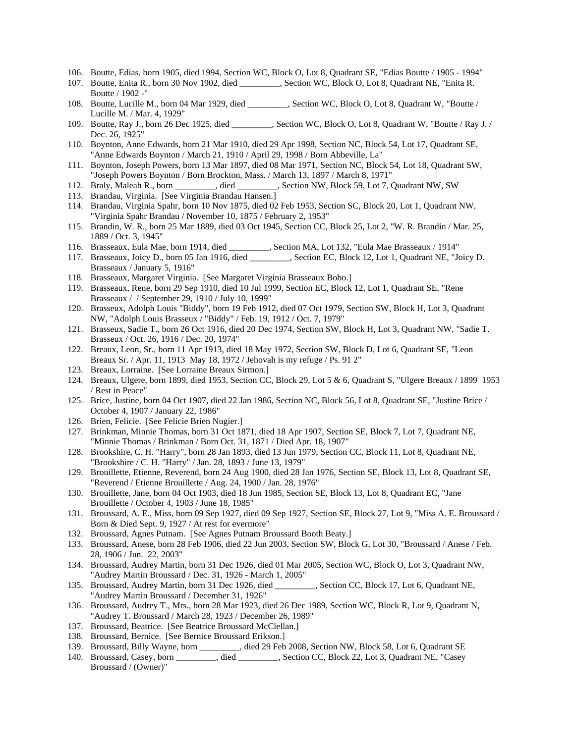- 106. Boutte, Edias, born 1905, died 1994, Section WC, Block O, Lot 8, Quadrant SE, "Edias Boutte / 1905 1994"
- 107. Boutte, Enita R., born 30 Nov 1902, died \_\_\_\_\_\_\_\_\_, Section WC, Block O, Lot 8, Quadrant NE, "Enita R. Boutte / 1902 -"
- 108. Boutte, Lucille M., born 04 Mar 1929, died \_\_\_\_\_\_\_\_\_, Section WC, Block O, Lot 8, Quadrant W, "Boutte / Lucille M. / Mar. 4, 1929"
- 109. Boutte, Ray J., born 26 Dec 1925, died Section WC, Block O, Lot 8, Quadrant W, "Boutte / Ray J. / Dec. 26, 1925"
- 110. Boynton, Anne Edwards, born 21 Mar 1910, died 29 Apr 1998, Section NC, Block 54, Lot 17, Quadrant SE, "Anne Edwards Boynton / March 21, 1910 / April 29, 1998 / Born Abbeville, La"
- 111. Boynton, Joseph Powers, born 13 Mar 1897, died 08 Mar 1971, Section NC, Block 54, Lot 18, Quadrant SW, "Joseph Powers Boynton / Born Brockton, Mass. / March 13, 1897 / March 8, 1971"
- 112. Braly, Maleah R., born \_\_\_\_\_\_\_\_\_, died \_\_\_\_\_\_\_\_\_, Section NW, Block 59, Lot 7, Quadrant NW, SW
- 113. Brandau, Virginia. [See Virginia Brandau Hansen.]
- 114. Brandau, Virginia Spahr, born 10 Nov 1875, died 02 Feb 1953, Section SC, Block 20, Lot 1, Quadrant NW, "Virginia Spahr Brandau / November 10, 1875 / February 2, 1953"
- 115. Brandin, W. R., born 25 Mar 1889, died 03 Oct 1945, Section CC, Block 25, Lot 2, "W. R. Brandin / Mar. 25, 1889 / Oct. 3, 1945"
- 116. Brasseaux, Eula Mae, born 1914, died \_\_\_\_\_\_\_\_\_, Section MA, Lot 132, "Eula Mae Brasseaux / 1914"
- 117. Brasseaux, Joicy D., born 05 Jan 1916, died \_\_\_\_\_\_\_\_\_, Section EC, Block 12, Lot 1, Quadrant NE, "Joicy D. Brasseaux / January 5, 1916"
- 118. Brasseaux, Margaret Virginia. [See Margaret Virginia Brasseaux Bobo.]
- 119. Brasseaux, Rene, born 29 Sep 1910, died 10 Jul 1999, Section EC, Block 12, Lot 1, Quadrant SE, "Rene Brasseaux / / September 29, 1910 / July 10, 1999"
- 120. Brasseux, Adolph Louis "Biddy", born 19 Feb 1912, died 07 Oct 1979, Section SW, Block H, Lot 3, Quadrant NW, "Adolph Louis Brasseux / "Biddy" / Feb. 19, 1912 / Oct. 7, 1979"
- 121. Brasseux, Sadie T., born 26 Oct 1916, died 20 Dec 1974, Section SW, Block H, Lot 3, Quadrant NW, "Sadie T. Brasseux / Oct. 26, 1916 / Dec. 20, 1974"
- 122. Breaux, Leon, Sr., born 11 Apr 1913, died 18 May 1972, Section SW, Block D, Lot 6, Quadrant SE, "Leon Breaux Sr. / Apr. 11, 1913 May 18, 1972 / Jehovah is my refuge / Ps. 91 2"
- 123. Breaux, Lorraine. [See Lorraine Breaux Sirmon.]
- 124. Breaux, Ulgere, born 1899, died 1953, Section CC, Block 29, Lot 5 & 6, Quadrant S, "Ulgere Breaux / 1899 1953 / Rest in Peace"
- 125. Brice, Justine, born 04 Oct 1907, died 22 Jan 1986, Section NC, Block 56, Lot 8, Quadrant SE, "Justine Brice / October 4, 1907 / January 22, 1986"
- 126. Brien, Felicie. [See Felicie Brien Nugier.]
- 127. Brinkman, Minnie Thomas, born 31 Oct 1871, died 18 Apr 1907, Section SE, Block 7, Lot 7, Quadrant NE, "Minnie Thomas / Brinkman / Born Oct. 31, 1871 / Died Apr. 18, 1907"
- 128. Brookshire, C. H. "Harry", born 28 Jan 1893, died 13 Jun 1979, Section CC, Block 11, Lot 8, Quadrant NE, "Brookshire / C. H. "Harry" / Jan. 28, 1893 / June 13, 1979"
- 129. Brouillette, Etienne, Reverend, born 24 Aug 1900, died 28 Jan 1976, Section SE, Block 13, Lot 8, Quadrant SE, "Reverend / Etienne Brouillette / Aug. 24, 1900 / Jan. 28, 1976"
- 130. Brouillette, Jane, born 04 Oct 1903, died 18 Jun 1985, Section SE, Block 13, Lot 8, Quadrant EC, "Jane Brouillette / October 4, 1903 / June 18, 1985"
- 131. Broussard, A. E., Miss, born 09 Sep 1927, died 09 Sep 1927, Section SE, Block 27, Lot 9, "Miss A. E. Broussard / Born & Died Sept. 9, 1927 / At rest for evermore"
- 132. Broussard, Agnes Putnam. [See Agnes Putnam Broussard Booth Beaty.]
- 133. Broussard, Anese, born 28 Feb 1906, died 22 Jun 2003, Section SW, Block G, Lot 30, "Broussard / Anese / Feb. 28, 1906 / Jun. 22, 2003"
- 134. Broussard, Audrey Martin, born 31 Dec 1926, died 01 Mar 2005, Section WC, Block O, Lot 3, Quadrant NW, "Audrey Martin Broussard / Dec. 31, 1926 - March 1, 2005"
- 135. Broussard, Audrey Martin, born 31 Dec 1926, died \_\_\_\_\_\_\_\_\_, Section CC, Block 17, Lot 6, Quadrant NE, "Audrey Martin Broussard / December 31, 1926"
- 136. Broussard, Audrey T., Mrs., born 28 Mar 1923, died 26 Dec 1989, Section WC, Block R, Lot 9, Quadrant N, "Audrey T. Broussard / March 28, 1923 / December 26, 1989"
- 137. Broussard, Beatrice. [See Beatrice Broussard McClellan.]
- 138. Broussard, Bernice. [See Bernice Broussard Erikson.]
- 139. Broussard, Billy Wayne, born \_\_\_\_\_\_\_\_\_, died 29 Feb 2008, Section NW, Block 58, Lot 6, Quadrant SE
- 140. Broussard, Casey, born \_\_\_\_\_\_\_\_\_, died \_\_\_\_\_\_\_\_\_, Section CC, Block 22, Lot 3, Quadrant NE, "Casey Broussard / (Owner)"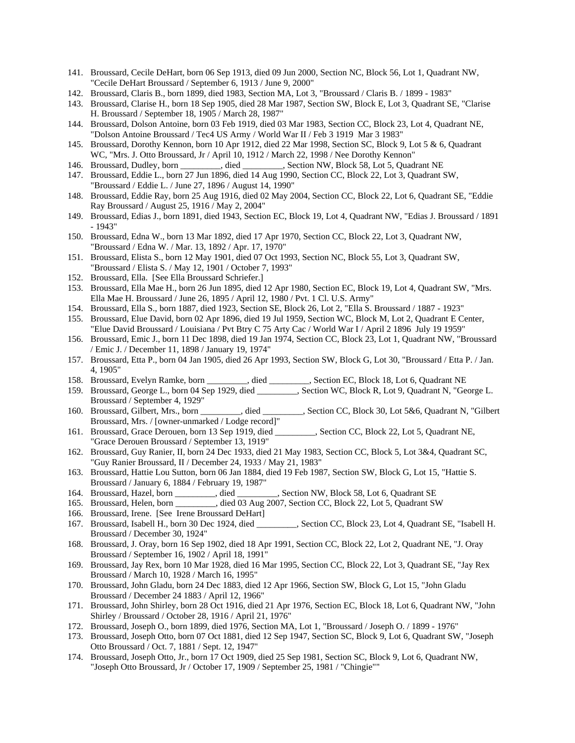- 141. Broussard, Cecile DeHart, born 06 Sep 1913, died 09 Jun 2000, Section NC, Block 56, Lot 1, Quadrant NW, "Cecile DeHart Broussard / September 6, 1913 / June 9, 2000"
- 142. Broussard, Claris B., born 1899, died 1983, Section MA, Lot 3, "Broussard / Claris B. / 1899 1983"
- 143. Broussard, Clarise H., born 18 Sep 1905, died 28 Mar 1987, Section SW, Block E, Lot 3, Quadrant SE, "Clarise H. Broussard / September 18, 1905 / March 28, 1987"
- 144. Broussard, Dolson Antoine, born 03 Feb 1919, died 03 Mar 1983, Section CC, Block 23, Lot 4, Quadrant NE, "Dolson Antoine Broussard / Tec4 US Army / World War II / Feb 3 1919 Mar 3 1983"
- 145. Broussard, Dorothy Kennon, born 10 Apr 1912, died 22 Mar 1998, Section SC, Block 9, Lot 5 & 6, Quadrant WC, "Mrs. J. Otto Broussard, Jr / April 10, 1912 / March 22, 1998 / Nee Dorothy Kennon"
- 146. Broussard, Dudley, born \_\_\_\_\_\_\_\_\_, died \_\_\_\_\_\_\_\_\_, Section NW, Block 58, Lot 5, Quadrant NE
- 147. Broussard, Eddie L., born 27 Jun 1896, died 14 Aug 1990, Section CC, Block 22, Lot 3, Quadrant SW, "Broussard / Eddie L. / June 27, 1896 / August 14, 1990"
- 148. Broussard, Eddie Ray, born 25 Aug 1916, died 02 May 2004, Section CC, Block 22, Lot 6, Quadrant SE, "Eddie Ray Broussard / August 25, 1916 / May 2, 2004"
- 149. Broussard, Edias J., born 1891, died 1943, Section EC, Block 19, Lot 4, Quadrant NW, "Edias J. Broussard / 1891 - 1943"
- 150. Broussard, Edna W., born 13 Mar 1892, died 17 Apr 1970, Section CC, Block 22, Lot 3, Quadrant NW, "Broussard / Edna W. / Mar. 13, 1892 / Apr. 17, 1970"
- 151. Broussard, Elista S., born 12 May 1901, died 07 Oct 1993, Section NC, Block 55, Lot 3, Quadrant SW, "Broussard / Elista S. / May 12, 1901 / October 7, 1993"
- 152. Broussard, Ella. [See Ella Broussard Schriefer.]
- 153. Broussard, Ella Mae H., born 26 Jun 1895, died 12 Apr 1980, Section EC, Block 19, Lot 4, Quadrant SW, "Mrs. Ella Mae H. Broussard / June 26, 1895 / April 12, 1980 / Pvt. 1 Cl. U.S. Army"
- 154. Broussard, Ella S., born 1887, died 1923, Section SE, Block 26, Lot 2, "Ella S. Broussard / 1887 1923"
- 155. Broussard, Elue David, born 02 Apr 1896, died 19 Jul 1959, Section WC, Block M, Lot 2, Quadrant E Center, "Elue David Broussard / Louisiana / Pvt Btry C 75 Arty Cac / World War I / April 2 1896 July 19 1959"
- 156. Broussard, Emic J., born 11 Dec 1898, died 19 Jan 1974, Section CC, Block 23, Lot 1, Quadrant NW, "Broussard / Emic J. / December 11, 1898 / January 19, 1974"
- 157. Broussard, Etta P., born 04 Jan 1905, died 26 Apr 1993, Section SW, Block G, Lot 30, "Broussard / Etta P. / Jan. 4, 1905"
- 158. Broussard, Evelyn Ramke, born \_\_\_\_\_\_\_\_\_, died \_\_\_\_\_\_\_\_\_, Section EC, Block 18, Lot 6, Quadrant NE
- 159. Broussard, George L., born 04 Sep 1929, died \_\_\_\_\_\_\_\_\_, Section WC, Block R, Lot 9, Quadrant N, "George L. Broussard / September 4, 1929"<br>160. Broussard, Gilbert, Mrs., born
- 160. Broussard, Gilbert, Mrs., born \_\_\_\_\_\_\_\_\_, died \_\_\_\_\_\_\_\_\_, Section CC, Block 30, Lot 5&6, Quadrant N, "Gilbert Broussard, Mrs. / [owner-unmarked / Lodge record]"
- 161. Broussard, Grace Derouen, born 13 Sep 1919, died \_\_\_\_\_\_\_\_\_, Section CC, Block 22, Lot 5, Quadrant NE, "Grace Derouen Broussard / September 13, 1919"
- 162. Broussard, Guy Ranier, II, born 24 Dec 1933, died 21 May 1983, Section CC, Block 5, Lot 3&4, Quadrant SC, "Guy Ranier Broussard, II / December 24, 1933 / May 21, 1983"
- 163. Broussard, Hattie Lou Sutton, born 06 Jan 1884, died 19 Feb 1987, Section SW, Block G, Lot 15, "Hattie S. Broussard / January 6, 1884 / February 19, 1987"
- 164. Broussard, Hazel, born \_\_\_\_\_\_\_\_\_, died \_\_\_\_\_\_\_\_\_, Section NW, Block 58, Lot 6, Quadrant SE
- 165. Broussard, Helen, born \_\_\_\_\_\_\_\_\_, died 03 Aug 2007, Section CC, Block 22, Lot 5, Quadrant SW
- 166. Broussard, Irene. [See Irene Broussard DeHart]
- 167. Broussard, Isabell H., born 30 Dec 1924, died \_\_\_\_\_\_\_\_\_, Section CC, Block 23, Lot 4, Quadrant SE, "Isabell H. Broussard / December 30, 1924"
- 168. Broussard, J. Oray, born 16 Sep 1902, died 18 Apr 1991, Section CC, Block 22, Lot 2, Quadrant NE, "J. Oray Broussard / September 16, 1902 / April 18, 1991"
- 169. Broussard, Jay Rex, born 10 Mar 1928, died 16 Mar 1995, Section CC, Block 22, Lot 3, Quadrant SE, "Jay Rex Broussard / March 10, 1928 / March 16, 1995"
- 170. Broussard, John Gladu, born 24 Dec 1883, died 12 Apr 1966, Section SW, Block G, Lot 15, "John Gladu Broussard / December 24 1883 / April 12, 1966"
- 171. Broussard, John Shirley, born 28 Oct 1916, died 21 Apr 1976, Section EC, Block 18, Lot 6, Quadrant NW, "John Shirley / Broussard / October 28, 1916 / April 21, 1976"
- 172. Broussard, Joseph O., born 1899, died 1976, Section MA, Lot 1, "Broussard / Joseph O. / 1899 1976"
- 173. Broussard, Joseph Otto, born 07 Oct 1881, died 12 Sep 1947, Section SC, Block 9, Lot 6, Quadrant SW, "Joseph Otto Broussard / Oct. 7, 1881 / Sept. 12, 1947"
- 174. Broussard, Joseph Otto, Jr., born 17 Oct 1909, died 25 Sep 1981, Section SC, Block 9, Lot 6, Quadrant NW, "Joseph Otto Broussard, Jr / October 17, 1909 / September 25, 1981 / "Chingie""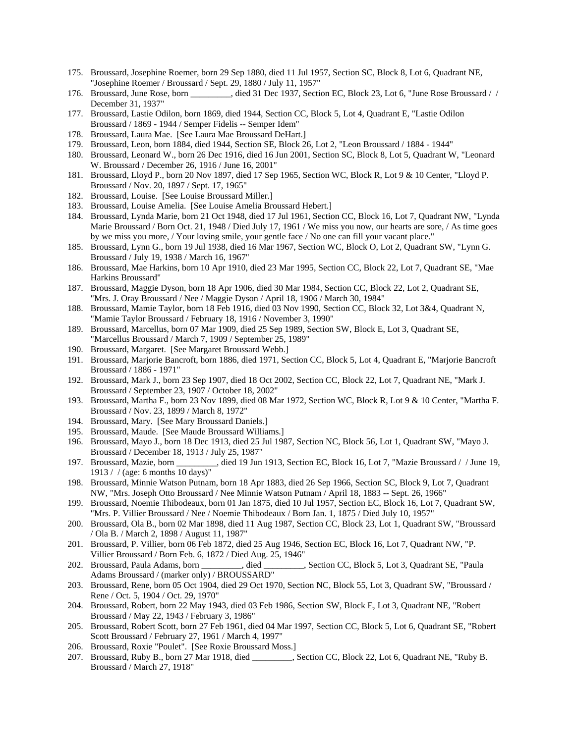- 175. Broussard, Josephine Roemer, born 29 Sep 1880, died 11 Jul 1957, Section SC, Block 8, Lot 6, Quadrant NE, "Josephine Roemer / Broussard / Sept. 29, 1880 / July 11, 1957"
- 176. Broussard, June Rose, born \_\_\_\_\_\_\_\_\_, died 31 Dec 1937, Section EC, Block 23, Lot 6, "June Rose Broussard / / December 31, 1937"
- 177. Broussard, Lastie Odilon, born 1869, died 1944, Section CC, Block 5, Lot 4, Quadrant E, "Lastie Odilon Broussard / 1869 - 1944 / Semper Fidelis -- Semper Idem"
- 178. Broussard, Laura Mae. [See Laura Mae Broussard DeHart.]
- 179. Broussard, Leon, born 1884, died 1944, Section SE, Block 26, Lot 2, "Leon Broussard / 1884 1944"
- 180. Broussard, Leonard W., born 26 Dec 1916, died 16 Jun 2001, Section SC, Block 8, Lot 5, Quadrant W, "Leonard W. Broussard / December 26, 1916 / June 16, 2001"
- 181. Broussard, Lloyd P., born 20 Nov 1897, died 17 Sep 1965, Section WC, Block R, Lot 9 & 10 Center, "Lloyd P. Broussard / Nov. 20, 1897 / Sept. 17, 1965"
- 182. Broussard, Louise. [See Louise Broussard Miller.]
- 183. Broussard, Louise Amelia. [See Louise Amelia Broussard Hebert.]
- 184. Broussard, Lynda Marie, born 21 Oct 1948, died 17 Jul 1961, Section CC, Block 16, Lot 7, Quadrant NW, "Lynda Marie Broussard / Born Oct. 21, 1948 / Died July 17, 1961 / We miss you now, our hearts are sore, / As time goes by we miss you more, / Your loving smile, your gentle face / No one can fill your vacant place."
- 185. Broussard, Lynn G., born 19 Jul 1938, died 16 Mar 1967, Section WC, Block O, Lot 2, Quadrant SW, "Lynn G. Broussard / July 19, 1938 / March 16, 1967"
- 186. Broussard, Mae Harkins, born 10 Apr 1910, died 23 Mar 1995, Section CC, Block 22, Lot 7, Quadrant SE, "Mae Harkins Broussard"
- 187. Broussard, Maggie Dyson, born 18 Apr 1906, died 30 Mar 1984, Section CC, Block 22, Lot 2, Quadrant SE, "Mrs. J. Oray Broussard / Nee / Maggie Dyson / April 18, 1906 / March 30, 1984"
- 188. Broussard, Mamie Taylor, born 18 Feb 1916, died 03 Nov 1990, Section CC, Block 32, Lot 3&4, Quadrant N, "Mamie Taylor Broussard / February 18, 1916 / November 3, 1990"
- 189. Broussard, Marcellus, born 07 Mar 1909, died 25 Sep 1989, Section SW, Block E, Lot 3, Quadrant SE, "Marcellus Broussard / March 7, 1909 / September 25, 1989"
- 190. Broussard, Margaret. [See Margaret Broussard Webb.]
- 191. Broussard, Marjorie Bancroft, born 1886, died 1971, Section CC, Block 5, Lot 4, Quadrant E, "Marjorie Bancroft Broussard / 1886 - 1971"
- 192. Broussard, Mark J., born 23 Sep 1907, died 18 Oct 2002, Section CC, Block 22, Lot 7, Quadrant NE, "Mark J. Broussard / September 23, 1907 / October 18, 2002"
- 193. Broussard, Martha F., born 23 Nov 1899, died 08 Mar 1972, Section WC, Block R, Lot 9 & 10 Center, "Martha F. Broussard / Nov. 23, 1899 / March 8, 1972"
- 194. Broussard, Mary. [See Mary Broussard Daniels.]
- 195. Broussard, Maude. [See Maude Broussard Williams.]
- 196. Broussard, Mayo J., born 18 Dec 1913, died 25 Jul 1987, Section NC, Block 56, Lot 1, Quadrant SW, "Mayo J. Broussard / December 18, 1913 / July 25, 1987"
- 197. Broussard, Mazie, born \_\_\_\_\_\_\_\_\_, died 19 Jun 1913, Section EC, Block 16, Lot 7, "Mazie Broussard / / June 19, 1913 / / (age: 6 months 10 days)"
- 198. Broussard, Minnie Watson Putnam, born 18 Apr 1883, died 26 Sep 1966, Section SC, Block 9, Lot 7, Quadrant NW, "Mrs. Joseph Otto Broussard / Nee Minnie Watson Putnam / April 18, 1883 -- Sept. 26, 1966"
- 199. Broussard, Noemie Thibodeaux, born 01 Jan 1875, died 10 Jul 1957, Section EC, Block 16, Lot 7, Quadrant SW, "Mrs. P. Villier Broussard / Nee / Noemie Thibodeaux / Born Jan. 1, 1875 / Died July 10, 1957"
- 200. Broussard, Ola B., born 02 Mar 1898, died 11 Aug 1987, Section CC, Block 23, Lot 1, Quadrant SW, "Broussard / Ola B. / March 2, 1898 / August 11, 1987"
- 201. Broussard, P. Villier, born 06 Feb 1872, died 25 Aug 1946, Section EC, Block 16, Lot 7, Quadrant NW, "P. Villier Broussard / Born Feb. 6, 1872 / Died Aug. 25, 1946"
- 202. Broussard, Paula Adams, born \_\_\_\_\_\_\_\_\_, died \_\_\_\_\_\_\_\_\_, Section CC, Block 5, Lot 3, Quadrant SE, "Paula Adams Broussard / (marker only) / BROUSSARD"
- 203. Broussard, Rene, born 05 Oct 1904, died 29 Oct 1970, Section NC, Block 55, Lot 3, Quadrant SW, "Broussard / Rene / Oct. 5, 1904 / Oct. 29, 1970"
- 204. Broussard, Robert, born 22 May 1943, died 03 Feb 1986, Section SW, Block E, Lot 3, Quadrant NE, "Robert Broussard / May 22, 1943 / February 3, 1986"
- 205. Broussard, Robert Scott, born 27 Feb 1961, died 04 Mar 1997, Section CC, Block 5, Lot 6, Quadrant SE, "Robert Scott Broussard / February 27, 1961 / March 4, 1997"
- 206. Broussard, Roxie "Poulet". [See Roxie Broussard Moss.]
- 207. Broussard, Ruby B., born 27 Mar 1918, died \_\_\_\_\_\_\_\_\_, Section CC, Block 22, Lot 6, Quadrant NE, "Ruby B. Broussard / March 27, 1918"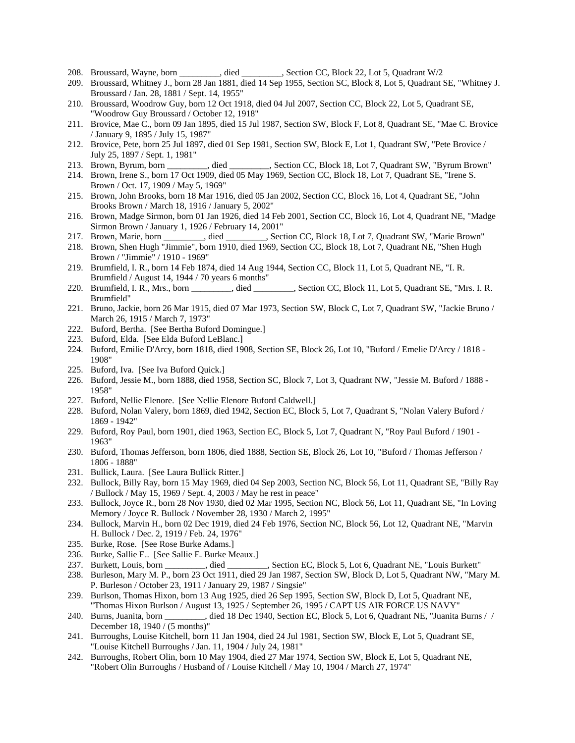- 208. Broussard, Wayne, born \_\_\_\_\_\_\_\_\_, died \_\_\_\_\_\_\_\_\_, Section CC, Block 22, Lot 5, Quadrant W/2
- 209. Broussard, Whitney J., born 28 Jan 1881, died 14 Sep 1955, Section SC, Block 8, Lot 5, Quadrant SE, "Whitney J. Broussard / Jan. 28, 1881 / Sept. 14, 1955"
- 210. Broussard, Woodrow Guy, born 12 Oct 1918, died 04 Jul 2007, Section CC, Block 22, Lot 5, Quadrant SE, "Woodrow Guy Broussard / October 12, 1918"
- 211. Brovice, Mae C., born 09 Jan 1895, died 15 Jul 1987, Section SW, Block F, Lot 8, Quadrant SE, "Mae C. Brovice / January 9, 1895 / July 15, 1987"
- 212. Brovice, Pete, born 25 Jul 1897, died 01 Sep 1981, Section SW, Block E, Lot 1, Quadrant SW, "Pete Brovice / July 25, 1897 / Sept. 1, 1981"
- 213. Brown, Byrum, born \_\_\_\_\_\_\_\_\_, died \_\_\_\_\_\_\_\_\_, Section CC, Block 18, Lot 7, Quadrant SW, "Byrum Brown"
- 214. Brown, Irene S., born 17 Oct 1909, died 05 May 1969, Section CC, Block 18, Lot 7, Quadrant SE, "Irene S. Brown / Oct. 17, 1909 / May 5, 1969"
- 215. Brown, John Brooks, born 18 Mar 1916, died 05 Jan 2002, Section CC, Block 16, Lot 4, Quadrant SE, "John Brooks Brown / March 18, 1916 / January 5, 2002"
- 216. Brown, Madge Sirmon, born 01 Jan 1926, died 14 Feb 2001, Section CC, Block 16, Lot 4, Quadrant NE, "Madge Sirmon Brown / January 1, 1926 / February 14, 2001"
- 217. Brown, Marie, born \_\_\_\_\_\_\_\_\_, died \_\_\_\_\_\_\_\_\_, Section CC, Block 18, Lot 7, Quadrant SW, "Marie Brown"
- 218. Brown, Shen Hugh "Jimmie", born 1910, died 1969, Section CC, Block 18, Lot 7, Quadrant NE, "Shen Hugh Brown / "Jimmie" / 1910 - 1969"
- 219. Brumfield, I. R., born 14 Feb 1874, died 14 Aug 1944, Section CC, Block 11, Lot 5, Quadrant NE, "I. R. Brumfield / August 14, 1944 / 70 years 6 months"
- 220. Brumfield, I. R., Mrs., born \_\_\_\_\_\_\_\_\_, died \_\_\_\_\_\_\_\_\_, Section CC, Block 11, Lot 5, Quadrant SE, "Mrs. I. R. Brumfield"
- 221. Bruno, Jackie, born 26 Mar 1915, died 07 Mar 1973, Section SW, Block C, Lot 7, Quadrant SW, "Jackie Bruno / March 26, 1915 / March 7, 1973"
- 222. Buford, Bertha. [See Bertha Buford Domingue.]
- 223. Buford, Elda. [See Elda Buford LeBlanc.]
- 224. Buford, Emilie D'Arcy, born 1818, died 1908, Section SE, Block 26, Lot 10, "Buford / Emelie D'Arcy / 1818 1908"
- 225. Buford, Iva. [See Iva Buford Quick.]
- 226. Buford, Jessie M., born 1888, died 1958, Section SC, Block 7, Lot 3, Quadrant NW, "Jessie M. Buford / 1888 1958"
- 227. Buford, Nellie Elenore. [See Nellie Elenore Buford Caldwell.]
- 228. Buford, Nolan Valery, born 1869, died 1942, Section EC, Block 5, Lot 7, Quadrant S, "Nolan Valery Buford / 1869 - 1942"
- 229. Buford, Roy Paul, born 1901, died 1963, Section EC, Block 5, Lot 7, Quadrant N, "Roy Paul Buford / 1901 1963"
- 230. Buford, Thomas Jefferson, born 1806, died 1888, Section SE, Block 26, Lot 10, "Buford / Thomas Jefferson / 1806 - 1888"
- 231. Bullick, Laura. [See Laura Bullick Ritter.]
- 232. Bullock, Billy Ray, born 15 May 1969, died 04 Sep 2003, Section NC, Block 56, Lot 11, Quadrant SE, "Billy Ray / Bullock / May 15, 1969 / Sept. 4, 2003 / May he rest in peace"
- 233. Bullock, Joyce R., born 28 Nov 1930, died 02 Mar 1995, Section NC, Block 56, Lot 11, Quadrant SE, "In Loving Memory / Joyce R. Bullock / November 28, 1930 / March 2, 1995"
- 234. Bullock, Marvin H., born 02 Dec 1919, died 24 Feb 1976, Section NC, Block 56, Lot 12, Quadrant NE, "Marvin H. Bullock / Dec. 2, 1919 / Feb. 24, 1976"
- 235. Burke, Rose. [See Rose Burke Adams.]
- 236. Burke, Sallie E.. [See Sallie E. Burke Meaux.]
- 237. Burkett, Louis, born \_\_\_\_\_\_\_\_\_, died \_\_\_\_\_\_\_\_\_, Section EC, Block 5, Lot 6, Quadrant NE, "Louis Burkett"
- 238. Burleson, Mary M. P., born 23 Oct 1911, died 29 Jan 1987, Section SW, Block D, Lot 5, Quadrant NW, "Mary M. P. Burleson / October 23, 1911 / January 29, 1987 / Singsie"
- 239. Burlson, Thomas Hixon, born 13 Aug 1925, died 26 Sep 1995, Section SW, Block D, Lot 5, Quadrant NE, "Thomas Hixon Burlson / August 13, 1925 / September 26, 1995 / CAPT US AIR FORCE US NAVY"
- 240. Burns, Juanita, born \_\_\_\_\_\_\_\_\_, died 18 Dec 1940, Section EC, Block 5, Lot 6, Quadrant NE, "Juanita Burns / / December 18, 1940 / (5 months)"
- 241. Burroughs, Louise Kitchell, born 11 Jan 1904, died 24 Jul 1981, Section SW, Block E, Lot 5, Quadrant SE, "Louise Kitchell Burroughs / Jan. 11, 1904 / July 24, 1981"
- 242. Burroughs, Robert Olin, born 10 May 1904, died 27 Mar 1974, Section SW, Block E, Lot 5, Quadrant NE, "Robert Olin Burroughs / Husband of / Louise Kitchell / May 10, 1904 / March 27, 1974"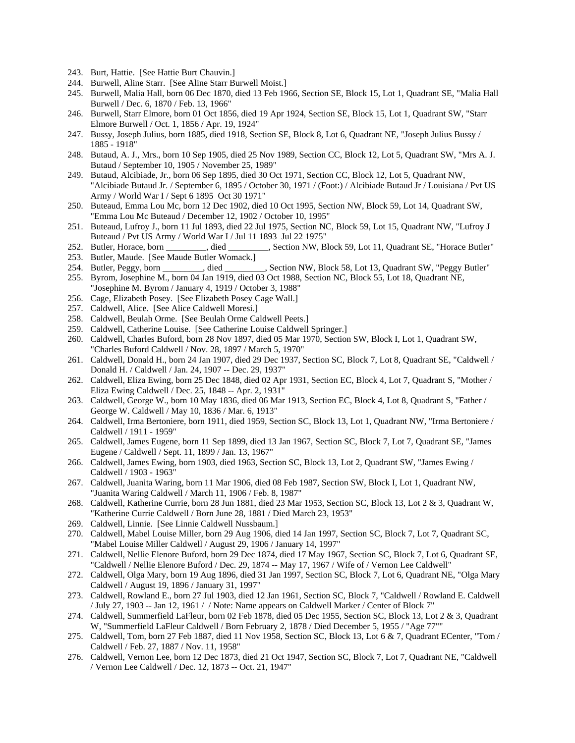- 243. Burt, Hattie. [See Hattie Burt Chauvin.]
- 244. Burwell, Aline Starr. [See Aline Starr Burwell Moist.]
- 245. Burwell, Malia Hall, born 06 Dec 1870, died 13 Feb 1966, Section SE, Block 15, Lot 1, Quadrant SE, "Malia Hall Burwell / Dec. 6, 1870 / Feb. 13, 1966"
- 246. Burwell, Starr Elmore, born 01 Oct 1856, died 19 Apr 1924, Section SE, Block 15, Lot 1, Quadrant SW, "Starr Elmore Burwell / Oct. 1, 1856 / Apr. 19, 1924"
- 247. Bussy, Joseph Julius, born 1885, died 1918, Section SE, Block 8, Lot 6, Quadrant NE, "Joseph Julius Bussy / 1885 - 1918"
- 248. Butaud, A. J., Mrs., born 10 Sep 1905, died 25 Nov 1989, Section CC, Block 12, Lot 5, Quadrant SW, "Mrs A. J. Butaud / September 10, 1905 / November 25, 1989"
- 249. Butaud, Alcibiade, Jr., born 06 Sep 1895, died 30 Oct 1971, Section CC, Block 12, Lot 5, Quadrant NW, "Alcibiade Butaud Jr. / September 6, 1895 / October 30, 1971 / (Foot:) / Alcibiade Butaud Jr / Louisiana / Pvt US Army / World War I / Sept 6 1895 Oct 30 1971"
- 250. Buteaud, Emma Lou Mc, born 12 Dec 1902, died 10 Oct 1995, Section NW, Block 59, Lot 14, Quadrant SW, "Emma Lou Mc Buteaud / December 12, 1902 / October 10, 1995"
- 251. Buteaud, Lufroy J., born 11 Jul 1893, died 22 Jul 1975, Section NC, Block 59, Lot 15, Quadrant NW, "Lufroy J Buteaud / Pvt US Army / World War I / Jul 11 1893 Jul 22 1975"<br>252. Butler, Horace, born \_\_\_\_\_\_\_\_\_, died \_\_\_\_\_\_\_\_, Section NW, B
- 252. Section NW, Block 59, Lot 11, Quadrant SE, "Horace Butler"
- 253. Butler, Maude. [See Maude Butler Womack.]
- 254. Butler, Peggy, born \_\_\_\_\_\_\_\_\_, died \_\_\_\_\_\_\_\_\_, Section NW, Block 58, Lot 13, Quadrant SW, "Peggy Butler"
- 255. Byrom, Josephine M., born 04 Jan 1919, died 03 Oct 1988, Section NC, Block 55, Lot 18, Quadrant NE, "Josephine M. Byrom / January 4, 1919 / October 3, 1988"
- 256. Cage, Elizabeth Posey. [See Elizabeth Posey Cage Wall.]
- 257. Caldwell, Alice. [See Alice Caldwell Moresi.]
- 258. Caldwell, Beulah Orme. [See Beulah Orme Caldwell Peets.]
- 259. Caldwell, Catherine Louise. [See Catherine Louise Caldwell Springer.]
- 260. Caldwell, Charles Buford, born 28 Nov 1897, died 05 Mar 1970, Section SW, Block I, Lot 1, Quadrant SW, "Charles Buford Caldwell / Nov. 28, 1897 / March 5, 1970"
- 261. Caldwell, Donald H., born 24 Jan 1907, died 29 Dec 1937, Section SC, Block 7, Lot 8, Quadrant SE, "Caldwell / Donald H. / Caldwell / Jan. 24, 1907 -- Dec. 29, 1937"
- 262. Caldwell, Eliza Ewing, born 25 Dec 1848, died 02 Apr 1931, Section EC, Block 4, Lot 7, Quadrant S, "Mother / Eliza Ewing Caldwell / Dec. 25, 1848 -- Apr. 2, 1931"
- 263. Caldwell, George W., born 10 May 1836, died 06 Mar 1913, Section EC, Block 4, Lot 8, Quadrant S, "Father / George W. Caldwell / May 10, 1836 / Mar. 6, 1913"
- 264. Caldwell, Irma Bertoniere, born 1911, died 1959, Section SC, Block 13, Lot 1, Quadrant NW, "Irma Bertoniere / Caldwell / 1911 - 1959"
- 265. Caldwell, James Eugene, born 11 Sep 1899, died 13 Jan 1967, Section SC, Block 7, Lot 7, Quadrant SE, "James Eugene / Caldwell / Sept. 11, 1899 / Jan. 13, 1967"
- 266. Caldwell, James Ewing, born 1903, died 1963, Section SC, Block 13, Lot 2, Quadrant SW, "James Ewing / Caldwell / 1903 - 1963"
- 267. Caldwell, Juanita Waring, born 11 Mar 1906, died 08 Feb 1987, Section SW, Block I, Lot 1, Quadrant NW, "Juanita Waring Caldwell / March 11, 1906 / Feb. 8, 1987"
- 268. Caldwell, Katherine Currie, born 28 Jun 1881, died 23 Mar 1953, Section SC, Block 13, Lot 2 & 3, Quadrant W, "Katherine Currie Caldwell / Born June 28, 1881 / Died March 23, 1953"
- 269. Caldwell, Linnie. [See Linnie Caldwell Nussbaum.]
- 270. Caldwell, Mabel Louise Miller, born 29 Aug 1906, died 14 Jan 1997, Section SC, Block 7, Lot 7, Quadrant SC, "Mabel Louise Miller Caldwell / August 29, 1906 / January 14, 1997"
- 271. Caldwell, Nellie Elenore Buford, born 29 Dec 1874, died 17 May 1967, Section SC, Block 7, Lot 6, Quadrant SE, "Caldwell / Nellie Elenore Buford / Dec. 29, 1874 -- May 17, 1967 / Wife of / Vernon Lee Caldwell"
- 272. Caldwell, Olga Mary, born 19 Aug 1896, died 31 Jan 1997, Section SC, Block 7, Lot 6, Quadrant NE, "Olga Mary Caldwell / August 19, 1896 / January 31, 1997"
- 273. Caldwell, Rowland E., born 27 Jul 1903, died 12 Jan 1961, Section SC, Block 7, "Caldwell / Rowland E. Caldwell / July 27, 1903 -- Jan 12, 1961 / / Note: Name appears on Caldwell Marker / Center of Block 7"
- 274. Caldwell, Summerfield LaFleur, born 02 Feb 1878, died 05 Dec 1955, Section SC, Block 13, Lot 2 & 3, Quadrant W, "Summerfield LaFleur Caldwell / Born February 2, 1878 / Died December 5, 1955 / "Age 77""
- 275. Caldwell, Tom, born 27 Feb 1887, died 11 Nov 1958, Section SC, Block 13, Lot 6 & 7, Quadrant ECenter, "Tom / Caldwell / Feb. 27, 1887 / Nov. 11, 1958"
- 276. Caldwell, Vernon Lee, born 12 Dec 1873, died 21 Oct 1947, Section SC, Block 7, Lot 7, Quadrant NE, "Caldwell / Vernon Lee Caldwell / Dec. 12, 1873 -- Oct. 21, 1947"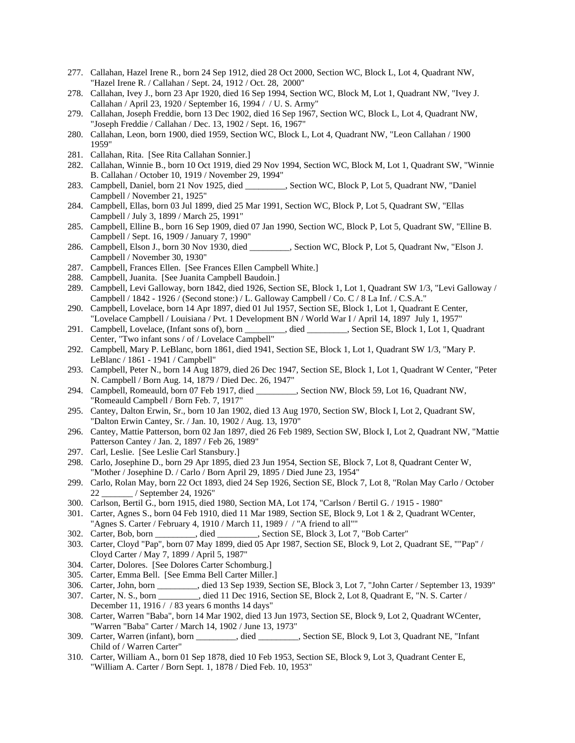- 277. Callahan, Hazel Irene R., born 24 Sep 1912, died 28 Oct 2000, Section WC, Block L, Lot 4, Quadrant NW, "Hazel Irene R. / Callahan / Sept. 24, 1912 / Oct. 28, 2000"
- 278. Callahan, Ivey J., born 23 Apr 1920, died 16 Sep 1994, Section WC, Block M, Lot 1, Quadrant NW, "Ivey J. Callahan / April 23, 1920 / September 16, 1994 / / U. S. Army"
- 279. Callahan, Joseph Freddie, born 13 Dec 1902, died 16 Sep 1967, Section WC, Block L, Lot 4, Quadrant NW, "Joseph Freddie / Callahan / Dec. 13, 1902 / Sept. 16, 1967"
- 280. Callahan, Leon, born 1900, died 1959, Section WC, Block L, Lot 4, Quadrant NW, "Leon Callahan / 1900 1959"
- 281. Callahan, Rita. [See Rita Callahan Sonnier.]
- 282. Callahan, Winnie B., born 10 Oct 1919, died 29 Nov 1994, Section WC, Block M, Lot 1, Quadrant SW, "Winnie B. Callahan / October 10, 1919 / November 29, 1994"
- 283. Campbell, Daniel, born 21 Nov 1925, died \_\_\_\_\_\_\_\_\_, Section WC, Block P, Lot 5, Quadrant NW, "Daniel Campbell / November 21, 1925"
- 284. Campbell, Ellas, born 03 Jul 1899, died 25 Mar 1991, Section WC, Block P, Lot 5, Quadrant SW, "Ellas Campbell / July 3, 1899 / March 25, 1991"
- 285. Campbell, Elline B., born 16 Sep 1909, died 07 Jan 1990, Section WC, Block P, Lot 5, Quadrant SW, "Elline B. Campbell / Sept. 16, 1909 / January 7, 1990"
- 286. Campbell, Elson J., born 30 Nov 1930, died \_\_\_\_\_\_\_\_\_, Section WC, Block P, Lot 5, Quadrant Nw, "Elson J. Campbell / November 30, 1930"
- 287. Campbell, Frances Ellen. [See Frances Ellen Campbell White.]
- 288. Campbell, Juanita. [See Juanita Campbell Baudoin.]
- 289. Campbell, Levi Galloway, born 1842, died 1926, Section SE, Block 1, Lot 1, Quadrant SW 1/3, "Levi Galloway / Campbell / 1842 - 1926 / (Second stone:) / L. Galloway Campbell / Co. C / 8 La Inf. / C.S.A."
- 290. Campbell, Lovelace, born 14 Apr 1897, died 01 Jul 1957, Section SE, Block 1, Lot 1, Quadrant E Center, "Lovelace Campbell / Louisiana / Pvt. 1 Development BN / World War I / April 14, 1897 July 1, 1957"
- 291. Campbell, Lovelace, (Infant sons of), born \_\_\_\_\_\_\_\_\_, died \_\_\_\_\_\_\_\_\_, Section SE, Block 1, Lot 1, Quadrant Center, "Two infant sons / of / Lovelace Campbell"
- 292. Campbell, Mary P. LeBlanc, born 1861, died 1941, Section SE, Block 1, Lot 1, Quadrant SW 1/3, "Mary P. LeBlanc / 1861 - 1941 / Campbell"
- 293. Campbell, Peter N., born 14 Aug 1879, died 26 Dec 1947, Section SE, Block 1, Lot 1, Quadrant W Center, "Peter N. Campbell / Born Aug. 14, 1879 / Died Dec. 26, 1947"
- 294. Campbell, Romeauld, born 07 Feb 1917, died \_\_\_\_\_\_\_\_\_, Section NW, Block 59, Lot 16, Quadrant NW, "Romeauld Campbell / Born Feb. 7, 1917"
- 295. Cantey, Dalton Erwin, Sr., born 10 Jan 1902, died 13 Aug 1970, Section SW, Block I, Lot 2, Quadrant SW, "Dalton Erwin Cantey, Sr. / Jan. 10, 1902 / Aug. 13, 1970"
- 296. Cantey, Mattie Patterson, born 02 Jan 1897, died 26 Feb 1989, Section SW, Block I, Lot 2, Quadrant NW, "Mattie Patterson Cantey / Jan. 2, 1897 / Feb 26, 1989"
- 297. Carl, Leslie. [See Leslie Carl Stansbury.]
- 298. Carlo, Josephine D., born 29 Apr 1895, died 23 Jun 1954, Section SE, Block 7, Lot 8, Quadrant Center W, "Mother / Josephine D. / Carlo / Born April 29, 1895 / Died June 23, 1954"
- 299. Carlo, Rolan May, born 22 Oct 1893, died 24 Sep 1926, Section SE, Block 7, Lot 8, "Rolan May Carlo / October 22 \_\_\_\_\_\_\_ / September 24, 1926"
- 300. Carlson, Bertil G., born 1915, died 1980, Section MA, Lot 174, "Carlson / Bertil G. / 1915 1980"
- 301. Carter, Agnes S., born 04 Feb 1910, died 11 Mar 1989, Section SE, Block 9, Lot 1 & 2, Quadrant WCenter, "Agnes S. Carter / February 4, 1910 / March 11, 1989 / / "A friend to all""
- 302. Carter, Bob, born \_\_\_\_\_\_\_\_\_, died \_\_\_\_\_\_\_\_\_, Section SE, Block 3, Lot 7, "Bob Carter"
- 303. Carter, Cloyd "Pap", born 07 May 1899, died 05 Apr 1987, Section SE, Block 9, Lot 2, Quadrant SE, ""Pap" / Cloyd Carter / May 7, 1899 / April 5, 1987"
- 304. Carter, Dolores. [See Dolores Carter Schomburg.]
- 305. Carter, Emma Bell. [See Emma Bell Carter Miller.]
- 306. Carter, John, born \_\_\_\_\_\_\_\_\_, died 13 Sep 1939, Section SE, Block 3, Lot 7, "John Carter / September 13, 1939"
- 307. Carter, N. S., born \_\_\_\_\_\_\_\_\_, died 11 Dec 1916, Section SE, Block 2, Lot 8, Quadrant E, "N. S. Carter / December 11, 1916 / / 83 years 6 months 14 days"
- 308. Carter, Warren "Baba", born 14 Mar 1902, died 13 Jun 1973, Section SE, Block 9, Lot 2, Quadrant WCenter, "Warren "Baba" Carter / March 14, 1902 / June 13, 1973"
- 309. Carter, Warren (infant), born \_\_\_\_\_\_\_\_\_, died \_\_\_\_\_\_\_\_\_, Section SE, Block 9, Lot 3, Quadrant NE, "Infant Child of / Warren Carter"
- 310. Carter, William A., born 01 Sep 1878, died 10 Feb 1953, Section SE, Block 9, Lot 3, Quadrant Center E, "William A. Carter / Born Sept. 1, 1878 / Died Feb. 10, 1953"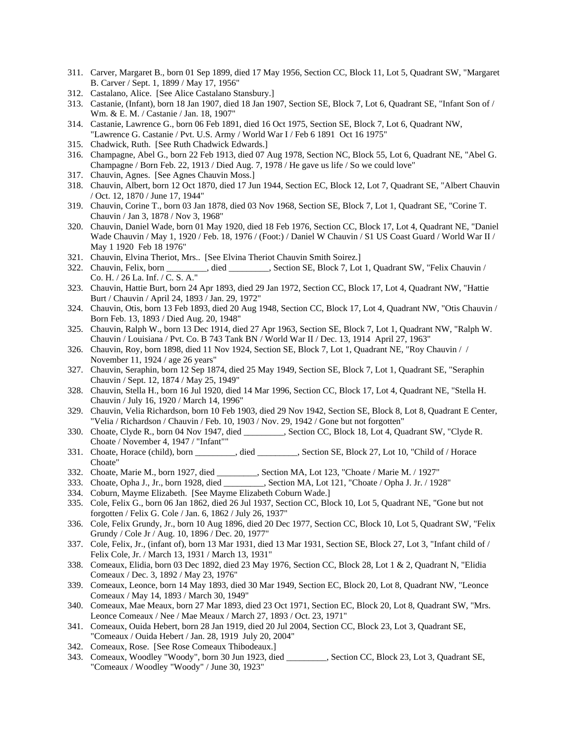- 311. Carver, Margaret B., born 01 Sep 1899, died 17 May 1956, Section CC, Block 11, Lot 5, Quadrant SW, "Margaret B. Carver / Sept. 1, 1899 / May 17, 1956"
- 312. Castalano, Alice. [See Alice Castalano Stansbury.]
- 313. Castanie, (Infant), born 18 Jan 1907, died 18 Jan 1907, Section SE, Block 7, Lot 6, Quadrant SE, "Infant Son of / Wm. & E. M. / Castanie / Jan. 18, 1907"
- 314. Castanie, Lawrence G., born 06 Feb 1891, died 16 Oct 1975, Section SE, Block 7, Lot 6, Quadrant NW, "Lawrence G. Castanie / Pvt. U.S. Army / World War I / Feb 6 1891 Oct 16 1975"
- 315. Chadwick, Ruth. [See Ruth Chadwick Edwards.]
- 316. Champagne, Abel G., born 22 Feb 1913, died 07 Aug 1978, Section NC, Block 55, Lot 6, Quadrant NE, "Abel G. Champagne / Born Feb. 22, 1913 / Died Aug. 7, 1978 / He gave us life / So we could love"
- 317. Chauvin, Agnes. [See Agnes Chauvin Moss.]
- 318. Chauvin, Albert, born 12 Oct 1870, died 17 Jun 1944, Section EC, Block 12, Lot 7, Quadrant SE, "Albert Chauvin / Oct. 12, 1870 / June 17, 1944"
- 319. Chauvin, Corine T., born 03 Jan 1878, died 03 Nov 1968, Section SE, Block 7, Lot 1, Quadrant SE, "Corine T. Chauvin / Jan 3, 1878 / Nov 3, 1968"
- 320. Chauvin, Daniel Wade, born 01 May 1920, died 18 Feb 1976, Section CC, Block 17, Lot 4, Quadrant NE, "Daniel Wade Chauvin / May 1, 1920 / Feb. 18, 1976 / (Foot:) / Daniel W Chauvin / S1 US Coast Guard / World War II / May 1 1920 Feb 18 1976"
- 321. Chauvin, Elvina Theriot, Mrs.. [See Elvina Theriot Chauvin Smith Soirez.]
- 322. Chauvin, Felix, born \_\_\_\_\_\_\_\_\_, died \_\_\_\_\_\_\_\_\_, Section SE, Block 7, Lot 1, Quadrant SW, "Felix Chauvin / Co. H. / 26 La. Inf. / C. S. A."
- 323. Chauvin, Hattie Burt, born 24 Apr 1893, died 29 Jan 1972, Section CC, Block 17, Lot 4, Quadrant NW, "Hattie Burt / Chauvin / April 24, 1893 / Jan. 29, 1972"
- 324. Chauvin, Otis, born 13 Feb 1893, died 20 Aug 1948, Section CC, Block 17, Lot 4, Quadrant NW, "Otis Chauvin / Born Feb. 13, 1893 / Died Aug. 20, 1948"
- 325. Chauvin, Ralph W., born 13 Dec 1914, died 27 Apr 1963, Section SE, Block 7, Lot 1, Quadrant NW, "Ralph W. Chauvin / Louisiana / Pvt. Co. B 743 Tank BN / World War II / Dec. 13, 1914 April 27, 1963"
- 326. Chauvin, Roy, born 1898, died 11 Nov 1924, Section SE, Block 7, Lot 1, Quadrant NE, "Roy Chauvin / / November 11, 1924 / age 26 years"
- 327. Chauvin, Seraphin, born 12 Sep 1874, died 25 May 1949, Section SE, Block 7, Lot 1, Quadrant SE, "Seraphin Chauvin / Sept. 12, 1874 / May 25, 1949"
- 328. Chauvin, Stella H., born 16 Jul 1920, died 14 Mar 1996, Section CC, Block 17, Lot 4, Quadrant NE, "Stella H. Chauvin / July 16, 1920 / March 14, 1996"
- 329. Chauvin, Velia Richardson, born 10 Feb 1903, died 29 Nov 1942, Section SE, Block 8, Lot 8, Quadrant E Center, "Velia / Richardson / Chauvin / Feb. 10, 1903 / Nov. 29, 1942 / Gone but not forgotten"
- 330. Choate, Clyde R., born 04 Nov 1947, died \_\_\_\_\_\_\_\_\_, Section CC, Block 18, Lot 4, Quadrant SW, "Clyde R. Choate / November 4, 1947 / "Infant""
- 331. Choate, Horace (child), born \_\_\_\_\_\_\_\_\_, died \_\_\_\_\_\_\_\_\_, Section SE, Block 27, Lot 10, "Child of / Horace Choate"
- 332. Choate, Marie M., born 1927, died \_\_\_\_\_\_\_\_\_, Section MA, Lot 123, "Choate / Marie M. / 1927"
- 333. Choate, Opha J., Jr., born 1928, died \_\_\_\_\_\_\_\_\_, Section MA, Lot 121, "Choate / Opha J. Jr. / 1928"
- 334. Coburn, Mayme Elizabeth. [See Mayme Elizabeth Coburn Wade.]
- 335. Cole, Felix G., born 06 Jan 1862, died 26 Jul 1937, Section CC, Block 10, Lot 5, Quadrant NE, "Gone but not forgotten / Felix G. Cole / Jan. 6, 1862 / July 26, 1937"
- 336. Cole, Felix Grundy, Jr., born 10 Aug 1896, died 20 Dec 1977, Section CC, Block 10, Lot 5, Quadrant SW, "Felix Grundy / Cole Jr / Aug. 10, 1896 / Dec. 20, 1977"
- 337. Cole, Felix, Jr., (infant of), born 13 Mar 1931, died 13 Mar 1931, Section SE, Block 27, Lot 3, "Infant child of / Felix Cole, Jr. / March 13, 1931 / March 13, 1931"
- 338. Comeaux, Elidia, born 03 Dec 1892, died 23 May 1976, Section CC, Block 28, Lot 1 & 2, Quadrant N, "Elidia Comeaux / Dec. 3, 1892 / May 23, 1976"
- 339. Comeaux, Leonce, born 14 May 1893, died 30 Mar 1949, Section EC, Block 20, Lot 8, Quadrant NW, "Leonce Comeaux / May 14, 1893 / March 30, 1949"
- 340. Comeaux, Mae Meaux, born 27 Mar 1893, died 23 Oct 1971, Section EC, Block 20, Lot 8, Quadrant SW, "Mrs. Leonce Comeaux / Nee / Mae Meaux / March 27, 1893 / Oct. 23, 1971"
- 341. Comeaux, Ouida Hebert, born 28 Jan 1919, died 20 Jul 2004, Section CC, Block 23, Lot 3, Quadrant SE, "Comeaux / Ouida Hebert / Jan. 28, 1919 July 20, 2004"
- 342. Comeaux, Rose. [See Rose Comeaux Thibodeaux.]
- 343. Comeaux, Woodley "Woody", born 30 Jun 1923, died \_\_\_\_\_\_\_\_\_, Section CC, Block 23, Lot 3, Quadrant SE, "Comeaux / Woodley "Woody" / June 30, 1923"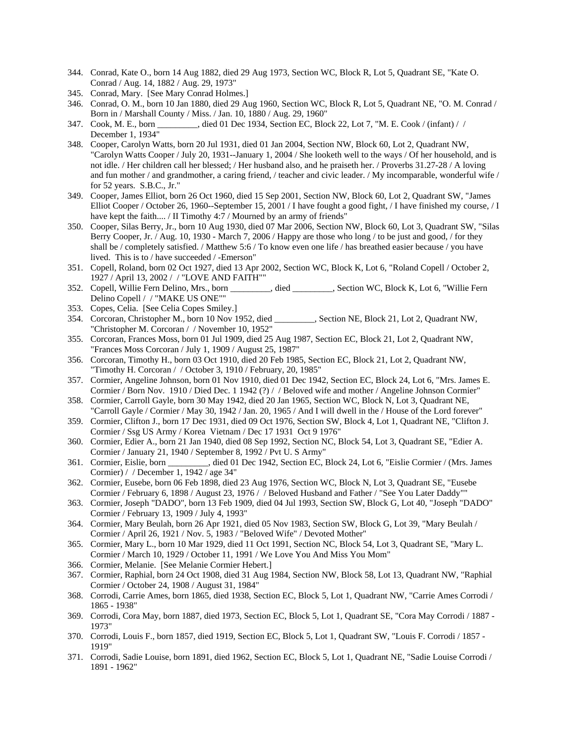- 344. Conrad, Kate O., born 14 Aug 1882, died 29 Aug 1973, Section WC, Block R, Lot 5, Quadrant SE, "Kate O. Conrad / Aug. 14, 1882 / Aug. 29, 1973"
- 345. Conrad, Mary. [See Mary Conrad Holmes.]
- 346. Conrad, O. M., born 10 Jan 1880, died 29 Aug 1960, Section WC, Block R, Lot 5, Quadrant NE, "O. M. Conrad / Born in / Marshall County / Miss. / Jan. 10, 1880 / Aug. 29, 1960"
- 347. Cook, M. E., born \_\_\_\_\_\_\_\_\_, died 01 Dec 1934, Section EC, Block 22, Lot 7, "M. E. Cook / (infant) / / December 1, 1934"
- 348. Cooper, Carolyn Watts, born 20 Jul 1931, died 01 Jan 2004, Section NW, Block 60, Lot 2, Quadrant NW, "Carolyn Watts Cooper / July 20, 1931--January 1, 2004 / She looketh well to the ways / Of her household, and is not idle. / Her children call her blessed; / Her husband also, and he praiseth her. / Proverbs 31.27-28 / A loving and fun mother / and grandmother, a caring friend, / teacher and civic leader. / My incomparable, wonderful wife / for 52 years. S.B.C., Jr."
- 349. Cooper, James Elliot, born 26 Oct 1960, died 15 Sep 2001, Section NW, Block 60, Lot 2, Quadrant SW, "James Elliot Cooper / October 26, 1960--September 15, 2001 / I have fought a good fight, / I have finished my course, / I have kept the faith.... / II Timothy 4:7 / Mourned by an army of friends"
- 350. Cooper, Silas Berry, Jr., born 10 Aug 1930, died 07 Mar 2006, Section NW, Block 60, Lot 3, Quadrant SW, "Silas Berry Cooper, Jr. / Aug. 10, 1930 - March 7, 2006 / Happy are those who long / to be just and good, / for they shall be / completely satisfied. / Matthew 5:6 / To know even one life / has breathed easier because / you have lived. This is to / have succeeded / -Emerson"
- 351. Copell, Roland, born 02 Oct 1927, died 13 Apr 2002, Section WC, Block K, Lot 6, "Roland Copell / October 2, 1927 / April 13, 2002 / / "LOVE AND FAITH""
- 352. Copell, Willie Fern Delino, Mrs., born \_\_\_\_\_\_\_\_\_, died \_\_\_\_\_\_\_\_\_, Section WC, Block K, Lot 6, "Willie Fern Delino Copell / / "MAKE US ONE""
- 353. Copes, Celia. [See Celia Copes Smiley.]
- 354. Corcoran, Christopher M., born 10 Nov 1952, died \_\_\_\_\_\_\_\_\_, Section NE, Block 21, Lot 2, Quadrant NW, "Christopher M. Corcoran / / November 10, 1952"
- 355. Corcoran, Frances Moss, born 01 Jul 1909, died 25 Aug 1987, Section EC, Block 21, Lot 2, Quadrant NW, "Frances Moss Corcoran / July 1, 1909 / August 25, 1987"
- 356. Corcoran, Timothy H., born 03 Oct 1910, died 20 Feb 1985, Section EC, Block 21, Lot 2, Quadrant NW, "Timothy H. Corcoran / / October 3, 1910 / February, 20, 1985"
- 357. Cormier, Angeline Johnson, born 01 Nov 1910, died 01 Dec 1942, Section EC, Block 24, Lot 6, "Mrs. James E. Cormier / Born Nov. 1910 / Died Dec. 1 1942 (?) / / Beloved wife and mother / Angeline Johnson Cormier"
- 358. Cormier, Carroll Gayle, born 30 May 1942, died 20 Jan 1965, Section WC, Block N, Lot 3, Quadrant NE, "Carroll Gayle / Cormier / May 30, 1942 / Jan. 20, 1965 / And I will dwell in the / House of the Lord forever"
- 359. Cormier, Clifton J., born 17 Dec 1931, died 09 Oct 1976, Section SW, Block 4, Lot 1, Quadrant NE, "Clifton J. Cormier / Ssg US Army / Korea Vietnam / Dec 17 1931 Oct 9 1976"
- 360. Cormier, Edier A., born 21 Jan 1940, died 08 Sep 1992, Section NC, Block 54, Lot 3, Quadrant SE, "Edier A. Cormier / January 21, 1940 / September 8, 1992 / Pvt U. S Army"
- 361. Cormier, Eislie, born \_\_\_\_\_\_\_\_\_, died 01 Dec 1942, Section EC, Block 24, Lot 6, "Eislie Cormier / (Mrs. James Cormier) / / December 1, 1942 / age 34"
- 362. Cormier, Eusebe, born 06 Feb 1898, died 23 Aug 1976, Section WC, Block N, Lot 3, Quadrant SE, "Eusebe Cormier / February 6, 1898 / August 23, 1976 / / Beloved Husband and Father / "See You Later Daddy""
- 363. Cormier, Joseph "DADO", born 13 Feb 1909, died 04 Jul 1993, Section SW, Block G, Lot 40, "Joseph "DADO" Cormier / February 13, 1909 / July 4, 1993"
- 364. Cormier, Mary Beulah, born 26 Apr 1921, died 05 Nov 1983, Section SW, Block G, Lot 39, "Mary Beulah / Cormier / April 26, 1921 / Nov. 5, 1983 / "Beloved Wife" / Devoted Mother"
- 365. Cormier, Mary L., born 10 Mar 1929, died 11 Oct 1991, Section NC, Block 54, Lot 3, Quadrant SE, "Mary L. Cormier / March 10, 1929 / October 11, 1991 / We Love You And Miss You Mom"
- 366. Cormier, Melanie. [See Melanie Cormier Hebert.]
- 367. Cormier, Raphial, born 24 Oct 1908, died 31 Aug 1984, Section NW, Block 58, Lot 13, Quadrant NW, "Raphial Cormier / October 24, 1908 / August 31, 1984"
- 368. Corrodi, Carrie Ames, born 1865, died 1938, Section EC, Block 5, Lot 1, Quadrant NW, "Carrie Ames Corrodi / 1865 - 1938"
- 369. Corrodi, Cora May, born 1887, died 1973, Section EC, Block 5, Lot 1, Quadrant SE, "Cora May Corrodi / 1887 1973"
- 370. Corrodi, Louis F., born 1857, died 1919, Section EC, Block 5, Lot 1, Quadrant SW, "Louis F. Corrodi / 1857 1919"
- 371. Corrodi, Sadie Louise, born 1891, died 1962, Section EC, Block 5, Lot 1, Quadrant NE, "Sadie Louise Corrodi / 1891 - 1962"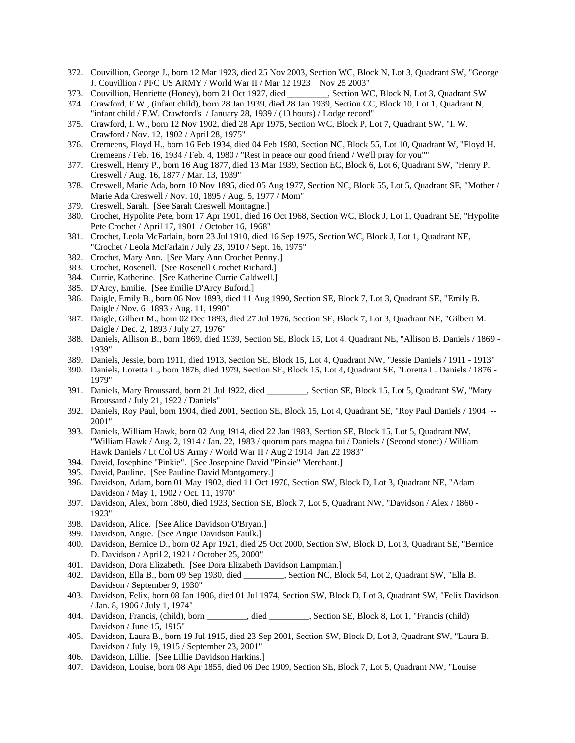- 372. Couvillion, George J., born 12 Mar 1923, died 25 Nov 2003, Section WC, Block N, Lot 3, Quadrant SW, "George J. Couvillion / PFC US ARMY / World War II / Mar 12 1923 Nov 25 2003"
- 373. Couvillion, Henriette (Honey), born 21 Oct 1927, died \_\_\_\_\_\_\_\_\_, Section WC, Block N, Lot 3, Quadrant SW
- 374. Crawford, F.W., (infant child), born 28 Jan 1939, died 28 Jan 1939, Section CC, Block 10, Lot 1, Quadrant N, "infant child / F.W. Crawford's / January 28, 1939 / (10 hours) / Lodge record"
- 375. Crawford, I. W., born 12 Nov 1902, died 28 Apr 1975, Section WC, Block P, Lot 7, Quadrant SW, "I. W. Crawford / Nov. 12, 1902 / April 28, 1975"
- 376. Cremeens, Floyd H., born 16 Feb 1934, died 04 Feb 1980, Section NC, Block 55, Lot 10, Quadrant W, "Floyd H. Cremeens / Feb. 16, 1934 / Feb. 4, 1980 / "Rest in peace our good friend / We'll pray for you""
- 377. Creswell, Henry P., born 16 Aug 1877, died 13 Mar 1939, Section EC, Block 6, Lot 6, Quadrant SW, "Henry P. Creswell / Aug. 16, 1877 / Mar. 13, 1939"
- 378. Creswell, Marie Ada, born 10 Nov 1895, died 05 Aug 1977, Section NC, Block 55, Lot 5, Quadrant SE, "Mother / Marie Ada Creswell / Nov. 10, 1895 / Aug. 5, 1977 / Mom"
- 379. Creswell, Sarah. [See Sarah Creswell Montagne.]
- 380. Crochet, Hypolite Pete, born 17 Apr 1901, died 16 Oct 1968, Section WC, Block J, Lot 1, Quadrant SE, "Hypolite Pete Crochet / April 17, 1901 / October 16, 1968"
- 381. Crochet, Leola McFarlain, born 23 Jul 1910, died 16 Sep 1975, Section WC, Block J, Lot 1, Quadrant NE, "Crochet / Leola McFarlain / July 23, 1910 / Sept. 16, 1975"
- 382. Crochet, Mary Ann. [See Mary Ann Crochet Penny.]
- 383. Crochet, Rosenell. [See Rosenell Crochet Richard.]
- 384. Currie, Katherine. [See Katherine Currie Caldwell.]
- 385. D'Arcy, Emilie. [See Emilie D'Arcy Buford.]
- 386. Daigle, Emily B., born 06 Nov 1893, died 11 Aug 1990, Section SE, Block 7, Lot 3, Quadrant SE, "Emily B. Daigle / Nov. 6 1893 / Aug. 11, 1990"
- 387. Daigle, Gilbert M., born 02 Dec 1893, died 27 Jul 1976, Section SE, Block 7, Lot 3, Quadrant NE, "Gilbert M. Daigle / Dec. 2, 1893 / July 27, 1976"
- 388. Daniels, Allison B., born 1869, died 1939, Section SE, Block 15, Lot 4, Quadrant NE, "Allison B. Daniels / 1869 1939"
- 389. Daniels, Jessie, born 1911, died 1913, Section SE, Block 15, Lot 4, Quadrant NW, "Jessie Daniels / 1911 1913"
- 390. Daniels, Loretta L., born 1876, died 1979, Section SE, Block 15, Lot 4, Quadrant SE, "Loretta L. Daniels / 1876 1979"
- 391. Daniels, Mary Broussard, born 21 Jul 1922, died \_\_\_\_\_\_\_\_\_, Section SE, Block 15, Lot 5, Quadrant SW, "Mary Broussard / July 21, 1922 / Daniels"
- 392. Daniels, Roy Paul, born 1904, died 2001, Section SE, Block 15, Lot 4, Quadrant SE, "Roy Paul Daniels / 1904 -- 2001"
- 393. Daniels, William Hawk, born 02 Aug 1914, died 22 Jan 1983, Section SE, Block 15, Lot 5, Quadrant NW, "William Hawk / Aug. 2, 1914 / Jan. 22, 1983 / quorum pars magna fui / Daniels / (Second stone:) / William Hawk Daniels / Lt Col US Army / World War II / Aug 2 1914 Jan 22 1983"
- 394. David, Josephine "Pinkie". [See Josephine David "Pinkie" Merchant.]
- 395. David, Pauline. [See Pauline David Montgomery.]
- 396. Davidson, Adam, born 01 May 1902, died 11 Oct 1970, Section SW, Block D, Lot 3, Quadrant NE, "Adam Davidson / May 1, 1902 / Oct. 11, 1970"
- 397. Davidson, Alex, born 1860, died 1923, Section SE, Block 7, Lot 5, Quadrant NW, "Davidson / Alex / 1860 1923"
- 398. Davidson, Alice. [See Alice Davidson O'Bryan.]
- 399. Davidson, Angie. [See Angie Davidson Faulk.]
- 400. Davidson, Bernice D., born 02 Apr 1921, died 25 Oct 2000, Section SW, Block D, Lot 3, Quadrant SE, "Bernice D. Davidson / April 2, 1921 / October 25, 2000"
- 401. Davidson, Dora Elizabeth. [See Dora Elizabeth Davidson Lampman.]
- 402. Davidson, Ella B., born 09 Sep 1930, died \_\_\_\_\_\_\_\_\_, Section NC, Block 54, Lot 2, Quadrant SW, "Ella B. Davidson / September 9, 1930"
- 403. Davidson, Felix, born 08 Jan 1906, died 01 Jul 1974, Section SW, Block D, Lot 3, Quadrant SW, "Felix Davidson / Jan. 8, 1906 / July 1, 1974"
- 404. Davidson, Francis, (child), born \_\_\_\_\_\_\_\_\_, died \_\_\_\_\_\_\_\_\_, Section SE, Block 8, Lot 1, "Francis (child) Davidson / June 15, 1915"
- 405. Davidson, Laura B., born 19 Jul 1915, died 23 Sep 2001, Section SW, Block D, Lot 3, Quadrant SW, "Laura B. Davidson / July 19, 1915 / September 23, 2001"
- 406. Davidson, Lillie. [See Lillie Davidson Harkins.]
- 407. Davidson, Louise, born 08 Apr 1855, died 06 Dec 1909, Section SE, Block 7, Lot 5, Quadrant NW, "Louise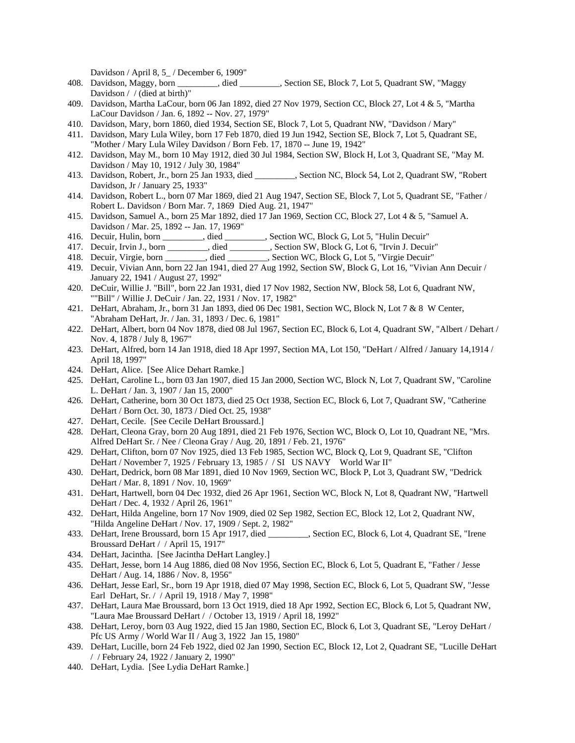Davidson / April 8, 5\_ / December 6, 1909"

- 408. Davidson, Maggy, born \_\_\_\_\_\_\_\_\_, died \_\_\_\_\_\_\_\_\_, Section SE, Block 7, Lot 5, Quadrant SW, "Maggy Davidson / / (died at birth)"
- 409. Davidson, Martha LaCour, born 06 Jan 1892, died 27 Nov 1979, Section CC, Block 27, Lot 4 & 5, "Martha LaCour Davidson / Jan. 6, 1892 -- Nov. 27, 1979"
- 410. Davidson, Mary, born 1860, died 1934, Section SE, Block 7, Lot 5, Quadrant NW, "Davidson / Mary"
- 411. Davidson, Mary Lula Wiley, born 17 Feb 1870, died 19 Jun 1942, Section SE, Block 7, Lot 5, Quadrant SE, "Mother / Mary Lula Wiley Davidson / Born Feb. 17, 1870 -- June 19, 1942"
- 412. Davidson, May M., born 10 May 1912, died 30 Jul 1984, Section SW, Block H, Lot 3, Quadrant SE, "May M. Davidson / May 10, 1912 / July 30, 1984"
- 413. Davidson, Robert, Jr., born 25 Jan 1933, died \_\_\_\_\_\_\_\_\_, Section NC, Block 54, Lot 2, Quadrant SW, "Robert Davidson, Jr / January 25, 1933"
- 414. Davidson, Robert L., born 07 Mar 1869, died 21 Aug 1947, Section SE, Block 7, Lot 5, Quadrant SE, "Father / Robert L. Davidson / Born Mar. 7, 1869 Died Aug. 21, 1947"
- 415. Davidson, Samuel A., born 25 Mar 1892, died 17 Jan 1969, Section CC, Block 27, Lot 4 & 5, "Samuel A. Davidson / Mar. 25, 1892 -- Jan. 17, 1969"
- 416. Decuir, Hulin, born \_\_\_\_\_\_\_\_\_, died \_\_\_\_\_\_\_\_\_, Section WC, Block G, Lot 5, "Hulin Decuir"
- 417. Decuir, Irvin J., born \_\_\_\_\_\_\_\_\_, died \_\_\_\_\_\_\_\_\_, Section SW, Block G, Lot 6, "Irvin J. Decuir"
- 418. Decuir, Virgie, born \_\_\_\_\_\_\_\_\_, died \_\_\_\_\_\_\_\_\_, Section WC, Block G, Lot 5, "Virgie Decuir"
- 419. Decuir, Vivian Ann, born 22 Jan 1941, died 27 Aug 1992, Section SW, Block G, Lot 16, "Vivian Ann Decuir / January 22, 1941 / August 27, 1992"
- 420. DeCuir, Willie J. "Bill", born 22 Jan 1931, died 17 Nov 1982, Section NW, Block 58, Lot 6, Quadrant NW, ""Bill" / Willie J. DeCuir / Jan. 22, 1931 / Nov. 17, 1982"
- 421. DeHart, Abraham, Jr., born 31 Jan 1893, died 06 Dec 1981, Section WC, Block N, Lot 7 & 8 W Center, "Abraham DeHart, Jr. / Jan. 31, 1893 / Dec. 6, 1981"
- 422. DeHart, Albert, born 04 Nov 1878, died 08 Jul 1967, Section EC, Block 6, Lot 4, Quadrant SW, "Albert / Dehart / Nov. 4, 1878 / July 8, 1967"
- 423. DeHart, Alfred, born 14 Jan 1918, died 18 Apr 1997, Section MA, Lot 150, "DeHart / Alfred / January 14,1914 / April 18, 1997"
- 424. DeHart, Alice. [See Alice Dehart Ramke.]
- 425. DeHart, Caroline L., born 03 Jan 1907, died 15 Jan 2000, Section WC, Block N, Lot 7, Quadrant SW, "Caroline L. DeHart / Jan. 3, 1907 / Jan 15, 2000"
- 426. DeHart, Catherine, born 30 Oct 1873, died 25 Oct 1938, Section EC, Block 6, Lot 7, Quadrant SW, "Catherine DeHart / Born Oct. 30, 1873 / Died Oct. 25, 1938"
- 427. DeHart, Cecile. [See Cecile DeHart Broussard.]
- 428. DeHart, Cleona Gray, born 20 Aug 1891, died 21 Feb 1976, Section WC, Block O, Lot 10, Quadrant NE, "Mrs. Alfred DeHart Sr. / Nee / Cleona Gray / Aug. 20, 1891 / Feb. 21, 1976"
- 429. DeHart, Clifton, born 07 Nov 1925, died 13 Feb 1985, Section WC, Block Q, Lot 9, Quadrant SE, "Clifton DeHart / November 7, 1925 / February 13, 1985 / / SI US NAVY World War II"
- 430. DeHart, Dedrick, born 08 Mar 1891, died 10 Nov 1969, Section WC, Block P, Lot 3, Quadrant SW, "Dedrick DeHart / Mar. 8, 1891 / Nov. 10, 1969"
- 431. DeHart, Hartwell, born 04 Dec 1932, died 26 Apr 1961, Section WC, Block N, Lot 8, Quadrant NW, "Hartwell DeHart / Dec. 4, 1932 / April 26, 1961"
- 432. DeHart, Hilda Angeline, born 17 Nov 1909, died 02 Sep 1982, Section EC, Block 12, Lot 2, Quadrant NW, "Hilda Angeline DeHart / Nov. 17, 1909 / Sept. 2, 1982"
- 433. DeHart, Irene Broussard, born 15 Apr 1917, died \_\_\_\_\_\_\_\_\_, Section EC, Block 6, Lot 4, Quadrant SE, "Irene Broussard DeHart / / April 15, 1917"
- 434. DeHart, Jacintha. [See Jacintha DeHart Langley.]
- 435. DeHart, Jesse, born 14 Aug 1886, died 08 Nov 1956, Section EC, Block 6, Lot 5, Quadrant E, "Father / Jesse DeHart / Aug. 14, 1886 / Nov. 8, 1956"
- 436. DeHart, Jesse Earl, Sr., born 19 Apr 1918, died 07 May 1998, Section EC, Block 6, Lot 5, Quadrant SW, "Jesse Earl DeHart, Sr. / / April 19, 1918 / May 7, 1998"
- 437. DeHart, Laura Mae Broussard, born 13 Oct 1919, died 18 Apr 1992, Section EC, Block 6, Lot 5, Quadrant NW, "Laura Mae Broussard DeHart / / October 13, 1919 / April 18, 1992"
- 438. DeHart, Leroy, born 03 Aug 1922, died 15 Jan 1980, Section EC, Block 6, Lot 3, Quadrant SE, "Leroy DeHart / Pfc US Army / World War II / Aug 3, 1922 Jan 15, 1980"
- 439. DeHart, Lucille, born 24 Feb 1922, died 02 Jan 1990, Section EC, Block 12, Lot 2, Quadrant SE, "Lucille DeHart / / February 24, 1922 / January 2, 1990"
- 440. DeHart, Lydia. [See Lydia DeHart Ramke.]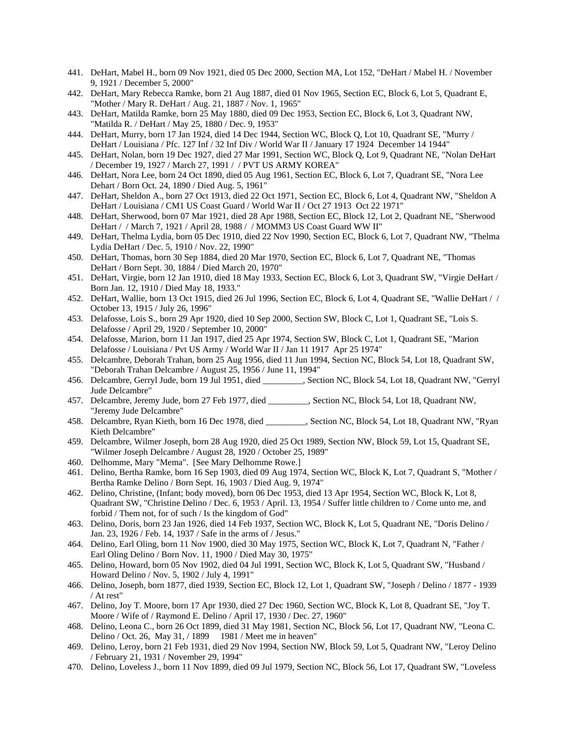- 441. DeHart, Mabel H., born 09 Nov 1921, died 05 Dec 2000, Section MA, Lot 152, "DeHart / Mabel H. / November 9, 1921 / December 5, 2000"
- 442. DeHart, Mary Rebecca Ramke, born 21 Aug 1887, died 01 Nov 1965, Section EC, Block 6, Lot 5, Quadrant E, "Mother / Mary R. DeHart / Aug. 21, 1887 / Nov. 1, 1965"
- 443. DeHart, Matilda Ramke, born 25 May 1880, died 09 Dec 1953, Section EC, Block 6, Lot 3, Quadrant NW, "Matilda R. / DeHart / May 25, 1880 / Dec. 9, 1953"
- 444. DeHart, Murry, born 17 Jan 1924, died 14 Dec 1944, Section WC, Block Q, Lot 10, Quadrant SE, "Murry / DeHart / Louisiana / Pfc. 127 Inf / 32 Inf Div / World War II / January 17 1924 December 14 1944"
- 445. DeHart, Nolan, born 19 Dec 1927, died 27 Mar 1991, Section WC, Block Q, Lot 9, Quadrant NE, "Nolan DeHart / December 19, 1927 / March 27, 1991 / / PVT US ARMY KOREA"
- 446. DeHart, Nora Lee, born 24 Oct 1890, died 05 Aug 1961, Section EC, Block 6, Lot 7, Quadrant SE, "Nora Lee Dehart / Born Oct. 24, 1890 / Died Aug. 5, 1961"
- 447. DeHart, Sheldon A., born 27 Oct 1913, died 22 Oct 1971, Section EC, Block 6, Lot 4, Quadrant NW, "Sheldon A DeHart / Louisiana / CM1 US Coast Guard / World War II / Oct 27 1913 Oct 22 1971"
- 448. DeHart, Sherwood, born 07 Mar 1921, died 28 Apr 1988, Section EC, Block 12, Lot 2, Quadrant NE, "Sherwood DeHart / / March 7, 1921 / April 28, 1988 / / MOMM3 US Coast Guard WW II"
- 449. DeHart, Thelma Lydia, born 05 Dec 1910, died 22 Nov 1990, Section EC, Block 6, Lot 7, Quadrant NW, "Thelma Lydia DeHart / Dec. 5, 1910 / Nov. 22, 1990"
- 450. DeHart, Thomas, born 30 Sep 1884, died 20 Mar 1970, Section EC, Block 6, Lot 7, Quadrant NE, "Thomas DeHart / Born Sept. 30, 1884 / Died March 20, 1970"
- 451. DeHart, Virgie, born 12 Jan 1910, died 18 May 1933, Section EC, Block 6, Lot 3, Quadrant SW, "Virgie DeHart / Born Jan. 12, 1910 / Died May 18, 1933."
- 452. DeHart, Wallie, born 13 Oct 1915, died 26 Jul 1996, Section EC, Block 6, Lot 4, Quadrant SE, "Wallie DeHart / / October 13, 1915 / July 26, 1996"
- 453. Delafosse, Lois S., born 29 Apr 1920, died 10 Sep 2000, Section SW, Block C, Lot 1, Quadrant SE, "Lois S. Delafosse / April 29, 1920 / September 10, 2000"
- 454. Delafosse, Marion, born 11 Jan 1917, died 25 Apr 1974, Section SW, Block C, Lot 1, Quadrant SE, "Marion Delafosse / Louisiana / Pvt US Army / World War II / Jan 11 1917 Apr 25 1974"
- 455. Delcambre, Deborah Trahan, born 25 Aug 1956, died 11 Jun 1994, Section NC, Block 54, Lot 18, Quadrant SW, "Deborah Trahan Delcambre / August 25, 1956 / June 11, 1994"
- 456. Delcambre, Gerryl Jude, born 19 Jul 1951, died \_\_\_\_\_\_\_\_\_, Section NC, Block 54, Lot 18, Quadrant NW, "Gerryl Jude Delcambre"
- 457. Delcambre, Jeremy Jude, born 27 Feb 1977, died \_\_\_\_\_\_\_\_\_, Section NC, Block 54, Lot 18, Quadrant NW, "Jeremy Jude Delcambre"
- 458. Delcambre, Ryan Kieth, born 16 Dec 1978, died \_\_\_\_\_\_\_\_\_, Section NC, Block 54, Lot 18, Quadrant NW, "Ryan Kieth Delcambre"
- 459. Delcambre, Wilmer Joseph, born 28 Aug 1920, died 25 Oct 1989, Section NW, Block 59, Lot 15, Quadrant SE, "Wilmer Joseph Delcambre / August 28, 1920 / October 25, 1989"
- 460. Delhomme, Mary "Mema". [See Mary Delhomme Rowe.]
- 461. Delino, Bertha Ramke, born 16 Sep 1903, died 09 Aug 1974, Section WC, Block K, Lot 7, Quadrant S, "Mother / Bertha Ramke Delino / Born Sept. 16, 1903 / Died Aug. 9, 1974"
- 462. Delino, Christine, (Infant; body moved), born 06 Dec 1953, died 13 Apr 1954, Section WC, Block K, Lot 8, Quadrant SW, "Christine Delino / Dec. 6, 1953 / April. 13, 1954 / Suffer little children to / Come unto me, and forbid / Them not, for of such / Is the kingdom of God"
- 463. Delino, Doris, born 23 Jan 1926, died 14 Feb 1937, Section WC, Block K, Lot 5, Quadrant NE, "Doris Delino / Jan. 23, 1926 / Feb. 14, 1937 / Safe in the arms of / Jesus."
- 464. Delino, Earl Oling, born 11 Nov 1900, died 30 May 1975, Section WC, Block K, Lot 7, Quadrant N, "Father / Earl Oling Delino / Born Nov. 11, 1900 / Died May 30, 1975"
- 465. Delino, Howard, born 05 Nov 1902, died 04 Jul 1991, Section WC, Block K, Lot 5, Quadrant SW, "Husband / Howard Delino / Nov. 5, 1902 / July 4, 1991"
- 466. Delino, Joseph, born 1877, died 1939, Section EC, Block 12, Lot 1, Quadrant SW, "Joseph / Delino / 1877 1939 / At rest"
- 467. Delino, Joy T. Moore, born 17 Apr 1930, died 27 Dec 1960, Section WC, Block K, Lot 8, Quadrant SE, "Joy T. Moore / Wife of / Raymond E. Delino / April 17, 1930 / Dec. 27, 1960"
- 468. Delino, Leona C., born 26 Oct 1899, died 31 May 1981, Section NC, Block 56, Lot 17, Quadrant NW, "Leona C. Delino / Oct. 26, May 31, / 1899 1981 / Meet me in heaven"
- 469. Delino, Leroy, born 21 Feb 1931, died 29 Nov 1994, Section NW, Block 59, Lot 5, Quadrant NW, "Leroy Delino / February 21, 1931 / November 29, 1994"
- 470. Delino, Loveless J., born 11 Nov 1899, died 09 Jul 1979, Section NC, Block 56, Lot 17, Quadrant SW, "Loveless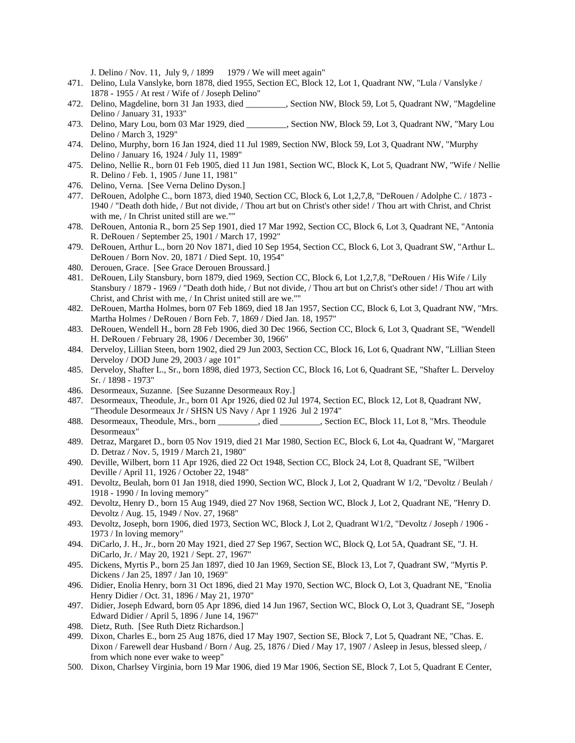J. Delino / Nov. 11, July 9, / 1899 1979 / We will meet again"

- 471. Delino, Lula Vanslyke, born 1878, died 1955, Section EC, Block 12, Lot 1, Quadrant NW, "Lula / Vanslyke / 1878 - 1955 / At rest / Wife of / Joseph Delino"
- 472. Delino, Magdeline, born 31 Jan 1933, died \_\_\_\_\_\_\_\_\_, Section NW, Block 59, Lot 5, Quadrant NW, "Magdeline Delino / January 31, 1933"
- 473. Delino, Mary Lou, born 03 Mar 1929, died \_\_\_\_\_\_\_\_, Section NW, Block 59, Lot 3, Quadrant NW, "Mary Lou Delino / March 3, 1929"
- 474. Delino, Murphy, born 16 Jan 1924, died 11 Jul 1989, Section NW, Block 59, Lot 3, Quadrant NW, "Murphy Delino / January 16, 1924 / July 11, 1989"
- 475. Delino, Nellie R., born 01 Feb 1905, died 11 Jun 1981, Section WC, Block K, Lot 5, Quadrant NW, "Wife / Nellie R. Delino / Feb. 1, 1905 / June 11, 1981"
- 476. Delino, Verna. [See Verna Delino Dyson.]
- 477. DeRouen, Adolphe C., born 1873, died 1940, Section CC, Block 6, Lot 1,2,7,8, "DeRouen / Adolphe C. / 1873 1940 / "Death doth hide, / But not divide, / Thou art but on Christ's other side! / Thou art with Christ, and Christ with me, / In Christ united still are we.""
- 478. DeRouen, Antonia R., born 25 Sep 1901, died 17 Mar 1992, Section CC, Block 6, Lot 3, Quadrant NE, "Antonia R. DeRouen / September 25, 1901 / March 17, 1992"
- 479. DeRouen, Arthur L., born 20 Nov 1871, died 10 Sep 1954, Section CC, Block 6, Lot 3, Quadrant SW, "Arthur L. DeRouen / Born Nov. 20, 1871 / Died Sept. 10, 1954"
- 480. Derouen, Grace. [See Grace Derouen Broussard.]
- 481. DeRouen, Lily Stansbury, born 1879, died 1969, Section CC, Block 6, Lot 1,2,7,8, "DeRouen / His Wife / Lily Stansbury / 1879 - 1969 / "Death doth hide, / But not divide, / Thou art but on Christ's other side! / Thou art with Christ, and Christ with me, / In Christ united still are we.""
- 482. DeRouen, Martha Holmes, born 07 Feb 1869, died 18 Jan 1957, Section CC, Block 6, Lot 3, Quadrant NW, "Mrs. Martha Holmes / DeRouen / Born Feb. 7, 1869 / Died Jan. 18, 1957"
- 483. DeRouen, Wendell H., born 28 Feb 1906, died 30 Dec 1966, Section CC, Block 6, Lot 3, Quadrant SE, "Wendell H. DeRouen / February 28, 1906 / December 30, 1966"
- 484. Derveloy, Lillian Steen, born 1902, died 29 Jun 2003, Section CC, Block 16, Lot 6, Quadrant NW, "Lillian Steen Derveloy / DOD June 29, 2003 / age 101"
- 485. Derveloy, Shafter L., Sr., born 1898, died 1973, Section CC, Block 16, Lot 6, Quadrant SE, "Shafter L. Derveloy Sr. / 1898 - 1973"
- 486. Desormeaux, Suzanne. [See Suzanne Desormeaux Roy.]
- 487. Desormeaux, Theodule, Jr., born 01 Apr 1926, died 02 Jul 1974, Section EC, Block 12, Lot 8, Quadrant NW, "Theodule Desormeaux Jr / SHSN US Navy / Apr 1 1926 Jul 2 1974"
- 488. Desormeaux, Theodule, Mrs., born \_\_\_\_\_\_\_\_\_, died \_\_\_\_\_\_\_\_\_, Section EC, Block 11, Lot 8, "Mrs. Theodule Desormeaux"
- 489. Detraz, Margaret D., born 05 Nov 1919, died 21 Mar 1980, Section EC, Block 6, Lot 4a, Quadrant W, "Margaret D. Detraz / Nov. 5, 1919 / March 21, 1980"
- 490. Deville, Wilbert, born 11 Apr 1926, died 22 Oct 1948, Section CC, Block 24, Lot 8, Quadrant SE, "Wilbert Deville / April 11, 1926 / October 22, 1948"
- 491. Devoltz, Beulah, born 01 Jan 1918, died 1990, Section WC, Block J, Lot 2, Quadrant W 1/2, "Devoltz / Beulah / 1918 - 1990 / In loving memory"
- 492. Devoltz, Henry D., born 15 Aug 1949, died 27 Nov 1968, Section WC, Block J, Lot 2, Quadrant NE, "Henry D. Devoltz / Aug. 15, 1949 / Nov. 27, 1968"
- 493. Devoltz, Joseph, born 1906, died 1973, Section WC, Block J, Lot 2, Quadrant W1/2, "Devoltz / Joseph / 1906 1973 / In loving memory"
- 494. DiCarlo, J. H., Jr., born 20 May 1921, died 27 Sep 1967, Section WC, Block Q, Lot 5A, Quadrant SE, "J. H. DiCarlo, Jr. / May 20, 1921 / Sept. 27, 1967"
- 495. Dickens, Myrtis P., born 25 Jan 1897, died 10 Jan 1969, Section SE, Block 13, Lot 7, Quadrant SW, "Myrtis P. Dickens / Jan 25, 1897 / Jan 10, 1969"
- 496. Didier, Enolia Henry, born 31 Oct 1896, died 21 May 1970, Section WC, Block O, Lot 3, Quadrant NE, "Enolia Henry Didier / Oct. 31, 1896 / May 21, 1970"
- 497. Didier, Joseph Edward, born 05 Apr 1896, died 14 Jun 1967, Section WC, Block O, Lot 3, Quadrant SE, "Joseph Edward Didier / April 5, 1896 / June 14, 1967"
- 498. Dietz, Ruth. [See Ruth Dietz Richardson.]
- 499. Dixon, Charles E., born 25 Aug 1876, died 17 May 1907, Section SE, Block 7, Lot 5, Quadrant NE, "Chas. E. Dixon / Farewell dear Husband / Born / Aug. 25, 1876 / Died / May 17, 1907 / Asleep in Jesus, blessed sleep, / from which none ever wake to weep"
- 500. Dixon, Charlsey Virginia, born 19 Mar 1906, died 19 Mar 1906, Section SE, Block 7, Lot 5, Quadrant E Center,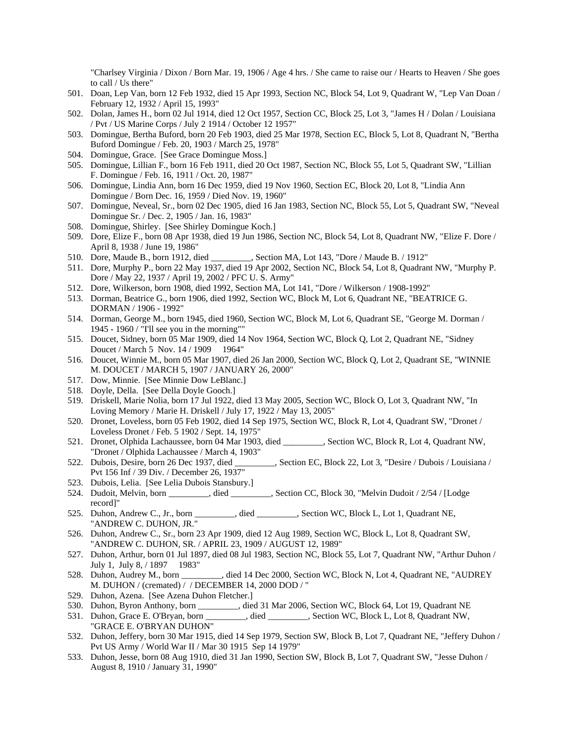"Charlsey Virginia / Dixon / Born Mar. 19, 1906 / Age 4 hrs. / She came to raise our / Hearts to Heaven / She goes to call / Us there"

- 501. Doan, Lep Van, born 12 Feb 1932, died 15 Apr 1993, Section NC, Block 54, Lot 9, Quadrant W, "Lep Van Doan / February 12, 1932 / April 15, 1993"
- 502. Dolan, James H., born 02 Jul 1914, died 12 Oct 1957, Section CC, Block 25, Lot 3, "James H / Dolan / Louisiana / Pvt / US Marine Corps / July 2 1914 / October 12 1957"
- 503. Domingue, Bertha Buford, born 20 Feb 1903, died 25 Mar 1978, Section EC, Block 5, Lot 8, Quadrant N, "Bertha Buford Domingue / Feb. 20, 1903 / March 25, 1978"
- 504. Domingue, Grace. [See Grace Domingue Moss.]
- 505. Domingue, Lillian F., born 16 Feb 1911, died 20 Oct 1987, Section NC, Block 55, Lot 5, Quadrant SW, "Lillian F. Domingue / Feb. 16, 1911 / Oct. 20, 1987"
- 506. Domingue, Lindia Ann, born 16 Dec 1959, died 19 Nov 1960, Section EC, Block 20, Lot 8, "Lindia Ann Domingue / Born Dec. 16, 1959 / Died Nov. 19, 1960"
- 507. Domingue, Neveal, Sr., born 02 Dec 1905, died 16 Jan 1983, Section NC, Block 55, Lot 5, Quadrant SW, "Neveal Domingue Sr. / Dec. 2, 1905 / Jan. 16, 1983"
- 508. Domingue, Shirley. [See Shirley Domingue Koch.]
- 509. Dore, Elize F., born 08 Apr 1938, died 19 Jun 1986, Section NC, Block 54, Lot 8, Quadrant NW, "Elize F. Dore / April 8, 1938 / June 19, 1986"
- 510. Dore, Maude B., born 1912, died \_\_\_\_\_\_\_\_\_, Section MA, Lot 143, "Dore / Maude B. / 1912"
- 511. Dore, Murphy P., born 22 May 1937, died 19 Apr 2002, Section NC, Block 54, Lot 8, Quadrant NW, "Murphy P. Dore / May 22, 1937 / April 19, 2002 / PFC U. S. Army"
- 512. Dore, Wilkerson, born 1908, died 1992, Section MA, Lot 141, "Dore / Wilkerson / 1908-1992"
- 513. Dorman, Beatrice G., born 1906, died 1992, Section WC, Block M, Lot 6, Quadrant NE, "BEATRICE G. DORMAN / 1906 - 1992"
- 514. Dorman, George M., born 1945, died 1960, Section WC, Block M, Lot 6, Quadrant SE, "George M. Dorman / 1945 - 1960 / "I'll see you in the morning""
- 515. Doucet, Sidney, born 05 Mar 1909, died 14 Nov 1964, Section WC, Block Q, Lot 2, Quadrant NE, "Sidney Doucet / March 5 Nov. 14 / 1909 1964"
- 516. Doucet, Winnie M., born 05 Mar 1907, died 26 Jan 2000, Section WC, Block Q, Lot 2, Quadrant SE, "WINNIE M. DOUCET / MARCH 5, 1907 / JANUARY 26, 2000"
- 517. Dow, Minnie. [See Minnie Dow LeBlanc.]
- 518. Doyle, Della. [See Della Doyle Gooch.]
- 519. Driskell, Marie Nolia, born 17 Jul 1922, died 13 May 2005, Section WC, Block O, Lot 3, Quadrant NW, "In Loving Memory / Marie H. Driskell / July 17, 1922 / May 13, 2005"
- 520. Dronet, Loveless, born 05 Feb 1902, died 14 Sep 1975, Section WC, Block R, Lot 4, Quadrant SW, "Dronet / Loveless Dronet / Feb. 5 1902 / Sept. 14, 1975"
- 521. Dronet, Olphida Lachaussee, born 04 Mar 1903, died \_\_\_\_\_\_\_\_\_, Section WC, Block R, Lot 4, Quadrant NW, "Dronet / Olphida Lachaussee / March 4, 1903"
- 522. Dubois, Desire, born 26 Dec 1937, died \_\_\_\_\_\_\_\_\_, Section EC, Block 22, Lot 3, "Desire / Dubois / Louisiana / Pvt 156 Inf / 39 Div. / December 26, 1937"
- 523. Dubois, Lelia. [See Lelia Dubois Stansbury.]
- 524. Dudoit, Melvin, born \_\_\_\_\_\_\_, died \_\_\_\_\_\_, Section CC, Block 30, "Melvin Dudoit / 2/54 / [Lodge record]"
- 525. Duhon, Andrew C., Jr., born \_\_\_\_\_\_\_\_\_, died \_\_\_\_\_\_\_\_\_, Section WC, Block L, Lot 1, Quadrant NE, "ANDREW C. DUHON, JR."
- 526. Duhon, Andrew C., Sr., born 23 Apr 1909, died 12 Aug 1989, Section WC, Block L, Lot 8, Quadrant SW, "ANDREW C. DUHON, SR. / APRIL 23, 1909 / AUGUST 12, 1989"
- 527. Duhon, Arthur, born 01 Jul 1897, died 08 Jul 1983, Section NC, Block 55, Lot 7, Quadrant NW, "Arthur Duhon / July 1, July 8, / 1897 1983"<br>528. Duhon, Audrey M., born
- 52. died 14 Dec 2000, Section WC, Block N, Lot 4, Quadrant NE, "AUDREY M. DUHON / (cremated) / / DECEMBER 14, 2000 DOD / "
- 529. Duhon, Azena. [See Azena Duhon Fletcher.]
- 530. Duhon, Byron Anthony, born \_\_\_\_\_\_\_\_\_, died 31 Mar 2006, Section WC, Block 64, Lot 19, Quadrant NE
- 531. Duhon, Grace E. O'Bryan, born \_\_\_\_\_\_\_\_\_, died \_\_\_\_\_\_\_\_\_, Section WC, Block L, Lot 8, Quadrant NW, "GRACE E. O'BRYAN DUHON"
- 532. Duhon, Jeffery, born 30 Mar 1915, died 14 Sep 1979, Section SW, Block B, Lot 7, Quadrant NE, "Jeffery Duhon / Pvt US Army / World War II / Mar 30 1915 Sep 14 1979"
- 533. Duhon, Jesse, born 08 Aug 1910, died 31 Jan 1990, Section SW, Block B, Lot 7, Quadrant SW, "Jesse Duhon / August 8, 1910 / January 31, 1990"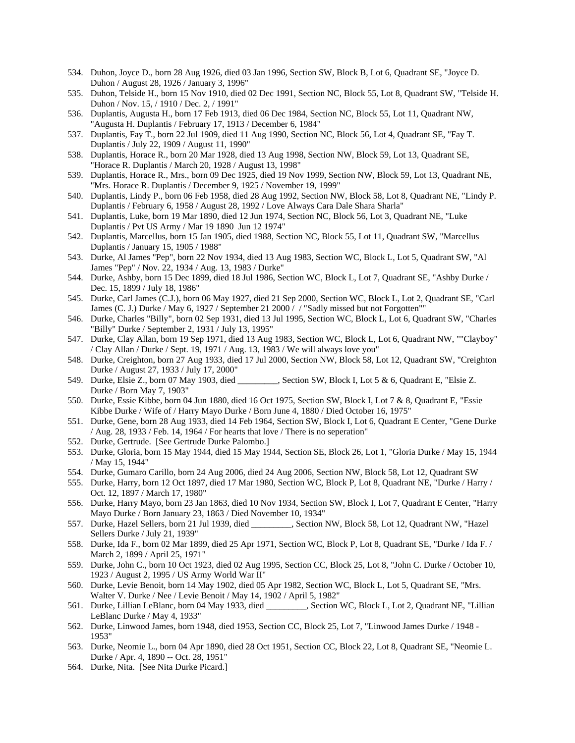- 534. Duhon, Joyce D., born 28 Aug 1926, died 03 Jan 1996, Section SW, Block B, Lot 6, Quadrant SE, "Joyce D. Duhon / August 28, 1926 / January 3, 1996"
- 535. Duhon, Telside H., born 15 Nov 1910, died 02 Dec 1991, Section NC, Block 55, Lot 8, Quadrant SW, "Telside H. Duhon / Nov. 15, / 1910 / Dec. 2, / 1991"
- 536. Duplantis, Augusta H., born 17 Feb 1913, died 06 Dec 1984, Section NC, Block 55, Lot 11, Quadrant NW, "Augusta H. Duplantis / February 17, 1913 / December 6, 1984"
- 537. Duplantis, Fay T., born 22 Jul 1909, died 11 Aug 1990, Section NC, Block 56, Lot 4, Quadrant SE, "Fay T. Duplantis / July 22, 1909 / August 11, 1990"
- 538. Duplantis, Horace R., born 20 Mar 1928, died 13 Aug 1998, Section NW, Block 59, Lot 13, Quadrant SE, "Horace R. Duplantis / March 20, 1928 / August 13, 1998"
- 539. Duplantis, Horace R., Mrs., born 09 Dec 1925, died 19 Nov 1999, Section NW, Block 59, Lot 13, Quadrant NE, "Mrs. Horace R. Duplantis / December 9, 1925 / November 19, 1999"
- 540. Duplantis, Lindy P., born 06 Feb 1958, died 28 Aug 1992, Section NW, Block 58, Lot 8, Quadrant NE, "Lindy P. Duplantis / February 6, 1958 / August 28, 1992 / Love Always Cara Dale Shara Sharla"
- 541. Duplantis, Luke, born 19 Mar 1890, died 12 Jun 1974, Section NC, Block 56, Lot 3, Quadrant NE, "Luke Duplantis / Pvt US Army / Mar 19 1890 Jun 12 1974"
- 542. Duplantis, Marcellus, born 15 Jan 1905, died 1988, Section NC, Block 55, Lot 11, Quadrant SW, "Marcellus Duplantis / January 15, 1905 / 1988"
- 543. Durke, Al James "Pep", born 22 Nov 1934, died 13 Aug 1983, Section WC, Block L, Lot 5, Quadrant SW, "Al James "Pep" / Nov. 22, 1934 / Aug. 13, 1983 / Durke"
- 544. Durke, Ashby, born 15 Dec 1899, died 18 Jul 1986, Section WC, Block L, Lot 7, Quadrant SE, "Ashby Durke / Dec. 15, 1899 / July 18, 1986"
- 545. Durke, Carl James (C.J.), born 06 May 1927, died 21 Sep 2000, Section WC, Block L, Lot 2, Quadrant SE, "Carl James (C. J.) Durke / May 6, 1927 / September 21 2000 / / "Sadly missed but not Forgotten""
- 546. Durke, Charles "Billy", born 02 Sep 1931, died 13 Jul 1995, Section WC, Block L, Lot 6, Quadrant SW, "Charles "Billy" Durke / September 2, 1931 / July 13, 1995"
- 547. Durke, Clay Allan, born 19 Sep 1971, died 13 Aug 1983, Section WC, Block L, Lot 6, Quadrant NW, ""Clayboy" / Clay Allan / Durke / Sept. 19, 1971 / Aug. 13, 1983 / We will always love you"
- 548. Durke, Creighton, born 27 Aug 1933, died 17 Jul 2000, Section NW, Block 58, Lot 12, Quadrant SW, "Creighton Durke / August 27, 1933 / July 17, 2000"
- 549. Durke, Elsie Z., born 07 May 1903, died \_\_\_\_\_\_\_\_\_, Section SW, Block I, Lot 5 & 6, Quadrant E, "Elsie Z. Durke / Born May 7, 1903"
- 550. Durke, Essie Kibbe, born 04 Jun 1880, died 16 Oct 1975, Section SW, Block I, Lot 7 & 8, Quadrant E, "Essie Kibbe Durke / Wife of / Harry Mayo Durke / Born June 4, 1880 / Died October 16, 1975"
- 551. Durke, Gene, born 28 Aug 1933, died 14 Feb 1964, Section SW, Block I, Lot 6, Quadrant E Center, "Gene Durke / Aug. 28, 1933 / Feb. 14, 1964 / For hearts that love / There is no seperation"
- 552. Durke, Gertrude. [See Gertrude Durke Palombo.]
- 553. Durke, Gloria, born 15 May 1944, died 15 May 1944, Section SE, Block 26, Lot 1, "Gloria Durke / May 15, 1944 / May 15, 1944"
- 554. Durke, Gumaro Carillo, born 24 Aug 2006, died 24 Aug 2006, Section NW, Block 58, Lot 12, Quadrant SW
- 555. Durke, Harry, born 12 Oct 1897, died 17 Mar 1980, Section WC, Block P, Lot 8, Quadrant NE, "Durke / Harry / Oct. 12, 1897 / March 17, 1980"
- 556. Durke, Harry Mayo, born 23 Jan 1863, died 10 Nov 1934, Section SW, Block I, Lot 7, Quadrant E Center, "Harry Mayo Durke / Born January 23, 1863 / Died November 10, 1934"
- 557. Durke, Hazel Sellers, born 21 Jul 1939, died \_\_\_\_\_\_\_\_\_, Section NW, Block 58, Lot 12, Quadrant NW, "Hazel Sellers Durke / July 21, 1939"
- 558. Durke, Ida F., born 02 Mar 1899, died 25 Apr 1971, Section WC, Block P, Lot 8, Quadrant SE, "Durke / Ida F. / March 2, 1899 / April 25, 1971"
- 559. Durke, John C., born 10 Oct 1923, died 02 Aug 1995, Section CC, Block 25, Lot 8, "John C. Durke / October 10, 1923 / August 2, 1995 / US Army World War II"
- 560. Durke, Levie Benoit, born 14 May 1902, died 05 Apr 1982, Section WC, Block L, Lot 5, Quadrant SE, "Mrs. Walter V. Durke / Nee / Levie Benoit / May 14, 1902 / April 5, 1982"
- 561. Durke, Lillian LeBlanc, born 04 May 1933, died \_\_\_\_\_\_\_\_\_, Section WC, Block L, Lot 2, Quadrant NE, "Lillian LeBlanc Durke / May 4, 1933"
- 562. Durke, Linwood James, born 1948, died 1953, Section CC, Block 25, Lot 7, "Linwood James Durke / 1948 1953"
- 563. Durke, Neomie L., born 04 Apr 1890, died 28 Oct 1951, Section CC, Block 22, Lot 8, Quadrant SE, "Neomie L. Durke / Apr. 4, 1890 -- Oct. 28, 1951"
- 564. Durke, Nita. [See Nita Durke Picard.]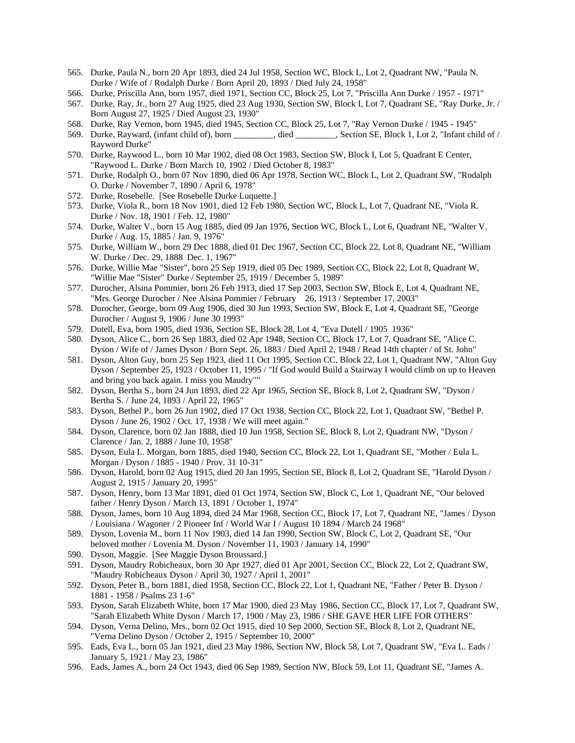- 565. Durke, Paula N., born 20 Apr 1893, died 24 Jul 1958, Section WC, Block L, Lot 2, Quadrant NW, "Paula N. Durke / Wife of / Rodalph Durke / Born April 20, 1893 / Died July 24, 1958"
- 566. Durke, Priscilla Ann, born 1957, died 1971, Section CC, Block 25, Lot 7, "Priscilla Ann Durke / 1957 1971"
- 567. Durke, Ray, Jr., born 27 Aug 1925, died 23 Aug 1930, Section SW, Block I, Lot 7, Quadrant SE, "Ray Durke, Jr. / Born August 27, 1925 / Died August 23, 1930"
- 568. Durke, Ray Vernon, born 1945, died 1945, Section CC, Block 25, Lot 7, "Ray Vernon Durke / 1945 1945"
- 569. Durke, Rayward, (infant child of), born \_\_\_\_\_\_\_\_\_, died \_\_\_\_\_\_\_\_\_, Section SE, Block 1, Lot 2, "Infant child of / Rayword Durke"
- 570. Durke, Raywood L., born 10 Mar 1902, died 08 Oct 1983, Section SW, Block I, Lot 5, Quadrant E Center, "Raywood L. Durke / Born March 10, 1902 / Died October 8, 1983"
- 571. Durke, Rodalph O., born 07 Nov 1890, died 06 Apr 1978, Section WC, Block L, Lot 2, Quadrant SW, "Rodalph O. Durke / November 7, 1890 / April 6, 1978"
- 572. Durke, Rosebelle. [See Rosebelle Durke Luquette.]
- 573. Durke, Viola R., born 18 Nov 1901, died 12 Feb 1980, Section WC, Block L, Lot 7, Quadrant NE, "Viola R. Durke / Nov. 18, 1901 / Feb. 12, 1980"
- 574. Durke, Walter V., born 15 Aug 1885, died 09 Jan 1976, Section WC, Block L, Lot 6, Quadrant NE, "Walter V. Durke / Aug. 15, 1885 / Jan. 9, 1976"
- 575. Durke, William W., born 29 Dec 1888, died 01 Dec 1967, Section CC, Block 22, Lot 8, Quadrant NE, "William W. Durke / Dec. 29, 1888 Dec. 1, 1967"
- 576. Durke, Willie Mae "Sister", born 25 Sep 1919, died 05 Dec 1989, Section CC, Block 22, Lot 8, Quadrant W, "Willie Mae "Sister" Durke / September 25, 1919 / December 5, 1989"
- 577. Durocher, Alsina Pommier, born 26 Feb 1913, died 17 Sep 2003, Section SW, Block E, Lot 4, Quadrant NE, "Mrs. George Durocher / Nee Alsina Pommier / February 26, 1913 / September 17, 2003"
- 578. Durocher, George, born 09 Aug 1906, died 30 Jun 1993, Section SW, Block E, Lot 4, Quadrant SE, "George Durocher / August 9, 1906 / June 30 1993"
- 579. Dutell, Eva, born 1905, died 1936, Section SE, Block 28, Lot 4, "Eva Dutell / 1905 1936"
- 580. Dyson, Alice C., born 26 Sep 1883, died 02 Apr 1948, Section CC, Block 17, Lot 7, Quadrant SE, "Alice C. Dyson / Wife of / James Dyson / Born Sept. 26, 1883 / Died April 2, 1948 / Read 14th chapter / of St. John"
- 581. Dyson, Alton Guy, born 25 Sep 1923, died 11 Oct 1995, Section CC, Block 22, Lot 1, Quadrant NW, "Alton Guy Dyson / September 25, 1923 / October 11, 1995 / "If God would Build a Stairway I would climb on up to Heaven and bring you back again. I miss you Maudry""
- 582. Dyson, Bertha S., born 24 Jun 1893, died 22 Apr 1965, Section SE, Block 8, Lot 2, Quadrant SW, "Dyson / Bertha S. / June 24, 1893 / April 22, 1965"
- 583. Dyson, Bethel P., born 26 Jun 1902, died 17 Oct 1938, Section CC, Block 22, Lot 1, Quadrant SW, "Bethel P. Dyson / June 26, 1902 / Oct. 17, 1938 / We will meet again."
- 584. Dyson, Clarence, born 02 Jan 1888, died 10 Jun 1958, Section SE, Block 8, Lot 2, Quadrant NW, "Dyson / Clarence / Jan. 2, 1888 / June 10, 1958"
- 585. Dyson, Eula L. Morgan, born 1885, died 1940, Section CC, Block 22, Lot 1, Quadrant SE, "Mother / Eula L. Morgan / Dyson / 1885 - 1940 / Prov. 31 10-31"
- 586. Dyson, Harold, born 02 Aug 1915, died 20 Jan 1995, Section SE, Block 8, Lot 2, Quadrant SE, "Harold Dyson / August 2, 1915 / January 20, 1995"
- 587. Dyson, Henry, born 13 Mar 1891, died 01 Oct 1974, Section SW, Block C, Lot 1, Quadrant NE, "Our beloved father / Henry Dyson / March 13, 1891 / October 1, 1974"
- 588. Dyson, James, born 10 Aug 1894, died 24 Mar 1968, Section CC, Block 17, Lot 7, Quadrant NE, "James / Dyson / Louisiana / Wagoner / 2 Pioneer Inf / World War I / August 10 1894 / March 24 1968"
- 589. Dyson, Lovenia M., born 11 Nov 1903, died 14 Jan 1990, Section SW, Block C, Lot 2, Quadrant SE, "Our beloved mother / Lovenia M. Dyson / November 11, 1903 / January 14, 1990"
- 590. Dyson, Maggie. [See Maggie Dyson Broussard.]
- 591. Dyson, Maudry Robicheaux, born 30 Apr 1927, died 01 Apr 2001, Section CC, Block 22, Lot 2, Quadrant SW, "Maudry Robicheaux Dyson / April 30, 1927 / April 1, 2001"
- 592. Dyson, Peter B., born 1881, died 1958, Section CC, Block 22, Lot 1, Quadrant NE, "Father / Peter B. Dyson / 1881 - 1958 / Psalms 23 1-6"
- 593. Dyson, Sarah Elizabeth White, born 17 Mar 1900, died 23 May 1986, Section CC, Block 17, Lot 7, Quadrant SW, "Sarah Elizabeth White Dyson / March 17, 1900 / May 23, 1986 / SHE GAVE HER LIFE FOR OTHERS"
- 594. Dyson, Verna Delino, Mrs., born 02 Oct 1915, died 10 Sep 2000, Section SE, Block 8, Lot 2, Quadrant NE, "Verna Delino Dyson / October 2, 1915 / September 10, 2000"
- 595. Eads, Eva L., born 05 Jan 1921, died 23 May 1986, Section NW, Block 58, Lot 7, Quadrant SW, "Eva L. Eads / January 5, 1921 / May 23, 1986"
- 596. Eads, James A., born 24 Oct 1943, died 06 Sep 1989, Section NW, Block 59, Lot 11, Quadrant SE, "James A.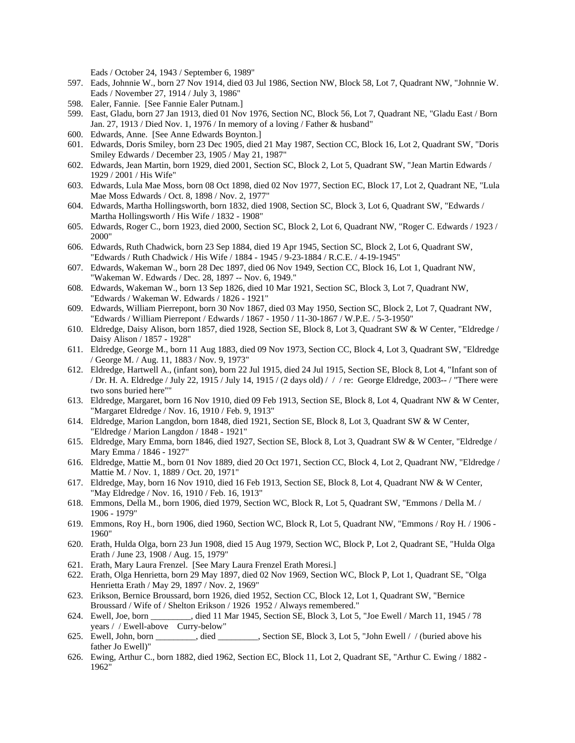Eads / October 24, 1943 / September 6, 1989"

- 597. Eads, Johnnie W., born 27 Nov 1914, died 03 Jul 1986, Section NW, Block 58, Lot 7, Quadrant NW, "Johnnie W. Eads / November 27, 1914 / July 3, 1986"
- 598. Ealer, Fannie. [See Fannie Ealer Putnam.]
- 599. East, Gladu, born 27 Jan 1913, died 01 Nov 1976, Section NC, Block 56, Lot 7, Quadrant NE, "Gladu East / Born Jan. 27, 1913 / Died Nov. 1, 1976 / In memory of a loving / Father & husband"
- 600. Edwards, Anne. [See Anne Edwards Boynton.]
- 601. Edwards, Doris Smiley, born 23 Dec 1905, died 21 May 1987, Section CC, Block 16, Lot 2, Quadrant SW, "Doris Smiley Edwards / December 23, 1905 / May 21, 1987"
- 602. Edwards, Jean Martin, born 1929, died 2001, Section SC, Block 2, Lot 5, Quadrant SW, "Jean Martin Edwards / 1929 / 2001 / His Wife"
- 603. Edwards, Lula Mae Moss, born 08 Oct 1898, died 02 Nov 1977, Section EC, Block 17, Lot 2, Quadrant NE, "Lula Mae Moss Edwards / Oct. 8, 1898 / Nov. 2, 1977"
- 604. Edwards, Martha Hollingsworth, born 1832, died 1908, Section SC, Block 3, Lot 6, Quadrant SW, "Edwards / Martha Hollingsworth / His Wife / 1832 - 1908"
- 605. Edwards, Roger C., born 1923, died 2000, Section SC, Block 2, Lot 6, Quadrant NW, "Roger C. Edwards / 1923 / 2000"
- 606. Edwards, Ruth Chadwick, born 23 Sep 1884, died 19 Apr 1945, Section SC, Block 2, Lot 6, Quadrant SW, "Edwards / Ruth Chadwick / His Wife / 1884 - 1945 / 9-23-1884 / R.C.E. / 4-19-1945"
- 607. Edwards, Wakeman W., born 28 Dec 1897, died 06 Nov 1949, Section CC, Block 16, Lot 1, Quadrant NW, "Wakeman W. Edwards / Dec. 28, 1897 -- Nov. 6, 1949."
- 608. Edwards, Wakeman W., born 13 Sep 1826, died 10 Mar 1921, Section SC, Block 3, Lot 7, Quadrant NW, "Edwards / Wakeman W. Edwards / 1826 - 1921"
- 609. Edwards, William Pierrepont, born 30 Nov 1867, died 03 May 1950, Section SC, Block 2, Lot 7, Quadrant NW, "Edwards / William Pierrepont / Edwards / 1867 - 1950 / 11-30-1867 / W.P.E. / 5-3-1950"
- 610. Eldredge, Daisy Alison, born 1857, died 1928, Section SE, Block 8, Lot 3, Quadrant SW & W Center, "Eldredge / Daisy Alison / 1857 - 1928"
- 611. Eldredge, George M., born 11 Aug 1883, died 09 Nov 1973, Section CC, Block 4, Lot 3, Quadrant SW, "Eldredge / George M. / Aug. 11, 1883 / Nov. 9, 1973"
- 612. Eldredge, Hartwell A., (infant son), born 22 Jul 1915, died 24 Jul 1915, Section SE, Block 8, Lot 4, "Infant son of / Dr. H. A. Eldredge / July 22, 1915 / July 14, 1915 / (2 days old) / / / re: George Eldredge, 2003-- / "There were two sons buried here""
- 613. Eldredge, Margaret, born 16 Nov 1910, died 09 Feb 1913, Section SE, Block 8, Lot 4, Quadrant NW & W Center, "Margaret Eldredge / Nov. 16, 1910 / Feb. 9, 1913"
- 614. Eldredge, Marion Langdon, born 1848, died 1921, Section SE, Block 8, Lot 3, Quadrant SW & W Center, "Eldredge / Marion Langdon / 1848 - 1921"
- 615. Eldredge, Mary Emma, born 1846, died 1927, Section SE, Block 8, Lot 3, Quadrant SW & W Center, "Eldredge / Mary Emma / 1846 - 1927"
- 616. Eldredge, Mattie M., born 01 Nov 1889, died 20 Oct 1971, Section CC, Block 4, Lot 2, Quadrant NW, "Eldredge / Mattie M. / Nov. 1, 1889 / Oct. 20, 1971"
- 617. Eldredge, May, born 16 Nov 1910, died 16 Feb 1913, Section SE, Block 8, Lot 4, Quadrant NW & W Center, "May Eldredge / Nov. 16, 1910 / Feb. 16, 1913"
- 618. Emmons, Della M., born 1906, died 1979, Section WC, Block R, Lot 5, Quadrant SW, "Emmons / Della M. / 1906 - 1979"
- 619. Emmons, Roy H., born 1906, died 1960, Section WC, Block R, Lot 5, Quadrant NW, "Emmons / Roy H. / 1906 1960"
- 620. Erath, Hulda Olga, born 23 Jun 1908, died 15 Aug 1979, Section WC, Block P, Lot 2, Quadrant SE, "Hulda Olga Erath / June 23, 1908 / Aug. 15, 1979"
- 621. Erath, Mary Laura Frenzel. [See Mary Laura Frenzel Erath Moresi.]
- 622. Erath, Olga Henrietta, born 29 May 1897, died 02 Nov 1969, Section WC, Block P, Lot 1, Quadrant SE, "Olga Henrietta Erath / May 29, 1897 / Nov. 2, 1969"
- 623. Erikson, Bernice Broussard, born 1926, died 1952, Section CC, Block 12, Lot 1, Quadrant SW, "Bernice Broussard / Wife of / Shelton Erikson / 1926 1952 / Always remembered."
- 624. Ewell, Joe, born \_\_\_\_\_\_\_\_\_, died 11 Mar 1945, Section SE, Block 3, Lot 5, "Joe Ewell / March 11, 1945 / 78 years / / Ewell-above Curry-below"
- 625. Ewell, John, born \_\_\_\_\_\_\_\_\_, died \_\_\_\_\_\_\_\_\_, Section SE, Block 3, Lot 5, "John Ewell / / (buried above his father Jo Ewell)"
- 626. Ewing, Arthur C., born 1882, died 1962, Section EC, Block 11, Lot 2, Quadrant SE, "Arthur C. Ewing / 1882 1962"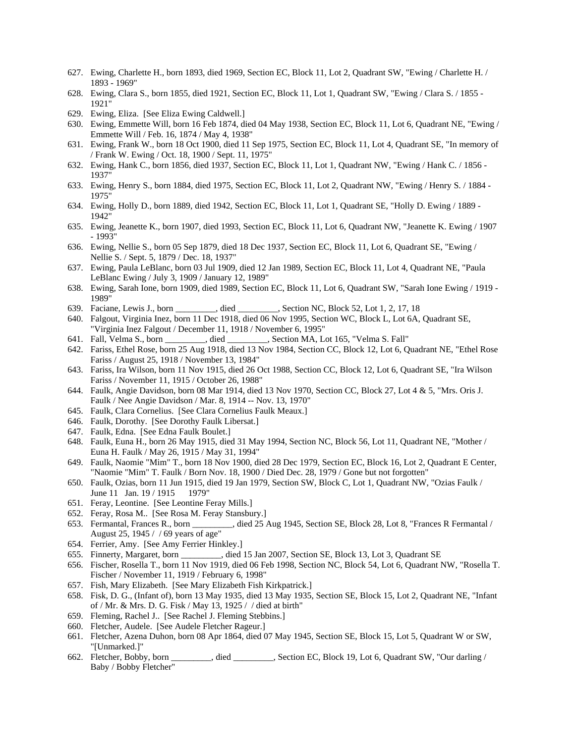- 627. Ewing, Charlette H., born 1893, died 1969, Section EC, Block 11, Lot 2, Quadrant SW, "Ewing / Charlette H. / 1893 - 1969"
- 628. Ewing, Clara S., born 1855, died 1921, Section EC, Block 11, Lot 1, Quadrant SW, "Ewing / Clara S. / 1855 1921"
- 629. Ewing, Eliza. [See Eliza Ewing Caldwell.]
- 630. Ewing, Emmette Will, born 16 Feb 1874, died 04 May 1938, Section EC, Block 11, Lot 6, Quadrant NE, "Ewing / Emmette Will / Feb. 16, 1874 / May 4, 1938"
- 631. Ewing, Frank W., born 18 Oct 1900, died 11 Sep 1975, Section EC, Block 11, Lot 4, Quadrant SE, "In memory of / Frank W. Ewing / Oct. 18, 1900 / Sept. 11, 1975"
- 632. Ewing, Hank C., born 1856, died 1937, Section EC, Block 11, Lot 1, Quadrant NW, "Ewing / Hank C. / 1856 1937"
- 633. Ewing, Henry S., born 1884, died 1975, Section EC, Block 11, Lot 2, Quadrant NW, "Ewing / Henry S. / 1884 1975"
- 634. Ewing, Holly D., born 1889, died 1942, Section EC, Block 11, Lot 1, Quadrant SE, "Holly D. Ewing / 1889 1942"
- 635. Ewing, Jeanette K., born 1907, died 1993, Section EC, Block 11, Lot 6, Quadrant NW, "Jeanette K. Ewing / 1907 - 1993"
- 636. Ewing, Nellie S., born 05 Sep 1879, died 18 Dec 1937, Section EC, Block 11, Lot 6, Quadrant SE, "Ewing / Nellie S. / Sept. 5, 1879 / Dec. 18, 1937"
- 637. Ewing, Paula LeBlanc, born 03 Jul 1909, died 12 Jan 1989, Section EC, Block 11, Lot 4, Quadrant NE, "Paula LeBlanc Ewing / July 3, 1909 / January 12, 1989"
- 638. Ewing, Sarah Ione, born 1909, died 1989, Section EC, Block 11, Lot 6, Quadrant SW, "Sarah Ione Ewing / 1919 1989"
- 639. Faciane, Lewis J., born \_\_\_\_\_\_\_\_\_, died \_\_\_\_\_\_\_\_\_, Section NC, Block 52, Lot 1, 2, 17, 18
- 640. Falgout, Virginia Inez, born 11 Dec 1918, died 06 Nov 1995, Section WC, Block L, Lot 6A, Quadrant SE, "Virginia Inez Falgout / December 11, 1918 / November 6, 1995"
- 641. Fall, Velma S., born \_\_\_\_\_\_\_\_\_, died \_\_\_\_\_\_\_\_\_, Section MA, Lot 165, "Velma S. Fall"
- 642. Fariss, Ethel Rose, born 25 Aug 1918, died 13 Nov 1984, Section CC, Block 12, Lot 6, Quadrant NE, "Ethel Rose Fariss / August 25, 1918 / November 13, 1984"
- 643. Fariss, Ira Wilson, born 11 Nov 1915, died 26 Oct 1988, Section CC, Block 12, Lot 6, Quadrant SE, "Ira Wilson Fariss / November 11, 1915 / October 26, 1988"
- 644. Faulk, Angie Davidson, born 08 Mar 1914, died 13 Nov 1970, Section CC, Block 27, Lot 4 & 5, "Mrs. Oris J. Faulk / Nee Angie Davidson / Mar. 8, 1914 -- Nov. 13, 1970"
- 645. Faulk, Clara Cornelius. [See Clara Cornelius Faulk Meaux.]
- 646. Faulk, Dorothy. [See Dorothy Faulk Libersat.]
- 647. Faulk, Edna. [See Edna Faulk Boulet.]
- 648. Faulk, Euna H., born 26 May 1915, died 31 May 1994, Section NC, Block 56, Lot 11, Quadrant NE, "Mother / Euna H. Faulk / May 26, 1915 / May 31, 1994"
- 649. Faulk, Naomie "Mim" T., born 18 Nov 1900, died 28 Dec 1979, Section EC, Block 16, Lot 2, Quadrant E Center, "Naomie "Mim" T. Faulk / Born Nov. 18, 1900 / Died Dec. 28, 1979 / Gone but not forgotten"
- 650. Faulk, Ozias, born 11 Jun 1915, died 19 Jan 1979, Section SW, Block C, Lot 1, Quadrant NW, "Ozias Faulk / June 11 Jan. 19 / 1915 1979"
- 651. Feray, Leontine. [See Leontine Feray Mills.]
- 652. Feray, Rosa M.. [See Rosa M. Feray Stansbury.]
- 653. Fermantal, Frances R., born \_\_\_\_\_\_\_\_\_, died 25 Aug 1945, Section SE, Block 28, Lot 8, "Frances R Fermantal / August 25, 1945 / / 69 years of age"
- 654. Ferrier, Amy. [See Amy Ferrier Hinkley.]
- 655. Finnerty, Margaret, born \_\_\_\_\_\_\_\_\_, died 15 Jan 2007, Section SE, Block 13, Lot 3, Quadrant SE
- 656. Fischer, Rosella T., born 11 Nov 1919, died 06 Feb 1998, Section NC, Block 54, Lot 6, Quadrant NW, "Rosella T. Fischer / November 11, 1919 / February 6, 1998"
- 657. Fish, Mary Elizabeth. [See Mary Elizabeth Fish Kirkpatrick.]
- 658. Fisk, D. G., (Infant of), born 13 May 1935, died 13 May 1935, Section SE, Block 15, Lot 2, Quadrant NE, "Infant of / Mr. & Mrs. D. G. Fisk / May 13, 1925 / / died at birth"
- 659. Fleming, Rachel J.. [See Rachel J. Fleming Stebbins.]
- 660. Fletcher, Audele. [See Audele Fletcher Rageur.]
- 661. Fletcher, Azena Duhon, born 08 Apr 1864, died 07 May 1945, Section SE, Block 15, Lot 5, Quadrant W or SW, "[Unmarked.]"
- 662. Fletcher, Bobby, born \_\_\_\_\_\_\_\_\_, died \_\_\_\_\_\_\_\_\_, Section EC, Block 19, Lot 6, Quadrant SW, "Our darling / Baby / Bobby Fletcher"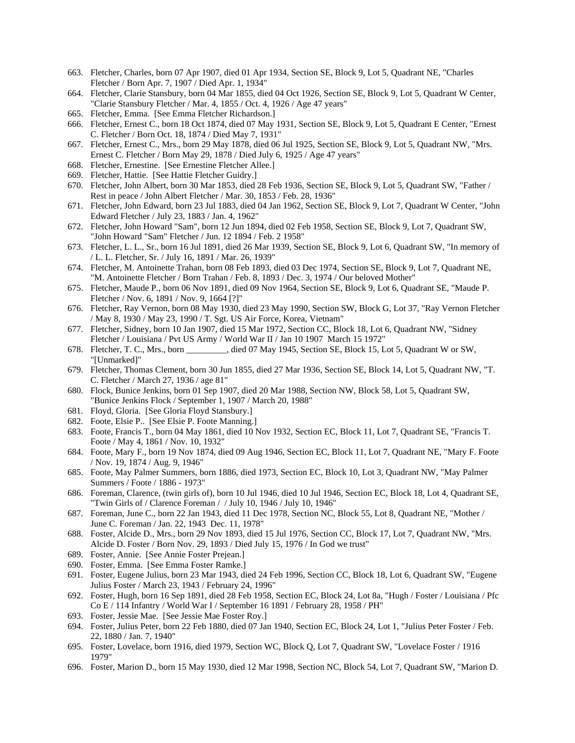- 663. Fletcher, Charles, born 07 Apr 1907, died 01 Apr 1934, Section SE, Block 9, Lot 5, Quadrant NE, "Charles Fletcher / Born Apr. 7, 1907 / Died Apr. 1, 1934"
- 664. Fletcher, Clarie Stansbury, born 04 Mar 1855, died 04 Oct 1926, Section SE, Block 9, Lot 5, Quadrant W Center, "Clarie Stansbury Fletcher / Mar. 4, 1855 / Oct. 4, 1926 / Age 47 years"
- 665. Fletcher, Emma. [See Emma Fletcher Richardson.]
- 666. Fletcher, Ernest C., born 18 Oct 1874, died 07 May 1931, Section SE, Block 9, Lot 5, Quadrant E Center, "Ernest C. Fletcher / Born Oct. 18, 1874 / Died May 7, 1931"
- 667. Fletcher, Ernest C., Mrs., born 29 May 1878, died 06 Jul 1925, Section SE, Block 9, Lot 5, Quadrant NW, "Mrs. Ernest C. Fletcher / Born May 29, 1878 / Died July 6, 1925 / Age 47 years"
- 668. Fletcher, Ernestine. [See Ernestine Fletcher Allee.]
- 669. Fletcher, Hattie. [See Hattie Fletcher Guidry.]
- 670. Fletcher, John Albert, born 30 Mar 1853, died 28 Feb 1936, Section SE, Block 9, Lot 5, Quadrant SW, "Father / Rest in peace / John Albert Fletcher / Mar. 30, 1853 / Feb. 28, 1936"
- 671. Fletcher, John Edward, born 23 Jul 1883, died 04 Jan 1962, Section SE, Block 9, Lot 7, Quadrant W Center, "John Edward Fletcher / July 23, 1883 / Jan. 4, 1962"
- 672. Fletcher, John Howard "Sam", born 12 Jun 1894, died 02 Feb 1958, Section SE, Block 9, Lot 7, Quadrant SW, "John Howard "Sam" Fletcher / Jun. 12 1894 / Feb. 2 1958"
- 673. Fletcher, L. L., Sr., born 16 Jul 1891, died 26 Mar 1939, Section SE, Block 9, Lot 6, Quadrant SW, "In memory of / L. L. Fletcher, Sr. / July 16, 1891 / Mar. 26, 1939"
- 674. Fletcher, M. Antoinette Trahan, born 08 Feb 1893, died 03 Dec 1974, Section SE, Block 9, Lot 7, Quadrant NE, "M. Antoinette Fletcher / Born Trahan / Feb. 8, 1893 / Dec. 3, 1974 / Our beloved Mother"
- 675. Fletcher, Maude P., born 06 Nov 1891, died 09 Nov 1964, Section SE, Block 9, Lot 6, Quadrant SE, "Maude P. Fletcher / Nov. 6, 1891 / Nov. 9, 1664 [?]"
- 676. Fletcher, Ray Vernon, born 08 May 1930, died 23 May 1990, Section SW, Block G, Lot 37, "Ray Vernon Fletcher / May 8, 1930 / May 23, 1990 / T. Sgt. US Air Force, Korea, Vietnam"
- 677. Fletcher, Sidney, born 10 Jan 1907, died 15 Mar 1972, Section CC, Block 18, Lot 6, Quadrant NW, "Sidney Fletcher / Louisiana / Pvt US Army / World War II / Jan 10 1907 March 15 1972"
- 678. Fletcher, T. C., Mrs., born \_\_\_\_\_\_\_\_\_, died 07 May 1945, Section SE, Block 15, Lot 5, Quadrant W or SW, "[Unmarked]"
- 679. Fletcher, Thomas Clement, born 30 Jun 1855, died 27 Mar 1936, Section SE, Block 14, Lot 5, Quadrant NW, "T. C. Fletcher / March 27, 1936 / age 81"
- 680. Flock, Bunice Jenkins, born 01 Sep 1907, died 20 Mar 1988, Section NW, Block 58, Lot 5, Quadrant SW, "Bunice Jenkins Flock / September 1, 1907 / March 20, 1988"
- 681. Floyd, Gloria. [See Gloria Floyd Stansbury.]
- 682. Foote, Elsie P.. [See Elsie P. Foote Manning.]
- 683. Foote, Francis T., born 04 May 1861, died 10 Nov 1932, Section EC, Block 11, Lot 7, Quadrant SE, "Francis T. Foote / May 4, 1861 / Nov. 10, 1932"
- 684. Foote, Mary F., born 19 Nov 1874, died 09 Aug 1946, Section EC, Block 11, Lot 7, Quadrant NE, "Mary F. Foote / Nov. 19, 1874 / Aug. 9, 1946"
- 685. Foote, May Palmer Summers, born 1886, died 1973, Section EC, Block 10, Lot 3, Quadrant NW, "May Palmer Summers / Foote / 1886 - 1973"
- 686. Foreman, Clarence, (twin girls of), born 10 Jul 1946, died 10 Jul 1946, Section EC, Block 18, Lot 4, Quadrant SE, "Twin Girls of / Clarence Foreman / / July 10, 1946 / July 10, 1946"
- 687. Foreman, June C., born 22 Jan 1943, died 11 Dec 1978, Section NC, Block 55, Lot 8, Quadrant NE, "Mother / June C. Foreman / Jan. 22, 1943 Dec. 11, 1978"
- 688. Foster, Alcide D., Mrs., born 29 Nov 1893, died 15 Jul 1976, Section CC, Block 17, Lot 7, Quadrant NW, "Mrs. Alcide D. Foster / Born Nov. 29, 1893 / Died July 15, 1976 / In God we trust"
- 689. Foster, Annie. [See Annie Foster Prejean.]
- 690. Foster, Emma. [See Emma Foster Ramke.]
- 691. Foster, Eugene Julius, born 23 Mar 1943, died 24 Feb 1996, Section CC, Block 18, Lot 6, Quadrant SW, "Eugene Julius Foster / March 23, 1943 / February 24, 1996"
- 692. Foster, Hugh, born 16 Sep 1891, died 28 Feb 1958, Section EC, Block 24, Lot 8a, "Hugh / Foster / Louisiana / Pfc Co E / 114 Infantry / World War I / September 16 1891 / February 28, 1958 / PH"
- 693. Foster, Jessie Mae. [See Jessie Mae Foster Roy.]
- 694. Foster, Julius Peter, born 22 Feb 1880, died 07 Jan 1940, Section EC, Block 24, Lot 1, "Julius Peter Foster / Feb. 22, 1880 / Jan. 7, 1940"
- 695. Foster, Lovelace, born 1916, died 1979, Section WC, Block Q, Lot 7, Quadrant SW, "Lovelace Foster / 1916 1979"
- 696. Foster, Marion D., born 15 May 1930, died 12 Mar 1998, Section NC, Block 54, Lot 7, Quadrant SW, "Marion D.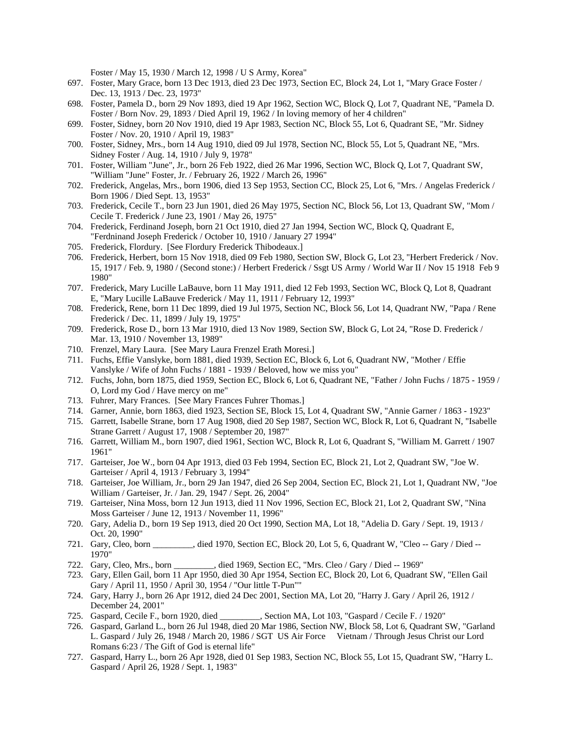Foster / May 15, 1930 / March 12, 1998 / U S Army, Korea"

- 697. Foster, Mary Grace, born 13 Dec 1913, died 23 Dec 1973, Section EC, Block 24, Lot 1, "Mary Grace Foster / Dec. 13, 1913 / Dec. 23, 1973"
- 698. Foster, Pamela D., born 29 Nov 1893, died 19 Apr 1962, Section WC, Block Q, Lot 7, Quadrant NE, "Pamela D. Foster / Born Nov. 29, 1893 / Died April 19, 1962 / In loving memory of her 4 children"
- 699. Foster, Sidney, born 20 Nov 1910, died 19 Apr 1983, Section NC, Block 55, Lot 6, Quadrant SE, "Mr. Sidney Foster / Nov. 20, 1910 / April 19, 1983"
- 700. Foster, Sidney, Mrs., born 14 Aug 1910, died 09 Jul 1978, Section NC, Block 55, Lot 5, Quadrant NE, "Mrs. Sidney Foster / Aug. 14, 1910 / July 9, 1978"
- 701. Foster, William "June", Jr., born 26 Feb 1922, died 26 Mar 1996, Section WC, Block Q, Lot 7, Quadrant SW, "William "June" Foster, Jr. / February 26, 1922 / March 26, 1996"
- 702. Frederick, Angelas, Mrs., born 1906, died 13 Sep 1953, Section CC, Block 25, Lot 6, "Mrs. / Angelas Frederick / Born 1906 / Died Sept. 13, 1953"
- 703. Frederick, Cecile T., born 23 Jun 1901, died 26 May 1975, Section NC, Block 56, Lot 13, Quadrant SW, "Mom / Cecile T. Frederick / June 23, 1901 / May 26, 1975"
- 704. Frederick, Ferdinand Joseph, born 21 Oct 1910, died 27 Jan 1994, Section WC, Block Q, Quadrant E, "Ferdninand Joseph Frederick / October 10, 1910 / January 27 1994"
- 705. Frederick, Flordury. [See Flordury Frederick Thibodeaux.]
- 706. Frederick, Herbert, born 15 Nov 1918, died 09 Feb 1980, Section SW, Block G, Lot 23, "Herbert Frederick / Nov. 15, 1917 / Feb. 9, 1980 / (Second stone:) / Herbert Frederick / Ssgt US Army / World War II / Nov 15 1918 Feb 9 1980"
- 707. Frederick, Mary Lucille LaBauve, born 11 May 1911, died 12 Feb 1993, Section WC, Block Q, Lot 8, Quadrant E, "Mary Lucille LaBauve Frederick / May 11, 1911 / February 12, 1993"
- 708. Frederick, Rene, born 11 Dec 1899, died 19 Jul 1975, Section NC, Block 56, Lot 14, Quadrant NW, "Papa / Rene Frederick / Dec. 11, 1899 / July 19, 1975"
- 709. Frederick, Rose D., born 13 Mar 1910, died 13 Nov 1989, Section SW, Block G, Lot 24, "Rose D. Frederick / Mar. 13, 1910 / November 13, 1989"
- 710. Frenzel, Mary Laura. [See Mary Laura Frenzel Erath Moresi.]
- 711. Fuchs, Effie Vanslyke, born 1881, died 1939, Section EC, Block 6, Lot 6, Quadrant NW, "Mother / Effie Vanslyke / Wife of John Fuchs / 1881 - 1939 / Beloved, how we miss you"
- 712. Fuchs, John, born 1875, died 1959, Section EC, Block 6, Lot 6, Quadrant NE, "Father / John Fuchs / 1875 1959 / O, Lord my God / Have mercy on me"
- 713. Fuhrer, Mary Frances. [See Mary Frances Fuhrer Thomas.]
- 714. Garner, Annie, born 1863, died 1923, Section SE, Block 15, Lot 4, Quadrant SW, "Annie Garner / 1863 1923"
- 715. Garrett, Isabelle Strane, born 17 Aug 1908, died 20 Sep 1987, Section WC, Block R, Lot 6, Quadrant N, "Isabelle Strane Garrett / August 17, 1908 / September 20, 1987"
- 716. Garrett, William M., born 1907, died 1961, Section WC, Block R, Lot 6, Quadrant S, "William M. Garrett / 1907 1961"
- 717. Garteiser, Joe W., born 04 Apr 1913, died 03 Feb 1994, Section EC, Block 21, Lot 2, Quadrant SW, "Joe W. Garteiser / April 4, 1913 / February 3, 1994"
- 718. Garteiser, Joe William, Jr., born 29 Jan 1947, died 26 Sep 2004, Section EC, Block 21, Lot 1, Quadrant NW, "Joe William / Garteiser, Jr. / Jan. 29, 1947 / Sept. 26, 2004"
- 719. Garteiser, Nina Moss, born 12 Jun 1913, died 11 Nov 1996, Section EC, Block 21, Lot 2, Quadrant SW, "Nina Moss Garteiser / June 12, 1913 / November 11, 1996"
- 720. Gary, Adelia D., born 19 Sep 1913, died 20 Oct 1990, Section MA, Lot 18, "Adelia D. Gary / Sept. 19, 1913 / Oct. 20, 1990"
- 721. Gary, Cleo, born \_\_\_\_\_\_\_\_\_, died 1970, Section EC, Block 20, Lot 5, 6, Quadrant W, "Cleo -- Gary / Died -- 1970"
- 722. Gary, Cleo, Mrs., born \_\_\_\_\_\_\_\_\_, died 1969, Section EC, "Mrs. Cleo / Gary / Died -- 1969"
- 723. Gary, Ellen Gail, born 11 Apr 1950, died 30 Apr 1954, Section EC, Block 20, Lot 6, Quadrant SW, "Ellen Gail Gary / April 11, 1950 / April 30, 1954 / "Our little T-Pun""
- 724. Gary, Harry J., born 26 Apr 1912, died 24 Dec 2001, Section MA, Lot 20, "Harry J. Gary / April 26, 1912 / December 24, 2001"
- 725. Gaspard, Cecile F., born 1920, died \_\_\_\_\_\_\_\_\_, Section MA, Lot 103, "Gaspard / Cecile F. / 1920"
- 726. Gaspard, Garland L., born 26 Jul 1948, died 20 Mar 1986, Section NW, Block 58, Lot 6, Quadrant SW, "Garland L. Gaspard / July 26, 1948 / March 20, 1986 / SGT US Air Force Vietnam / Through Jesus Christ our Lord Romans 6:23 / The Gift of God is eternal life"
- 727. Gaspard, Harry L., born 26 Apr 1928, died 01 Sep 1983, Section NC, Block 55, Lot 15, Quadrant SW, "Harry L. Gaspard / April 26, 1928 / Sept. 1, 1983"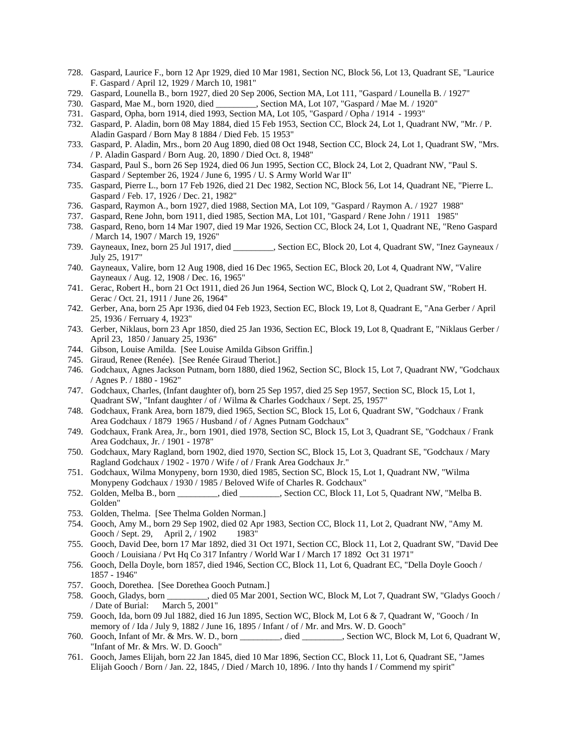- 728. Gaspard, Laurice F., born 12 Apr 1929, died 10 Mar 1981, Section NC, Block 56, Lot 13, Quadrant SE, "Laurice F. Gaspard / April 12, 1929 / March 10, 1981"
- 729. Gaspard, Lounella B., born 1927, died 20 Sep 2006, Section MA, Lot 111, "Gaspard / Lounella B. / 1927"
- 730. Gaspard, Mae M., born 1920, died \_\_\_\_\_\_\_\_\_, Section MA, Lot 107, "Gaspard / Mae M. / 1920"
- 731. Gaspard, Opha, born 1914, died 1993, Section MA, Lot 105, "Gaspard / Opha / 1914 1993"
- 732. Gaspard, P. Aladin, born 08 May 1884, died 15 Feb 1953, Section CC, Block 24, Lot 1, Quadrant NW, "Mr. / P. Aladin Gaspard / Born May 8 1884 / Died Feb. 15 1953"
- 733. Gaspard, P. Aladin, Mrs., born 20 Aug 1890, died 08 Oct 1948, Section CC, Block 24, Lot 1, Quadrant SW, "Mrs. / P. Aladin Gaspard / Born Aug. 20, 1890 / Died Oct. 8, 1948"
- 734. Gaspard, Paul S., born 26 Sep 1924, died 06 Jun 1995, Section CC, Block 24, Lot 2, Quadrant NW, "Paul S. Gaspard / September 26, 1924 / June 6, 1995 / U. S Army World War II"
- 735. Gaspard, Pierre L., born 17 Feb 1926, died 21 Dec 1982, Section NC, Block 56, Lot 14, Quadrant NE, "Pierre L. Gaspard / Feb. 17, 1926 / Dec. 21, 1982"
- 736. Gaspard, Raymon A., born 1927, died 1988, Section MA, Lot 109, "Gaspard / Raymon A. / 1927 1988"
- 737. Gaspard, Rene John, born 1911, died 1985, Section MA, Lot 101, "Gaspard / Rene John / 1911 1985"
- 738. Gaspard, Reno, born 14 Mar 1907, died 19 Mar 1926, Section CC, Block 24, Lot 1, Quadrant NE, "Reno Gaspard / March 14, 1907 / March 19, 1926"
- 739. Gayneaux, Inez, born 25 Jul 1917, died \_\_\_\_\_\_\_\_\_, Section EC, Block 20, Lot 4, Quadrant SW, "Inez Gayneaux / July 25, 1917"
- 740. Gayneaux, Valire, born 12 Aug 1908, died 16 Dec 1965, Section EC, Block 20, Lot 4, Quadrant NW, "Valire Gayneaux / Aug. 12, 1908 / Dec. 16, 1965"
- 741. Gerac, Robert H., born 21 Oct 1911, died 26 Jun 1964, Section WC, Block Q, Lot 2, Quadrant SW, "Robert H. Gerac / Oct. 21, 1911 / June 26, 1964"
- 742. Gerber, Ana, born 25 Apr 1936, died 04 Feb 1923, Section EC, Block 19, Lot 8, Quadrant E, "Ana Gerber / April 25, 1936 / Ferruary 4, 1923"
- 743. Gerber, Niklaus, born 23 Apr 1850, died 25 Jan 1936, Section EC, Block 19, Lot 8, Quadrant E, "Niklaus Gerber / April 23, 1850 / January 25, 1936"
- 744. Gibson, Louise Amilda. [See Louise Amilda Gibson Griffin.]
- 745. Giraud, Renee (Renée). [See Renée Giraud Theriot.]
- 746. Godchaux, Agnes Jackson Putnam, born 1880, died 1962, Section SC, Block 15, Lot 7, Quadrant NW, "Godchaux / Agnes P. / 1880 - 1962"
- 747. Godchaux, Charles, (Infant daughter of), born 25 Sep 1957, died 25 Sep 1957, Section SC, Block 15, Lot 1, Quadrant SW, "Infant daughter / of / Wilma & Charles Godchaux / Sept. 25, 1957"
- 748. Godchaux, Frank Area, born 1879, died 1965, Section SC, Block 15, Lot 6, Quadrant SW, "Godchaux / Frank Area Godchaux / 1879 1965 / Husband / of / Agnes Putnam Godchaux"
- 749. Godchaux, Frank Area, Jr., born 1901, died 1978, Section SC, Block 15, Lot 3, Quadrant SE, "Godchaux / Frank Area Godchaux, Jr. / 1901 - 1978"
- 750. Godchaux, Mary Ragland, born 1902, died 1970, Section SC, Block 15, Lot 3, Quadrant SE, "Godchaux / Mary Ragland Godchaux / 1902 - 1970 / Wife / of / Frank Area Godchaux Jr."
- 751. Godchaux, Wilma Monypeny, born 1930, died 1985, Section SC, Block 15, Lot 1, Quadrant NW, "Wilma Monypeny Godchaux / 1930 / 1985 / Beloved Wife of Charles R. Godchaux"
- 752. Golden, Melba B., born \_\_\_\_\_\_\_\_\_, died \_\_\_\_\_\_\_\_\_, Section CC, Block 11, Lot 5, Quadrant NW, "Melba B. Golden"
- 753. Golden, Thelma. [See Thelma Golden Norman.]
- 754. Gooch, Amy M., born 29 Sep 1902, died 02 Apr 1983, Section CC, Block 11, Lot 2, Quadrant NW, "Amy M. Gooch / Sept. 29, April 2,  $\sqrt{1902}$
- 755. Gooch, David Dee, born 17 Mar 1892, died 31 Oct 1971, Section CC, Block 11, Lot 2, Quadrant SW, "David Dee Gooch / Louisiana / Pvt Hq Co 317 Infantry / World War I / March 17 1892 Oct 31 1971"
- 756. Gooch, Della Doyle, born 1857, died 1946, Section CC, Block 11, Lot 6, Quadrant EC, "Della Doyle Gooch / 1857 - 1946"
- 757. Gooch, Dorethea. [See Dorethea Gooch Putnam.]
- 758. Gooch, Gladys, born \_\_\_\_\_\_\_\_\_, died 05 Mar 2001, Section WC, Block M, Lot 7, Quadrant SW, "Gladys Gooch / / Date of Burial: March 5, 2001"
- 759. Gooch, Ida, born 09 Jul 1882, died 16 Jun 1895, Section WC, Block M, Lot 6 & 7, Quadrant W, "Gooch / In memory of / Ida / July 9, 1882 / June 16, 1895 / Infant / of / Mr. and Mrs. W. D. Gooch"
- 760. Gooch, Infant of Mr. & Mrs. W. D., born \_\_\_\_\_\_\_\_\_, died \_\_\_\_\_\_\_\_\_, Section WC, Block M, Lot 6, Quadrant W, "Infant of Mr. & Mrs. W. D. Gooch"
- 761. Gooch, James Elijah, born 22 Jan 1845, died 10 Mar 1896, Section CC, Block 11, Lot 6, Quadrant SE, "James Elijah Gooch / Born / Jan. 22, 1845, / Died / March 10, 1896. / Into thy hands I / Commend my spirit"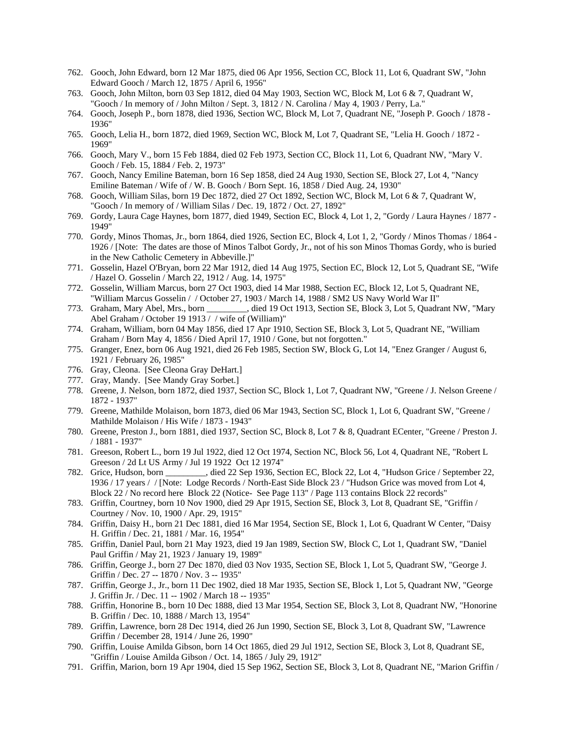- 762. Gooch, John Edward, born 12 Mar 1875, died 06 Apr 1956, Section CC, Block 11, Lot 6, Quadrant SW, "John Edward Gooch / March 12, 1875 / April 6, 1956"
- 763. Gooch, John Milton, born 03 Sep 1812, died 04 May 1903, Section WC, Block M, Lot 6 & 7, Quadrant W, "Gooch / In memory of / John Milton / Sept. 3, 1812 / N. Carolina / May 4, 1903 / Perry, La."
- 764. Gooch, Joseph P., born 1878, died 1936, Section WC, Block M, Lot 7, Quadrant NE, "Joseph P. Gooch / 1878 1936"
- 765. Gooch, Lelia H., born 1872, died 1969, Section WC, Block M, Lot 7, Quadrant SE, "Lelia H. Gooch / 1872 1969"
- 766. Gooch, Mary V., born 15 Feb 1884, died 02 Feb 1973, Section CC, Block 11, Lot 6, Quadrant NW, "Mary V. Gooch / Feb. 15, 1884 / Feb. 2, 1973"
- 767. Gooch, Nancy Emiline Bateman, born 16 Sep 1858, died 24 Aug 1930, Section SE, Block 27, Lot 4, "Nancy Emiline Bateman / Wife of / W. B. Gooch / Born Sept. 16, 1858 / Died Aug. 24, 1930"
- 768. Gooch, William Silas, born 19 Dec 1872, died 27 Oct 1892, Section WC, Block M, Lot 6 & 7, Quadrant W, "Gooch / In memory of / William Silas / Dec. 19, 1872 / Oct. 27, 1892"
- 769. Gordy, Laura Cage Haynes, born 1877, died 1949, Section EC, Block 4, Lot 1, 2, "Gordy / Laura Haynes / 1877 1949"
- 770. Gordy, Minos Thomas, Jr., born 1864, died 1926, Section EC, Block 4, Lot 1, 2, "Gordy / Minos Thomas / 1864 1926 / [Note: The dates are those of Minos Talbot Gordy, Jr., not of his son Minos Thomas Gordy, who is buried in the New Catholic Cemetery in Abbeville.]"
- 771. Gosselin, Hazel O'Bryan, born 22 Mar 1912, died 14 Aug 1975, Section EC, Block 12, Lot 5, Quadrant SE, "Wife / Hazel O. Gosselin / March 22, 1912 / Aug. 14, 1975"
- 772. Gosselin, William Marcus, born 27 Oct 1903, died 14 Mar 1988, Section EC, Block 12, Lot 5, Quadrant NE, "William Marcus Gosselin / / October 27, 1903 / March 14, 1988 / SM2 US Navy World War II"
- 773. Graham, Mary Abel, Mrs., born \_\_\_\_\_\_\_\_\_, died 19 Oct 1913, Section SE, Block 3, Lot 5, Quadrant NW, "Mary Abel Graham / October 19 1913 / / wife of (William)"
- 774. Graham, William, born 04 May 1856, died 17 Apr 1910, Section SE, Block 3, Lot 5, Quadrant NE, "William Graham / Born May 4, 1856 / Died April 17, 1910 / Gone, but not forgotten."
- 775. Granger, Enez, born 06 Aug 1921, died 26 Feb 1985, Section SW, Block G, Lot 14, "Enez Granger / August 6, 1921 / February 26, 1985"
- 776. Gray, Cleona. [See Cleona Gray DeHart.]
- 777. Gray, Mandy. [See Mandy Gray Sorbet.]
- 778. Greene, J. Nelson, born 1872, died 1937, Section SC, Block 1, Lot 7, Quadrant NW, "Greene / J. Nelson Greene / 1872 - 1937"
- 779. Greene, Mathilde Molaison, born 1873, died 06 Mar 1943, Section SC, Block 1, Lot 6, Quadrant SW, "Greene / Mathilde Molaison / His Wife / 1873 - 1943"
- 780. Greene, Preston J., born 1881, died 1937, Section SC, Block 8, Lot 7 & 8, Quadrant ECenter, "Greene / Preston J. / 1881 - 1937"
- 781. Greeson, Robert L., born 19 Jul 1922, died 12 Oct 1974, Section NC, Block 56, Lot 4, Quadrant NE, "Robert L Greeson / 2d Lt US Army / Jul 19 1922 Oct 12 1974"
- 782. Grice, Hudson, born \_\_\_\_\_\_\_\_\_, died 22 Sep 1936, Section EC, Block 22, Lot 4, "Hudson Grice / September 22, 1936 / 17 years / / [Note: Lodge Records / North-East Side Block 23 / "Hudson Grice was moved from Lot 4, Block 22 / No record here Block 22 (Notice- See Page 113" / Page 113 contains Block 22 records"
- 783. Griffin, Courtney, born 10 Nov 1900, died 29 Apr 1915, Section SE, Block 3, Lot 8, Quadrant SE, "Griffin / Courtney / Nov. 10, 1900 / Apr. 29, 1915"
- 784. Griffin, Daisy H., born 21 Dec 1881, died 16 Mar 1954, Section SE, Block 1, Lot 6, Quadrant W Center, "Daisy H. Griffin / Dec. 21, 1881 / Mar. 16, 1954"
- 785. Griffin, Daniel Paul, born 21 May 1923, died 19 Jan 1989, Section SW, Block C, Lot 1, Quadrant SW, "Daniel Paul Griffin / May 21, 1923 / January 19, 1989"
- 786. Griffin, George J., born 27 Dec 1870, died 03 Nov 1935, Section SE, Block 1, Lot 5, Quadrant SW, "George J. Griffin / Dec. 27 -- 1870 / Nov. 3 -- 1935"
- 787. Griffin, George J., Jr., born 11 Dec 1902, died 18 Mar 1935, Section SE, Block 1, Lot 5, Quadrant NW, "George J. Griffin Jr. / Dec. 11 -- 1902 / March 18 -- 1935"
- 788. Griffin, Honorine B., born 10 Dec 1888, died 13 Mar 1954, Section SE, Block 3, Lot 8, Quadrant NW, "Honorine B. Griffin / Dec. 10, 1888 / March 13, 1954"
- 789. Griffin, Lawrence, born 28 Dec 1914, died 26 Jun 1990, Section SE, Block 3, Lot 8, Quadrant SW, "Lawrence Griffin / December 28, 1914 / June 26, 1990"
- 790. Griffin, Louise Amilda Gibson, born 14 Oct 1865, died 29 Jul 1912, Section SE, Block 3, Lot 8, Quadrant SE, "Griffin / Louise Amilda Gibson / Oct. 14, 1865 / July 29, 1912"
- 791. Griffin, Marion, born 19 Apr 1904, died 15 Sep 1962, Section SE, Block 3, Lot 8, Quadrant NE, "Marion Griffin /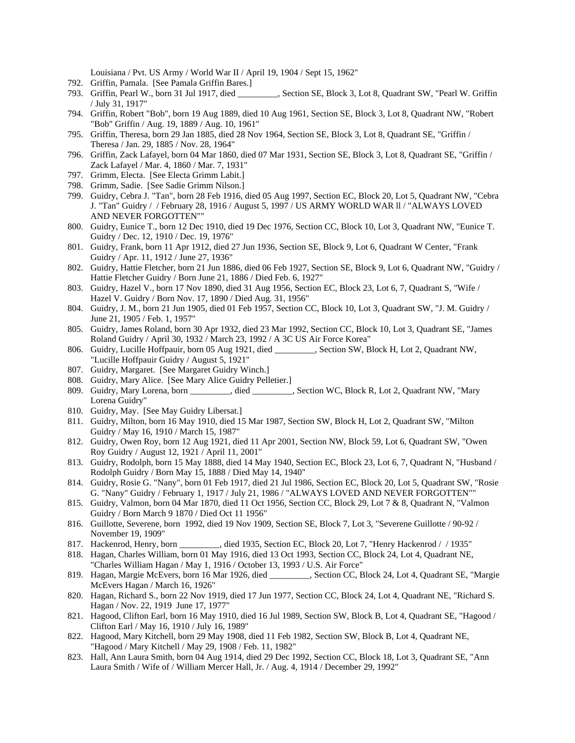Louisiana / Pvt. US Army / World War II / April 19, 1904 / Sept 15, 1962"

- 792. Griffin, Pamala. [See Pamala Griffin Bares.]
- 793. Griffin, Pearl W., born 31 Jul 1917, died \_\_\_\_\_\_\_\_\_, Section SE, Block 3, Lot 8, Quadrant SW, "Pearl W. Griffin / July 31, 1917"
- 794. Griffin, Robert "Bob", born 19 Aug 1889, died 10 Aug 1961, Section SE, Block 3, Lot 8, Quadrant NW, "Robert "Bob" Griffin / Aug. 19, 1889 / Aug. 10, 1961"
- 795. Griffin, Theresa, born 29 Jan 1885, died 28 Nov 1964, Section SE, Block 3, Lot 8, Quadrant SE, "Griffin / Theresa / Jan. 29, 1885 / Nov. 28, 1964"
- 796. Griffin, Zack Lafayel, born 04 Mar 1860, died 07 Mar 1931, Section SE, Block 3, Lot 8, Quadrant SE, "Griffin / Zack Lafayel / Mar. 4, 1860 / Mar. 7, 1931"
- 797. Grimm, Electa. [See Electa Grimm Labit.]
- 798. Grimm, Sadie. [See Sadie Grimm Nilson.]
- 799. Guidry, Cebra J. "Tan", born 28 Feb 1916, died 05 Aug 1997, Section EC, Block 20, Lot 5, Quadrant NW, "Cebra J. "Tan" Guidry / / February 28, 1916 / August 5, 1997 / US ARMY WORLD WAR ll / "ALWAYS LOVED AND NEVER FORGOTTEN""
- 800. Guidry, Eunice T., born 12 Dec 1910, died 19 Dec 1976, Section CC, Block 10, Lot 3, Quadrant NW, "Eunice T. Guidry / Dec. 12, 1910 / Dec. 19, 1976"
- 801. Guidry, Frank, born 11 Apr 1912, died 27 Jun 1936, Section SE, Block 9, Lot 6, Quadrant W Center, "Frank Guidry / Apr. 11, 1912 / June 27, 1936"
- 802. Guidry, Hattie Fletcher, born 21 Jun 1886, died 06 Feb 1927, Section SE, Block 9, Lot 6, Quadrant NW, "Guidry / Hattie Fletcher Guidry / Born June 21, 1886 / Died Feb. 6, 1927"
- 803. Guidry, Hazel V., born 17 Nov 1890, died 31 Aug 1956, Section EC, Block 23, Lot 6, 7, Quadrant S, "Wife / Hazel V. Guidry / Born Nov. 17, 1890 / Died Aug. 31, 1956"
- 804. Guidry, J. M., born 21 Jun 1905, died 01 Feb 1957, Section CC, Block 10, Lot 3, Quadrant SW, "J. M. Guidry / June 21, 1905 / Feb. 1, 1957"
- 805. Guidry, James Roland, born 30 Apr 1932, died 23 Mar 1992, Section CC, Block 10, Lot 3, Quadrant SE, "James Roland Guidry / April 30, 1932 / March 23, 1992 / A 3C US Air Force Korea"
- 806. Guidry, Lucille Hoffpauir, born 05 Aug 1921, died \_\_\_\_\_\_\_\_\_, Section SW, Block H, Lot 2, Quadrant NW, "Lucille Hoffpauir Guidry / August 5, 1921"
- 807. Guidry, Margaret. [See Margaret Guidry Winch.]
- 808. Guidry, Mary Alice. [See Mary Alice Guidry Pelletier.]
- 809. Guidry, Mary Lorena, born \_\_\_\_\_\_\_, died \_\_\_\_\_\_\_, Section WC, Block R, Lot 2, Quadrant NW, "Mary Lorena Guidry"
- 810. Guidry, May. [See May Guidry Libersat.]
- 811. Guidry, Milton, born 16 May 1910, died 15 Mar 1987, Section SW, Block H, Lot 2, Quadrant SW, "Milton Guidry / May 16, 1910 / March 15, 1987"
- 812. Guidry, Owen Roy, born 12 Aug 1921, died 11 Apr 2001, Section NW, Block 59, Lot 6, Quadrant SW, "Owen Roy Guidry / August 12, 1921 / April 11, 2001"
- 813. Guidry, Rodolph, born 15 May 1888, died 14 May 1940, Section EC, Block 23, Lot 6, 7, Quadrant N, "Husband / Rodolph Guidry / Born May 15, 1888 / Died May 14, 1940"
- 814. Guidry, Rosie G. "Nany", born 01 Feb 1917, died 21 Jul 1986, Section EC, Block 20, Lot 5, Quadrant SW, "Rosie G. "Nany" Guidry / February 1, 1917 / July 21, 1986 / "ALWAYS LOVED AND NEVER FORGOTTEN""
- 815. Guidry, Valmon, born 04 Mar 1870, died 11 Oct 1956, Section CC, Block 29, Lot 7 & 8, Quadrant N, "Valmon Guidry / Born March 9 1870 / Died Oct 11 1956"
- 816. Guillotte, Severene, born 1992, died 19 Nov 1909, Section SE, Block 7, Lot 3, "Severene Guillotte / 90-92 / November 19, 1909"
- 817. Hackenrod, Henry, born \_\_\_\_\_\_\_\_\_, died 1935, Section EC, Block 20, Lot 7, "Henry Hackenrod / / 1935"
- 818. Hagan, Charles William, born 01 May 1916, died 13 Oct 1993, Section CC, Block 24, Lot 4, Quadrant NE, "Charles William Hagan / May 1, 1916 / October 13, 1993 / U.S. Air Force"
- 819. Hagan, Margie McEvers, born 16 Mar 1926, died \_\_\_\_\_\_\_\_\_, Section CC, Block 24, Lot 4, Quadrant SE, "Margie McEvers Hagan / March 16, 1926"
- 820. Hagan, Richard S., born 22 Nov 1919, died 17 Jun 1977, Section CC, Block 24, Lot 4, Quadrant NE, "Richard S. Hagan / Nov. 22, 1919 June 17, 1977"
- 821. Hagood, Clifton Earl, born 16 May 1910, died 16 Jul 1989, Section SW, Block B, Lot 4, Quadrant SE, "Hagood / Clifton Earl / May 16, 1910 / July 16, 1989"
- 822. Hagood, Mary Kitchell, born 29 May 1908, died 11 Feb 1982, Section SW, Block B, Lot 4, Quadrant NE, "Hagood / Mary Kitchell / May 29, 1908 / Feb. 11, 1982"
- 823. Hall, Ann Laura Smith, born 04 Aug 1914, died 29 Dec 1992, Section CC, Block 18, Lot 3, Quadrant SE, "Ann Laura Smith / Wife of / William Mercer Hall, Jr. / Aug. 4, 1914 / December 29, 1992"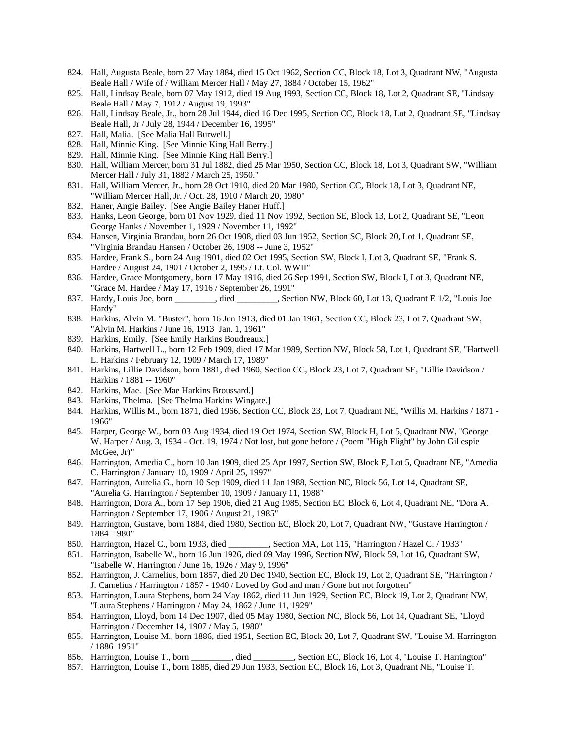- 824. Hall, Augusta Beale, born 27 May 1884, died 15 Oct 1962, Section CC, Block 18, Lot 3, Quadrant NW, "Augusta Beale Hall / Wife of / William Mercer Hall / May 27, 1884 / October 15, 1962"
- 825. Hall, Lindsay Beale, born 07 May 1912, died 19 Aug 1993, Section CC, Block 18, Lot 2, Quadrant SE, "Lindsay Beale Hall / May 7, 1912 / August 19, 1993"
- 826. Hall, Lindsay Beale, Jr., born 28 Jul 1944, died 16 Dec 1995, Section CC, Block 18, Lot 2, Quadrant SE, "Lindsay Beale Hall, Jr / July 28, 1944 / December 16, 1995"
- 827. Hall, Malia. [See Malia Hall Burwell.]
- 828. Hall, Minnie King. [See Minnie King Hall Berry.]
- 829. Hall, Minnie King. [See Minnie King Hall Berry.]
- 830. Hall, William Mercer, born 31 Jul 1882, died 25 Mar 1950, Section CC, Block 18, Lot 3, Quadrant SW, "William Mercer Hall / July 31, 1882 / March 25, 1950."
- 831. Hall, William Mercer, Jr., born 28 Oct 1910, died 20 Mar 1980, Section CC, Block 18, Lot 3, Quadrant NE, "William Mercer Hall, Jr. / Oct. 28, 1910 / March 20, 1980"
- 832. Haner, Angie Bailey. [See Angie Bailey Haner Huff.]
- 833. Hanks, Leon George, born 01 Nov 1929, died 11 Nov 1992, Section SE, Block 13, Lot 2, Quadrant SE, "Leon George Hanks / November 1, 1929 / November 11, 1992"
- 834. Hansen, Virginia Brandau, born 26 Oct 1908, died 03 Jun 1952, Section SC, Block 20, Lot 1, Quadrant SE, "Virginia Brandau Hansen / October 26, 1908 -- June 3, 1952"
- 835. Hardee, Frank S., born 24 Aug 1901, died 02 Oct 1995, Section SW, Block I, Lot 3, Quadrant SE, "Frank S. Hardee / August 24, 1901 / October 2, 1995 / Lt. Col. WWII"
- 836. Hardee, Grace Montgomery, born 17 May 1916, died 26 Sep 1991, Section SW, Block I, Lot 3, Quadrant NE, "Grace M. Hardee / May 17, 1916 / September 26, 1991"
- 837. Hardy, Louis Joe, born \_\_\_\_\_\_\_, died \_\_\_\_\_\_, Section NW, Block 60, Lot 13, Quadrant E 1/2, "Louis Joe Hardy"
- 838. Harkins, Alvin M. "Buster", born 16 Jun 1913, died 01 Jan 1961, Section CC, Block 23, Lot 7, Quadrant SW, "Alvin M. Harkins / June 16, 1913 Jan. 1, 1961"
- 839. Harkins, Emily. [See Emily Harkins Boudreaux.]
- 840. Harkins, Hartwell L., born 12 Feb 1909, died 17 Mar 1989, Section NW, Block 58, Lot 1, Quadrant SE, "Hartwell L. Harkins / February 12, 1909 / March 17, 1989"
- 841. Harkins, Lillie Davidson, born 1881, died 1960, Section CC, Block 23, Lot 7, Quadrant SE, "Lillie Davidson / Harkins / 1881 -- 1960"
- 842. Harkins, Mae. [See Mae Harkins Broussard.]
- 843. Harkins, Thelma. [See Thelma Harkins Wingate.]
- 844. Harkins, Willis M., born 1871, died 1966, Section CC, Block 23, Lot 7, Quadrant NE, "Willis M. Harkins / 1871 1966"
- 845. Harper, George W., born 03 Aug 1934, died 19 Oct 1974, Section SW, Block H, Lot 5, Quadrant NW, "George W. Harper / Aug. 3, 1934 - Oct. 19, 1974 / Not lost, but gone before / (Poem "High Flight" by John Gillespie McGee, Jr)"
- 846. Harrington, Amedia C., born 10 Jan 1909, died 25 Apr 1997, Section SW, Block F, Lot 5, Quadrant NE, "Amedia C. Harrington / January 10, 1909 / April 25, 1997"
- 847. Harrington, Aurelia G., born 10 Sep 1909, died 11 Jan 1988, Section NC, Block 56, Lot 14, Quadrant SE, "Aurelia G. Harrington / September 10, 1909 / January 11, 1988"
- 848. Harrington, Dora A., born 17 Sep 1906, died 21 Aug 1985, Section EC, Block 6, Lot 4, Quadrant NE, "Dora A. Harrington / September 17, 1906 / August 21, 1985"
- 849. Harrington, Gustave, born 1884, died 1980, Section EC, Block 20, Lot 7, Quadrant NW, "Gustave Harrington / 1884 1980"
- 850. Harrington, Hazel C., born 1933, died \_\_\_\_\_\_\_\_\_, Section MA, Lot 115, "Harrington / Hazel C. / 1933"
- 851. Harrington, Isabelle W., born 16 Jun 1926, died 09 May 1996, Section NW, Block 59, Lot 16, Quadrant SW, "Isabelle W. Harrington / June 16, 1926 / May 9, 1996"
- 852. Harrington, J. Carnelius, born 1857, died 20 Dec 1940, Section EC, Block 19, Lot 2, Quadrant SE, "Harrington / J. Carnelius / Harrington / 1857 - 1940 / Loved by God and man / Gone but not forgotten"
- 853. Harrington, Laura Stephens, born 24 May 1862, died 11 Jun 1929, Section EC, Block 19, Lot 2, Quadrant NW, "Laura Stephens / Harrington / May 24, 1862 / June 11, 1929"
- 854. Harrington, Lloyd, born 14 Dec 1907, died 05 May 1980, Section NC, Block 56, Lot 14, Quadrant SE, "Lloyd Harrington / December 14, 1907 / May 5, 1980"
- 855. Harrington, Louise M., born 1886, died 1951, Section EC, Block 20, Lot 7, Quadrant SW, "Louise M. Harrington / 1886 1951"
- 856. Harrington, Louise T., born \_\_\_\_\_\_\_\_\_, died \_\_\_\_\_\_\_\_\_, Section EC, Block 16, Lot 4, "Louise T. Harrington"
- 857. Harrington, Louise T., born 1885, died 29 Jun 1933, Section EC, Block 16, Lot 3, Quadrant NE, "Louise T.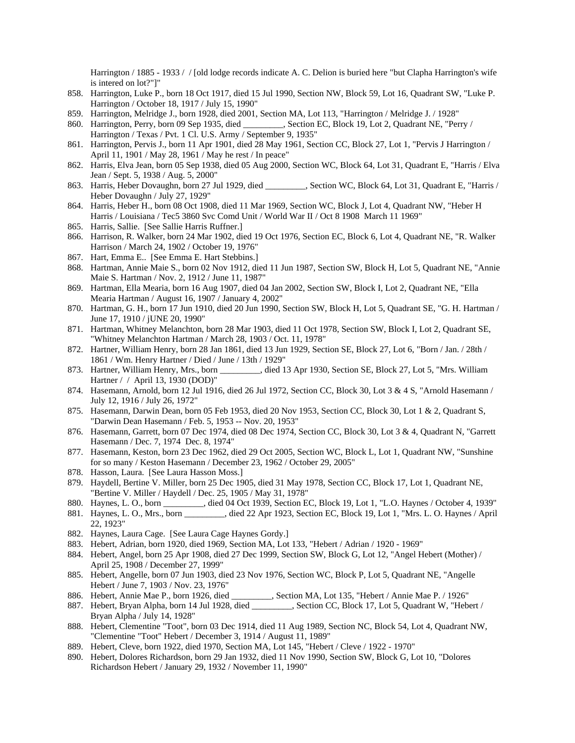Harrington / 1885 - 1933 / / [old lodge records indicate A. C. Delion is buried here "but Clapha Harrington's wife is intered on lot?"]"

- 858. Harrington, Luke P., born 18 Oct 1917, died 15 Jul 1990, Section NW, Block 59, Lot 16, Quadrant SW, "Luke P. Harrington / October 18, 1917 / July 15, 1990"
- 859. Harrington, Melridge J., born 1928, died 2001, Section MA, Lot 113, "Harrington / Melridge J. / 1928"
- 860. Harrington, Perry, born 09 Sep 1935, died \_\_\_\_\_\_\_\_\_, Section EC, Block 19, Lot 2, Quadrant NE, "Perry / Harrington / Texas / Pvt. 1 Cl. U.S. Army / September 9, 1935"
- 861. Harrington, Pervis J., born 11 Apr 1901, died 28 May 1961, Section CC, Block 27, Lot 1, "Pervis J Harrington / April 11, 1901 / May 28, 1961 / May he rest / In peace"
- 862. Harris, Elva Jean, born 05 Sep 1938, died 05 Aug 2000, Section WC, Block 64, Lot 31, Quadrant E, "Harris / Elva Jean / Sept. 5, 1938 / Aug. 5, 2000"
- 863. Harris, Heber Dovaughn, born 27 Jul 1929, died , Section WC, Block 64, Lot 31, Quadrant E, "Harris / Heber Dovaughn / July 27, 1929"
- 864. Harris, Heber H., born 08 Oct 1908, died 11 Mar 1969, Section WC, Block J, Lot 4, Quadrant NW, "Heber H Harris / Louisiana / Tec5 3860 Svc Comd Unit / World War II / Oct 8 1908 March 11 1969"
- 865. Harris, Sallie. [See Sallie Harris Ruffner.]
- 866. Harrison, R. Walker, born 24 Mar 1902, died 19 Oct 1976, Section EC, Block 6, Lot 4, Quadrant NE, "R. Walker Harrison / March 24, 1902 / October 19, 1976"
- 867. Hart, Emma E.. [See Emma E. Hart Stebbins.]
- 868. Hartman, Annie Maie S., born 02 Nov 1912, died 11 Jun 1987, Section SW, Block H, Lot 5, Quadrant NE, "Annie Maie S. Hartman / Nov. 2, 1912 / June 11, 1987"
- 869. Hartman, Ella Mearia, born 16 Aug 1907, died 04 Jan 2002, Section SW, Block I, Lot 2, Quadrant NE, "Ella Mearia Hartman / August 16, 1907 / January 4, 2002"
- 870. Hartman, G. H., born 17 Jun 1910, died 20 Jun 1990, Section SW, Block H, Lot 5, Quadrant SE, "G. H. Hartman / June 17, 1910 / jUNE 20, 1990"
- 871. Hartman, Whitney Melanchton, born 28 Mar 1903, died 11 Oct 1978, Section SW, Block I, Lot 2, Quadrant SE, "Whitney Melanchton Hartman / March 28, 1903 / Oct. 11, 1978"
- 872. Hartner, William Henry, born 28 Jan 1861, died 13 Jun 1929, Section SE, Block 27, Lot 6, "Born / Jan. / 28th / 1861 / Wm. Henry Hartner / Died / June / 13th / 1929"
- 873. Hartner, William Henry, Mrs., born \_\_\_\_\_\_\_\_\_, died 13 Apr 1930, Section SE, Block 27, Lot 5, "Mrs. William Hartner / / April 13, 1930 (DOD)"
- 874. Hasemann, Arnold, born 12 Jul 1916, died 26 Jul 1972, Section CC, Block 30, Lot 3 & 4 S, "Arnold Hasemann / July 12, 1916 / July 26, 1972"
- 875. Hasemann, Darwin Dean, born 05 Feb 1953, died 20 Nov 1953, Section CC, Block 30, Lot 1 & 2, Quadrant S, "Darwin Dean Hasemann / Feb. 5, 1953 -- Nov. 20, 1953"
- 876. Hasemann, Garrett, born 07 Dec 1974, died 08 Dec 1974, Section CC, Block 30, Lot 3 & 4, Quadrant N, "Garrett Hasemann / Dec. 7, 1974 Dec. 8, 1974"
- 877. Hasemann, Keston, born 23 Dec 1962, died 29 Oct 2005, Section WC, Block L, Lot 1, Quadrant NW, "Sunshine for so many / Keston Hasemann / December 23, 1962 / October 29, 2005"
- 878. Hasson, Laura. [See Laura Hasson Moss.]
- 879. Haydell, Bertine V. Miller, born 25 Dec 1905, died 31 May 1978, Section CC, Block 17, Lot 1, Quadrant NE, "Bertine V. Miller / Haydell / Dec. 25, 1905 / May 31, 1978"
- 880. Haynes, L. O., born \_\_\_\_\_\_\_\_\_, died 04 Oct 1939, Section EC, Block 19, Lot 1, "L.O. Haynes / October 4, 1939"
- 881. Haynes, L. O., Mrs., born \_\_\_\_\_\_\_\_\_, died 22 Apr 1923, Section EC, Block 19, Lot 1, "Mrs. L. O. Haynes / April 22, 1923"
- 882. Haynes, Laura Cage. [See Laura Cage Haynes Gordy.]
- 883. Hebert, Adrian, born 1920, died 1969, Section MA, Lot 133, "Hebert / Adrian / 1920 1969"
- 884. Hebert, Angel, born 25 Apr 1908, died 27 Dec 1999, Section SW, Block G, Lot 12, "Angel Hebert (Mother) / April 25, 1908 / December 27, 1999"
- 885. Hebert, Angelle, born 07 Jun 1903, died 23 Nov 1976, Section WC, Block P, Lot 5, Quadrant NE, "Angelle Hebert / June 7, 1903 / Nov. 23, 1976"
- 886. Hebert, Annie Mae P., born 1926, died \_\_\_\_\_\_\_\_\_, Section MA, Lot 135, "Hebert / Annie Mae P. / 1926"
- 887. Hebert, Bryan Alpha, born 14 Jul 1928, died \_\_\_\_\_\_\_\_\_, Section CC, Block 17, Lot 5, Quadrant W, "Hebert / Bryan Alpha / July 14, 1928"
- 888. Hebert, Clementine "Toot", born 03 Dec 1914, died 11 Aug 1989, Section NC, Block 54, Lot 4, Quadrant NW, "Clementine "Toot" Hebert / December 3, 1914 / August 11, 1989"
- 889. Hebert, Cleve, born 1922, died 1970, Section MA, Lot 145, "Hebert / Cleve / 1922 1970"
- 890. Hebert, Dolores Richardson, born 29 Jan 1932, died 11 Nov 1990, Section SW, Block G, Lot 10, "Dolores Richardson Hebert / January 29, 1932 / November 11, 1990"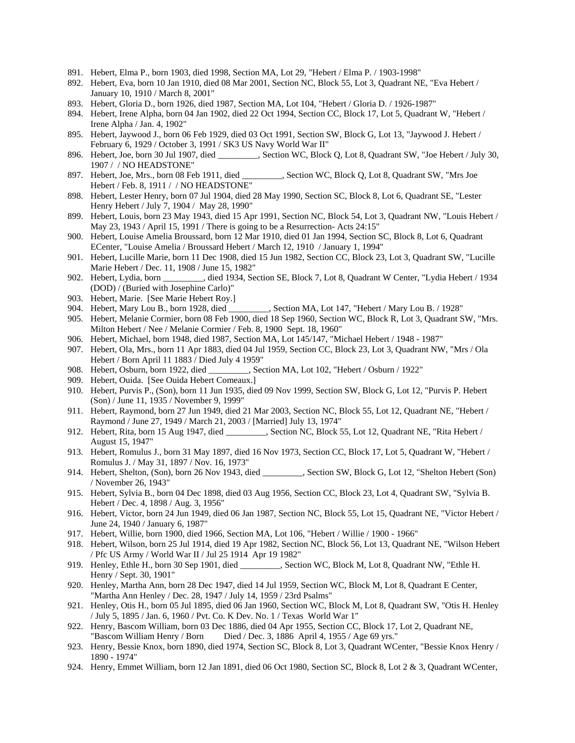- 891. Hebert, Elma P., born 1903, died 1998, Section MA, Lot 29, "Hebert / Elma P. / 1903-1998"
- 892. Hebert, Eva, born 10 Jan 1910, died 08 Mar 2001, Section NC, Block 55, Lot 3, Quadrant NE, "Eva Hebert / January 10, 1910 / March 8, 2001"
- 893. Hebert, Gloria D., born 1926, died 1987, Section MA, Lot 104, "Hebert / Gloria D. / 1926-1987"
- 894. Hebert, Irene Alpha, born 04 Jan 1902, died 22 Oct 1994, Section CC, Block 17, Lot 5, Quadrant W, "Hebert / Irene Alpha / Jan. 4, 1902"
- 895. Hebert, Jaywood J., born 06 Feb 1929, died 03 Oct 1991, Section SW, Block G, Lot 13, "Jaywood J. Hebert / February 6, 1929 / October 3, 1991 / SK3 US Navy World War II"
- 896. Hebert, Joe, born 30 Jul 1907, died \_\_\_\_\_\_\_\_\_, Section WC, Block Q, Lot 8, Quadrant SW, "Joe Hebert / July 30, 1907 / / NO HEADSTONE"
- 897. Hebert, Joe, Mrs., born 08 Feb 1911, died \_\_\_\_\_\_\_\_, Section WC, Block Q, Lot 8, Quadrant SW, "Mrs Joe Hebert / Feb. 8, 1911 / / NO HEADSTONE"
- 898. Hebert, Lester Henry, born 07 Jul 1904, died 28 May 1990, Section SC, Block 8, Lot 6, Quadrant SE, "Lester Henry Hebert / July 7, 1904 / May 28, 1990"
- 899. Hebert, Louis, born 23 May 1943, died 15 Apr 1991, Section NC, Block 54, Lot 3, Quadrant NW, "Louis Hebert / May 23, 1943 / April 15, 1991 / There is going to be a Resurrection- Acts 24:15"
- 900. Hebert, Louise Amelia Broussard, born 12 Mar 1910, died 01 Jan 1994, Section SC, Block 8, Lot 6, Quadrant ECenter, "Louise Amelia / Broussard Hebert / March 12, 1910 / January 1, 1994"
- 901. Hebert, Lucille Marie, born 11 Dec 1908, died 15 Jun 1982, Section CC, Block 23, Lot 3, Quadrant SW, "Lucille Marie Hebert / Dec. 11, 1908 / June 15, 1982"
- 902. Hebert, Lydia, born \_\_\_\_\_\_\_\_\_, died 1934, Section SE, Block 7, Lot 8, Quadrant W Center, "Lydia Hebert / 1934 (DOD) / (Buried with Josephine Carlo)"
- 903. Hebert, Marie. [See Marie Hebert Roy.]
- 904. Hebert, Mary Lou B., born 1928, died \_\_\_\_\_\_\_\_\_, Section MA, Lot 147, "Hebert / Mary Lou B. / 1928"
- 905. Hebert, Melanie Cormier, born 08 Feb 1900, died 18 Sep 1960, Section WC, Block R, Lot 3, Quadrant SW, "Mrs. Milton Hebert / Nee / Melanie Cormier / Feb. 8, 1900 Sept. 18, 1960"
- 906. Hebert, Michael, born 1948, died 1987, Section MA, Lot 145/147, "Michael Hebert / 1948 1987"
- 907. Hebert, Ola, Mrs., born 11 Apr 1883, died 04 Jul 1959, Section CC, Block 23, Lot 3, Quadrant NW, "Mrs / Ola Hebert / Born April 11 1883 / Died July 4 1959"
- 908. Hebert, Osburn, born 1922, died \_\_\_\_\_\_\_\_\_, Section MA, Lot 102, "Hebert / Osburn / 1922"
- 909. Hebert, Ouida. [See Ouida Hebert Comeaux.]
- 910. Hebert, Purvis P., (Son), born 11 Jun 1935, died 09 Nov 1999, Section SW, Block G, Lot 12, "Purvis P. Hebert (Son) / June 11, 1935 / November 9, 1999"
- 911. Hebert, Raymond, born 27 Jun 1949, died 21 Mar 2003, Section NC, Block 55, Lot 12, Quadrant NE, "Hebert / Raymond / June 27, 1949 / March 21, 2003 / [Married] July 13, 1974"
- 912. Hebert, Rita, born 15 Aug 1947, died \_\_\_\_\_\_\_\_\_, Section NC, Block 55, Lot 12, Quadrant NE, "Rita Hebert / August 15, 1947"
- 913. Hebert, Romulus J., born 31 May 1897, died 16 Nov 1973, Section CC, Block 17, Lot 5, Quadrant W, "Hebert / Romulus J. / May 31, 1897 / Nov. 16, 1973"
- 914. Hebert, Shelton, (Son), born 26 Nov 1943, died Section SW, Block G, Lot 12, "Shelton Hebert (Son) / November 26, 1943"
- 915. Hebert, Sylvia B., born 04 Dec 1898, died 03 Aug 1956, Section CC, Block 23, Lot 4, Quadrant SW, "Sylvia B. Hebert / Dec. 4, 1898 / Aug. 3, 1956"
- 916. Hebert, Victor, born 24 Jun 1949, died 06 Jan 1987, Section NC, Block 55, Lot 15, Quadrant NE, "Victor Hebert / June 24, 1940 / January 6, 1987"
- 917. Hebert, Willie, born 1900, died 1966, Section MA, Lot 106, "Hebert / Willie / 1900 1966"
- 918. Hebert, Wilson, born 25 Jul 1914, died 19 Apr 1982, Section NC, Block 56, Lot 13, Quadrant NE, "Wilson Hebert / Pfc US Army / World War II / Jul 25 1914 Apr 19 1982"
- 919. Henley, Ethle H., born 30 Sep 1901, died \_\_\_\_\_\_\_\_\_, Section WC, Block M, Lot 8, Quadrant NW, "Ethle H. Henry / Sept. 30, 1901"
- 920. Henley, Martha Ann, born 28 Dec 1947, died 14 Jul 1959, Section WC, Block M, Lot 8, Quadrant E Center, "Martha Ann Henley / Dec. 28, 1947 / July 14, 1959 / 23rd Psalms"
- 921. Henley, Otis H., born 05 Jul 1895, died 06 Jan 1960, Section WC, Block M, Lot 8, Quadrant SW, "Otis H. Henley / July 5, 1895 / Jan. 6, 1960 / Pvt. Co. K Dev. No. 1 / Texas World War 1"
- 922. Henry, Bascom William, born 03 Dec 1886, died 04 Apr 1955, Section CC, Block 17, Lot 2, Quadrant NE, "Bascom William Henry / Born Died / Dec. 3, 1886 April 4, 1955 / Age 69 yrs."
- 923. Henry, Bessie Knox, born 1890, died 1974, Section SC, Block 8, Lot 3, Quadrant WCenter, "Bessie Knox Henry / 1890 - 1974"
- 924. Henry, Emmet William, born 12 Jan 1891, died 06 Oct 1980, Section SC, Block 8, Lot 2 & 3, Quadrant WCenter,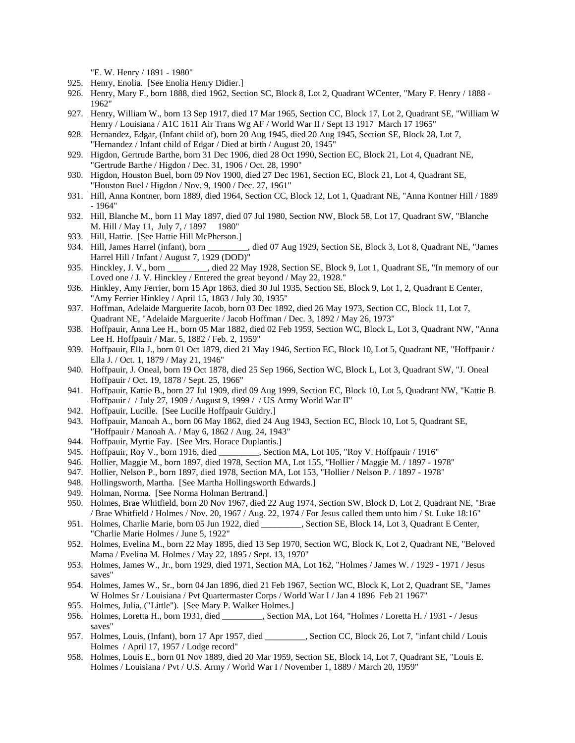"E. W. Henry / 1891 - 1980"

- 925. Henry, Enolia. [See Enolia Henry Didier.]
- 926. Henry, Mary F., born 1888, died 1962, Section SC, Block 8, Lot 2, Quadrant WCenter, "Mary F. Henry / 1888 1962"
- 927. Henry, William W., born 13 Sep 1917, died 17 Mar 1965, Section CC, Block 17, Lot 2, Quadrant SE, "William W Henry / Louisiana / A1C 1611 Air Trans Wg AF / World War II / Sept 13 1917 March 17 1965"
- 928. Hernandez, Edgar, (Infant child of), born 20 Aug 1945, died 20 Aug 1945, Section SE, Block 28, Lot 7, "Hernandez / Infant child of Edgar / Died at birth / August 20, 1945"
- 929. Higdon, Gertrude Barthe, born 31 Dec 1906, died 28 Oct 1990, Section EC, Block 21, Lot 4, Quadrant NE, "Gertrude Barthe / Higdon / Dec. 31, 1906 / Oct. 28, 1990"
- 930. Higdon, Houston Buel, born 09 Nov 1900, died 27 Dec 1961, Section EC, Block 21, Lot 4, Quadrant SE, "Houston Buel / Higdon / Nov. 9, 1900 / Dec. 27, 1961"
- 931. Hill, Anna Kontner, born 1889, died 1964, Section CC, Block 12, Lot 1, Quadrant NE, "Anna Kontner Hill / 1889 - 1964"
- 932. Hill, Blanche M., born 11 May 1897, died 07 Jul 1980, Section NW, Block 58, Lot 17, Quadrant SW, "Blanche M. Hill / May 11, July 7, / 1897 1980"
- 933. Hill, Hattie. [See Hattie Hill McPherson.]
- 934. Hill, James Harrel (infant), born \_\_\_\_\_\_\_\_\_, died 07 Aug 1929, Section SE, Block 3, Lot 8, Quadrant NE, "James Harrel Hill / Infant / August 7, 1929 (DOD)"
- 935. Hinckley, J. V., born \_\_\_\_\_\_\_\_\_, died 22 May 1928, Section SE, Block 9, Lot 1, Quadrant SE, "In memory of our Loved one / J. V. Hinckley / Entered the great beyond / May 22, 1928."
- 936. Hinkley, Amy Ferrier, born 15 Apr 1863, died 30 Jul 1935, Section SE, Block 9, Lot 1, 2, Quadrant E Center, "Amy Ferrier Hinkley / April 15, 1863 / July 30, 1935"
- 937. Hoffman, Adelaide Marguerite Jacob, born 03 Dec 1892, died 26 May 1973, Section CC, Block 11, Lot 7, Quadrant NE, "Adelaide Marguerite / Jacob Hoffman / Dec. 3, 1892 / May 26, 1973"
- 938. Hoffpauir, Anna Lee H., born 05 Mar 1882, died 02 Feb 1959, Section WC, Block L, Lot 3, Quadrant NW, "Anna Lee H. Hoffpauir / Mar. 5, 1882 / Feb. 2, 1959"
- 939. Hoffpauir, Ella J., born 01 Oct 1879, died 21 May 1946, Section EC, Block 10, Lot 5, Quadrant NE, "Hoffpauir / Ella J. / Oct. 1, 1879 / May 21, 1946"
- 940. Hoffpauir, J. Oneal, born 19 Oct 1878, died 25 Sep 1966, Section WC, Block L, Lot 3, Quadrant SW, "J. Oneal Hoffpauir / Oct. 19, 1878 / Sept. 25, 1966"
- 941. Hoffpauir, Kattie B., born 27 Jul 1909, died 09 Aug 1999, Section EC, Block 10, Lot 5, Quadrant NW, "Kattie B. Hoffpauir / / July 27, 1909 / August 9, 1999 / / US Army World War II"
- 942. Hoffpauir, Lucille. [See Lucille Hoffpauir Guidry.]
- 943. Hoffpauir, Manoah A., born 06 May 1862, died 24 Aug 1943, Section EC, Block 10, Lot 5, Quadrant SE, "Hoffpauir / Manoah A. / May 6, 1862 / Aug. 24, 1943"
- 944. Hoffpauir, Myrtie Fay. [See Mrs. Horace Duplantis.]
- 945. Hoffpauir, Roy V., born 1916, died \_\_\_\_\_\_\_\_\_, Section MA, Lot 105, "Roy V. Hoffpauir / 1916"
- 946. Hollier, Maggie M., born 1897, died 1978, Section MA, Lot 155, "Hollier / Maggie M. / 1897 1978"
- 947. Hollier, Nelson P., born 1897, died 1978, Section MA, Lot 153, "Hollier / Nelson P. / 1897 1978"
- 948. Hollingsworth, Martha. [See Martha Hollingsworth Edwards.]
- 949. Holman, Norma. [See Norma Holman Bertrand.]
- 950. Holmes, Brae Whitfield, born 20 Nov 1967, died 22 Aug 1974, Section SW, Block D, Lot 2, Quadrant NE, "Brae / Brae Whitfield / Holmes / Nov. 20, 1967 / Aug. 22, 1974 / For Jesus called them unto him / St. Luke 18:16"
- 951. Holmes, Charlie Marie, born 05 Jun 1922, died \_\_\_\_\_\_\_\_\_, Section SE, Block 14, Lot 3, Quadrant E Center, "Charlie Marie Holmes / June 5, 1922"
- 952. Holmes, Evelina M., born 22 May 1895, died 13 Sep 1970, Section WC, Block K, Lot 2, Quadrant NE, "Beloved Mama / Evelina M. Holmes / May 22, 1895 / Sept. 13, 1970"
- 953. Holmes, James W., Jr., born 1929, died 1971, Section MA, Lot 162, "Holmes / James W. / 1929 1971 / Jesus saves"
- 954. Holmes, James W., Sr., born 04 Jan 1896, died 21 Feb 1967, Section WC, Block K, Lot 2, Quadrant SE, "James W Holmes Sr / Louisiana / Pvt Quartermaster Corps / World War I / Jan 4 1896 Feb 21 1967"
- 955. Holmes, Julia, ("Little"). [See Mary P. Walker Holmes.]
- 956. Holmes, Loretta H., born 1931, died \_\_\_\_\_\_\_\_\_, Section MA, Lot 164, "Holmes / Loretta H. / 1931 / Jesus saves"
- 957. Holmes, Louis, (Infant), born 17 Apr 1957, died \_\_\_\_\_\_\_\_\_, Section CC, Block 26, Lot 7, "infant child / Louis Holmes / April 17, 1957 / Lodge record"
- 958. Holmes, Louis E., born 01 Nov 1889, died 20 Mar 1959, Section SE, Block 14, Lot 7, Quadrant SE, "Louis E. Holmes / Louisiana / Pvt / U.S. Army / World War I / November 1, 1889 / March 20, 1959"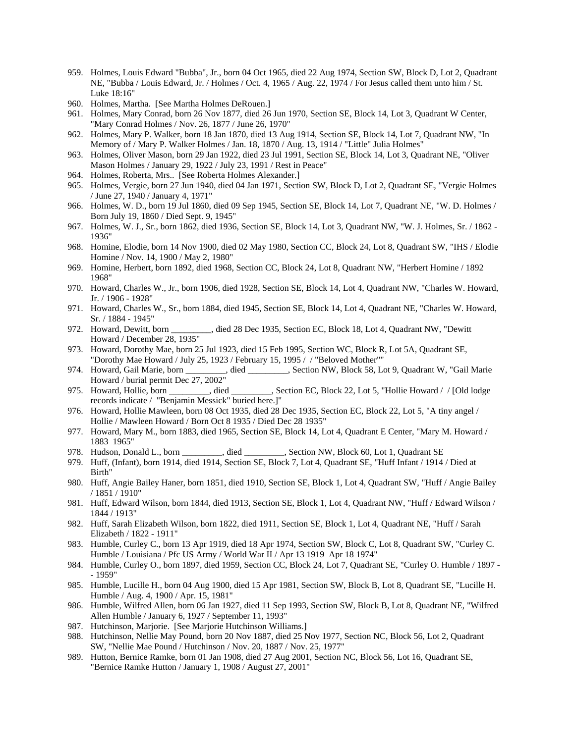- 959. Holmes, Louis Edward "Bubba", Jr., born 04 Oct 1965, died 22 Aug 1974, Section SW, Block D, Lot 2, Quadrant NE, "Bubba / Louis Edward, Jr. / Holmes / Oct. 4, 1965 / Aug. 22, 1974 / For Jesus called them unto him / St. Luke 18:16"
- 960. Holmes, Martha. [See Martha Holmes DeRouen.]
- 961. Holmes, Mary Conrad, born 26 Nov 1877, died 26 Jun 1970, Section SE, Block 14, Lot 3, Quadrant W Center, "Mary Conrad Holmes / Nov. 26, 1877 / June 26, 1970"
- 962. Holmes, Mary P. Walker, born 18 Jan 1870, died 13 Aug 1914, Section SE, Block 14, Lot 7, Quadrant NW, "In Memory of / Mary P. Walker Holmes / Jan. 18, 1870 / Aug. 13, 1914 / "Little" Julia Holmes"
- 963. Holmes, Oliver Mason, born 29 Jan 1922, died 23 Jul 1991, Section SE, Block 14, Lot 3, Quadrant NE, "Oliver Mason Holmes / January 29, 1922 / July 23, 1991 / Rest in Peace"
- 964. Holmes, Roberta, Mrs.. [See Roberta Holmes Alexander.]
- 965. Holmes, Vergie, born 27 Jun 1940, died 04 Jan 1971, Section SW, Block D, Lot 2, Quadrant SE, "Vergie Holmes / June 27, 1940 / January 4, 1971"
- 966. Holmes, W. D., born 19 Jul 1860, died 09 Sep 1945, Section SE, Block 14, Lot 7, Quadrant NE, "W. D. Holmes / Born July 19, 1860 / Died Sept. 9, 1945"
- 967. Holmes, W. J., Sr., born 1862, died 1936, Section SE, Block 14, Lot 3, Quadrant NW, "W. J. Holmes, Sr. / 1862 1936"
- 968. Homine, Elodie, born 14 Nov 1900, died 02 May 1980, Section CC, Block 24, Lot 8, Quadrant SW, "IHS / Elodie Homine / Nov. 14, 1900 / May 2, 1980"
- 969. Homine, Herbert, born 1892, died 1968, Section CC, Block 24, Lot 8, Quadrant NW, "Herbert Homine / 1892 1968"
- 970. Howard, Charles W., Jr., born 1906, died 1928, Section SE, Block 14, Lot 4, Quadrant NW, "Charles W. Howard, Jr. / 1906 - 1928"
- 971. Howard, Charles W., Sr., born 1884, died 1945, Section SE, Block 14, Lot 4, Quadrant NE, "Charles W. Howard, Sr. / 1884 - 1945"
- 972. Howard, Dewitt, born \_\_\_\_\_\_\_\_\_, died 28 Dec 1935, Section EC, Block 18, Lot 4, Quadrant NW, "Dewitt Howard / December 28, 1935"
- 973. Howard, Dorothy Mae, born 25 Jul 1923, died 15 Feb 1995, Section WC, Block R, Lot 5A, Quadrant SE, "Dorothy Mae Howard / July 25, 1923 / February 15, 1995 / / "Beloved Mother""
- 974. Howard, Gail Marie, born \_\_\_\_\_\_\_\_\_, died \_\_\_\_\_\_\_\_\_, Section NW, Block 58, Lot 9, Quadrant W, "Gail Marie Howard / burial permit Dec 27, 2002"
- 975. Howard, Hollie, born \_\_\_\_\_\_\_, died \_\_\_\_\_\_\_, Section EC, Block 22, Lot 5, "Hollie Howard / / [Old lodge records indicate / "Benjamin Messick" buried here.]"
- 976. Howard, Hollie Mawleen, born 08 Oct 1935, died 28 Dec 1935, Section EC, Block 22, Lot 5, "A tiny angel / Hollie / Mawleen Howard / Born Oct 8 1935 / Died Dec 28 1935"
- 977. Howard, Mary M., born 1883, died 1965, Section SE, Block 14, Lot 4, Quadrant E Center, "Mary M. Howard / 1883 1965"
- 978. Hudson, Donald L., born \_\_\_\_\_\_\_\_, died \_\_\_\_\_\_\_\_, Section NW, Block 60, Lot 1, Quadrant SE
- 979. Huff, (Infant), born 1914, died 1914, Section SE, Block 7, Lot 4, Quadrant SE, "Huff Infant / 1914 / Died at Birth"
- 980. Huff, Angie Bailey Haner, born 1851, died 1910, Section SE, Block 1, Lot 4, Quadrant SW, "Huff / Angie Bailey / 1851 / 1910"
- 981. Huff, Edward Wilson, born 1844, died 1913, Section SE, Block 1, Lot 4, Quadrant NW, "Huff / Edward Wilson / 1844 / 1913"
- 982. Huff, Sarah Elizabeth Wilson, born 1822, died 1911, Section SE, Block 1, Lot 4, Quadrant NE, "Huff / Sarah Elizabeth / 1822 - 1911"
- 983. Humble, Curley C., born 13 Apr 1919, died 18 Apr 1974, Section SW, Block C, Lot 8, Quadrant SW, "Curley C. Humble / Louisiana / Pfc US Army / World War II / Apr 13 1919 Apr 18 1974"
- 984. Humble, Curley O., born 1897, died 1959, Section CC, Block 24, Lot 7, Quadrant SE, "Curley O. Humble / 1897 - 1959"
- 985. Humble, Lucille H., born 04 Aug 1900, died 15 Apr 1981, Section SW, Block B, Lot 8, Quadrant SE, "Lucille H. Humble / Aug. 4, 1900 / Apr. 15, 1981"
- 986. Humble, Wilfred Allen, born 06 Jan 1927, died 11 Sep 1993, Section SW, Block B, Lot 8, Quadrant NE, "Wilfred Allen Humble / January 6, 1927 / September 11, 1993"
- 987. Hutchinson, Marjorie. [See Marjorie Hutchinson Williams.]
- 988. Hutchinson, Nellie May Pound, born 20 Nov 1887, died 25 Nov 1977, Section NC, Block 56, Lot 2, Quadrant SW, "Nellie Mae Pound / Hutchinson / Nov. 20, 1887 / Nov. 25, 1977"
- 989. Hutton, Bernice Ramke, born 01 Jan 1908, died 27 Aug 2001, Section NC, Block 56, Lot 16, Quadrant SE, "Bernice Ramke Hutton / January 1, 1908 / August 27, 2001"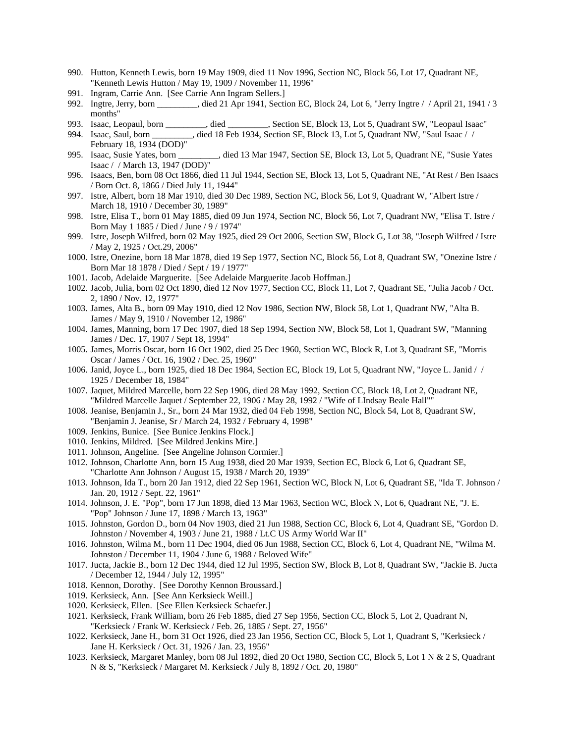- 990. Hutton, Kenneth Lewis, born 19 May 1909, died 11 Nov 1996, Section NC, Block 56, Lot 17, Quadrant NE, "Kenneth Lewis Hutton / May 19, 1909 / November 11, 1996"
- 991. Ingram, Carrie Ann. [See Carrie Ann Ingram Sellers.]
- 992. Ingtre, Jerry, born \_\_\_\_\_\_\_\_\_, died 21 Apr 1941, Section EC, Block 24, Lot 6, "Jerry Ingtre / / April 21, 1941 / 3 months"
- 993. Isaac, Leopaul, born \_\_\_\_\_\_\_\_\_, died \_\_\_\_\_\_\_\_\_, Section SE, Block 13, Lot 5, Quadrant SW, "Leopaul Isaac"
- 994. Isaac, Saul, born \_\_\_\_\_\_\_\_\_, died 18 Feb 1934, Section SE, Block 13, Lot 5, Quadrant NW, "Saul Isaac / / February 18, 1934 (DOD)"<br>995. Isaac, Susie Yates, born
- 13 Mar 1947, Section SE, Block 13, Lot 5, Quadrant NE, "Susie Yates Isaac / / March 13, 1947 (DOD)"
- 996. Isaacs, Ben, born 08 Oct 1866, died 11 Jul 1944, Section SE, Block 13, Lot 5, Quadrant NE, "At Rest / Ben Isaacs / Born Oct. 8, 1866 / Died July 11, 1944"
- 997. Istre, Albert, born 18 Mar 1910, died 30 Dec 1989, Section NC, Block 56, Lot 9, Quadrant W, "Albert Istre / March 18, 1910 / December 30, 1989"
- 998. Istre, Elisa T., born 01 May 1885, died 09 Jun 1974, Section NC, Block 56, Lot 7, Quadrant NW, "Elisa T. Istre / Born May 1 1885 / Died / June / 9 / 1974"
- 999. Istre, Joseph Wilfred, born 02 May 1925, died 29 Oct 2006, Section SW, Block G, Lot 38, "Joseph Wilfred / Istre / May 2, 1925 / Oct.29, 2006"
- 1000. Istre, Onezine, born 18 Mar 1878, died 19 Sep 1977, Section NC, Block 56, Lot 8, Quadrant SW, "Onezine Istre / Born Mar 18 1878 / Died / Sept / 19 / 1977"
- 1001. Jacob, Adelaide Marguerite. [See Adelaide Marguerite Jacob Hoffman.]
- 1002. Jacob, Julia, born 02 Oct 1890, died 12 Nov 1977, Section CC, Block 11, Lot 7, Quadrant SE, "Julia Jacob / Oct. 2, 1890 / Nov. 12, 1977"
- 1003. James, Alta B., born 09 May 1910, died 12 Nov 1986, Section NW, Block 58, Lot 1, Quadrant NW, "Alta B. James / May 9, 1910 / November 12, 1986"
- 1004. James, Manning, born 17 Dec 1907, died 18 Sep 1994, Section NW, Block 58, Lot 1, Quadrant SW, "Manning James / Dec. 17, 1907 / Sept 18, 1994"
- 1005. James, Morris Oscar, born 16 Oct 1902, died 25 Dec 1960, Section WC, Block R, Lot 3, Quadrant SE, "Morris Oscar / James / Oct. 16, 1902 / Dec. 25, 1960"
- 1006. Janid, Joyce L., born 1925, died 18 Dec 1984, Section EC, Block 19, Lot 5, Quadrant NW, "Joyce L. Janid / / 1925 / December 18, 1984"
- 1007. Jaquet, Mildred Marcelle, born 22 Sep 1906, died 28 May 1992, Section CC, Block 18, Lot 2, Quadrant NE, "Mildred Marcelle Jaquet / September 22, 1906 / May 28, 1992 / "Wife of LIndsay Beale Hall""
- 1008. Jeanise, Benjamin J., Sr., born 24 Mar 1932, died 04 Feb 1998, Section NC, Block 54, Lot 8, Quadrant SW, "Benjamin J. Jeanise, Sr / March 24, 1932 / February 4, 1998"
- 1009. Jenkins, Bunice. [See Bunice Jenkins Flock.]
- 1010. Jenkins, Mildred. [See Mildred Jenkins Mire.]
- 1011. Johnson, Angeline. [See Angeline Johnson Cormier.]
- 1012. Johnson, Charlotte Ann, born 15 Aug 1938, died 20 Mar 1939, Section EC, Block 6, Lot 6, Quadrant SE, "Charlotte Ann Johnson / August 15, 1938 / March 20, 1939"
- 1013. Johnson, Ida T., born 20 Jan 1912, died 22 Sep 1961, Section WC, Block N, Lot 6, Quadrant SE, "Ida T. Johnson / Jan. 20, 1912 / Sept. 22, 1961"
- 1014. Johnson, J. E. "Pop", born 17 Jun 1898, died 13 Mar 1963, Section WC, Block N, Lot 6, Quadrant NE, "J. E. "Pop" Johnson / June 17, 1898 / March 13, 1963"
- 1015. Johnston, Gordon D., born 04 Nov 1903, died 21 Jun 1988, Section CC, Block 6, Lot 4, Quadrant SE, "Gordon D. Johnston / November 4, 1903 / June 21, 1988 / Lt.C US Army World War II"
- 1016. Johnston, Wilma M., born 11 Dec 1904, died 06 Jun 1988, Section CC, Block 6, Lot 4, Quadrant NE, "Wilma M. Johnston / December 11, 1904 / June 6, 1988 / Beloved Wife"
- 1017. Jucta, Jackie B., born 12 Dec 1944, died 12 Jul 1995, Section SW, Block B, Lot 8, Quadrant SW, "Jackie B. Jucta / December 12, 1944 / July 12, 1995"
- 1018. Kennon, Dorothy. [See Dorothy Kennon Broussard.]
- 1019. Kerksieck, Ann. [See Ann Kerksieck Weill.]
- 1020. Kerksieck, Ellen. [See Ellen Kerksieck Schaefer.]
- 1021. Kerksieck, Frank William, born 26 Feb 1885, died 27 Sep 1956, Section CC, Block 5, Lot 2, Quadrant N, "Kerksieck / Frank W. Kerksieck / Feb. 26, 1885 / Sept. 27, 1956"
- 1022. Kerksieck, Jane H., born 31 Oct 1926, died 23 Jan 1956, Section CC, Block 5, Lot 1, Quadrant S, "Kerksieck / Jane H. Kerksieck / Oct. 31, 1926 / Jan. 23, 1956"
- 1023. Kerksieck, Margaret Manley, born 08 Jul 1892, died 20 Oct 1980, Section CC, Block 5, Lot 1 N & 2 S, Quadrant N & S, "Kerksieck / Margaret M. Kerksieck / July 8, 1892 / Oct. 20, 1980"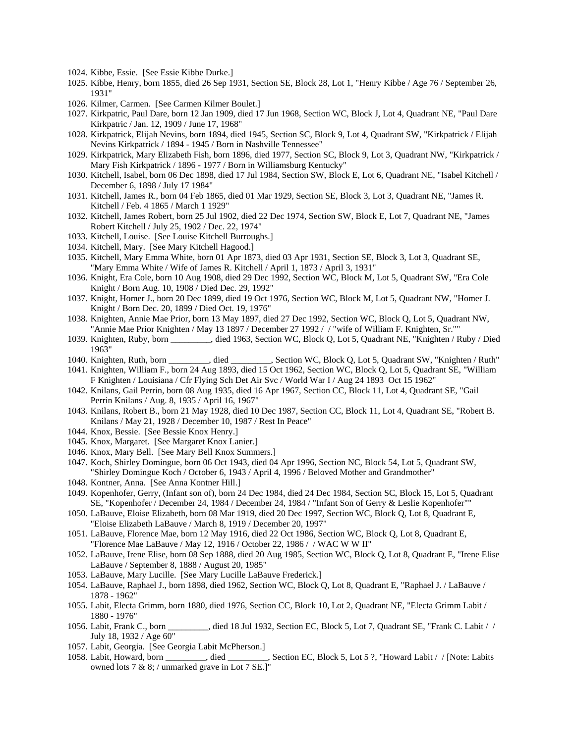- 1024. Kibbe, Essie. [See Essie Kibbe Durke.]
- 1025. Kibbe, Henry, born 1855, died 26 Sep 1931, Section SE, Block 28, Lot 1, "Henry Kibbe / Age 76 / September 26, 1931"
- 1026. Kilmer, Carmen. [See Carmen Kilmer Boulet.]
- 1027. Kirkpatric, Paul Dare, born 12 Jan 1909, died 17 Jun 1968, Section WC, Block J, Lot 4, Quadrant NE, "Paul Dare Kirkpatric / Jan. 12, 1909 / June 17, 1968"
- 1028. Kirkpatrick, Elijah Nevins, born 1894, died 1945, Section SC, Block 9, Lot 4, Quadrant SW, "Kirkpatrick / Elijah Nevins Kirkpatrick / 1894 - 1945 / Born in Nashville Tennessee"
- 1029. Kirkpatrick, Mary Elizabeth Fish, born 1896, died 1977, Section SC, Block 9, Lot 3, Quadrant NW, "Kirkpatrick / Mary Fish Kirkpatrick / 1896 - 1977 / Born in Williamsburg Kentucky"
- 1030. Kitchell, Isabel, born 06 Dec 1898, died 17 Jul 1984, Section SW, Block E, Lot 6, Quadrant NE, "Isabel Kitchell / December 6, 1898 / July 17 1984"
- 1031. Kitchell, James R., born 04 Feb 1865, died 01 Mar 1929, Section SE, Block 3, Lot 3, Quadrant NE, "James R. Kitchell / Feb. 4 1865 / March 1 1929"
- 1032. Kitchell, James Robert, born 25 Jul 1902, died 22 Dec 1974, Section SW, Block E, Lot 7, Quadrant NE, "James Robert Kitchell / July 25, 1902 / Dec. 22, 1974"
- 1033. Kitchell, Louise. [See Louise Kitchell Burroughs.]
- 1034. Kitchell, Mary. [See Mary Kitchell Hagood.]
- 1035. Kitchell, Mary Emma White, born 01 Apr 1873, died 03 Apr 1931, Section SE, Block 3, Lot 3, Quadrant SE, "Mary Emma White / Wife of James R. Kitchell / April 1, 1873 / April 3, 1931"
- 1036. Knight, Era Cole, born 10 Aug 1908, died 29 Dec 1992, Section WC, Block M, Lot 5, Quadrant SW, "Era Cole Knight / Born Aug. 10, 1908 / Died Dec. 29, 1992"
- 1037. Knight, Homer J., born 20 Dec 1899, died 19 Oct 1976, Section WC, Block M, Lot 5, Quadrant NW, "Homer J. Knight / Born Dec. 20, 1899 / Died Oct. 19, 1976"
- 1038. Knighten, Annie Mae Prior, born 13 May 1897, died 27 Dec 1992, Section WC, Block Q, Lot 5, Quadrant NW, "Annie Mae Prior Knighten / May 13 1897 / December 27 1992 / / "wife of William F. Knighten, Sr.""
- 1039. Knighten, Ruby, born \_\_\_\_\_\_\_\_\_, died 1963, Section WC, Block Q, Lot 5, Quadrant NE, "Knighten / Ruby / Died 1963"
- 1040. Knighten, Ruth, born \_\_\_\_\_\_\_\_\_, died \_\_\_\_\_\_\_\_\_, Section WC, Block Q, Lot 5, Quadrant SW, "Knighten / Ruth"
- 1041. Knighten, William F., born 24 Aug 1893, died 15 Oct 1962, Section WC, Block Q, Lot 5, Quadrant SE, "William F Knighten / Louisiana / Cfr Flying Sch Det Air Svc / World War I / Aug 24 1893 Oct 15 1962"
- 1042. Knilans, Gail Perrin, born 08 Aug 1935, died 16 Apr 1967, Section CC, Block 11, Lot 4, Quadrant SE, "Gail Perrin Knilans / Aug. 8, 1935 / April 16, 1967"
- 1043. Knilans, Robert B., born 21 May 1928, died 10 Dec 1987, Section CC, Block 11, Lot 4, Quadrant SE, "Robert B. Knilans / May 21, 1928 / December 10, 1987 / Rest In Peace"
- 1044. Knox, Bessie. [See Bessie Knox Henry.]
- 1045. Knox, Margaret. [See Margaret Knox Lanier.]
- 1046. Knox, Mary Bell. [See Mary Bell Knox Summers.]
- 1047. Koch, Shirley Domingue, born 06 Oct 1943, died 04 Apr 1996, Section NC, Block 54, Lot 5, Quadrant SW, "Shirley Domingue Koch / October 6, 1943 / April 4, 1996 / Beloved Mother and Grandmother"
- 1048. Kontner, Anna. [See Anna Kontner Hill.]
- 1049. Kopenhofer, Gerry, (Infant son of), born 24 Dec 1984, died 24 Dec 1984, Section SC, Block 15, Lot 5, Quadrant SE, "Kopenhofer / December 24, 1984 / December 24, 1984 / "Infant Son of Gerry & Leslie Kopenhofer""
- 1050. LaBauve, Eloise Elizabeth, born 08 Mar 1919, died 20 Dec 1997, Section WC, Block Q, Lot 8, Quadrant E, "Eloise Elizabeth LaBauve / March 8, 1919 / December 20, 1997"
- 1051. LaBauve, Florence Mae, born 12 May 1916, died 22 Oct 1986, Section WC, Block Q, Lot 8, Quadrant E, "Florence Mae LaBauve / May 12, 1916 / October 22, 1986 / / WAC W W II"
- 1052. LaBauve, Irene Elise, born 08 Sep 1888, died 20 Aug 1985, Section WC, Block Q, Lot 8, Quadrant E, "Irene Elise LaBauve / September 8, 1888 / August 20, 1985"
- 1053. LaBauve, Mary Lucille. [See Mary Lucille LaBauve Frederick.]
- 1054. LaBauve, Raphael J., born 1898, died 1962, Section WC, Block Q, Lot 8, Quadrant E, "Raphael J. / LaBauve / 1878 - 1962"
- 1055. Labit, Electa Grimm, born 1880, died 1976, Section CC, Block 10, Lot 2, Quadrant NE, "Electa Grimm Labit / 1880 - 1976"
- 1056. Labit, Frank C., born died 18 Jul 1932, Section EC, Block 5, Lot 7, Quadrant SE, "Frank C. Labit / / July 18, 1932 / Age 60"
- 
- 1057. Labit, Georgia. [See Georgia Labit McPherson.] 1058. Labit, Howard, born died die contract the Section EC, Block 5, Lot 5 ?, "Howard Labit / / [Note: Labits owned lots 7 & 8; / unmarked grave in Lot 7 SE.]"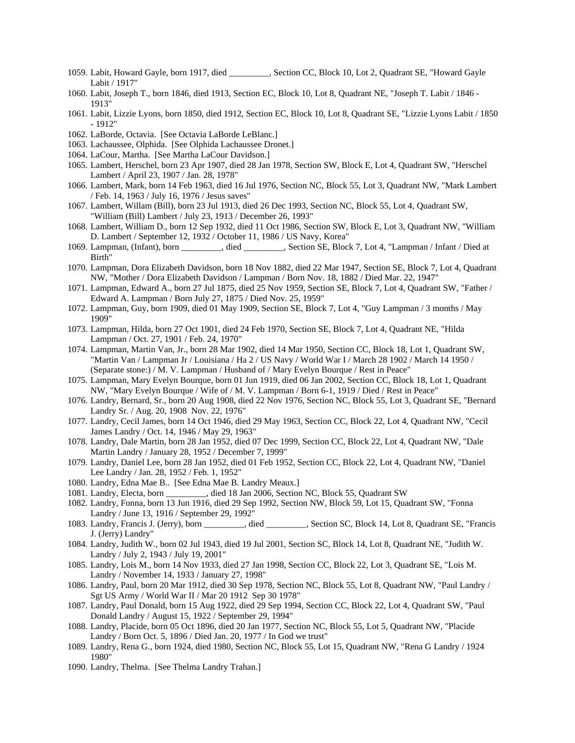- 1059. Labit, Howard Gayle, born 1917, died \_\_\_\_\_\_\_\_\_, Section CC, Block 10, Lot 2, Quadrant SE, "Howard Gayle Labit / 1917"
- 1060. Labit, Joseph T., born 1846, died 1913, Section EC, Block 10, Lot 8, Quadrant NE, "Joseph T. Labit / 1846 1913"
- 1061. Labit, Lizzie Lyons, born 1850, died 1912, Section EC, Block 10, Lot 8, Quadrant SE, "Lizzie Lyons Labit / 1850 - 1912"
- 1062. LaBorde, Octavia. [See Octavia LaBorde LeBlanc.]
- 1063. Lachaussee, Olphida. [See Olphida Lachaussee Dronet.]
- 1064. LaCour, Martha. [See Martha LaCour Davidson.]
- 1065. Lambert, Herschel, born 23 Apr 1907, died 28 Jan 1978, Section SW, Block E, Lot 4, Quadrant SW, "Herschel Lambert / April 23, 1907 / Jan. 28, 1978"
- 1066. Lambert, Mark, born 14 Feb 1963, died 16 Jul 1976, Section NC, Block 55, Lot 3, Quadrant NW, "Mark Lambert / Feb. 14, 1963 / July 16, 1976 / Jesus saves"
- 1067. Lambert, Willam (Bill), born 23 Jul 1913, died 26 Dec 1993, Section NC, Block 55, Lot 4, Quadrant SW, "William (Bill) Lambert / July 23, 1913 / December 26, 1993"
- 1068. Lambert, William D., born 12 Sep 1932, died 11 Oct 1986, Section SW, Block E, Lot 3, Quadrant NW, "William D. Lambert / September 12, 1932 / October 11, 1986 / US Navy, Korea"
- 1069. Lampman, (Infant), born \_\_\_\_\_\_\_\_\_, died \_\_\_\_\_\_\_\_\_, Section SE, Block 7, Lot 4, "Lampman / Infant / Died at Birth"
- 1070. Lampman, Dora Elizabeth Davidson, born 18 Nov 1882, died 22 Mar 1947, Section SE, Block 7, Lot 4, Quadrant NW, "Mother / Dora Elizabeth Davidson / Lampman / Born Nov. 18, 1882 / Died Mar. 22, 1947"
- 1071. Lampman, Edward A., born 27 Jul 1875, died 25 Nov 1959, Section SE, Block 7, Lot 4, Quadrant SW, "Father / Edward A. Lampman / Born July 27, 1875 / Died Nov. 25, 1959"
- 1072. Lampman, Guy, born 1909, died 01 May 1909, Section SE, Block 7, Lot 4, "Guy Lampman / 3 months / May 1909"
- 1073. Lampman, Hilda, born 27 Oct 1901, died 24 Feb 1970, Section SE, Block 7, Lot 4, Quadrant NE, "Hilda Lampman / Oct. 27, 1901 / Feb. 24, 1970"
- 1074. Lampman, Martin Van, Jr., born 28 Mar 1902, died 14 Mar 1950, Section CC, Block 18, Lot 1, Quadrant SW, "Martin Van / Lampman Jr / Louisiana / Ha 2 / US Navy / World War I / March 28 1902 / March 14 1950 / (Separate stone:) / M. V. Lampman / Husband of / Mary Evelyn Bourque / Rest in Peace"
- 1075. Lampman, Mary Evelyn Bourque, born 01 Jun 1919, died 06 Jan 2002, Section CC, Block 18, Lot 1, Quadrant NW, "Mary Evelyn Bourque / Wife of / M. V. Lampman / Born 6-1, 1919 / Died / Rest in Peace"
- 1076. Landry, Bernard, Sr., born 20 Aug 1908, died 22 Nov 1976, Section NC, Block 55, Lot 3, Quadrant SE, "Bernard Landry Sr. / Aug. 20, 1908 Nov. 22, 1976"
- 1077. Landry, Cecil James, born 14 Oct 1946, died 29 May 1963, Section CC, Block 22, Lot 4, Quadrant NW, "Cecil James Landry / Oct. 14, 1946 / May 29, 1963"
- 1078. Landry, Dale Martin, born 28 Jan 1952, died 07 Dec 1999, Section CC, Block 22, Lot 4, Quadrant NW, "Dale Martin Landry / January 28, 1952 / December 7, 1999"
- 1079. Landry, Daniel Lee, born 28 Jan 1952, died 01 Feb 1952, Section CC, Block 22, Lot 4, Quadrant NW, "Daniel Lee Landry / Jan. 28, 1952 / Feb. 1, 1952"
- 1080. Landry, Edna Mae B.. [See Edna Mae B. Landry Meaux.]
- 1081. Landry, Electa, born \_\_\_\_\_\_\_\_\_, died 18 Jan 2006, Section NC, Block 55, Quadrant SW
- 1082. Landry, Fonna, born 13 Jun 1916, died 29 Sep 1992, Section NW, Block 59, Lot 15, Quadrant SW, "Fonna Landry / June 13, 1916 / September 29, 1992"
- 1083. Landry, Francis J. (Jerry), born \_\_\_\_\_\_\_\_\_, died \_\_\_\_\_\_\_\_\_, Section SC, Block 14, Lot 8, Quadrant SE, "Francis J. (Jerry) Landry"
- 1084. Landry, Judith W., born 02 Jul 1943, died 19 Jul 2001, Section SC, Block 14, Lot 8, Quadrant NE, "Judith W. Landry / July 2, 1943 / July 19, 2001"
- 1085. Landry, Lois M., born 14 Nov 1933, died 27 Jan 1998, Section CC, Block 22, Lot 3, Quadrant SE, "Lois M. Landry / November 14, 1933 / January 27, 1998"
- 1086. Landry, Paul, born 20 Mar 1912, died 30 Sep 1978, Section NC, Block 55, Lot 8, Quadrant NW, "Paul Landry / Sgt US Army / World War II / Mar 20 1912 Sep 30 1978"
- 1087. Landry, Paul Donald, born 15 Aug 1922, died 29 Sep 1994, Section CC, Block 22, Lot 4, Quadrant SW, "Paul Donald Landry / August 15, 1922 / September 29, 1994"
- 1088. Landry, Placide, born 05 Oct 1896, died 20 Jan 1977, Section NC, Block 55, Lot 5, Quadrant NW, "Placide Landry / Born Oct. 5, 1896 / Died Jan. 20, 1977 / In God we trust"
- 1089. Landry, Rena G., born 1924, died 1980, Section NC, Block 55, Lot 15, Quadrant NW, "Rena G Landry / 1924 1980"
- 1090. Landry, Thelma. [See Thelma Landry Trahan.]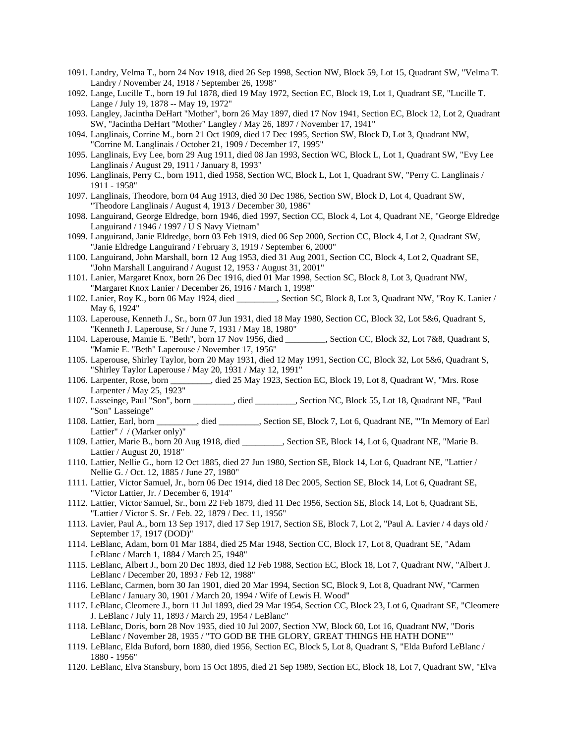- 1091. Landry, Velma T., born 24 Nov 1918, died 26 Sep 1998, Section NW, Block 59, Lot 15, Quadrant SW, "Velma T. Landry / November 24, 1918 / September 26, 1998"
- 1092. Lange, Lucille T., born 19 Jul 1878, died 19 May 1972, Section EC, Block 19, Lot 1, Quadrant SE, "Lucille T. Lange / July 19, 1878 -- May 19, 1972"
- 1093. Langley, Jacintha DeHart "Mother", born 26 May 1897, died 17 Nov 1941, Section EC, Block 12, Lot 2, Quadrant SW, "Jacintha DeHart "Mother" Langley / May 26, 1897 / November 17, 1941"
- 1094. Langlinais, Corrine M., born 21 Oct 1909, died 17 Dec 1995, Section SW, Block D, Lot 3, Quadrant NW, "Corrine M. Langlinais / October 21, 1909 / December 17, 1995"
- 1095. Langlinais, Evy Lee, born 29 Aug 1911, died 08 Jan 1993, Section WC, Block L, Lot 1, Quadrant SW, "Evy Lee Langlinais / August 29, 1911 / January 8, 1993"
- 1096. Langlinais, Perry C., born 1911, died 1958, Section WC, Block L, Lot 1, Quadrant SW, "Perry C. Langlinais / 1911 - 1958"
- 1097. Langlinais, Theodore, born 04 Aug 1913, died 30 Dec 1986, Section SW, Block D, Lot 4, Quadrant SW, "Theodore Langlinais / August 4, 1913 / December 30, 1986"
- 1098. Languirand, George Eldredge, born 1946, died 1997, Section CC, Block 4, Lot 4, Quadrant NE, "George Eldredge Languirand / 1946 / 1997 / U S Navy Vietnam"
- 1099. Languirand, Janie Eldredge, born 03 Feb 1919, died 06 Sep 2000, Section CC, Block 4, Lot 2, Quadrant SW, "Janie Eldredge Languirand / February 3, 1919 / September 6, 2000"
- 1100. Languirand, John Marshall, born 12 Aug 1953, died 31 Aug 2001, Section CC, Block 4, Lot 2, Quadrant SE, "John Marshall Languirand / August 12, 1953 / August 31, 2001"
- 1101. Lanier, Margaret Knox, born 26 Dec 1916, died 01 Mar 1998, Section SC, Block 8, Lot 3, Quadrant NW, "Margaret Knox Lanier / December 26, 1916 / March 1, 1998"
- 1102. Lanier, Roy K., born 06 May 1924, died \_\_\_\_\_\_\_\_\_, Section SC, Block 8, Lot 3, Quadrant NW, "Roy K. Lanier / May 6, 1924"
- 1103. Laperouse, Kenneth J., Sr., born 07 Jun 1931, died 18 May 1980, Section CC, Block 32, Lot 5&6, Quadrant S, "Kenneth J. Laperouse, Sr / June 7, 1931 / May 18, 1980"
- 1104. Laperouse, Mamie E. "Beth", born 17 Nov 1956, died \_\_\_\_\_\_\_\_\_, Section CC, Block 32, Lot 7&8, Quadrant S, "Mamie E. "Beth" Laperouse / November 17, 1956"
- 1105. Laperouse, Shirley Taylor, born 20 May 1931, died 12 May 1991, Section CC, Block 32, Lot 5&6, Quadrant S, "Shirley Taylor Laperouse / May 20, 1931 / May 12, 1991"
- 1106. Larpenter, Rose, born \_\_\_\_\_\_\_\_\_, died 25 May 1923, Section EC, Block 19, Lot 8, Quadrant W, "Mrs. Rose Larpenter / May 25, 1923"
- 1107. Lasseinge, Paul "Son", born \_\_\_\_\_\_\_\_\_, died \_\_\_\_\_\_\_\_\_, Section NC, Block 55, Lot 18, Quadrant NE, "Paul "Son" Lasseinge"
- 1108. Lattier, Earl, born \_\_\_\_\_\_\_\_\_, died \_\_\_\_\_\_\_\_\_, Section SE, Block 7, Lot 6, Quadrant NE, ""In Memory of Earl Lattier" / / (Marker only)"
- 1109. Lattier, Marie B., born 20 Aug 1918, died \_\_\_\_\_\_\_\_\_, Section SE, Block 14, Lot 6, Quadrant NE, "Marie B. Lattier / August 20, 1918"
- 1110. Lattier, Nellie G., born 12 Oct 1885, died 27 Jun 1980, Section SE, Block 14, Lot 6, Quadrant NE, "Lattier / Nellie G. / Oct. 12, 1885 / June 27, 1980"
- 1111. Lattier, Victor Samuel, Jr., born 06 Dec 1914, died 18 Dec 2005, Section SE, Block 14, Lot 6, Quadrant SE, "Victor Lattier, Jr. / December 6, 1914"
- 1112. Lattier, Victor Samuel, Sr., born 22 Feb 1879, died 11 Dec 1956, Section SE, Block 14, Lot 6, Quadrant SE, "Lattier / Victor S. Sr. / Feb. 22, 1879 / Dec. 11, 1956"
- 1113. Lavier, Paul A., born 13 Sep 1917, died 17 Sep 1917, Section SE, Block 7, Lot 2, "Paul A. Lavier / 4 days old / September 17, 1917 (DOD)"
- 1114. LeBlanc, Adam, born 01 Mar 1884, died 25 Mar 1948, Section CC, Block 17, Lot 8, Quadrant SE, "Adam LeBlanc / March 1, 1884 / March 25, 1948"
- 1115. LeBlanc, Albert J., born 20 Dec 1893, died 12 Feb 1988, Section EC, Block 18, Lot 7, Quadrant NW, "Albert J. LeBlanc / December 20, 1893 / Feb 12, 1988"
- 1116. LeBlanc, Carmen, born 30 Jan 1901, died 20 Mar 1994, Section SC, Block 9, Lot 8, Quadrant NW, "Carmen LeBlanc / January 30, 1901 / March 20, 1994 / Wife of Lewis H. Wood"
- 1117. LeBlanc, Cleomere J., born 11 Jul 1893, died 29 Mar 1954, Section CC, Block 23, Lot 6, Quadrant SE, "Cleomere J. LeBlanc / July 11, 1893 / March 29, 1954 / LeBlanc"
- 1118. LeBlanc, Doris, born 28 Nov 1935, died 10 Jul 2007, Section NW, Block 60, Lot 16, Quadrant NW, "Doris LeBlanc / November 28, 1935 / "TO GOD BE THE GLORY, GREAT THINGS HE HATH DONE""
- 1119. LeBlanc, Elda Buford, born 1880, died 1956, Section EC, Block 5, Lot 8, Quadrant S, "Elda Buford LeBlanc / 1880 - 1956"
- 1120. LeBlanc, Elva Stansbury, born 15 Oct 1895, died 21 Sep 1989, Section EC, Block 18, Lot 7, Quadrant SW, "Elva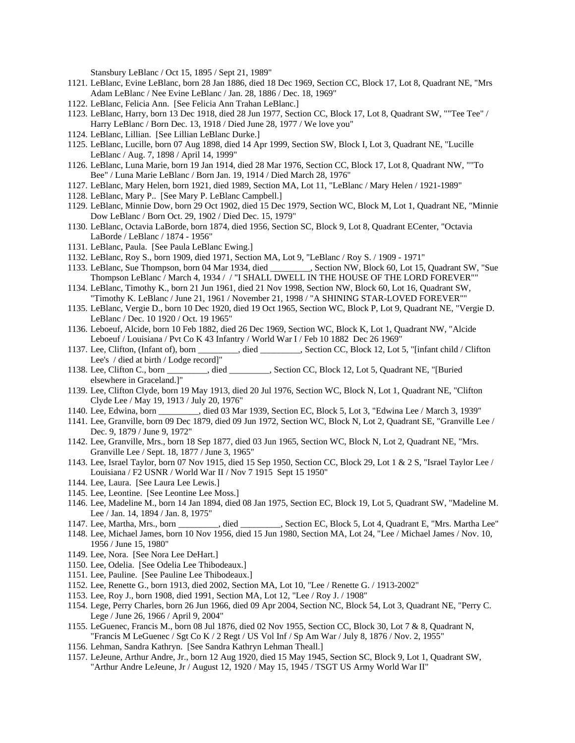Stansbury LeBlanc / Oct 15, 1895 / Sept 21, 1989"

- 1121. LeBlanc, Evine LeBlanc, born 28 Jan 1886, died 18 Dec 1969, Section CC, Block 17, Lot 8, Quadrant NE, "Mrs Adam LeBlanc / Nee Evine LeBlanc / Jan. 28, 1886 / Dec. 18, 1969"
- 1122. LeBlanc, Felicia Ann. [See Felicia Ann Trahan LeBlanc.]
- 1123. LeBlanc, Harry, born 13 Dec 1918, died 28 Jun 1977, Section CC, Block 17, Lot 8, Quadrant SW, ""Tee Tee" / Harry LeBlanc / Born Dec. 13, 1918 / Died June 28, 1977 / We love you"
- 1124. LeBlanc, Lillian. [See Lillian LeBlanc Durke.]
- 1125. LeBlanc, Lucille, born 07 Aug 1898, died 14 Apr 1999, Section SW, Block I, Lot 3, Quadrant NE, "Lucille LeBlanc / Aug. 7, 1898 / April 14, 1999"
- 1126. LeBlanc, Luna Marie, born 19 Jan 1914, died 28 Mar 1976, Section CC, Block 17, Lot 8, Quadrant NW, ""To Bee" / Luna Marie LeBlanc / Born Jan. 19, 1914 / Died March 28, 1976"
- 1127. LeBlanc, Mary Helen, born 1921, died 1989, Section MA, Lot 11, "LeBlanc / Mary Helen / 1921-1989"
- 1128. LeBlanc, Mary P.. [See Mary P. LeBlanc Campbell.]
- 1129. LeBlanc, Minnie Dow, born 29 Oct 1902, died 15 Dec 1979, Section WC, Block M, Lot 1, Quadrant NE, "Minnie Dow LeBlanc / Born Oct. 29, 1902 / Died Dec. 15, 1979"
- 1130. LeBlanc, Octavia LaBorde, born 1874, died 1956, Section SC, Block 9, Lot 8, Quadrant ECenter, "Octavia LaBorde / LeBlanc / 1874 - 1956"
- 1131. LeBlanc, Paula. [See Paula LeBlanc Ewing.]
- 1132. LeBlanc, Roy S., born 1909, died 1971, Section MA, Lot 9, "LeBlanc / Roy S. / 1909 1971"
- 1133. LeBlanc, Sue Thompson, born 04 Mar 1934, died \_\_\_\_\_\_\_\_\_, Section NW, Block 60, Lot 15, Quadrant SW, "Sue Thompson LeBlanc / March 4, 1934 / / "I SHALL DWELL IN THE HOUSE OF THE LORD FOREVER""
- 1134. LeBlanc, Timothy K., born 21 Jun 1961, died 21 Nov 1998, Section NW, Block 60, Lot 16, Quadrant SW, "Timothy K. LeBlanc / June 21, 1961 / November 21, 1998 / "A SHINING STAR-LOVED FOREVER""
- 1135. LeBlanc, Vergie D., born 10 Dec 1920, died 19 Oct 1965, Section WC, Block P, Lot 9, Quadrant NE, "Vergie D. LeBlanc / Dec. 10 1920 / Oct. 19 1965"
- 1136. Leboeuf, Alcide, born 10 Feb 1882, died 26 Dec 1969, Section WC, Block K, Lot 1, Quadrant NW, "Alcide Leboeuf / Louisiana / Pvt Co K 43 Infantry / World War I / Feb 10 1882 Dec 26 1969"
- 1137. Lee, Clifton, (Infant of), born \_\_\_\_\_\_\_\_\_, died \_\_\_\_\_\_\_\_\_, Section CC, Block 12, Lot 5, "[infant child / Clifton Lee's / died at birth / Lodge record]"
- 1138. Lee, Clifton C., born \_\_\_\_\_\_\_\_\_, died \_\_\_\_\_\_\_\_\_, Section CC, Block 12, Lot 5, Quadrant NE, "[Buried elsewhere in Graceland.]"
- 1139. Lee, Clifton Clyde, born 19 May 1913, died 20 Jul 1976, Section WC, Block N, Lot 1, Quadrant NE, "Clifton Clyde Lee / May 19, 1913 / July 20, 1976"
- 1140. Lee, Edwina, born \_\_\_\_\_\_\_\_\_, died 03 Mar 1939, Section EC, Block 5, Lot 3, "Edwina Lee / March 3, 1939"
- 1141. Lee, Granville, born 09 Dec 1879, died 09 Jun 1972, Section WC, Block N, Lot 2, Quadrant SE, "Granville Lee / Dec. 9, 1879 / June 9, 1972"
- 1142. Lee, Granville, Mrs., born 18 Sep 1877, died 03 Jun 1965, Section WC, Block N, Lot 2, Quadrant NE, "Mrs. Granville Lee / Sept. 18, 1877 / June 3, 1965"
- 1143. Lee, Israel Taylor, born 07 Nov 1915, died 15 Sep 1950, Section CC, Block 29, Lot 1 & 2 S, "Israel Taylor Lee / Louisiana / F2 USNR / World War II / Nov 7 1915 Sept 15 1950"
- 1144. Lee, Laura. [See Laura Lee Lewis.]
- 1145. Lee, Leontine. [See Leontine Lee Moss.]
- 1146. Lee, Madeline M., born 14 Jan 1894, died 08 Jan 1975, Section EC, Block 19, Lot 5, Quadrant SW, "Madeline M. Lee / Jan. 14, 1894 / Jan. 8, 1975"
- 1147. Lee, Martha, Mrs., born \_\_\_\_\_\_\_\_\_, died \_\_\_\_\_\_\_\_\_, Section EC, Block 5, Lot 4, Quadrant E, "Mrs. Martha Lee" 1148. Lee, Michael James, born 10 Nov 1956, died 15 Jun 1980, Section MA, Lot 24, "Lee / Michael James / Nov. 10,
- 1956 / June 15, 1980"
- 1149. Lee, Nora. [See Nora Lee DeHart.]
- 1150. Lee, Odelia. [See Odelia Lee Thibodeaux.]
- 1151. Lee, Pauline. [See Pauline Lee Thibodeaux.]
- 1152. Lee, Renette G., born 1913, died 2002, Section MA, Lot 10, "Lee / Renette G. / 1913-2002"
- 1153. Lee, Roy J., born 1908, died 1991, Section MA, Lot 12, "Lee / Roy J. / 1908"
- 1154. Lege, Perry Charles, born 26 Jun 1966, died 09 Apr 2004, Section NC, Block 54, Lot 3, Quadrant NE, "Perry C. Lege / June 26, 1966 / April 9, 2004"
- 1155. LeGuenec, Francis M., born 08 Jul 1876, died 02 Nov 1955, Section CC, Block 30, Lot 7 & 8, Quadrant N, "Francis M LeGuenec / Sgt Co K / 2 Regt / US Vol Inf / Sp Am War / July 8, 1876 / Nov. 2, 1955"
- 1156. Lehman, Sandra Kathryn. [See Sandra Kathryn Lehman Theall.]
- 1157. LeJeune, Arthur Andre, Jr., born 12 Aug 1920, died 15 May 1945, Section SC, Block 9, Lot 1, Quadrant SW, "Arthur Andre LeJeune, Jr / August 12, 1920 / May 15, 1945 / TSGT US Army World War II"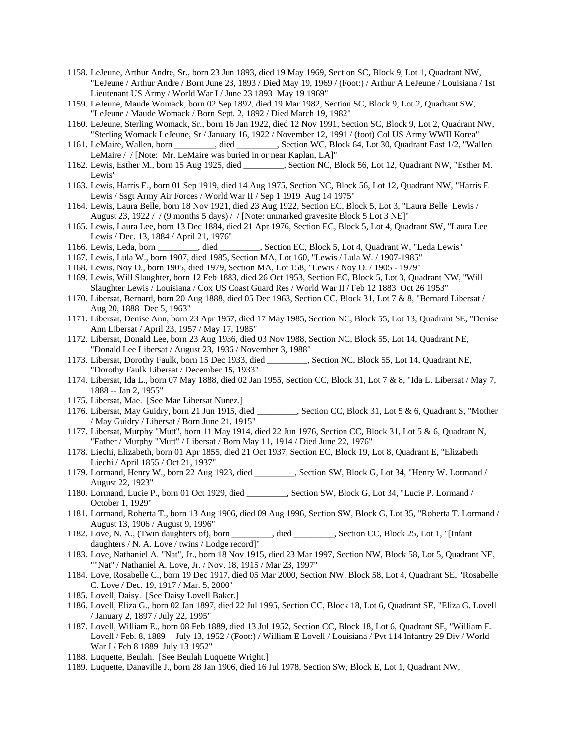- 1158. LeJeune, Arthur Andre, Sr., born 23 Jun 1893, died 19 May 1969, Section SC, Block 9, Lot 1, Quadrant NW, "LeJeune / Arthur Andre / Born June 23, 1893 / Died May 19, 1969 / (Foot:) / Arthur A LeJeune / Louisiana / 1st Lieutenant US Army / World War I / June 23 1893 May 19 1969"
- 1159. LeJeune, Maude Womack, born 02 Sep 1892, died 19 Mar 1982, Section SC, Block 9, Lot 2, Quadrant SW, "LeJeune / Maude Womack / Born Sept. 2, 1892 / Died March 19, 1982"
- 1160. LeJeune, Sterling Womack, Sr., born 16 Jan 1922, died 12 Nov 1991, Section SC, Block 9, Lot 2, Quadrant NW, "Sterling Womack LeJeune, Sr / January 16, 1922 / November 12, 1991 / (foot) Col US Army WWII Korea"
- 1161. LeMaire, Wallen, born \_\_\_\_\_\_\_\_\_, died \_\_\_\_\_\_\_\_\_, Section WC, Block 64, Lot 30, Quadrant East 1/2, "Wallen LeMaire / / [Note: Mr. LeMaire was buried in or near Kaplan, LA]"
- 1162. Lewis, Esther M., born 15 Aug 1925, died \_\_\_\_\_\_\_\_\_, Section NC, Block 56, Lot 12, Quadrant NW, "Esther M. Lewis"
- 1163. Lewis, Harris E., born 01 Sep 1919, died 14 Aug 1975, Section NC, Block 56, Lot 12, Quadrant NW, "Harris E Lewis / Ssgt Army Air Forces / World War II / Sep 1 1919 Aug 14 1975"
- 1164. Lewis, Laura Belle, born 18 Nov 1921, died 23 Aug 1922, Section EC, Block 5, Lot 3, "Laura Belle Lewis / August 23, 1922 / / (9 months 5 days) / / [Note: unmarked gravesite Block 5 Lot 3 NE]"
- 1165. Lewis, Laura Lee, born 13 Dec 1884, died 21 Apr 1976, Section EC, Block 5, Lot 4, Quadrant SW, "Laura Lee Lewis / Dec. 13, 1884 / April 21, 1976"
- 1166. Lewis, Leda, born \_\_\_\_\_\_\_\_\_, died \_\_\_\_\_\_\_\_\_, Section EC, Block 5, Lot 4, Quadrant W, "Leda Lewis"
- 1167. Lewis, Lula W., born 1907, died 1985, Section MA, Lot 160, "Lewis / Lula W. / 1907-1985"
- 1168. Lewis, Noy O., born 1905, died 1979, Section MA, Lot 158, "Lewis / Noy O. / 1905 1979"
- 1169. Lewis, Will Slaughter, born 12 Feb 1883, died 26 Oct 1953, Section EC, Block 5, Lot 3, Quadrant NW, "Will Slaughter Lewis / Louisiana / Cox US Coast Guard Res / World War II / Feb 12 1883 Oct 26 1953"
- 1170. Libersat, Bernard, born 20 Aug 1888, died 05 Dec 1963, Section CC, Block 31, Lot 7 & 8, "Bernard Libersat / Aug 20, 1888 Dec 5, 1963"
- 1171. Libersat, Denise Ann, born 23 Apr 1957, died 17 May 1985, Section NC, Block 55, Lot 13, Quadrant SE, "Denise Ann Libersat / April 23, 1957 / May 17, 1985"
- 1172. Libersat, Donald Lee, born 23 Aug 1936, died 03 Nov 1988, Section NC, Block 55, Lot 14, Quadrant NE, "Donald Lee Libersat / August 23, 1936 / November 3, 1988"
- 1173. Libersat, Dorothy Faulk, born 15 Dec 1933, died \_\_\_\_\_\_\_\_\_, Section NC, Block 55, Lot 14, Quadrant NE, "Dorothy Faulk Libersat / December 15, 1933"
- 1174. Libersat, Ida L., born 07 May 1888, died 02 Jan 1955, Section CC, Block 31, Lot 7 & 8, "Ida L. Libersat / May 7, 1888 -- Jan 2, 1955"
- 1175. Libersat, Mae. [See Mae Libersat Nunez.]
- 1176. Libersat, May Guidry, born 21 Jun 1915, died \_\_\_\_\_\_\_\_\_, Section CC, Block 31, Lot 5 & 6, Quadrant S, "Mother / May Guidry / Libersat / Born June 21, 1915"
- 1177. Libersat, Murphy "Mutt", born 11 May 1914, died 22 Jun 1976, Section CC, Block 31, Lot 5 & 6, Quadrant N, "Father / Murphy "Mutt" / Libersat / Born May 11, 1914 / Died June 22, 1976"
- 1178. Liechi, Elizabeth, born 01 Apr 1855, died 21 Oct 1937, Section EC, Block 19, Lot 8, Quadrant E, "Elizabeth Liechi / April 1855 / Oct 21, 1937"
- 1179. Lormand, Henry W., born 22 Aug 1923, died \_\_\_\_\_\_\_\_\_, Section SW, Block G, Lot 34, "Henry W. Lormand / August 22, 1923"
- 1180. Lormand, Lucie P., born 01 Oct 1929, died , Section SW, Block G, Lot 34, "Lucie P. Lormand / October 1, 1929"
- 1181. Lormand, Roberta T., born 13 Aug 1906, died 09 Aug 1996, Section SW, Block G, Lot 35, "Roberta T. Lormand / August 13, 1906 / August 9, 1996"
- 1182. Love, N. A., (Twin daughters of), born \_\_\_\_\_\_\_\_\_, died \_\_\_\_\_\_\_\_\_, Section CC, Block 25, Lot 1, "[Infant daughters / N. A. Love / twins / Lodge record]"
- 1183. Love, Nathaniel A. "Nat", Jr., born 18 Nov 1915, died 23 Mar 1997, Section NW, Block 58, Lot 5, Quadrant NE, ""Nat" / Nathaniel A. Love, Jr. / Nov. 18, 1915 / Mar 23, 1997"
- 1184. Love, Rosabelle C., born 19 Dec 1917, died 05 Mar 2000, Section NW, Block 58, Lot 4, Quadrant SE, "Rosabelle C. Love / Dec. 19, 1917 / Mar. 5, 2000"
- 1185. Lovell, Daisy. [See Daisy Lovell Baker.]
- 1186. Lovell, Eliza G., born 02 Jan 1897, died 22 Jul 1995, Section CC, Block 18, Lot 6, Quadrant SE, "Eliza G. Lovell / January 2, 1897 / July 22, 1995"
- 1187. Lovell, William E., born 08 Feb 1889, died 13 Jul 1952, Section CC, Block 18, Lot 6, Quadrant SE, "William E. Lovell / Feb. 8, 1889 -- July 13, 1952 / (Foot:) / William E Lovell / Louisiana / Pvt 114 Infantry 29 Div / World War I / Feb 8 1889 July 13 1952"
- 1188. Luquette, Beulah. [See Beulah Luquette Wright.]
- 1189. Luquette, Danaville J., born 28 Jan 1906, died 16 Jul 1978, Section SW, Block E, Lot 1, Quadrant NW,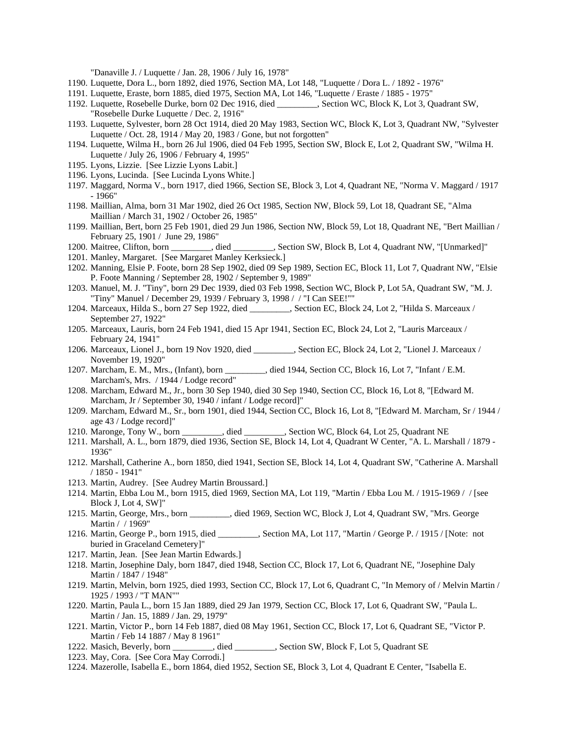"Danaville J. / Luquette / Jan. 28, 1906 / July 16, 1978"

- 1190. Luquette, Dora L., born 1892, died 1976, Section MA, Lot 148, "Luquette / Dora L. / 1892 1976"
- 1191. Luquette, Eraste, born 1885, died 1975, Section MA, Lot 146, "Luquette / Eraste / 1885 1975"
- 1192. Luquette, Rosebelle Durke, born 02 Dec 1916, died \_\_\_\_\_\_\_\_\_, Section WC, Block K, Lot 3, Quadrant SW, "Rosebelle Durke Luquette / Dec. 2, 1916"
- 1193. Luquette, Sylvester, born 28 Oct 1914, died 20 May 1983, Section WC, Block K, Lot 3, Quadrant NW, "Sylvester Luquette / Oct. 28, 1914 / May 20, 1983 / Gone, but not forgotten"
- 1194. Luquette, Wilma H., born 26 Jul 1906, died 04 Feb 1995, Section SW, Block E, Lot 2, Quadrant SW, "Wilma H. Luquette / July 26, 1906 / February 4, 1995"
- 1195. Lyons, Lizzie. [See Lizzie Lyons Labit.]
- 1196. Lyons, Lucinda. [See Lucinda Lyons White.]
- 1197. Maggard, Norma V., born 1917, died 1966, Section SE, Block 3, Lot 4, Quadrant NE, "Norma V. Maggard / 1917 - 1966"
- 1198. Maillian, Alma, born 31 Mar 1902, died 26 Oct 1985, Section NW, Block 59, Lot 18, Quadrant SE, "Alma Maillian / March 31, 1902 / October 26, 1985"
- 1199. Maillian, Bert, born 25 Feb 1901, died 29 Jun 1986, Section NW, Block 59, Lot 18, Quadrant NE, "Bert Maillian / February 25, 1901 / June 29, 1986"
- 1200. Maitree, Clifton, born \_\_\_\_\_\_\_\_\_, died \_\_\_\_\_\_\_\_\_, Section SW, Block B, Lot 4, Quadrant NW, "[Unmarked]"
- 1201. Manley, Margaret. [See Margaret Manley Kerksieck.]
- 1202. Manning, Elsie P. Foote, born 28 Sep 1902, died 09 Sep 1989, Section EC, Block 11, Lot 7, Quadrant NW, "Elsie P. Foote Manning / September 28, 1902 / September 9, 1989"
- 1203. Manuel, M. J. "Tiny", born 29 Dec 1939, died 03 Feb 1998, Section WC, Block P, Lot 5A, Quadrant SW, "M. J. "Tiny" Manuel / December 29, 1939 / February 3, 1998 / / "I Can SEE!""
- 1204. Marceaux, Hilda S., born 27 Sep 1922, died \_\_\_\_\_\_\_\_\_, Section EC, Block 24, Lot 2, "Hilda S. Marceaux / September 27, 1922"
- 1205. Marceaux, Lauris, born 24 Feb 1941, died 15 Apr 1941, Section EC, Block 24, Lot 2, "Lauris Marceaux / February 24, 1941"
- 1206. Marceaux, Lionel J., born 19 Nov 1920, died \_\_\_\_\_\_\_\_\_, Section EC, Block 24, Lot 2, "Lionel J. Marceaux / November 19, 1920"
- 1207. Marcham, E. M., Mrs., (Infant), born \_\_\_\_\_\_\_\_\_, died 1944, Section CC, Block 16, Lot 7, "Infant / E.M. Marcham's, Mrs. / 1944 / Lodge record"
- 1208. Marcham, Edward M., Jr., born 30 Sep 1940, died 30 Sep 1940, Section CC, Block 16, Lot 8, "[Edward M. Marcham, Jr / September 30, 1940 / infant / Lodge record]"
- 1209. Marcham, Edward M., Sr., born 1901, died 1944, Section CC, Block 16, Lot 8, "[Edward M. Marcham, Sr / 1944 / age 43 / Lodge record]"
- 1210. Maronge, Tony W., born \_\_\_\_\_\_\_\_, died \_\_\_\_\_\_\_\_, Section WC, Block 64, Lot 25, Quadrant NE
- 1211. Marshall, A. L., born 1879, died 1936, Section SE, Block 14, Lot 4, Quadrant W Center, "A. L. Marshall / 1879 1936"
- 1212. Marshall, Catherine A., born 1850, died 1941, Section SE, Block 14, Lot 4, Quadrant SW, "Catherine A. Marshall / 1850 - 1941"
- 1213. Martin, Audrey. [See Audrey Martin Broussard.]
- 1214. Martin, Ebba Lou M., born 1915, died 1969, Section MA, Lot 119, "Martin / Ebba Lou M. / 1915-1969 / / [see Block J, Lot 4, SW]"
- 1215. Martin, George, Mrs., born \_\_\_\_\_\_\_\_\_, died 1969, Section WC, Block J, Lot 4, Quadrant SW, "Mrs. George Martin / / 1969"
- 1216. Martin, George P., born 1915, died \_\_\_\_\_\_\_\_\_, Section MA, Lot 117, "Martin / George P. / 1915 / [Note: not buried in Graceland Cemetery]"
- 1217. Martin, Jean. [See Jean Martin Edwards.]
- 1218. Martin, Josephine Daly, born 1847, died 1948, Section CC, Block 17, Lot 6, Quadrant NE, "Josephine Daly Martin / 1847 / 1948"
- 1219. Martin, Melvin, born 1925, died 1993, Section CC, Block 17, Lot 6, Quadrant C, "In Memory of / Melvin Martin / 1925 / 1993 / "T MAN""
- 1220. Martin, Paula L., born 15 Jan 1889, died 29 Jan 1979, Section CC, Block 17, Lot 6, Quadrant SW, "Paula L. Martin / Jan. 15, 1889 / Jan. 29, 1979"
- 1221. Martin, Victor P., born 14 Feb 1887, died 08 May 1961, Section CC, Block 17, Lot 6, Quadrant SE, "Victor P. Martin / Feb 14 1887 / May 8 1961"
- 1222. Masich, Beverly, born \_\_\_\_\_\_\_\_\_, died \_\_\_\_\_\_\_\_\_, Section SW, Block F, Lot 5, Quadrant SE
- 1223. May, Cora. [See Cora May Corrodi.]
- 1224. Mazerolle, Isabella E., born 1864, died 1952, Section SE, Block 3, Lot 4, Quadrant E Center, "Isabella E.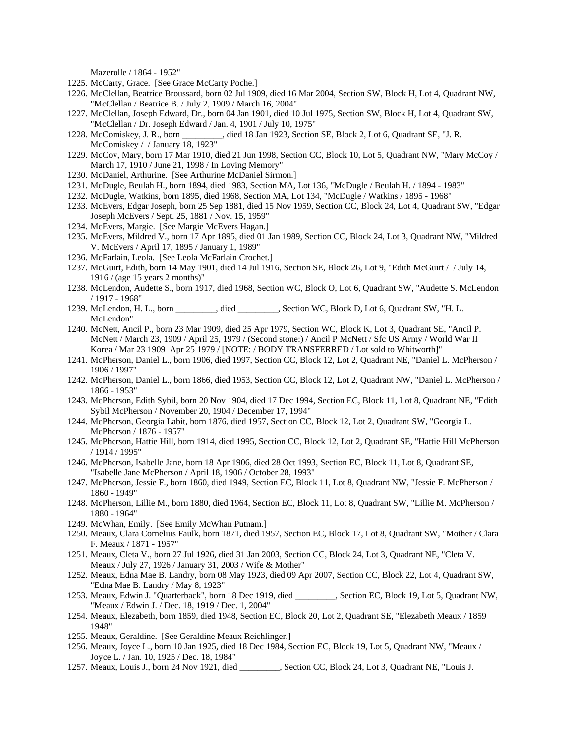Mazerolle / 1864 - 1952"

- 1225. McCarty, Grace. [See Grace McCarty Poche.]
- 1226. McClellan, Beatrice Broussard, born 02 Jul 1909, died 16 Mar 2004, Section SW, Block H, Lot 4, Quadrant NW, "McClellan / Beatrice B. / July 2, 1909 / March 16, 2004"
- 1227. McClellan, Joseph Edward, Dr., born 04 Jan 1901, died 10 Jul 1975, Section SW, Block H, Lot 4, Quadrant SW, "McClellan / Dr. Joseph Edward / Jan. 4, 1901 / July 10, 1975"<br>1228. McComiskey, J. R., born \_\_\_\_\_\_\_\_, died 18 Jan 1923, Section
- 132. Mied 18 Jan 1923, Section SE, Block 2, Lot 6, Quadrant SE, "J. R. McComiskey / / January 18, 1923"
- 1229. McCoy, Mary, born 17 Mar 1910, died 21 Jun 1998, Section CC, Block 10, Lot 5, Quadrant NW, "Mary McCoy / March 17, 1910 / June 21, 1998 / In Loving Memory"
- 1230. McDaniel, Arthurine. [See Arthurine McDaniel Sirmon.]
- 1231. McDugle, Beulah H., born 1894, died 1983, Section MA, Lot 136, "McDugle / Beulah H. / 1894 1983"
- 1232. McDugle, Watkins, born 1895, died 1968, Section MA, Lot 134, "McDugle / Watkins / 1895 1968"
- 1233. McEvers, Edgar Joseph, born 25 Sep 1881, died 15 Nov 1959, Section CC, Block 24, Lot 4, Quadrant SW, "Edgar Joseph McEvers / Sept. 25, 1881 / Nov. 15, 1959"
- 1234. McEvers, Margie. [See Margie McEvers Hagan.]
- 1235. McEvers, Mildred V., born 17 Apr 1895, died 01 Jan 1989, Section CC, Block 24, Lot 3, Quadrant NW, "Mildred V. McEvers / April 17, 1895 / January 1, 1989"
- 1236. McFarlain, Leola. [See Leola McFarlain Crochet.]
- 1237. McGuirt, Edith, born 14 May 1901, died 14 Jul 1916, Section SE, Block 26, Lot 9, "Edith McGuirt / / July 14, 1916 / (age 15 years 2 months)"
- 1238. McLendon, Audette S., born 1917, died 1968, Section WC, Block O, Lot 6, Quadrant SW, "Audette S. McLendon / 1917 - 1968"
- 1239. McLendon, H. L., born \_\_\_\_\_\_\_\_\_, died \_\_\_\_\_\_\_\_\_, Section WC, Block D, Lot 6, Quadrant SW, "H. L. McLendon"
- 1240. McNett, Ancil P., born 23 Mar 1909, died 25 Apr 1979, Section WC, Block K, Lot 3, Quadrant SE, "Ancil P. McNett / March 23, 1909 / April 25, 1979 / (Second stone:) / Ancil P McNett / Sfc US Army / World War II Korea / Mar 23 1909 Apr 25 1979 / [NOTE: / BODY TRANSFERRED / Lot sold to Whitworth]"
- 1241. McPherson, Daniel L., born 1906, died 1997, Section CC, Block 12, Lot 2, Quadrant NE, "Daniel L. McPherson / 1906 / 1997"
- 1242. McPherson, Daniel L., born 1866, died 1953, Section CC, Block 12, Lot 2, Quadrant NW, "Daniel L. McPherson / 1866 - 1953"
- 1243. McPherson, Edith Sybil, born 20 Nov 1904, died 17 Dec 1994, Section EC, Block 11, Lot 8, Quadrant NE, "Edith Sybil McPherson / November 20, 1904 / December 17, 1994"
- 1244. McPherson, Georgia Labit, born 1876, died 1957, Section CC, Block 12, Lot 2, Quadrant SW, "Georgia L. McPherson / 1876 - 1957"
- 1245. McPherson, Hattie Hill, born 1914, died 1995, Section CC, Block 12, Lot 2, Quadrant SE, "Hattie Hill McPherson / 1914 / 1995"
- 1246. McPherson, Isabelle Jane, born 18 Apr 1906, died 28 Oct 1993, Section EC, Block 11, Lot 8, Quadrant SE, "Isabelle Jane McPherson / April 18, 1906 / October 28, 1993"
- 1247. McPherson, Jessie F., born 1860, died 1949, Section EC, Block 11, Lot 8, Quadrant NW, "Jessie F. McPherson / 1860 - 1949"
- 1248. McPherson, Lillie M., born 1880, died 1964, Section EC, Block 11, Lot 8, Quadrant SW, "Lillie M. McPherson / 1880 - 1964"
- 1249. McWhan, Emily. [See Emily McWhan Putnam.]
- 1250. Meaux, Clara Cornelius Faulk, born 1871, died 1957, Section EC, Block 17, Lot 8, Quadrant SW, "Mother / Clara F. Meaux / 1871 - 1957"
- 1251. Meaux, Cleta V., born 27 Jul 1926, died 31 Jan 2003, Section CC, Block 24, Lot 3, Quadrant NE, "Cleta V. Meaux / July 27, 1926 / January 31, 2003 / Wife & Mother"
- 1252. Meaux, Edna Mae B. Landry, born 08 May 1923, died 09 Apr 2007, Section CC, Block 22, Lot 4, Quadrant SW, "Edna Mae B. Landry / May 8, 1923"
- 1253. Meaux, Edwin J. "Quarterback", born 18 Dec 1919, died \_\_\_\_\_\_\_\_\_, Section EC, Block 19, Lot 5, Quadrant NW, "Meaux / Edwin J. / Dec. 18, 1919 / Dec. 1, 2004"
- 1254. Meaux, Elezabeth, born 1859, died 1948, Section EC, Block 20, Lot 2, Quadrant SE, "Elezabeth Meaux / 1859 1948"
- 1255. Meaux, Geraldine. [See Geraldine Meaux Reichlinger.]
- 1256. Meaux, Joyce L., born 10 Jan 1925, died 18 Dec 1984, Section EC, Block 19, Lot 5, Quadrant NW, "Meaux / Joyce L. / Jan. 10, 1925 / Dec. 18, 1984"
- 1257. Meaux, Louis J., born 24 Nov 1921, died \_\_\_\_\_\_\_\_\_, Section CC, Block 24, Lot 3, Quadrant NE, "Louis J.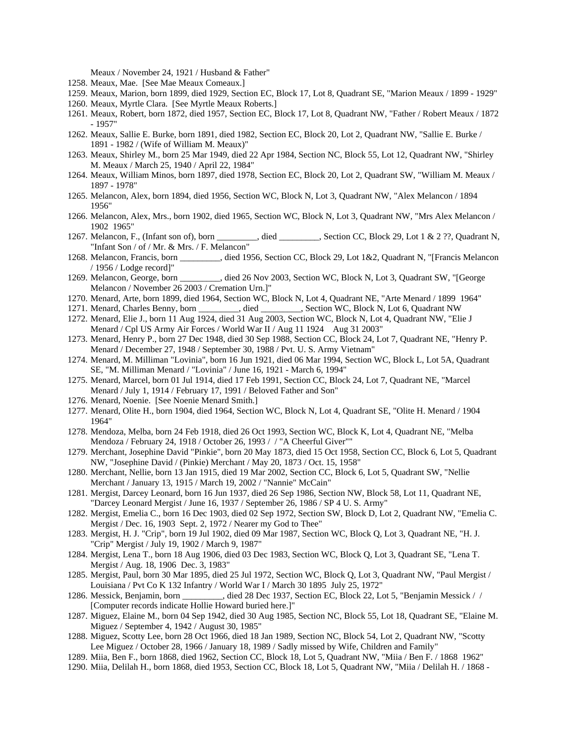Meaux / November 24, 1921 / Husband & Father"

- 1258. Meaux, Mae. [See Mae Meaux Comeaux.]
- 1259. Meaux, Marion, born 1899, died 1929, Section EC, Block 17, Lot 8, Quadrant SE, "Marion Meaux / 1899 1929"
- 1260. Meaux, Myrtle Clara. [See Myrtle Meaux Roberts.]
- 1261. Meaux, Robert, born 1872, died 1957, Section EC, Block 17, Lot 8, Quadrant NW, "Father / Robert Meaux / 1872 - 1957"
- 1262. Meaux, Sallie E. Burke, born 1891, died 1982, Section EC, Block 20, Lot 2, Quadrant NW, "Sallie E. Burke / 1891 - 1982 / (Wife of William M. Meaux)"
- 1263. Meaux, Shirley M., born 25 Mar 1949, died 22 Apr 1984, Section NC, Block 55, Lot 12, Quadrant NW, "Shirley M. Meaux / March 25, 1940 / April 22, 1984"
- 1264. Meaux, William Minos, born 1897, died 1978, Section EC, Block 20, Lot 2, Quadrant SW, "William M. Meaux / 1897 - 1978"
- 1265. Melancon, Alex, born 1894, died 1956, Section WC, Block N, Lot 3, Quadrant NW, "Alex Melancon / 1894 1956"
- 1266. Melancon, Alex, Mrs., born 1902, died 1965, Section WC, Block N, Lot 3, Quadrant NW, "Mrs Alex Melancon / 1902 1965"
- 1267. Melancon, F., (Infant son of), born \_\_\_\_\_\_\_\_, died \_\_\_\_\_\_\_\_, Section CC, Block 29, Lot 1 & 2 ??, Quadrant N, "Infant Son / of / Mr. & Mrs. / F. Melancon"
- 1268. Melancon, Francis, born \_\_\_\_\_\_\_\_\_, died 1956, Section CC, Block 29, Lot 1&2, Quadrant N, "[Francis Melancon / 1956 / Lodge record]"
- 1269. Melancon, George, born \_\_\_\_\_\_\_\_\_, died 26 Nov 2003, Section WC, Block N, Lot 3, Quadrant SW, "[George Melancon / November 26 2003 / Cremation Urn.]"
- 1270. Menard, Arte, born 1899, died 1964, Section WC, Block N, Lot 4, Quadrant NE, "Arte Menard / 1899 1964"
- 1271. Menard, Charles Benny, born \_\_\_\_\_\_\_\_\_, died \_\_\_\_\_\_\_\_\_, Section WC, Block N, Lot 6, Quadrant NW
- 1272. Menard, Elie J., born 11 Aug 1924, died 31 Aug 2003, Section WC, Block N, Lot 4, Quadrant NW, "Elie J Menard / Cpl US Army Air Forces / World War II / Aug 11 1924 Aug 31 2003"
- 1273. Menard, Henry P., born 27 Dec 1948, died 30 Sep 1988, Section CC, Block 24, Lot 7, Quadrant NE, "Henry P. Menard / December 27, 1948 / September 30, 1988 / Pvt. U. S. Army Vietnam"
- 1274. Menard, M. Milliman "Lovinia", born 16 Jun 1921, died 06 Mar 1994, Section WC, Block L, Lot 5A, Quadrant SE, "M. Milliman Menard / "Lovinia" / June 16, 1921 - March 6, 1994"
- 1275. Menard, Marcel, born 01 Jul 1914, died 17 Feb 1991, Section CC, Block 24, Lot 7, Quadrant NE, "Marcel Menard / July 1, 1914 / February 17, 1991 / Beloved Father and Son"
- 1276. Menard, Noenie. [See Noenie Menard Smith.]
- 1277. Menard, Olite H., born 1904, died 1964, Section WC, Block N, Lot 4, Quadrant SE, "Olite H. Menard / 1904 1964"
- 1278. Mendoza, Melba, born 24 Feb 1918, died 26 Oct 1993, Section WC, Block K, Lot 4, Quadrant NE, "Melba Mendoza / February 24, 1918 / October 26, 1993 / / "A Cheerful Giver""
- 1279. Merchant, Josephine David "Pinkie", born 20 May 1873, died 15 Oct 1958, Section CC, Block 6, Lot 5, Quadrant NW, "Josephine David / (Pinkie) Merchant / May 20, 1873 / Oct. 15, 1958"
- 1280. Merchant, Nellie, born 13 Jan 1915, died 19 Mar 2002, Section CC, Block 6, Lot 5, Quadrant SW, "Nellie Merchant / January 13, 1915 / March 19, 2002 / "Nannie" McCain"
- 1281. Mergist, Darcey Leonard, born 16 Jun 1937, died 26 Sep 1986, Section NW, Block 58, Lot 11, Quadrant NE, "Darcey Leonard Mergist / June 16, 1937 / September 26, 1986 / SP 4 U. S. Army"
- 1282. Mergist, Emelia C., born 16 Dec 1903, died 02 Sep 1972, Section SW, Block D, Lot 2, Quadrant NW, "Emelia C. Mergist / Dec. 16, 1903 Sept. 2, 1972 / Nearer my God to Thee"
- 1283. Mergist, H. J. "Crip", born 19 Jul 1902, died 09 Mar 1987, Section WC, Block Q, Lot 3, Quadrant NE, "H. J. "Crip" Mergist / July 19, 1902 / March 9, 1987"
- 1284. Mergist, Lena T., born 18 Aug 1906, died 03 Dec 1983, Section WC, Block Q, Lot 3, Quadrant SE, "Lena T. Mergist / Aug. 18, 1906 Dec. 3, 1983"
- 1285. Mergist, Paul, born 30 Mar 1895, died 25 Jul 1972, Section WC, Block Q, Lot 3, Quadrant NW, "Paul Mergist / Louisiana / Pvt Co K 132 Infantry / World War I / March 30 1895 July 25, 1972"
- 1286. Messick, Benjamin, born \_\_\_\_\_\_\_\_\_, died 28 Dec 1937, Section EC, Block 22, Lot 5, "Benjamin Messick / / [Computer records indicate Hollie Howard buried here.]"
- 1287. Miguez, Elaine M., born 04 Sep 1942, died 30 Aug 1985, Section NC, Block 55, Lot 18, Quadrant SE, "Elaine M. Miguez / September 4, 1942 / August 30, 1985"
- 1288. Miguez, Scotty Lee, born 28 Oct 1966, died 18 Jan 1989, Section NC, Block 54, Lot 2, Quadrant NW, "Scotty Lee Miguez / October 28, 1966 / January 18, 1989 / Sadly missed by Wife, Children and Family"
- 1289. Miia, Ben F., born 1868, died 1962, Section CC, Block 18, Lot 5, Quadrant NW, "Miia / Ben F. / 1868 1962"
- 1290. Miia, Delilah H., born 1868, died 1953, Section CC, Block 18, Lot 5, Quadrant NW, "Miia / Delilah H. / 1868 -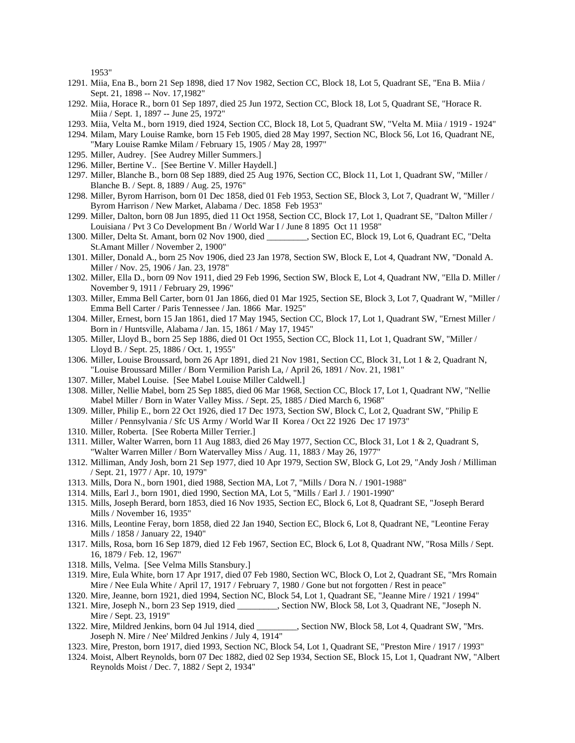1953"

- 1291. Miia, Ena B., born 21 Sep 1898, died 17 Nov 1982, Section CC, Block 18, Lot 5, Quadrant SE, "Ena B. Miia / Sept. 21, 1898 -- Nov. 17,1982"
- 1292. Miia, Horace R., born 01 Sep 1897, died 25 Jun 1972, Section CC, Block 18, Lot 5, Quadrant SE, "Horace R. Miia / Sept. 1, 1897 -- June 25, 1972"
- 1293. Miia, Velta M., born 1919, died 1924, Section CC, Block 18, Lot 5, Quadrant SW, "Velta M. Miia / 1919 1924"
- 1294. Milam, Mary Louise Ramke, born 15 Feb 1905, died 28 May 1997, Section NC, Block 56, Lot 16, Quadrant NE, "Mary Louise Ramke Milam / February 15, 1905 / May 28, 1997"
- 1295. Miller, Audrey. [See Audrey Miller Summers.]
- 1296. Miller, Bertine V.. [See Bertine V. Miller Haydell.]
- 1297. Miller, Blanche B., born 08 Sep 1889, died 25 Aug 1976, Section CC, Block 11, Lot 1, Quadrant SW, "Miller / Blanche B. / Sept. 8, 1889 / Aug. 25, 1976"
- 1298. Miller, Byrom Harrison, born 01 Dec 1858, died 01 Feb 1953, Section SE, Block 3, Lot 7, Quadrant W, "Miller / Byrom Harrison / New Market, Alabama / Dec. 1858 Feb 1953"
- 1299. Miller, Dalton, born 08 Jun 1895, died 11 Oct 1958, Section CC, Block 17, Lot 1, Quadrant SE, "Dalton Miller / Louisiana / Pvt 3 Co Development Bn / World War I / June 8 1895 Oct 11 1958"
- 1300. Miller, Delta St. Amant, born 02 Nov 1900, died \_\_\_\_\_\_\_\_\_, Section EC, Block 19, Lot 6, Quadrant EC, "Delta St.Amant Miller / November 2, 1900"
- 1301. Miller, Donald A., born 25 Nov 1906, died 23 Jan 1978, Section SW, Block E, Lot 4, Quadrant NW, "Donald A. Miller / Nov. 25, 1906 / Jan. 23, 1978"
- 1302. Miller, Ella D., born 09 Nov 1911, died 29 Feb 1996, Section SW, Block E, Lot 4, Quadrant NW, "Ella D. Miller / November 9, 1911 / February 29, 1996"
- 1303. Miller, Emma Bell Carter, born 01 Jan 1866, died 01 Mar 1925, Section SE, Block 3, Lot 7, Quadrant W, "Miller / Emma Bell Carter / Paris Tennessee / Jan. 1866 Mar. 1925"
- 1304. Miller, Ernest, born 15 Jan 1861, died 17 May 1945, Section CC, Block 17, Lot 1, Quadrant SW, "Ernest Miller / Born in / Huntsville, Alabama / Jan. 15, 1861 / May 17, 1945"
- 1305. Miller, Lloyd B., born 25 Sep 1886, died 01 Oct 1955, Section CC, Block 11, Lot 1, Quadrant SW, "Miller / Lloyd B. / Sept. 25, 1886 / Oct. 1, 1955"
- 1306. Miller, Louise Broussard, born 26 Apr 1891, died 21 Nov 1981, Section CC, Block 31, Lot 1 & 2, Quadrant N, "Louise Broussard Miller / Born Vermilion Parish La, / April 26, 1891 / Nov. 21, 1981"
- 1307. Miller, Mabel Louise. [See Mabel Louise Miller Caldwell.]
- 1308. Miller, Nellie Mabel, born 25 Sep 1885, died 06 Mar 1968, Section CC, Block 17, Lot 1, Quadrant NW, "Nellie Mabel Miller / Born in Water Valley Miss. / Sept. 25, 1885 / Died March 6, 1968"
- 1309. Miller, Philip E., born 22 Oct 1926, died 17 Dec 1973, Section SW, Block C, Lot 2, Quadrant SW, "Philip E Miller / Pennsylvania / Sfc US Army / World War II Korea / Oct 22 1926 Dec 17 1973"
- 1310. Miller, Roberta. [See Roberta Miller Terrier.]
- 1311. Miller, Walter Warren, born 11 Aug 1883, died 26 May 1977, Section CC, Block 31, Lot 1 & 2, Quadrant S, "Walter Warren Miller / Born Watervalley Miss / Aug. 11, 1883 / May 26, 1977"
- 1312. Milliman, Andy Josh, born 21 Sep 1977, died 10 Apr 1979, Section SW, Block G, Lot 29, "Andy Josh / Milliman / Sept. 21, 1977 / Apr. 10, 1979"
- 1313. Mills, Dora N., born 1901, died 1988, Section MA, Lot 7, "Mills / Dora N. / 1901-1988"
- 1314. Mills, Earl J., born 1901, died 1990, Section MA, Lot 5, "Mills / Earl J. / 1901-1990"
- 1315. Mills, Joseph Berard, born 1853, died 16 Nov 1935, Section EC, Block 6, Lot 8, Quadrant SE, "Joseph Berard Mills / November 16, 1935"
- 1316. Mills, Leontine Feray, born 1858, died 22 Jan 1940, Section EC, Block 6, Lot 8, Quadrant NE, "Leontine Feray Mills / 1858 / January 22, 1940"
- 1317. Mills, Rosa, born 16 Sep 1879, died 12 Feb 1967, Section EC, Block 6, Lot 8, Quadrant NW, "Rosa Mills / Sept. 16, 1879 / Feb. 12, 1967"
- 1318. Mills, Velma. [See Velma Mills Stansbury.]
- 1319. Mire, Eula White, born 17 Apr 1917, died 07 Feb 1980, Section WC, Block O, Lot 2, Quadrant SE, "Mrs Romain Mire / Nee Eula White / April 17, 1917 / February 7, 1980 / Gone but not forgotten / Rest in peace"
- 1320. Mire, Jeanne, born 1921, died 1994, Section NC, Block 54, Lot 1, Quadrant SE, "Jeanne Mire / 1921 / 1994"
- 1321. Mire, Joseph N., born 23 Sep 1919, died \_\_\_\_\_\_\_\_\_, Section NW, Block 58, Lot 3, Quadrant NE, "Joseph N. Mire / Sept. 23, 1919"
- 1322. Mire, Mildred Jenkins, born 04 Jul 1914, died , Section NW, Block 58, Lot 4, Quadrant SW, "Mrs. Joseph N. Mire / Nee' Mildred Jenkins / July 4, 1914"
- 1323. Mire, Preston, born 1917, died 1993, Section NC, Block 54, Lot 1, Quadrant SE, "Preston Mire / 1917 / 1993"
- 1324. Moist, Albert Reynolds, born 07 Dec 1882, died 02 Sep 1934, Section SE, Block 15, Lot 1, Quadrant NW, "Albert Reynolds Moist / Dec. 7, 1882 / Sept 2, 1934"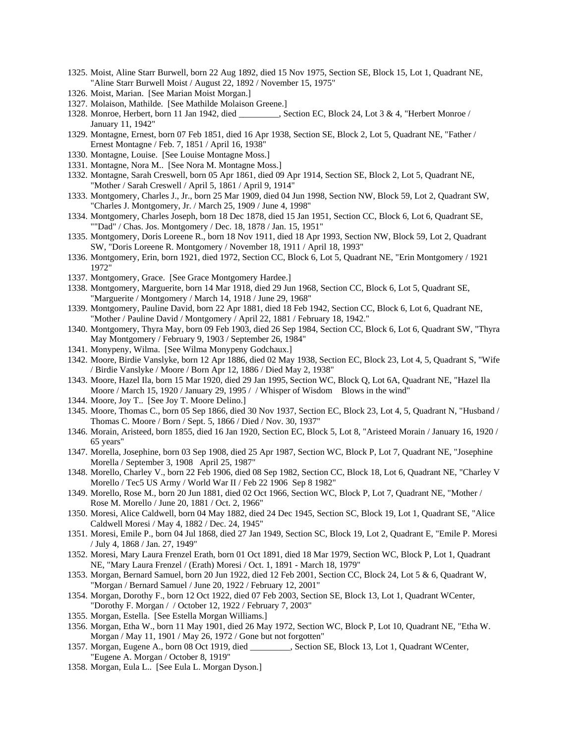- 1325. Moist, Aline Starr Burwell, born 22 Aug 1892, died 15 Nov 1975, Section SE, Block 15, Lot 1, Quadrant NE, "Aline Starr Burwell Moist / August 22, 1892 / November 15, 1975"
- 1326. Moist, Marian. [See Marian Moist Morgan.]
- 1327. Molaison, Mathilde. [See Mathilde Molaison Greene.]
- 1328. Monroe, Herbert, born 11 Jan 1942, died (Section EC, Block 24, Lot 3 & 4, "Herbert Monroe / January 11, 1942"
- 1329. Montagne, Ernest, born 07 Feb 1851, died 16 Apr 1938, Section SE, Block 2, Lot 5, Quadrant NE, "Father / Ernest Montagne / Feb. 7, 1851 / April 16, 1938"
- 1330. Montagne, Louise. [See Louise Montagne Moss.]
- 1331. Montagne, Nora M.. [See Nora M. Montagne Moss.]
- 1332. Montagne, Sarah Creswell, born 05 Apr 1861, died 09 Apr 1914, Section SE, Block 2, Lot 5, Quadrant NE, "Mother / Sarah Creswell / April 5, 1861 / April 9, 1914"
- 1333. Montgomery, Charles J., Jr., born 25 Mar 1909, died 04 Jun 1998, Section NW, Block 59, Lot 2, Quadrant SW, "Charles J. Montgomery, Jr. / March 25, 1909 / June 4, 1998"
- 1334. Montgomery, Charles Joseph, born 18 Dec 1878, died 15 Jan 1951, Section CC, Block 6, Lot 6, Quadrant SE, ""Dad" / Chas. Jos. Montgomery / Dec. 18, 1878 / Jan. 15, 1951"
- 1335. Montgomery, Doris Loreene R., born 18 Nov 1911, died 18 Apr 1993, Section NW, Block 59, Lot 2, Quadrant SW, "Doris Loreene R. Montgomery / November 18, 1911 / April 18, 1993"
- 1336. Montgomery, Erin, born 1921, died 1972, Section CC, Block 6, Lot 5, Quadrant NE, "Erin Montgomery / 1921 1972"
- 1337. Montgomery, Grace. [See Grace Montgomery Hardee.]
- 1338. Montgomery, Marguerite, born 14 Mar 1918, died 29 Jun 1968, Section CC, Block 6, Lot 5, Quadrant SE, "Marguerite / Montgomery / March 14, 1918 / June 29, 1968"
- 1339. Montgomery, Pauline David, born 22 Apr 1881, died 18 Feb 1942, Section CC, Block 6, Lot 6, Quadrant NE, "Mother / Pauline David / Montgomery / April 22, 1881 / February 18, 1942."
- 1340. Montgomery, Thyra May, born 09 Feb 1903, died 26 Sep 1984, Section CC, Block 6, Lot 6, Quadrant SW, "Thyra May Montgomery / February 9, 1903 / September 26, 1984"
- 1341. Monypeny, Wilma. [See Wilma Monypeny Godchaux.]
- 1342. Moore, Birdie Vanslyke, born 12 Apr 1886, died 02 May 1938, Section EC, Block 23, Lot 4, 5, Quadrant S, "Wife / Birdie Vanslyke / Moore / Born Apr 12, 1886 / Died May 2, 1938"
- 1343. Moore, Hazel Ila, born 15 Mar 1920, died 29 Jan 1995, Section WC, Block Q, Lot 6A, Quadrant NE, "Hazel Ila Moore / March 15, 1920 / January 29, 1995 / / Whisper of Wisdom Blows in the wind"
- 1344. Moore, Joy T.. [See Joy T. Moore Delino.]
- 1345. Moore, Thomas C., born 05 Sep 1866, died 30 Nov 1937, Section EC, Block 23, Lot 4, 5, Quadrant N, "Husband / Thomas C. Moore / Born / Sept. 5, 1866 / Died / Nov. 30, 1937"
- 1346. Morain, Aristeed, born 1855, died 16 Jan 1920, Section EC, Block 5, Lot 8, "Aristeed Morain / January 16, 1920 / 65 years"
- 1347. Morella, Josephine, born 03 Sep 1908, died 25 Apr 1987, Section WC, Block P, Lot 7, Quadrant NE, "Josephine Morella / September 3, 1908 April 25, 1987"
- 1348. Morello, Charley V., born 22 Feb 1906, died 08 Sep 1982, Section CC, Block 18, Lot 6, Quadrant NE, "Charley V Morello / Tec5 US Army / World War II / Feb 22 1906 Sep 8 1982"
- 1349. Morello, Rose M., born 20 Jun 1881, died 02 Oct 1966, Section WC, Block P, Lot 7, Quadrant NE, "Mother / Rose M. Morello / June 20, 1881 / Oct. 2, 1966"
- 1350. Moresi, Alice Caldwell, born 04 May 1882, died 24 Dec 1945, Section SC, Block 19, Lot 1, Quadrant SE, "Alice Caldwell Moresi / May 4, 1882 / Dec. 24, 1945"
- 1351. Moresi, Emile P., born 04 Jul 1868, died 27 Jan 1949, Section SC, Block 19, Lot 2, Quadrant E, "Emile P. Moresi / July 4, 1868 / Jan. 27, 1949"
- 1352. Moresi, Mary Laura Frenzel Erath, born 01 Oct 1891, died 18 Mar 1979, Section WC, Block P, Lot 1, Quadrant NE, "Mary Laura Frenzel / (Erath) Moresi / Oct. 1, 1891 - March 18, 1979"
- 1353. Morgan, Bernard Samuel, born 20 Jun 1922, died 12 Feb 2001, Section CC, Block 24, Lot 5 & 6, Quadrant W, "Morgan / Bernard Samuel / June 20, 1922 / February 12, 2001"
- 1354. Morgan, Dorothy F., born 12 Oct 1922, died 07 Feb 2003, Section SE, Block 13, Lot 1, Quadrant WCenter, "Dorothy F. Morgan / / October 12, 1922 / February 7, 2003"
- 1355. Morgan, Estella. [See Estella Morgan Williams.]
- 1356. Morgan, Etha W., born 11 May 1901, died 26 May 1972, Section WC, Block P, Lot 10, Quadrant NE, "Etha W. Morgan / May 11, 1901 / May 26, 1972 / Gone but not forgotten"
- 1357. Morgan, Eugene A., born 08 Oct 1919, died Section SE, Block 13, Lot 1, Quadrant WCenter, "Eugene A. Morgan / October 8, 1919"
- 1358. Morgan, Eula L.. [See Eula L. Morgan Dyson.]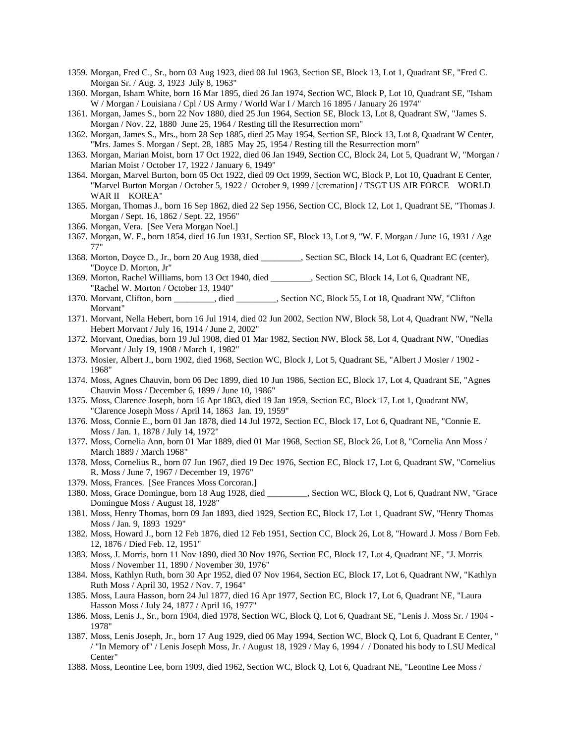- 1359. Morgan, Fred C., Sr., born 03 Aug 1923, died 08 Jul 1963, Section SE, Block 13, Lot 1, Quadrant SE, "Fred C. Morgan Sr. / Aug. 3, 1923 July 8, 1963"
- 1360. Morgan, Isham White, born 16 Mar 1895, died 26 Jan 1974, Section WC, Block P, Lot 10, Quadrant SE, "Isham W / Morgan / Louisiana / Cpl / US Army / World War I / March 16 1895 / January 26 1974"
- 1361. Morgan, James S., born 22 Nov 1880, died 25 Jun 1964, Section SE, Block 13, Lot 8, Quadrant SW, "James S. Morgan / Nov. 22, 1880 June 25, 1964 / Resting till the Resurrection morn"
- 1362. Morgan, James S., Mrs., born 28 Sep 1885, died 25 May 1954, Section SE, Block 13, Lot 8, Quadrant W Center, "Mrs. James S. Morgan / Sept. 28, 1885 May 25, 1954 / Resting till the Resurrection morn"
- 1363. Morgan, Marian Moist, born 17 Oct 1922, died 06 Jan 1949, Section CC, Block 24, Lot 5, Quadrant W, "Morgan / Marian Moist / October 17, 1922 / January 6, 1949"
- 1364. Morgan, Marvel Burton, born 05 Oct 1922, died 09 Oct 1999, Section WC, Block P, Lot 10, Quadrant E Center, "Marvel Burton Morgan / October 5, 1922 / October 9, 1999 / [cremation] / TSGT US AIR FORCE WORLD WAR II KOREA"
- 1365. Morgan, Thomas J., born 16 Sep 1862, died 22 Sep 1956, Section CC, Block 12, Lot 1, Quadrant SE, "Thomas J. Morgan / Sept. 16, 1862 / Sept. 22, 1956"
- 1366. Morgan, Vera. [See Vera Morgan Noel.]
- 1367. Morgan, W. F., born 1854, died 16 Jun 1931, Section SE, Block 13, Lot 9, "W. F. Morgan / June 16, 1931 / Age 77"
- 1368. Morton, Doyce D., Jr., born 20 Aug 1938, died \_\_\_\_\_\_\_\_\_, Section SC, Block 14, Lot 6, Quadrant EC (center), "Doyce D. Morton, Jr"
- 1369. Morton, Rachel Williams, born 13 Oct 1940, died \_\_\_\_\_\_\_\_\_, Section SC, Block 14, Lot 6, Quadrant NE, "Rachel W. Morton / October 13, 1940"
- 1370. Morvant, Clifton, born \_\_\_\_\_\_\_\_\_, died \_\_\_\_\_\_\_\_\_, Section NC, Block 55, Lot 18, Quadrant NW, "Clifton Morvant"
- 1371. Morvant, Nella Hebert, born 16 Jul 1914, died 02 Jun 2002, Section NW, Block 58, Lot 4, Quadrant NW, "Nella Hebert Morvant / July 16, 1914 / June 2, 2002"
- 1372. Morvant, Onedias, born 19 Jul 1908, died 01 Mar 1982, Section NW, Block 58, Lot 4, Quadrant NW, "Onedias Morvant / July 19, 1908 / March 1, 1982"
- 1373. Mosier, Albert J., born 1902, died 1968, Section WC, Block J, Lot 5, Quadrant SE, "Albert J Mosier / 1902 1968"
- 1374. Moss, Agnes Chauvin, born 06 Dec 1899, died 10 Jun 1986, Section EC, Block 17, Lot 4, Quadrant SE, "Agnes Chauvin Moss / December 6, 1899 / June 10, 1986"
- 1375. Moss, Clarence Joseph, born 16 Apr 1863, died 19 Jan 1959, Section EC, Block 17, Lot 1, Quadrant NW, "Clarence Joseph Moss / April 14, 1863 Jan. 19, 1959"
- 1376. Moss, Connie E., born 01 Jan 1878, died 14 Jul 1972, Section EC, Block 17, Lot 6, Quadrant NE, "Connie E. Moss / Jan. 1, 1878 / July 14, 1972"
- 1377. Moss, Cornelia Ann, born 01 Mar 1889, died 01 Mar 1968, Section SE, Block 26, Lot 8, "Cornelia Ann Moss / March 1889 / March 1968"
- 1378. Moss, Cornelius R., born 07 Jun 1967, died 19 Dec 1976, Section EC, Block 17, Lot 6, Quadrant SW, "Cornelius R. Moss / June 7, 1967 / December 19, 1976"
- 1379. Moss, Frances. [See Frances Moss Corcoran.]
- 1380. Moss, Grace Domingue, born 18 Aug 1928, died \_\_\_\_\_\_\_\_\_, Section WC, Block Q, Lot 6, Quadrant NW, "Grace Domingue Moss / August 18, 1928"
- 1381. Moss, Henry Thomas, born 09 Jan 1893, died 1929, Section EC, Block 17, Lot 1, Quadrant SW, "Henry Thomas Moss / Jan. 9, 1893 1929"
- 1382. Moss, Howard J., born 12 Feb 1876, died 12 Feb 1951, Section CC, Block 26, Lot 8, "Howard J. Moss / Born Feb. 12, 1876 / Died Feb. 12, 1951"
- 1383. Moss, J. Morris, born 11 Nov 1890, died 30 Nov 1976, Section EC, Block 17, Lot 4, Quadrant NE, "J. Morris Moss / November 11, 1890 / November 30, 1976"
- 1384. Moss, Kathlyn Ruth, born 30 Apr 1952, died 07 Nov 1964, Section EC, Block 17, Lot 6, Quadrant NW, "Kathlyn Ruth Moss / April 30, 1952 / Nov. 7, 1964"
- 1385. Moss, Laura Hasson, born 24 Jul 1877, died 16 Apr 1977, Section EC, Block 17, Lot 6, Quadrant NE, "Laura Hasson Moss / July 24, 1877 / April 16, 1977"
- 1386. Moss, Lenis J., Sr., born 1904, died 1978, Section WC, Block Q, Lot 6, Quadrant SE, "Lenis J. Moss Sr. / 1904 1978"
- 1387. Moss, Lenis Joseph, Jr., born 17 Aug 1929, died 06 May 1994, Section WC, Block Q, Lot 6, Quadrant E Center, " / "In Memory of" / Lenis Joseph Moss, Jr. / August 18, 1929 / May 6, 1994 / / Donated his body to LSU Medical Center"
- 1388. Moss, Leontine Lee, born 1909, died 1962, Section WC, Block Q, Lot 6, Quadrant NE, "Leontine Lee Moss /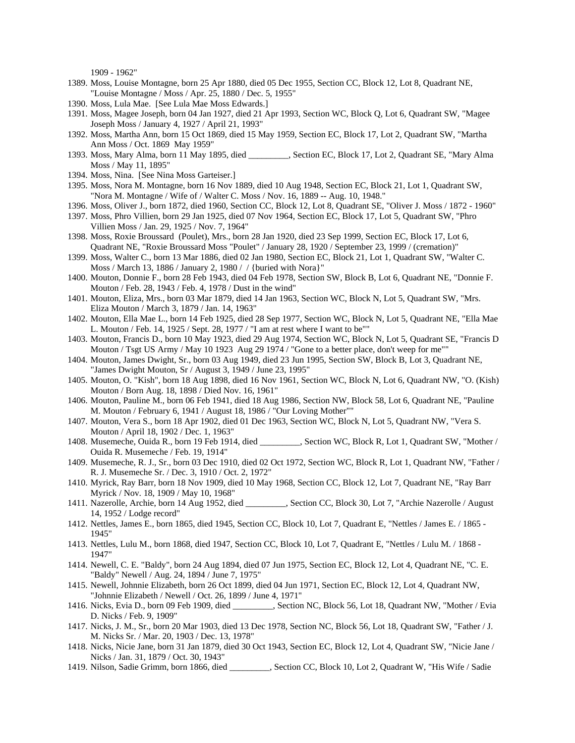1909 - 1962"

- 1389. Moss, Louise Montagne, born 25 Apr 1880, died 05 Dec 1955, Section CC, Block 12, Lot 8, Quadrant NE, "Louise Montagne / Moss / Apr. 25, 1880 / Dec. 5, 1955"
- 1390. Moss, Lula Mae. [See Lula Mae Moss Edwards.]
- 1391. Moss, Magee Joseph, born 04 Jan 1927, died 21 Apr 1993, Section WC, Block Q, Lot 6, Quadrant SW, "Magee Joseph Moss / January 4, 1927 / April 21, 1993"
- 1392. Moss, Martha Ann, born 15 Oct 1869, died 15 May 1959, Section EC, Block 17, Lot 2, Quadrant SW, "Martha Ann Moss / Oct. 1869 May 1959"
- 1393. Moss, Mary Alma, born 11 May 1895, died \_\_\_\_\_\_\_\_\_, Section EC, Block 17, Lot 2, Quadrant SE, "Mary Alma Moss / May 11, 1895"
- 1394. Moss, Nina. [See Nina Moss Garteiser.]
- 1395. Moss, Nora M. Montagne, born 16 Nov 1889, died 10 Aug 1948, Section EC, Block 21, Lot 1, Quadrant SW, "Nora M. Montagne / Wife of / Walter C. Moss / Nov. 16, 1889 -- Aug. 10, 1948."
- 1396. Moss, Oliver J., born 1872, died 1960, Section CC, Block 12, Lot 8, Quadrant SE, "Oliver J. Moss / 1872 1960"
- 1397. Moss, Phro Villien, born 29 Jan 1925, died 07 Nov 1964, Section EC, Block 17, Lot 5, Quadrant SW, "Phro Villien Moss / Jan. 29, 1925 / Nov. 7, 1964"
- 1398. Moss, Roxie Broussard (Poulet), Mrs., born 28 Jan 1920, died 23 Sep 1999, Section EC, Block 17, Lot 6, Quadrant NE, "Roxie Broussard Moss "Poulet" / January 28, 1920 / September 23, 1999 / (cremation)"
- 1399. Moss, Walter C., born 13 Mar 1886, died 02 Jan 1980, Section EC, Block 21, Lot 1, Quadrant SW, "Walter C. Moss / March 13, 1886 / January 2, 1980 / / {buried with Nora}"
- 1400. Mouton, Donnie F., born 28 Feb 1943, died 04 Feb 1978, Section SW, Block B, Lot 6, Quadrant NE, "Donnie F. Mouton / Feb. 28, 1943 / Feb. 4, 1978 / Dust in the wind"
- 1401. Mouton, Eliza, Mrs., born 03 Mar 1879, died 14 Jan 1963, Section WC, Block N, Lot 5, Quadrant SW, "Mrs. Eliza Mouton / March 3, 1879 / Jan. 14, 1963"
- 1402. Mouton, Ella Mae L., born 14 Feb 1925, died 28 Sep 1977, Section WC, Block N, Lot 5, Quadrant NE, "Ella Mae L. Mouton / Feb. 14, 1925 / Sept. 28, 1977 / "I am at rest where I want to be""
- 1403. Mouton, Francis D., born 10 May 1923, died 29 Aug 1974, Section WC, Block N, Lot 5, Quadrant SE, "Francis D Mouton / Tsgt US Army / May 10 1923 Aug 29 1974 / "Gone to a better place, don't weep for me""
- 1404. Mouton, James Dwight, Sr., born 03 Aug 1949, died 23 Jun 1995, Section SW, Block B, Lot 3, Quadrant NE, "James Dwight Mouton, Sr / August 3, 1949 / June 23, 1995"
- 1405. Mouton, O. "Kish", born 18 Aug 1898, died 16 Nov 1961, Section WC, Block N, Lot 6, Quadrant NW, "O. (Kish) Mouton / Born Aug. 18, 1898 / Died Nov. 16, 1961"
- 1406. Mouton, Pauline M., born 06 Feb 1941, died 18 Aug 1986, Section NW, Block 58, Lot 6, Quadrant NE, "Pauline M. Mouton / February 6, 1941 / August 18, 1986 / "Our Loving Mother""
- 1407. Mouton, Vera S., born 18 Apr 1902, died 01 Dec 1963, Section WC, Block N, Lot 5, Quadrant NW, "Vera S. Mouton / April 18, 1902 / Dec. 1, 1963"
- 1408. Musemeche, Ouida R., born 19 Feb 1914, died \_\_\_\_\_\_\_\_\_, Section WC, Block R, Lot 1, Quadrant SW, "Mother / Ouida R. Musemeche / Feb. 19, 1914"
- 1409. Musemeche, R. J., Sr., born 03 Dec 1910, died 02 Oct 1972, Section WC, Block R, Lot 1, Quadrant NW, "Father / R. J. Musemeche Sr. / Dec. 3, 1910 / Oct. 2, 1972"
- 1410. Myrick, Ray Barr, born 18 Nov 1909, died 10 May 1968, Section CC, Block 12, Lot 7, Quadrant NE, "Ray Barr Myrick / Nov. 18, 1909 / May 10, 1968"
- 1411. Nazerolle, Archie, born 14 Aug 1952, died \_\_\_\_\_\_\_\_\_, Section CC, Block 30, Lot 7, "Archie Nazerolle / August 14, 1952 / Lodge record"
- 1412. Nettles, James E., born 1865, died 1945, Section CC, Block 10, Lot 7, Quadrant E, "Nettles / James E. / 1865 1945"
- 1413. Nettles, Lulu M., born 1868, died 1947, Section CC, Block 10, Lot 7, Quadrant E, "Nettles / Lulu M. / 1868 1947"
- 1414. Newell, C. E. "Baldy", born 24 Aug 1894, died 07 Jun 1975, Section EC, Block 12, Lot 4, Quadrant NE, "C. E. "Baldy" Newell / Aug. 24, 1894 / June 7, 1975"
- 1415. Newell, Johnnie Elizabeth, born 26 Oct 1899, died 04 Jun 1971, Section EC, Block 12, Lot 4, Quadrant NW, "Johnnie Elizabeth / Newell / Oct. 26, 1899 / June 4, 1971"
- 1416. Nicks, Evia D., born 09 Feb 1909, died \_\_\_\_\_\_\_\_\_, Section NC, Block 56, Lot 18, Quadrant NW, "Mother / Evia D. Nicks / Feb. 9, 1909"
- 1417. Nicks, J. M., Sr., born 20 Mar 1903, died 13 Dec 1978, Section NC, Block 56, Lot 18, Quadrant SW, "Father / J. M. Nicks Sr. / Mar. 20, 1903 / Dec. 13, 1978"
- 1418. Nicks, Nicie Jane, born 31 Jan 1879, died 30 Oct 1943, Section EC, Block 12, Lot 4, Quadrant SW, "Nicie Jane / Nicks / Jan. 31, 1879 / Oct. 30, 1943"
- 1419. Nilson, Sadie Grimm, born 1866, died \_\_\_\_\_\_\_\_\_, Section CC, Block 10, Lot 2, Quadrant W, "His Wife / Sadie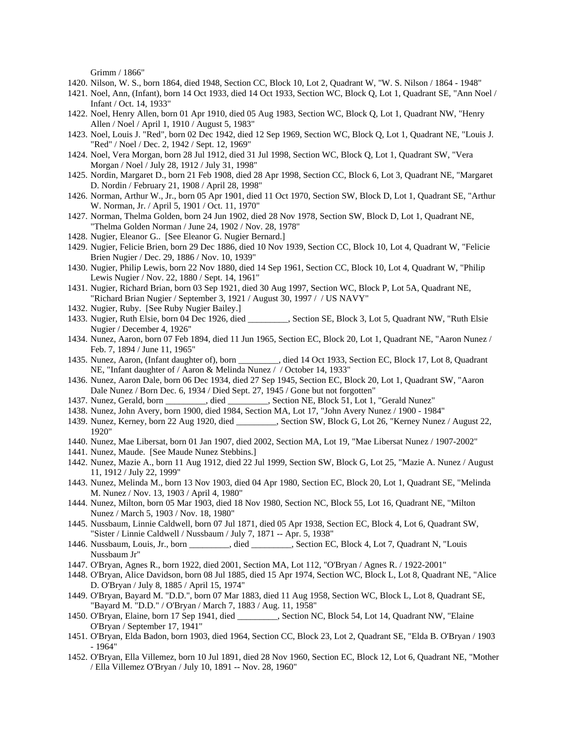Grimm / 1866"

- 1420. Nilson, W. S., born 1864, died 1948, Section CC, Block 10, Lot 2, Quadrant W, "W. S. Nilson / 1864 1948"
- 1421. Noel, Ann, (Infant), born 14 Oct 1933, died 14 Oct 1933, Section WC, Block Q, Lot 1, Quadrant SE, "Ann Noel / Infant / Oct. 14, 1933"
- 1422. Noel, Henry Allen, born 01 Apr 1910, died 05 Aug 1983, Section WC, Block Q, Lot 1, Quadrant NW, "Henry Allen / Noel / April 1, 1910 / August 5, 1983"
- 1423. Noel, Louis J. "Red", born 02 Dec 1942, died 12 Sep 1969, Section WC, Block Q, Lot 1, Quadrant NE, "Louis J. "Red" / Noel / Dec. 2, 1942 / Sept. 12, 1969"
- 1424. Noel, Vera Morgan, born 28 Jul 1912, died 31 Jul 1998, Section WC, Block Q, Lot 1, Quadrant SW, "Vera Morgan / Noel / July 28, 1912 / July 31, 1998"
- 1425. Nordin, Margaret D., born 21 Feb 1908, died 28 Apr 1998, Section CC, Block 6, Lot 3, Quadrant NE, "Margaret D. Nordin / February 21, 1908 / April 28, 1998"
- 1426. Norman, Arthur W., Jr., born 05 Apr 1901, died 11 Oct 1970, Section SW, Block D, Lot 1, Quadrant SE, "Arthur W. Norman, Jr. / April 5, 1901 / Oct. 11, 1970"
- 1427. Norman, Thelma Golden, born 24 Jun 1902, died 28 Nov 1978, Section SW, Block D, Lot 1, Quadrant NE, "Thelma Golden Norman / June 24, 1902 / Nov. 28, 1978"
- 1428. Nugier, Eleanor G.. [See Eleanor G. Nugier Bernard.]
- 1429. Nugier, Felicie Brien, born 29 Dec 1886, died 10 Nov 1939, Section CC, Block 10, Lot 4, Quadrant W, "Felicie Brien Nugier / Dec. 29, 1886 / Nov. 10, 1939"
- 1430. Nugier, Philip Lewis, born 22 Nov 1880, died 14 Sep 1961, Section CC, Block 10, Lot 4, Quadrant W, "Philip Lewis Nugier / Nov. 22, 1880 / Sept. 14, 1961"
- 1431. Nugier, Richard Brian, born 03 Sep 1921, died 30 Aug 1997, Section WC, Block P, Lot 5A, Quadrant NE, "Richard Brian Nugier / September 3, 1921 / August 30, 1997 / / US NAVY"
- 1432. Nugier, Ruby. [See Ruby Nugier Bailey.]
- 1433. Nugier, Ruth Elsie, born 04 Dec 1926, died \_\_\_\_\_\_\_\_\_, Section SE, Block 3, Lot 5, Quadrant NW, "Ruth Elsie Nugier / December 4, 1926"
- 1434. Nunez, Aaron, born 07 Feb 1894, died 11 Jun 1965, Section EC, Block 20, Lot 1, Quadrant NE, "Aaron Nunez / Feb. 7, 1894 / June 11, 1965"
- 1435. Nunez, Aaron, (Infant daughter of), born \_\_\_\_\_\_\_\_\_, died 14 Oct 1933, Section EC, Block 17, Lot 8, Quadrant NE, "Infant daughter of / Aaron & Melinda Nunez / / October 14, 1933"
- 1436. Nunez, Aaron Dale, born 06 Dec 1934, died 27 Sep 1945, Section EC, Block 20, Lot 1, Quadrant SW, "Aaron Dale Nunez / Born Dec. 6, 1934 / Died Sept. 27, 1945 / Gone but not forgotten"
- 1437. Nunez, Gerald, born \_\_\_\_\_\_\_\_\_, died \_\_\_\_\_\_\_\_\_, Section NE, Block 51, Lot 1, "Gerald Nunez"
- 1438. Nunez, John Avery, born 1900, died 1984, Section MA, Lot 17, "John Avery Nunez / 1900 1984"
- 1439. Nunez, Kerney, born 22 Aug 1920, died \_\_\_\_\_\_\_\_\_, Section SW, Block G, Lot 26, "Kerney Nunez / August 22, 1920"
- 1440. Nunez, Mae Libersat, born 01 Jan 1907, died 2002, Section MA, Lot 19, "Mae Libersat Nunez / 1907-2002"
- 1441. Nunez, Maude. [See Maude Nunez Stebbins.]
- 1442. Nunez, Mazie A., born 11 Aug 1912, died 22 Jul 1999, Section SW, Block G, Lot 25, "Mazie A. Nunez / August 11, 1912 / July 22, 1999"
- 1443. Nunez, Melinda M., born 13 Nov 1903, died 04 Apr 1980, Section EC, Block 20, Lot 1, Quadrant SE, "Melinda M. Nunez / Nov. 13, 1903 / April 4, 1980"
- 1444. Nunez, Milton, born 05 Mar 1903, died 18 Nov 1980, Section NC, Block 55, Lot 16, Quadrant NE, "Milton Nunez / March 5, 1903 / Nov. 18, 1980"
- 1445. Nussbaum, Linnie Caldwell, born 07 Jul 1871, died 05 Apr 1938, Section EC, Block 4, Lot 6, Quadrant SW, "Sister / Linnie Caldwell / Nussbaum / July 7, 1871 -- Apr. 5, 1938"
- 1446. Nussbaum, Louis, Jr., born \_\_\_\_\_\_\_\_\_, died \_\_\_\_\_\_\_\_\_, Section EC, Block 4, Lot 7, Quadrant N, "Louis Nussbaum Jr"
- 1447. O'Bryan, Agnes R., born 1922, died 2001, Section MA, Lot 112, "O'Bryan / Agnes R. / 1922-2001"
- 1448. O'Bryan, Alice Davidson, born 08 Jul 1885, died 15 Apr 1974, Section WC, Block L, Lot 8, Quadrant NE, "Alice D. O'Bryan / July 8, 1885 / April 15, 1974"
- 1449. O'Bryan, Bayard M. "D.D.", born 07 Mar 1883, died 11 Aug 1958, Section WC, Block L, Lot 8, Quadrant SE, "Bayard M. "D.D." / O'Bryan / March 7, 1883 / Aug. 11, 1958"
- 1450. O'Bryan, Elaine, born 17 Sep 1941, died \_\_\_\_\_\_\_\_\_, Section NC, Block 54, Lot 14, Quadrant NW, "Elaine O'Bryan / September 17, 1941"
- 1451. O'Bryan, Elda Badon, born 1903, died 1964, Section CC, Block 23, Lot 2, Quadrant SE, "Elda B. O'Bryan / 1903 - 1964"
- 1452. O'Bryan, Ella Villemez, born 10 Jul 1891, died 28 Nov 1960, Section EC, Block 12, Lot 6, Quadrant NE, "Mother / Ella Villemez O'Bryan / July 10, 1891 -- Nov. 28, 1960"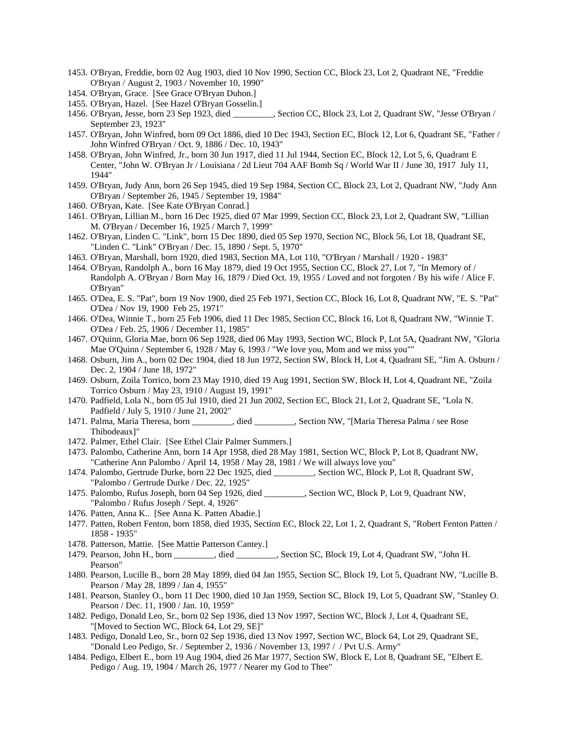- 1453. O'Bryan, Freddie, born 02 Aug 1903, died 10 Nov 1990, Section CC, Block 23, Lot 2, Quadrant NE, "Freddie O'Bryan / August 2, 1903 / November 10, 1990"
- 1454. O'Bryan, Grace. [See Grace O'Bryan Duhon.]
- 1455. O'Bryan, Hazel. [See Hazel O'Bryan Gosselin.]
- 1456. O'Bryan, Jesse, born 23 Sep 1923, died \_\_\_\_\_\_\_\_\_, Section CC, Block 23, Lot 2, Quadrant SW, "Jesse O'Bryan / September 23, 1923"
- 1457. O'Bryan, John Winfred, born 09 Oct 1886, died 10 Dec 1943, Section EC, Block 12, Lot 6, Quadrant SE, "Father / John Winfred O'Bryan / Oct. 9, 1886 / Dec. 10, 1943"
- 1458. O'Bryan, John Winfred, Jr., born 30 Jun 1917, died 11 Jul 1944, Section EC, Block 12, Lot 5, 6, Quadrant E Center, "John W. O'Bryan Jr / Louisiana / 2d Lieut 704 AAF Bomb Sq / World War II / June 30, 1917 July 11, 1944"
- 1459. O'Bryan, Judy Ann, born 26 Sep 1945, died 19 Sep 1984, Section CC, Block 23, Lot 2, Quadrant NW, "Judy Ann O'Bryan / September 26, 1945 / September 19, 1984"
- 1460. O'Bryan, Kate. [See Kate O'Bryan Conrad.]
- 1461. O'Bryan, Lillian M., born 16 Dec 1925, died 07 Mar 1999, Section CC, Block 23, Lot 2, Quadrant SW, "Lillian M. O'Bryan / December 16, 1925 / March 7, 1999"
- 1462. O'Bryan, Linden C. "Link", born 15 Dec 1890, died 05 Sep 1970, Section NC, Block 56, Lot 18, Quadrant SE, "Linden C. "Link" O'Bryan / Dec. 15, 1890 / Sept. 5, 1970"
- 1463. O'Bryan, Marshall, born 1920, died 1983, Section MA, Lot 110, "O'Bryan / Marshall / 1920 1983"
- 1464. O'Bryan, Randolph A., born 16 May 1879, died 19 Oct 1955, Section CC, Block 27, Lot 7, "In Memory of / Randolph A. O'Bryan / Born May 16, 1879 / Died Oct. 19, 1955 / Loved and not forgoten / By his wife / Alice F. O'Bryan"
- 1465. O'Dea, E. S. "Pat", born 19 Nov 1900, died 25 Feb 1971, Section CC, Block 16, Lot 8, Quadrant NW, "E. S. "Pat" O'Dea / Nov 19, 1900 Feb 25, 1971"
- 1466. O'Dea, Winnie T., born 25 Feb 1906, died 11 Dec 1985, Section CC, Block 16, Lot 8, Quadrant NW, "Winnie T. O'Dea / Feb. 25, 1906 / December 11, 1985"
- 1467. O'Quinn, Gloria Mae, born 06 Sep 1928, died 06 May 1993, Section WC, Block P, Lot 5A, Quadrant NW, "Gloria Mae O'Quinn / September 6, 1928 / May 6, 1993 / "We love you, Mom and we miss you""
- 1468. Osburn, Jim A., born 02 Dec 1904, died 18 Jun 1972, Section SW, Block H, Lot 4, Quadrant SE, "Jim A. Osburn / Dec. 2, 1904 / June 18, 1972"
- 1469. Osburn, Zoila Torrico, born 23 May 1910, died 19 Aug 1991, Section SW, Block H, Lot 4, Quadrant NE, "Zoila Torrico Osburn / May 23, 1910 / August 19, 1991"
- 1470. Padfield, Lola N., born 05 Jul 1910, died 21 Jun 2002, Section EC, Block 21, Lot 2, Quadrant SE, "Lola N. Padfield / July 5, 1910 / June 21, 2002"
- 1471. Palma, Maria Theresa, born \_\_\_\_\_\_\_\_\_, died \_\_\_\_\_\_\_\_\_, Section NW, "[Maria Theresa Palma / see Rose Thibodeaux]"
- 1472. Palmer, Ethel Clair. [See Ethel Clair Palmer Summers.]
- 1473. Palombo, Catherine Ann, born 14 Apr 1958, died 28 May 1981, Section WC, Block P, Lot 8, Quadrant NW, "Catherine Ann Palombo / April 14, 1958 / May 28, 1981 / We will always love you"
- 1474. Palombo, Gertrude Durke, born 22 Dec 1925, died \_\_\_\_\_\_\_\_\_, Section WC, Block P, Lot 8, Quadrant SW, "Palombo / Gertrude Durke / Dec. 22, 1925"
- 1475. Palombo, Rufus Joseph, born 04 Sep 1926, died \_\_\_\_\_\_\_\_\_, Section WC, Block P, Lot 9, Quadrant NW, "Palombo / Rufus Joseph / Sept. 4, 1926"
- 1476. Patten, Anna K.. [See Anna K. Patten Abadie.]
- 1477. Patten, Robert Fenton, born 1858, died 1935, Section EC, Block 22, Lot 1, 2, Quadrant S, "Robert Fenton Patten / 1858 - 1935"
- 1478. Patterson, Mattie. [See Mattie Patterson Cantey.]
- 1479. Pearson, John H., born \_\_\_\_\_\_\_\_\_, died \_\_\_\_\_\_\_\_\_, Section SC, Block 19, Lot 4, Quadrant SW, "John H. Pearson"
- 1480. Pearson, Lucille B., born 28 May 1899, died 04 Jan 1955, Section SC, Block 19, Lot 5, Quadrant NW, "Lucille B. Pearson / May 28, 1899 / Jan 4, 1955"
- 1481. Pearson, Stanley O., born 11 Dec 1900, died 10 Jan 1959, Section SC, Block 19, Lot 5, Quadrant SW, "Stanley O. Pearson / Dec. 11, 1900 / Jan. 10, 1959"
- 1482. Pedigo, Donald Leo, Sr., born 02 Sep 1936, died 13 Nov 1997, Section WC, Block J, Lot 4, Quadrant SE, "[Moved to Section WC, Block 64, Lot 29, SE]"
- 1483. Pedigo, Donald Leo, Sr., born 02 Sep 1936, died 13 Nov 1997, Section WC, Block 64, Lot 29, Quadrant SE, "Donald Leo Pedigo, Sr. / September 2, 1936 / November 13, 1997 / / Pvt U.S. Army"
- 1484. Pedigo, Elbert E., born 19 Aug 1904, died 26 Mar 1977, Section SW, Block E, Lot 8, Quadrant SE, "Elbert E. Pedigo / Aug. 19, 1904 / March 26, 1977 / Nearer my God to Thee"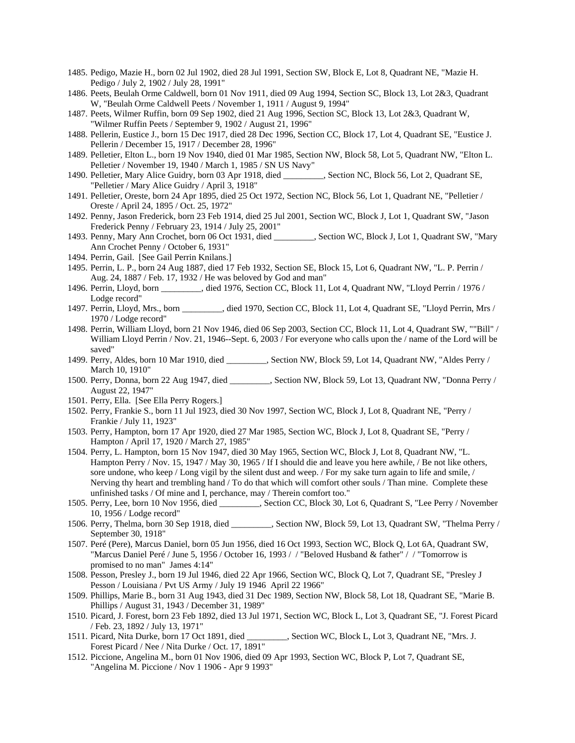- 1485. Pedigo, Mazie H., born 02 Jul 1902, died 28 Jul 1991, Section SW, Block E, Lot 8, Quadrant NE, "Mazie H. Pedigo / July 2, 1902 / July 28, 1991"
- 1486. Peets, Beulah Orme Caldwell, born 01 Nov 1911, died 09 Aug 1994, Section SC, Block 13, Lot 2&3, Quadrant W, "Beulah Orme Caldwell Peets / November 1, 1911 / August 9, 1994"
- 1487. Peets, Wilmer Ruffin, born 09 Sep 1902, died 21 Aug 1996, Section SC, Block 13, Lot 2&3, Quadrant W, "Wilmer Ruffin Peets / September 9, 1902 / August 21, 1996"
- 1488. Pellerin, Eustice J., born 15 Dec 1917, died 28 Dec 1996, Section CC, Block 17, Lot 4, Quadrant SE, "Eustice J. Pellerin / December 15, 1917 / December 28, 1996"
- 1489. Pelletier, Elton L., born 19 Nov 1940, died 01 Mar 1985, Section NW, Block 58, Lot 5, Quadrant NW, "Elton L. Pelletier / November 19, 1940 / March 1, 1985 / SN US Navy"
- 1490. Pelletier, Mary Alice Guidry, born 03 Apr 1918, died \_\_\_\_\_\_\_\_\_, Section NC, Block 56, Lot 2, Quadrant SE, "Pelletier / Mary Alice Guidry / April 3, 1918"
- 1491. Pelletier, Oreste, born 24 Apr 1895, died 25 Oct 1972, Section NC, Block 56, Lot 1, Quadrant NE, "Pelletier / Oreste / April 24, 1895 / Oct. 25, 1972"
- 1492. Penny, Jason Frederick, born 23 Feb 1914, died 25 Jul 2001, Section WC, Block J, Lot 1, Quadrant SW, "Jason Frederick Penny / February 23, 1914 / July 25, 2001"
- 1493. Penny, Mary Ann Crochet, born 06 Oct 1931, died \_\_\_\_\_\_\_\_\_, Section WC, Block J, Lot 1, Quadrant SW, "Mary Ann Crochet Penny / October 6, 1931"
- 1494. Perrin, Gail. [See Gail Perrin Knilans.]
- 1495. Perrin, L. P., born 24 Aug 1887, died 17 Feb 1932, Section SE, Block 15, Lot 6, Quadrant NW, "L. P. Perrin / Aug. 24, 1887 / Feb. 17, 1932 / He was beloved by God and man"
- 1496. Perrin, Lloyd, born \_\_\_\_\_\_\_\_\_, died 1976, Section CC, Block 11, Lot 4, Quadrant NW, "Lloyd Perrin / 1976 / Lodge record"
- 1497. Perrin, Lloyd, Mrs., born \_\_\_\_\_\_\_\_\_, died 1970, Section CC, Block 11, Lot 4, Quadrant SE, "Lloyd Perrin, Mrs / 1970 / Lodge record"
- 1498. Perrin, William Lloyd, born 21 Nov 1946, died 06 Sep 2003, Section CC, Block 11, Lot 4, Quadrant SW, ""Bill" / William Lloyd Perrin / Nov. 21, 1946--Sept. 6, 2003 / For everyone who calls upon the / name of the Lord will be saved"
- 1499. Perry, Aldes, born 10 Mar 1910, died \_\_\_\_\_\_\_\_\_, Section NW, Block 59, Lot 14, Quadrant NW, "Aldes Perry / March 10, 1910"
- 1500. Perry, Donna, born 22 Aug 1947, died \_\_\_\_\_\_\_\_\_, Section NW, Block 59, Lot 13, Quadrant NW, "Donna Perry / August 22, 1947"
- 1501. Perry, Ella. [See Ella Perry Rogers.]
- 1502. Perry, Frankie S., born 11 Jul 1923, died 30 Nov 1997, Section WC, Block J, Lot 8, Quadrant NE, "Perry / Frankie / July 11, 1923"
- 1503. Perry, Hampton, born 17 Apr 1920, died 27 Mar 1985, Section WC, Block J, Lot 8, Quadrant SE, "Perry / Hampton / April 17, 1920 / March 27, 1985"
- 1504. Perry, L. Hampton, born 15 Nov 1947, died 30 May 1965, Section WC, Block J, Lot 8, Quadrant NW, "L. Hampton Perry / Nov. 15, 1947 / May 30, 1965 / If I should die and leave you here awhile, / Be not like others, sore undone, who keep / Long vigil by the silent dust and weep. / For my sake turn again to life and smile, / Nerving thy heart and trembling hand / To do that which will comfort other souls / Than mine. Complete these unfinished tasks / Of mine and I, perchance, may / Therein comfort too."
- 1505. Perry, Lee, born 10 Nov 1956, died \_\_\_\_\_\_\_\_\_, Section CC, Block 30, Lot 6, Quadrant S, "Lee Perry / November 10, 1956 / Lodge record"
- 1506. Perry, Thelma, born 30 Sep 1918, died \_\_\_\_\_\_\_\_\_, Section NW, Block 59, Lot 13, Quadrant SW, "Thelma Perry / September 30, 1918"
- 1507. Peré (Pere), Marcus Daniel, born 05 Jun 1956, died 16 Oct 1993, Section WC, Block Q, Lot 6A, Quadrant SW, "Marcus Daniel Peré / June 5, 1956 / October 16, 1993 / / "Beloved Husband & father" / / "Tomorrow is promised to no man" James 4:14"
- 1508. Pesson, Presley J., born 19 Jul 1946, died 22 Apr 1966, Section WC, Block Q, Lot 7, Quadrant SE, "Presley J Pesson / Louisiana / Pvt US Army / July 19 1946 April 22 1966"
- 1509. Phillips, Marie B., born 31 Aug 1943, died 31 Dec 1989, Section NW, Block 58, Lot 18, Quadrant SE, "Marie B. Phillips / August 31, 1943 / December 31, 1989"
- 1510. Picard, J. Forest, born 23 Feb 1892, died 13 Jul 1971, Section WC, Block L, Lot 3, Quadrant SE, "J. Forest Picard / Feb. 23, 1892 / July 13, 1971"
- 1511. Picard, Nita Durke, born 17 Oct 1891, died \_\_\_\_\_\_\_\_\_, Section WC, Block L, Lot 3, Quadrant NE, "Mrs. J. Forest Picard / Nee / Nita Durke / Oct. 17, 1891"
- 1512. Piccione, Angelina M., born 01 Nov 1906, died 09 Apr 1993, Section WC, Block P, Lot 7, Quadrant SE, "Angelina M. Piccione / Nov 1 1906 - Apr 9 1993"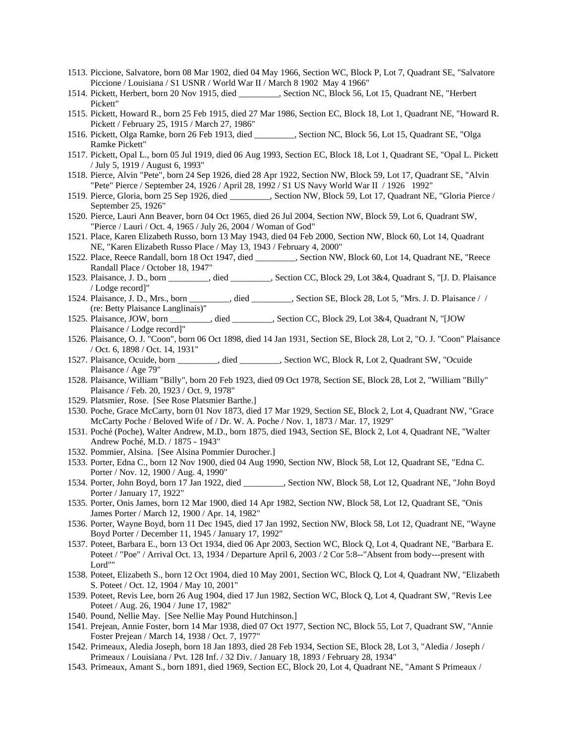- 1513. Piccione, Salvatore, born 08 Mar 1902, died 04 May 1966, Section WC, Block P, Lot 7, Quadrant SE, "Salvatore Piccione / Louisiana / S1 USNR / World War II / March 8 1902 May 4 1966"
- 1514. Pickett, Herbert, born 20 Nov 1915, died \_\_\_\_\_\_\_\_\_, Section NC, Block 56, Lot 15, Quadrant NE, "Herbert Pickett"
- 1515. Pickett, Howard R., born 25 Feb 1915, died 27 Mar 1986, Section EC, Block 18, Lot 1, Quadrant NE, "Howard R. Pickett / February 25, 1915 / March 27, 1986"
- 1516. Pickett, Olga Ramke, born 26 Feb 1913, died \_\_\_\_\_\_\_\_\_, Section NC, Block 56, Lot 15, Quadrant SE, "Olga Ramke Pickett"
- 1517. Pickett, Opal L., born 05 Jul 1919, died 06 Aug 1993, Section EC, Block 18, Lot 1, Quadrant SE, "Opal L. Pickett / July 5, 1919 / August 6, 1993"
- 1518. Pierce, Alvin "Pete", born 24 Sep 1926, died 28 Apr 1922, Section NW, Block 59, Lot 17, Quadrant SE, "Alvin "Pete" Pierce / September 24, 1926 / April 28, 1992 / S1 US Navy World War II / 1926 1992"
- 1519. Pierce, Gloria, born 25 Sep 1926, died \_\_\_\_\_\_\_\_\_, Section NW, Block 59, Lot 17, Quadrant NE, "Gloria Pierce / September 25, 1926"
- 1520. Pierce, Lauri Ann Beaver, born 04 Oct 1965, died 26 Jul 2004, Section NW, Block 59, Lot 6, Quadrant SW, "Pierce / Lauri / Oct. 4, 1965 / July 26, 2004 / Woman of God"
- 1521. Place, Karen Elizabeth Russo, born 13 May 1943, died 04 Feb 2000, Section NW, Block 60, Lot 14, Quadrant NE, "Karen Elizabeth Russo Place / May 13, 1943 / February 4, 2000"
- 1522. Place, Reece Randall, born 18 Oct 1947, died \_\_\_\_\_\_\_\_\_, Section NW, Block 60, Lot 14, Quadrant NE, "Reece Randall Place / October 18, 1947"
- 1523. Plaisance, J. D., born \_\_\_\_\_\_\_\_\_, died \_\_\_\_\_\_\_\_\_, Section CC, Block 29, Lot 3&4, Quadrant S, "[J. D. Plaisance / Lodge record]"<br>1524. Plaisance, J. D., Mrs., born \_\_\_
- 1524. Plaisance, J. D., Mrs., Block 28, Lot 5, "Mrs. J. D., Plaisance / / (re: Betty Plaisance Langlinais)"
- 1525. Plaisance, JOW, born \_\_\_\_\_\_\_\_\_, died \_\_\_\_\_\_\_\_\_, Section CC, Block 29, Lot 3&4, Quadrant N, "[JOW Plaisance / Lodge record]"
- 1526. Plaisance, O. J. "Coon", born 06 Oct 1898, died 14 Jan 1931, Section SE, Block 28, Lot 2, "O. J. "Coon" Plaisance / Oct. 6, 1898 / Oct. 14, 1931"
- 1527. Plaisance, Ocuide, born \_\_\_\_\_\_\_\_\_, died \_\_\_\_\_\_\_\_\_, Section WC, Block R, Lot 2, Quadrant SW, "Ocuide Plaisance / Age 79"
- 1528. Plaisance, William "Billy", born 20 Feb 1923, died 09 Oct 1978, Section SE, Block 28, Lot 2, "William "Billy" Plaisance / Feb. 20, 1923 / Oct. 9, 1978"
- 1529. Platsmier, Rose. [See Rose Platsmier Barthe.]
- 1530. Poche, Grace McCarty, born 01 Nov 1873, died 17 Mar 1929, Section SE, Block 2, Lot 4, Quadrant NW, "Grace McCarty Poche / Beloved Wife of / Dr. W. A. Poche / Nov. 1, 1873 / Mar. 17, 1929"
- 1531. Poché (Poche), Walter Andrew, M.D., born 1875, died 1943, Section SE, Block 2, Lot 4, Quadrant NE, "Walter Andrew Poché, M.D. / 1875 - 1943"
- 1532. Pommier, Alsina. [See Alsina Pommier Durocher.]
- 1533. Porter, Edna C., born 12 Nov 1900, died 04 Aug 1990, Section NW, Block 58, Lot 12, Quadrant SE, "Edna C. Porter / Nov. 12, 1900 / Aug. 4, 1990"
- 1534. Porter, John Boyd, born 17 Jan 1922, died . Section NW, Block 58, Lot 12, Quadrant NE, "John Boyd Porter / January 17, 1922"
- 1535. Porter, Onis James, born 12 Mar 1900, died 14 Apr 1982, Section NW, Block 58, Lot 12, Quadrant SE, "Onis James Porter / March 12, 1900 / Apr. 14, 1982"
- 1536. Porter, Wayne Boyd, born 11 Dec 1945, died 17 Jan 1992, Section NW, Block 58, Lot 12, Quadrant NE, "Wayne Boyd Porter / December 11, 1945 / January 17, 1992"
- 1537. Poteet, Barbara E., born 13 Oct 1934, died 06 Apr 2003, Section WC, Block Q, Lot 4, Quadrant NE, "Barbara E. Poteet / "Poe" / Arrival Oct. 13, 1934 / Departure April 6, 2003 / 2 Cor 5:8--"Absent from body---present with Lord""
- 1538. Poteet, Elizabeth S., born 12 Oct 1904, died 10 May 2001, Section WC, Block Q, Lot 4, Quadrant NW, "Elizabeth S. Poteet / Oct. 12, 1904 / May 10, 2001"
- 1539. Poteet, Revis Lee, born 26 Aug 1904, died 17 Jun 1982, Section WC, Block Q, Lot 4, Quadrant SW, "Revis Lee Poteet / Aug. 26, 1904 / June 17, 1982"
- 1540. Pound, Nellie May. [See Nellie May Pound Hutchinson.]
- 1541. Prejean, Annie Foster, born 14 Mar 1938, died 07 Oct 1977, Section NC, Block 55, Lot 7, Quadrant SW, "Annie Foster Prejean / March 14, 1938 / Oct. 7, 1977"
- 1542. Primeaux, Aledia Joseph, born 18 Jan 1893, died 28 Feb 1934, Section SE, Block 28, Lot 3, "Aledia / Joseph / Primeaux / Louisiana / Pvt. 128 Inf. / 32 Div. / January 18, 1893 / February 28, 1934"
- 1543. Primeaux, Amant S., born 1891, died 1969, Section EC, Block 20, Lot 4, Quadrant NE, "Amant S Primeaux /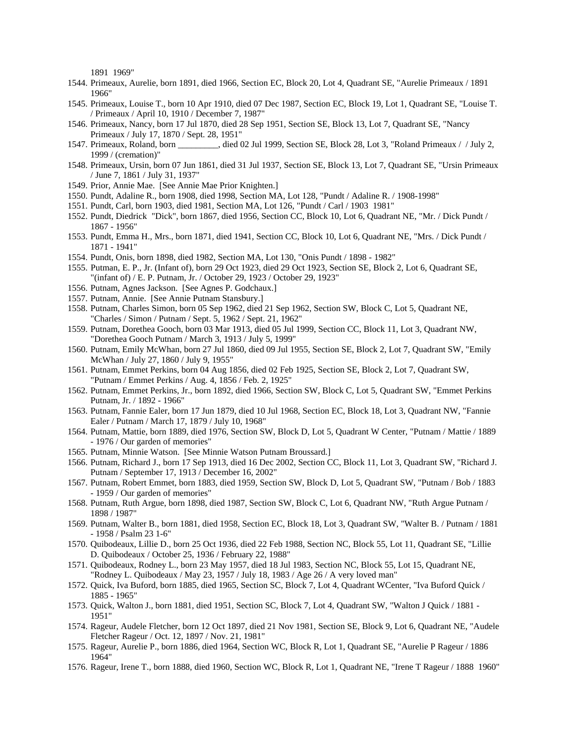1891 1969"

- 1544. Primeaux, Aurelie, born 1891, died 1966, Section EC, Block 20, Lot 4, Quadrant SE, "Aurelie Primeaux / 1891 1966"
- 1545. Primeaux, Louise T., born 10 Apr 1910, died 07 Dec 1987, Section EC, Block 19, Lot 1, Quadrant SE, "Louise T. / Primeaux / April 10, 1910 / December 7, 1987"
- 1546. Primeaux, Nancy, born 17 Jul 1870, died 28 Sep 1951, Section SE, Block 13, Lot 7, Quadrant SE, "Nancy Primeaux / July 17, 1870 / Sept. 28, 1951"
- 1547. Primeaux, Roland, born \_\_\_\_\_\_\_\_\_, died 02 Jul 1999, Section SE, Block 28, Lot 3, "Roland Primeaux / / July 2, 1999 / (cremation)"
- 1548. Primeaux, Ursin, born 07 Jun 1861, died 31 Jul 1937, Section SE, Block 13, Lot 7, Quadrant SE, "Ursin Primeaux / June 7, 1861 / July 31, 1937"
- 1549. Prior, Annie Mae. [See Annie Mae Prior Knighten.]
- 1550. Pundt, Adaline R., born 1908, died 1998, Section MA, Lot 128, "Pundt / Adaline R. / 1908-1998"
- 1551. Pundt, Carl, born 1903, died 1981, Section MA, Lot 126, "Pundt / Carl / 1903 1981"
- 1552. Pundt, Diedrick "Dick", born 1867, died 1956, Section CC, Block 10, Lot 6, Quadrant NE, "Mr. / Dick Pundt / 1867 - 1956"
- 1553. Pundt, Emma H., Mrs., born 1871, died 1941, Section CC, Block 10, Lot 6, Quadrant NE, "Mrs. / Dick Pundt / 1871 - 1941"
- 1554. Pundt, Onis, born 1898, died 1982, Section MA, Lot 130, "Onis Pundt / 1898 1982"
- 1555. Putman, E. P., Jr. (Infant of), born 29 Oct 1923, died 29 Oct 1923, Section SE, Block 2, Lot 6, Quadrant SE, "(infant of) / E. P. Putnam, Jr. / October 29, 1923 / October 29, 1923"
- 1556. Putnam, Agnes Jackson. [See Agnes P. Godchaux.]
- 1557. Putnam, Annie. [See Annie Putnam Stansbury.]
- 1558. Putnam, Charles Simon, born 05 Sep 1962, died 21 Sep 1962, Section SW, Block C, Lot 5, Quadrant NE, "Charles / Simon / Putnam / Sept. 5, 1962 / Sept. 21, 1962"
- 1559. Putnam, Dorethea Gooch, born 03 Mar 1913, died 05 Jul 1999, Section CC, Block 11, Lot 3, Quadrant NW, "Dorethea Gooch Putnam / March 3, 1913 / July 5, 1999"
- 1560. Putnam, Emily McWhan, born 27 Jul 1860, died 09 Jul 1955, Section SE, Block 2, Lot 7, Quadrant SW, "Emily McWhan / July 27, 1860 / July 9, 1955"
- 1561. Putnam, Emmet Perkins, born 04 Aug 1856, died 02 Feb 1925, Section SE, Block 2, Lot 7, Quadrant SW, "Putnam / Emmet Perkins / Aug. 4, 1856 / Feb. 2, 1925"
- 1562. Putnam, Emmet Perkins, Jr., born 1892, died 1966, Section SW, Block C, Lot 5, Quadrant SW, "Emmet Perkins Putnam, Jr. / 1892 - 1966"
- 1563. Putnam, Fannie Ealer, born 17 Jun 1879, died 10 Jul 1968, Section EC, Block 18, Lot 3, Quadrant NW, "Fannie Ealer / Putnam / March 17, 1879 / July 10, 1968"
- 1564. Putnam, Mattie, born 1889, died 1976, Section SW, Block D, Lot 5, Quadrant W Center, "Putnam / Mattie / 1889 - 1976 / Our garden of memories"
- 1565. Putnam, Minnie Watson. [See Minnie Watson Putnam Broussard.]
- 1566. Putnam, Richard J., born 17 Sep 1913, died 16 Dec 2002, Section CC, Block 11, Lot 3, Quadrant SW, "Richard J. Putnam / September 17, 1913 / December 16, 2002"
- 1567. Putnam, Robert Emmet, born 1883, died 1959, Section SW, Block D, Lot 5, Quadrant SW, "Putnam / Bob / 1883 - 1959 / Our garden of memories"
- 1568. Putnam, Ruth Argue, born 1898, died 1987, Section SW, Block C, Lot 6, Quadrant NW, "Ruth Argue Putnam / 1898 / 1987"
- 1569. Putnam, Walter B., born 1881, died 1958, Section EC, Block 18, Lot 3, Quadrant SW, "Walter B. / Putnam / 1881 - 1958 / Psalm 23 1-6"
- 1570. Quibodeaux, Lillie D., born 25 Oct 1936, died 22 Feb 1988, Section NC, Block 55, Lot 11, Quadrant SE, "Lillie D. Quibodeaux / October 25, 1936 / February 22, 1988"
- 1571. Quibodeaux, Rodney L., born 23 May 1957, died 18 Jul 1983, Section NC, Block 55, Lot 15, Quadrant NE, "Rodney L. Quibodeaux / May 23, 1957 / July 18, 1983 / Age 26 / A very loved man"
- 1572. Quick, Iva Buford, born 1885, died 1965, Section SC, Block 7, Lot 4, Quadrant WCenter, "Iva Buford Quick / 1885 - 1965"
- 1573. Quick, Walton J., born 1881, died 1951, Section SC, Block 7, Lot 4, Quadrant SW, "Walton J Quick / 1881 1951"
- 1574. Rageur, Audele Fletcher, born 12 Oct 1897, died 21 Nov 1981, Section SE, Block 9, Lot 6, Quadrant NE, "Audele Fletcher Rageur / Oct. 12, 1897 / Nov. 21, 1981"
- 1575. Rageur, Aurelie P., born 1886, died 1964, Section WC, Block R, Lot 1, Quadrant SE, "Aurelie P Rageur / 1886 1964"
- 1576. Rageur, Irene T., born 1888, died 1960, Section WC, Block R, Lot 1, Quadrant NE, "Irene T Rageur / 1888 1960"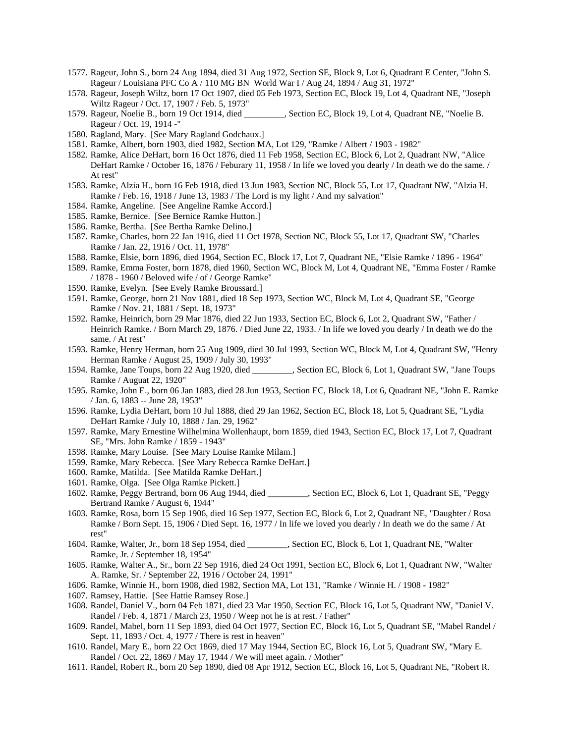- 1577. Rageur, John S., born 24 Aug 1894, died 31 Aug 1972, Section SE, Block 9, Lot 6, Quadrant E Center, "John S. Rageur / Louisiana PFC Co A / 110 MG BN World War I / Aug 24, 1894 / Aug 31, 1972"
- 1578. Rageur, Joseph Wiltz, born 17 Oct 1907, died 05 Feb 1973, Section EC, Block 19, Lot 4, Quadrant NE, "Joseph Wiltz Rageur / Oct. 17, 1907 / Feb. 5, 1973"
- 1579. Rageur, Noelie B., born 19 Oct 1914, died \_\_\_\_\_\_\_\_\_, Section EC, Block 19, Lot 4, Quadrant NE, "Noelie B. Rageur / Oct. 19, 1914 -"
- 1580. Ragland, Mary. [See Mary Ragland Godchaux.]
- 1581. Ramke, Albert, born 1903, died 1982, Section MA, Lot 129, "Ramke / Albert / 1903 1982"
- 1582. Ramke, Alice DeHart, born 16 Oct 1876, died 11 Feb 1958, Section EC, Block 6, Lot 2, Quadrant NW, "Alice DeHart Ramke / October 16, 1876 / Feburary 11, 1958 / In life we loved you dearly / In death we do the same. / At rest"
- 1583. Ramke, Alzia H., born 16 Feb 1918, died 13 Jun 1983, Section NC, Block 55, Lot 17, Quadrant NW, "Alzia H. Ramke / Feb. 16, 1918 / June 13, 1983 / The Lord is my light / And my salvation"
- 1584. Ramke, Angeline. [See Angeline Ramke Accord.]
- 1585. Ramke, Bernice. [See Bernice Ramke Hutton.]
- 1586. Ramke, Bertha. [See Bertha Ramke Delino.]
- 1587. Ramke, Charles, born 22 Jan 1916, died 11 Oct 1978, Section NC, Block 55, Lot 17, Quadrant SW, "Charles Ramke / Jan. 22, 1916 / Oct. 11, 1978"
- 1588. Ramke, Elsie, born 1896, died 1964, Section EC, Block 17, Lot 7, Quadrant NE, "Elsie Ramke / 1896 1964"
- 1589. Ramke, Emma Foster, born 1878, died 1960, Section WC, Block M, Lot 4, Quadrant NE, "Emma Foster / Ramke / 1878 - 1960 / Beloved wife / of / George Ramke"
- 1590. Ramke, Evelyn. [See Evely Ramke Broussard.]
- 1591. Ramke, George, born 21 Nov 1881, died 18 Sep 1973, Section WC, Block M, Lot 4, Quadrant SE, "George Ramke / Nov. 21, 1881 / Sept. 18, 1973"
- 1592. Ramke, Heinrich, born 29 Mar 1876, died 22 Jun 1933, Section EC, Block 6, Lot 2, Quadrant SW, "Father / Heinrich Ramke. / Born March 29, 1876. / Died June 22, 1933. / In life we loved you dearly / In death we do the same. / At rest"
- 1593. Ramke, Henry Herman, born 25 Aug 1909, died 30 Jul 1993, Section WC, Block M, Lot 4, Quadrant SW, "Henry Herman Ramke / August 25, 1909 / July 30, 1993"
- 1594. Ramke, Jane Toups, born 22 Aug 1920, died \_\_\_\_\_\_\_\_\_, Section EC, Block 6, Lot 1, Quadrant SW, "Jane Toups Ramke / Auguat 22, 1920"
- 1595. Ramke, John E., born 06 Jan 1883, died 28 Jun 1953, Section EC, Block 18, Lot 6, Quadrant NE, "John E. Ramke / Jan. 6, 1883 -- June 28, 1953"
- 1596. Ramke, Lydia DeHart, born 10 Jul 1888, died 29 Jan 1962, Section EC, Block 18, Lot 5, Quadrant SE, "Lydia DeHart Ramke / July 10, 1888 / Jan. 29, 1962"
- 1597. Ramke, Mary Ernestine Wilhelmina Wollenhaupt, born 1859, died 1943, Section EC, Block 17, Lot 7, Quadrant SE, "Mrs. John Ramke / 1859 - 1943"
- 1598. Ramke, Mary Louise. [See Mary Louise Ramke Milam.]
- 1599. Ramke, Mary Rebecca. [See Mary Rebecca Ramke DeHart.]
- 1600. Ramke, Matilda. [See Matilda Ramke DeHart.]
- 1601. Ramke, Olga. [See Olga Ramke Pickett.]
- 1602. Ramke, Peggy Bertrand, born 06 Aug 1944, died \_\_\_\_\_\_\_\_\_, Section EC, Block 6, Lot 1, Quadrant SE, "Peggy Bertrand Ramke / August 6, 1944"
- 1603. Ramke, Rosa, born 15 Sep 1906, died 16 Sep 1977, Section EC, Block 6, Lot 2, Quadrant NE, "Daughter / Rosa Ramke / Born Sept. 15, 1906 / Died Sept. 16, 1977 / In life we loved you dearly / In death we do the same / At rest"
- 1604. Ramke, Walter, Jr., born 18 Sep 1954, died \_\_\_\_\_\_\_\_\_, Section EC, Block 6, Lot 1, Quadrant NE, "Walter Ramke, Jr. / September 18, 1954"
- 1605. Ramke, Walter A., Sr., born 22 Sep 1916, died 24 Oct 1991, Section EC, Block 6, Lot 1, Quadrant NW, "Walter A. Ramke, Sr. / September 22, 1916 / October 24, 1991"

1606. Ramke, Winnie H., born 1908, died 1982, Section MA, Lot 131, "Ramke / Winnie H. / 1908 - 1982"

- 1607. Ramsey, Hattie. [See Hattie Ramsey Rose.]
- 1608. Randel, Daniel V., born 04 Feb 1871, died 23 Mar 1950, Section EC, Block 16, Lot 5, Quadrant NW, "Daniel V. Randel / Feb. 4, 1871 / March 23, 1950 / Weep not he is at rest. / Father"
- 1609. Randel, Mabel, born 11 Sep 1893, died 04 Oct 1977, Section EC, Block 16, Lot 5, Quadrant SE, "Mabel Randel / Sept. 11, 1893 / Oct. 4, 1977 / There is rest in heaven"
- 1610. Randel, Mary E., born 22 Oct 1869, died 17 May 1944, Section EC, Block 16, Lot 5, Quadrant SW, "Mary E. Randel / Oct. 22, 1869 / May 17, 1944 / We will meet again. / Mother"
- 1611. Randel, Robert R., born 20 Sep 1890, died 08 Apr 1912, Section EC, Block 16, Lot 5, Quadrant NE, "Robert R.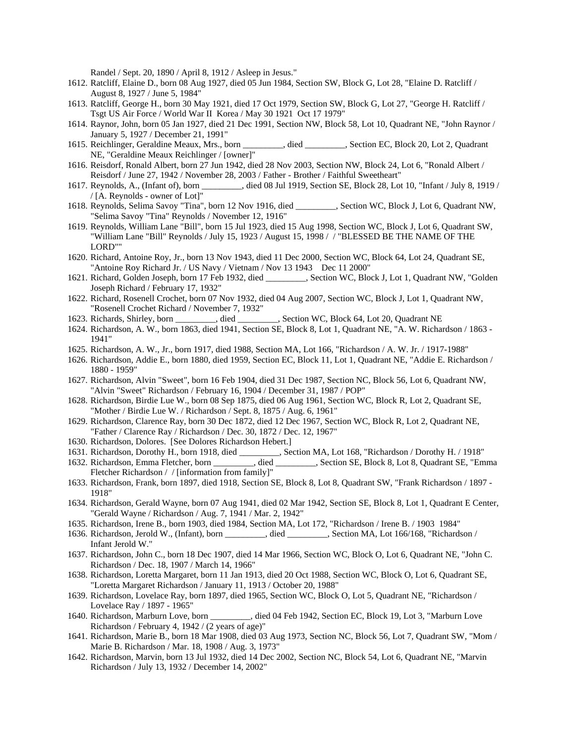Randel / Sept. 20, 1890 / April 8, 1912 / Asleep in Jesus."

- 1612. Ratcliff, Elaine D., born 08 Aug 1927, died 05 Jun 1984, Section SW, Block G, Lot 28, "Elaine D. Ratcliff / August 8, 1927 / June 5, 1984"
- 1613. Ratcliff, George H., born 30 May 1921, died 17 Oct 1979, Section SW, Block G, Lot 27, "George H. Ratcliff / Tsgt US Air Force / World War II Korea / May 30 1921 Oct 17 1979"
- 1614. Raynor, John, born 05 Jan 1927, died 21 Dec 1991, Section NW, Block 58, Lot 10, Quadrant NE, "John Raynor / January 5, 1927 / December 21, 1991"
- 1615. Reichlinger, Geraldine Meaux, Mrs., born \_\_\_\_\_\_\_\_\_, died \_\_\_\_\_\_\_\_\_, Section EC, Block 20, Lot 2, Quadrant NE, "Geraldine Meaux Reichlinger / [owner]"
- 1616. Reisdorf, Ronald Albert, born 27 Jun 1942, died 28 Nov 2003, Section NW, Block 24, Lot 6, "Ronald Albert / Reisdorf / June 27, 1942 / November 28, 2003 / Father - Brother / Faithful Sweetheart"
- 1617. Reynolds, A., (Infant of), born \_\_\_\_\_\_\_\_\_, died 08 Jul 1919, Section SE, Block 28, Lot 10, "Infant / July 8, 1919 / / [A. Reynolds - owner of Lot]"
- 1618. Reynolds, Selima Savoy "Tina", born 12 Nov 1916, died \_\_\_\_\_\_\_\_\_, Section WC, Block J, Lot 6, Quadrant NW, "Selima Savoy "Tina" Reynolds / November 12, 1916"
- 1619. Reynolds, William Lane "Bill", born 15 Jul 1923, died 15 Aug 1998, Section WC, Block J, Lot 6, Quadrant SW, "William Lane "Bill" Reynolds / July 15, 1923 / August 15, 1998 / / "BLESSED BE THE NAME OF THE LORD""
- 1620. Richard, Antoine Roy, Jr., born 13 Nov 1943, died 11 Dec 2000, Section WC, Block 64, Lot 24, Quadrant SE, "Antoine Roy Richard Jr. / US Navy / Vietnam / Nov 13 1943 Dec 11 2000"
- 1621. Richard, Golden Joseph, born 17 Feb 1932, died \_\_\_\_\_\_\_\_\_, Section WC, Block J, Lot 1, Quadrant NW, "Golden Joseph Richard / February 17, 1932"
- 1622. Richard, Rosenell Crochet, born 07 Nov 1932, died 04 Aug 2007, Section WC, Block J, Lot 1, Quadrant NW, "Rosenell Crochet Richard / November 7, 1932"
- 1623. Richards, Shirley, born \_\_\_\_\_\_\_\_\_, died \_\_\_\_\_\_\_\_\_, Section WC, Block 64, Lot 20, Quadrant NE
- 1624. Richardson, A. W., born 1863, died 1941, Section SE, Block 8, Lot 1, Quadrant NE, "A. W. Richardson / 1863 1941"
- 1625. Richardson, A. W., Jr., born 1917, died 1988, Section MA, Lot 166, "Richardson / A. W. Jr. / 1917-1988"
- 1626. Richardson, Addie E., born 1880, died 1959, Section EC, Block 11, Lot 1, Quadrant NE, "Addie E. Richardson / 1880 - 1959"
- 1627. Richardson, Alvin "Sweet", born 16 Feb 1904, died 31 Dec 1987, Section NC, Block 56, Lot 6, Quadrant NW, "Alvin "Sweet" Richardson / February 16, 1904 / December 31, 1987 / POP"
- 1628. Richardson, Birdie Lue W., born 08 Sep 1875, died 06 Aug 1961, Section WC, Block R, Lot 2, Quadrant SE, "Mother / Birdie Lue W. / Richardson / Sept. 8, 1875 / Aug. 6, 1961"
- 1629. Richardson, Clarence Ray, born 30 Dec 1872, died 12 Dec 1967, Section WC, Block R, Lot 2, Quadrant NE, "Father / Clarence Ray / Richardson / Dec. 30, 1872 / Dec. 12, 1967"
- 1630. Richardson, Dolores. [See Dolores Richardson Hebert.]
- 1631. Richardson, Dorothy H., born 1918, died \_\_\_\_\_\_\_\_\_, Section MA, Lot 168, "Richardson / Dorothy H. / 1918"
- 1632. Richardson, Emma Fletcher, born \_\_\_\_\_\_\_\_\_, died \_\_\_\_\_\_\_\_\_, Section SE, Block 8, Lot 8, Quadrant SE, "Emma Fletcher Richardson / / [information from family]"
- 1633. Richardson, Frank, born 1897, died 1918, Section SE, Block 8, Lot 8, Quadrant SW, "Frank Richardson / 1897 1918"
- 1634. Richardson, Gerald Wayne, born 07 Aug 1941, died 02 Mar 1942, Section SE, Block 8, Lot 1, Quadrant E Center, "Gerald Wayne / Richardson / Aug. 7, 1941 / Mar. 2, 1942"
- 1635. Richardson, Irene B., born 1903, died 1984, Section MA, Lot 172, "Richardson / Irene B. / 1903 1984"
- 1636. Richardson, Jerold W., (Infant), born \_\_\_\_\_\_\_\_\_, died \_\_\_\_\_\_\_\_\_, Section MA, Lot 166/168, "Richardson / Infant Jerold W."
- 1637. Richardson, John C., born 18 Dec 1907, died 14 Mar 1966, Section WC, Block O, Lot 6, Quadrant NE, "John C. Richardson / Dec. 18, 1907 / March 14, 1966"
- 1638. Richardson, Loretta Margaret, born 11 Jan 1913, died 20 Oct 1988, Section WC, Block O, Lot 6, Quadrant SE, "Loretta Margaret Richardson / January 11, 1913 / October 20, 1988"
- 1639. Richardson, Lovelace Ray, born 1897, died 1965, Section WC, Block O, Lot 5, Quadrant NE, "Richardson / Lovelace Ray / 1897 - 1965"
- 1640. Richardson, Marburn Love, born \_\_\_\_\_\_\_\_\_, died 04 Feb 1942, Section EC, Block 19, Lot 3, "Marburn Love Richardson / February 4, 1942 / (2 years of age)"
- 1641. Richardson, Marie B., born 18 Mar 1908, died 03 Aug 1973, Section NC, Block 56, Lot 7, Quadrant SW, "Mom / Marie B. Richardson / Mar. 18, 1908 / Aug. 3, 1973"
- 1642. Richardson, Marvin, born 13 Jul 1932, died 14 Dec 2002, Section NC, Block 54, Lot 6, Quadrant NE, "Marvin Richardson / July 13, 1932 / December 14, 2002"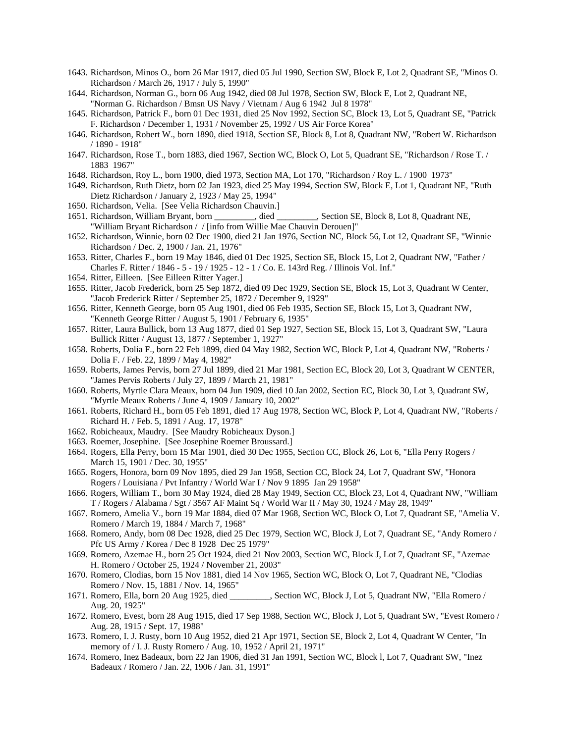- 1643. Richardson, Minos O., born 26 Mar 1917, died 05 Jul 1990, Section SW, Block E, Lot 2, Quadrant SE, "Minos O. Richardson / March 26, 1917 / July 5, 1990"
- 1644. Richardson, Norman G., born 06 Aug 1942, died 08 Jul 1978, Section SW, Block E, Lot 2, Quadrant NE, "Norman G. Richardson / Bmsn US Navy / Vietnam / Aug 6 1942 Jul 8 1978"
- 1645. Richardson, Patrick F., born 01 Dec 1931, died 25 Nov 1992, Section SC, Block 13, Lot 5, Quadrant SE, "Patrick F. Richardson / December 1, 1931 / November 25, 1992 / US Air Force Korea"
- 1646. Richardson, Robert W., born 1890, died 1918, Section SE, Block 8, Lot 8, Quadrant NW, "Robert W. Richardson / 1890 - 1918"
- 1647. Richardson, Rose T., born 1883, died 1967, Section WC, Block O, Lot 5, Quadrant SE, "Richardson / Rose T. / 1883 1967"
- 1648. Richardson, Roy L., born 1900, died 1973, Section MA, Lot 170, "Richardson / Roy L. / 1900 1973"
- 1649. Richardson, Ruth Dietz, born 02 Jan 1923, died 25 May 1994, Section SW, Block E, Lot 1, Quadrant NE, "Ruth Dietz Richardson / January 2, 1923 / May 25, 1994"
- 1650. Richardson, Velia. [See Velia Richardson Chauvin.]
- 1651. Richardson, William Bryant, born \_\_\_\_\_\_\_\_\_, died \_\_\_\_\_\_\_\_\_, Section SE, Block 8, Lot 8, Quadrant NE, "William Bryant Richardson / / [info from Willie Mae Chauvin Derouen]"
- 1652. Richardson, Winnie, born 02 Dec 1900, died 21 Jan 1976, Section NC, Block 56, Lot 12, Quadrant SE, "Winnie Richardson / Dec. 2, 1900 / Jan. 21, 1976"
- 1653. Ritter, Charles F., born 19 May 1846, died 01 Dec 1925, Section SE, Block 15, Lot 2, Quadrant NW, "Father / Charles F. Ritter / 1846 - 5 - 19 / 1925 - 12 - 1 / Co. E. 143rd Reg. / Illinois Vol. Inf."
- 1654. Ritter, Eilleen. [See Eilleen Ritter Yager.]
- 1655. Ritter, Jacob Frederick, born 25 Sep 1872, died 09 Dec 1929, Section SE, Block 15, Lot 3, Quadrant W Center, "Jacob Frederick Ritter / September 25, 1872 / December 9, 1929"
- 1656. Ritter, Kenneth George, born 05 Aug 1901, died 06 Feb 1935, Section SE, Block 15, Lot 3, Quadrant NW, "Kenneth George Ritter / August 5, 1901 / February 6, 1935"
- 1657. Ritter, Laura Bullick, born 13 Aug 1877, died 01 Sep 1927, Section SE, Block 15, Lot 3, Quadrant SW, "Laura Bullick Ritter / August 13, 1877 / September 1, 1927"
- 1658. Roberts, Dolia F., born 22 Feb 1899, died 04 May 1982, Section WC, Block P, Lot 4, Quadrant NW, "Roberts / Dolia F. / Feb. 22, 1899 / May 4, 1982"
- 1659. Roberts, James Pervis, born 27 Jul 1899, died 21 Mar 1981, Section EC, Block 20, Lot 3, Quadrant W CENTER, "James Pervis Roberts / July 27, 1899 / March 21, 1981"
- 1660. Roberts, Myrtle Clara Meaux, born 04 Jun 1909, died 10 Jan 2002, Section EC, Block 30, Lot 3, Quadrant SW, "Myrtle Meaux Roberts / June 4, 1909 / January 10, 2002"
- 1661. Roberts, Richard H., born 05 Feb 1891, died 17 Aug 1978, Section WC, Block P, Lot 4, Quadrant NW, "Roberts / Richard H. / Feb. 5, 1891 / Aug. 17, 1978"
- 1662. Robicheaux, Maudry. [See Maudry Robicheaux Dyson.]
- 1663. Roemer, Josephine. [See Josephine Roemer Broussard.]
- 1664. Rogers, Ella Perry, born 15 Mar 1901, died 30 Dec 1955, Section CC, Block 26, Lot 6, "Ella Perry Rogers / March 15, 1901 / Dec. 30, 1955"
- 1665. Rogers, Honora, born 09 Nov 1895, died 29 Jan 1958, Section CC, Block 24, Lot 7, Quadrant SW, "Honora Rogers / Louisiana / Pvt Infantry / World War I / Nov 9 1895 Jan 29 1958"
- 1666. Rogers, William T., born 30 May 1924, died 28 May 1949, Section CC, Block 23, Lot 4, Quadrant NW, "William T / Rogers / Alabama / Sgt / 3567 AF Maint Sq / World War II / May 30, 1924 / May 28, 1949"
- 1667. Romero, Amelia V., born 19 Mar 1884, died 07 Mar 1968, Section WC, Block O, Lot 7, Quadrant SE, "Amelia V. Romero / March 19, 1884 / March 7, 1968"
- 1668. Romero, Andy, born 08 Dec 1928, died 25 Dec 1979, Section WC, Block J, Lot 7, Quadrant SE, "Andy Romero / Pfc US Army / Korea / Dec 8 1928 Dec 25 1979"
- 1669. Romero, Azemae H., born 25 Oct 1924, died 21 Nov 2003, Section WC, Block J, Lot 7, Quadrant SE, "Azemae H. Romero / October 25, 1924 / November 21, 2003"
- 1670. Romero, Clodias, born 15 Nov 1881, died 14 Nov 1965, Section WC, Block O, Lot 7, Quadrant NE, "Clodias Romero / Nov. 15, 1881 / Nov. 14, 1965"
- 1671. Romero, Ella, born 20 Aug 1925, died \_\_\_\_\_\_\_\_\_, Section WC, Block J, Lot 5, Quadrant NW, "Ella Romero / Aug. 20, 1925"
- 1672. Romero, Evest, born 28 Aug 1915, died 17 Sep 1988, Section WC, Block J, Lot 5, Quadrant SW, "Evest Romero / Aug. 28, 1915 / Sept. 17, 1988"
- 1673. Romero, I. J. Rusty, born 10 Aug 1952, died 21 Apr 1971, Section SE, Block 2, Lot 4, Quadrant W Center, "In memory of / I. J. Rusty Romero / Aug. 10, 1952 / April 21, 1971"
- 1674. Romero, Inez Badeaux, born 22 Jan 1906, died 31 Jan 1991, Section WC, Block l, Lot 7, Quadrant SW, "Inez Badeaux / Romero / Jan. 22, 1906 / Jan. 31, 1991"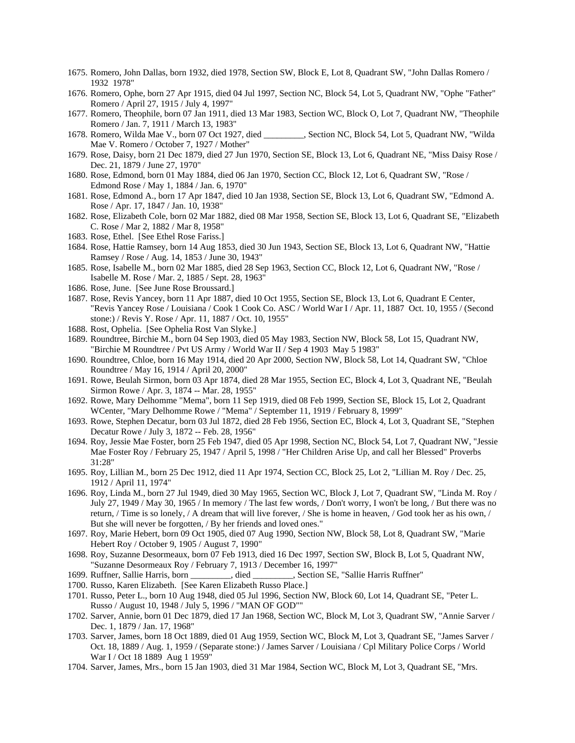- 1675. Romero, John Dallas, born 1932, died 1978, Section SW, Block E, Lot 8, Quadrant SW, "John Dallas Romero / 1932 1978"
- 1676. Romero, Ophe, born 27 Apr 1915, died 04 Jul 1997, Section NC, Block 54, Lot 5, Quadrant NW, "Ophe "Father" Romero / April 27, 1915 / July 4, 1997"
- 1677. Romero, Theophile, born 07 Jan 1911, died 13 Mar 1983, Section WC, Block O, Lot 7, Quadrant NW, "Theophile Romero / Jan. 7, 1911 / March 13, 1983"
- 1678. Romero, Wilda Mae V., born 07 Oct 1927, died \_\_\_\_\_\_\_\_\_, Section NC, Block 54, Lot 5, Quadrant NW, "Wilda Mae V. Romero / October 7, 1927 / Mother"
- 1679. Rose, Daisy, born 21 Dec 1879, died 27 Jun 1970, Section SE, Block 13, Lot 6, Quadrant NE, "Miss Daisy Rose / Dec. 21, 1879 / June 27, 1970"
- 1680. Rose, Edmond, born 01 May 1884, died 06 Jan 1970, Section CC, Block 12, Lot 6, Quadrant SW, "Rose / Edmond Rose / May 1, 1884 / Jan. 6, 1970"
- 1681. Rose, Edmond A., born 17 Apr 1847, died 10 Jan 1938, Section SE, Block 13, Lot 6, Quadrant SW, "Edmond A. Rose / Apr. 17, 1847 / Jan. 10, 1938"
- 1682. Rose, Elizabeth Cole, born 02 Mar 1882, died 08 Mar 1958, Section SE, Block 13, Lot 6, Quadrant SE, "Elizabeth C. Rose / Mar 2, 1882 / Mar 8, 1958"
- 1683. Rose, Ethel. [See Ethel Rose Fariss.]
- 1684. Rose, Hattie Ramsey, born 14 Aug 1853, died 30 Jun 1943, Section SE, Block 13, Lot 6, Quadrant NW, "Hattie Ramsey / Rose / Aug. 14, 1853 / June 30, 1943"
- 1685. Rose, Isabelle M., born 02 Mar 1885, died 28 Sep 1963, Section CC, Block 12, Lot 6, Quadrant NW, "Rose / Isabelle M. Rose / Mar. 2, 1885 / Sept. 28, 1963"
- 1686. Rose, June. [See June Rose Broussard.]
- 1687. Rose, Revis Yancey, born 11 Apr 1887, died 10 Oct 1955, Section SE, Block 13, Lot 6, Quadrant E Center, "Revis Yancey Rose / Louisiana / Cook 1 Cook Co. ASC / World War I / Apr. 11, 1887 Oct. 10, 1955 / (Second stone:) / Revis Y. Rose / Apr. 11, 1887 / Oct. 10, 1955"
- 1688. Rost, Ophelia. [See Ophelia Rost Van Slyke.]
- 1689. Roundtree, Birchie M., born 04 Sep 1903, died 05 May 1983, Section NW, Block 58, Lot 15, Quadrant NW, "Birchie M Roundtree / Pvt US Army / World War II / Sep 4 1903 May 5 1983"
- 1690. Roundtree, Chloe, born 16 May 1914, died 20 Apr 2000, Section NW, Block 58, Lot 14, Quadrant SW, "Chloe Roundtree / May 16, 1914 / April 20, 2000"
- 1691. Rowe, Beulah Sirmon, born 03 Apr 1874, died 28 Mar 1955, Section EC, Block 4, Lot 3, Quadrant NE, "Beulah Sirmon Rowe / Apr. 3, 1874 -- Mar. 28, 1955"
- 1692. Rowe, Mary Delhomme "Mema", born 11 Sep 1919, died 08 Feb 1999, Section SE, Block 15, Lot 2, Quadrant WCenter, "Mary Delhomme Rowe / "Mema" / September 11, 1919 / February 8, 1999"
- 1693. Rowe, Stephen Decatur, born 03 Jul 1872, died 28 Feb 1956, Section EC, Block 4, Lot 3, Quadrant SE, "Stephen Decatur Rowe / July 3, 1872 -- Feb. 28, 1956"
- 1694. Roy, Jessie Mae Foster, born 25 Feb 1947, died 05 Apr 1998, Section NC, Block 54, Lot 7, Quadrant NW, "Jessie Mae Foster Roy / February 25, 1947 / April 5, 1998 / "Her Children Arise Up, and call her Blessed" Proverbs 31:28"
- 1695. Roy, Lillian M., born 25 Dec 1912, died 11 Apr 1974, Section CC, Block 25, Lot 2, "Lillian M. Roy / Dec. 25, 1912 / April 11, 1974"
- 1696. Roy, Linda M., born 27 Jul 1949, died 30 May 1965, Section WC, Block J, Lot 7, Quadrant SW, "Linda M. Roy / July 27, 1949 / May 30, 1965 / In memory / The last few words, / Don't worry, I won't be long, / But there was no return, / Time is so lonely, / A dream that will live forever, / She is home in heaven, / God took her as his own, / But she will never be forgotten, / By her friends and loved ones."
- 1697. Roy, Marie Hebert, born 09 Oct 1905, died 07 Aug 1990, Section NW, Block 58, Lot 8, Quadrant SW, "Marie Hebert Roy / October 9, 1905 / August 7, 1990"
- 1698. Roy, Suzanne Desormeaux, born 07 Feb 1913, died 16 Dec 1997, Section SW, Block B, Lot 5, Quadrant NW, "Suzanne Desormeaux Roy / February 7, 1913 / December 16, 1997"
- 1699. Ruffner, Sallie Harris, born \_\_\_\_\_\_\_\_\_, died \_\_\_\_\_\_\_\_\_, Section SE, "Sallie Harris Ruffner"
- 1700. Russo, Karen Elizabeth. [See Karen Elizabeth Russo Place.]
- 1701. Russo, Peter L., born 10 Aug 1948, died 05 Jul 1996, Section NW, Block 60, Lot 14, Quadrant SE, "Peter L. Russo / August 10, 1948 / July 5, 1996 / "MAN OF GOD""
- 1702. Sarver, Annie, born 01 Dec 1879, died 17 Jan 1968, Section WC, Block M, Lot 3, Quadrant SW, "Annie Sarver / Dec. 1, 1879 / Jan. 17, 1968"
- 1703. Sarver, James, born 18 Oct 1889, died 01 Aug 1959, Section WC, Block M, Lot 3, Quadrant SE, "James Sarver / Oct. 18, 1889 / Aug. 1, 1959 / (Separate stone:) / James Sarver / Louisiana / Cpl Military Police Corps / World War I / Oct 18 1889 Aug 1 1959"
- 1704. Sarver, James, Mrs., born 15 Jan 1903, died 31 Mar 1984, Section WC, Block M, Lot 3, Quadrant SE, "Mrs.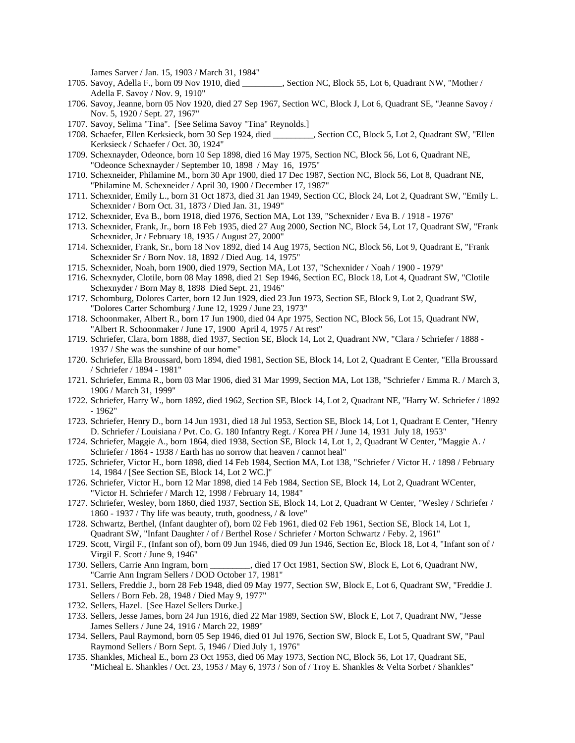James Sarver / Jan. 15, 1903 / March 31, 1984"

- 1705. Savoy, Adella F., born 09 Nov 1910, died \_\_\_\_\_\_\_\_\_, Section NC, Block 55, Lot 6, Quadrant NW, "Mother / Adella F. Savoy / Nov. 9, 1910"
- 1706. Savoy, Jeanne, born 05 Nov 1920, died 27 Sep 1967, Section WC, Block J, Lot 6, Quadrant SE, "Jeanne Savoy / Nov. 5, 1920 / Sept. 27, 1967"
- 1707. Savoy, Selima "Tina". [See Selima Savoy "Tina" Reynolds.]
- 1708. Schaefer, Ellen Kerksieck, born 30 Sep 1924, died \_\_\_\_\_\_\_\_\_, Section CC, Block 5, Lot 2, Quadrant SW, "Ellen Kerksieck / Schaefer / Oct. 30, 1924"
- 1709. Schexnayder, Odeonce, born 10 Sep 1898, died 16 May 1975, Section NC, Block 56, Lot 6, Quadrant NE, "Odeonce Schexnayder / September 10, 1898 / May 16, 1975"
- 1710. Schexneider, Philamine M., born 30 Apr 1900, died 17 Dec 1987, Section NC, Block 56, Lot 8, Quadrant NE, "Philamine M. Schexneider / April 30, 1900 / December 17, 1987"
- 1711. Schexnider, Emily L., born 31 Oct 1873, died 31 Jan 1949, Section CC, Block 24, Lot 2, Quadrant SW, "Emily L. Schexnider / Born Oct. 31, 1873 / Died Jan. 31, 1949"
- 1712. Schexnider, Eva B., born 1918, died 1976, Section MA, Lot 139, "Schexnider / Eva B. / 1918 1976"
- 1713. Schexnider, Frank, Jr., born 18 Feb 1935, died 27 Aug 2000, Section NC, Block 54, Lot 17, Quadrant SW, "Frank Schexnider, Jr / February 18, 1935 / August 27, 2000"
- 1714. Schexnider, Frank, Sr., born 18 Nov 1892, died 14 Aug 1975, Section NC, Block 56, Lot 9, Quadrant E, "Frank Schexnider Sr / Born Nov. 18, 1892 / Died Aug. 14, 1975"
- 1715. Schexnider, Noah, born 1900, died 1979, Section MA, Lot 137, "Schexnider / Noah / 1900 1979"
- 1716. Schexnyder, Clotile, born 08 May 1898, died 21 Sep 1946, Section EC, Block 18, Lot 4, Quadrant SW, "Clotile Schexnyder / Born May 8, 1898 Died Sept. 21, 1946"
- 1717. Schomburg, Dolores Carter, born 12 Jun 1929, died 23 Jun 1973, Section SE, Block 9, Lot 2, Quadrant SW, "Dolores Carter Schomburg / June 12, 1929 / June 23, 1973"
- 1718. Schoonmaker, Albert R., born 17 Jun 1900, died 04 Apr 1975, Section NC, Block 56, Lot 15, Quadrant NW, "Albert R. Schoonmaker / June 17, 1900 April 4, 1975 / At rest"
- 1719. Schriefer, Clara, born 1888, died 1937, Section SE, Block 14, Lot 2, Quadrant NW, "Clara / Schriefer / 1888 1937 / She was the sunshine of our home"
- 1720. Schriefer, Ella Broussard, born 1894, died 1981, Section SE, Block 14, Lot 2, Quadrant E Center, "Ella Broussard / Schriefer / 1894 - 1981"
- 1721. Schriefer, Emma R., born 03 Mar 1906, died 31 Mar 1999, Section MA, Lot 138, "Schriefer / Emma R. / March 3, 1906 / March 31, 1999"
- 1722. Schriefer, Harry W., born 1892, died 1962, Section SE, Block 14, Lot 2, Quadrant NE, "Harry W. Schriefer / 1892 - 1962"
- 1723. Schriefer, Henry D., born 14 Jun 1931, died 18 Jul 1953, Section SE, Block 14, Lot 1, Quadrant E Center, "Henry D. Schriefer / Louisiana / Pvt. Co. G. 180 Infantry Regt. / Korea PH / June 14, 1931 July 18, 1953"
- 1724. Schriefer, Maggie A., born 1864, died 1938, Section SE, Block 14, Lot 1, 2, Quadrant W Center, "Maggie A. / Schriefer / 1864 - 1938 / Earth has no sorrow that heaven / cannot heal"
- 1725. Schriefer, Victor H., born 1898, died 14 Feb 1984, Section MA, Lot 138, "Schriefer / Victor H. / 1898 / February 14, 1984 / [See Section SE, Block 14, Lot 2 WC.]"
- 1726. Schriefer, Victor H., born 12 Mar 1898, died 14 Feb 1984, Section SE, Block 14, Lot 2, Quadrant WCenter, "Victor H. Schriefer / March 12, 1998 / February 14, 1984"
- 1727. Schriefer, Wesley, born 1860, died 1937, Section SE, Block 14, Lot 2, Quadrant W Center, "Wesley / Schriefer / 1860 - 1937 / Thy life was beauty, truth, goodness, / & love"
- 1728. Schwartz, Berthel, (Infant daughter of), born 02 Feb 1961, died 02 Feb 1961, Section SE, Block 14, Lot 1, Quadrant SW, "Infant Daughter / of / Berthel Rose / Schriefer / Morton Schwartz / Feby. 2, 1961"
- 1729. Scott, Virgil F., (Infant son of), born 09 Jun 1946, died 09 Jun 1946, Section Ec, Block 18, Lot 4, "Infant son of / Virgil F. Scott / June 9, 1946"
- 1730. Sellers, Carrie Ann Ingram, born \_\_\_\_\_\_\_\_\_, died 17 Oct 1981, Section SW, Block E, Lot 6, Quadrant NW, "Carrie Ann Ingram Sellers / DOD October 17, 1981"
- 1731. Sellers, Freddie J., born 28 Feb 1948, died 09 May 1977, Section SW, Block E, Lot 6, Quadrant SW, "Freddie J. Sellers / Born Feb. 28, 1948 / Died May 9, 1977"
- 1732. Sellers, Hazel. [See Hazel Sellers Durke.]
- 1733. Sellers, Jesse James, born 24 Jun 1916, died 22 Mar 1989, Section SW, Block E, Lot 7, Quadrant NW, "Jesse James Sellers / June 24, 1916 / March 22, 1989"
- 1734. Sellers, Paul Raymond, born 05 Sep 1946, died 01 Jul 1976, Section SW, Block E, Lot 5, Quadrant SW, "Paul Raymond Sellers / Born Sept. 5, 1946 / Died July 1, 1976"
- 1735. Shankles, Micheal E., born 23 Oct 1953, died 06 May 1973, Section NC, Block 56, Lot 17, Quadrant SE, "Micheal E. Shankles / Oct. 23, 1953 / May 6, 1973 / Son of / Troy E. Shankles & Velta Sorbet / Shankles"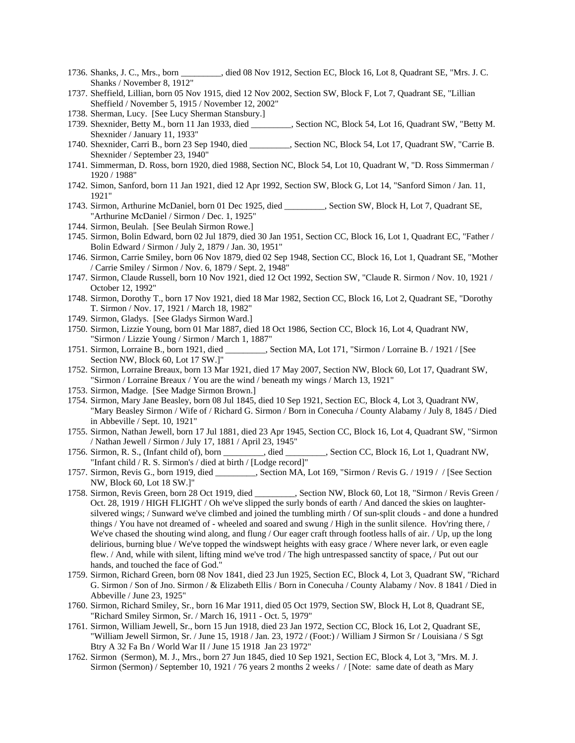- 1736. Shanks, J. C., Mrs., born \_\_\_\_\_\_\_\_\_, died 08 Nov 1912, Section EC, Block 16, Lot 8, Quadrant SE, "Mrs. J. C. Shanks / November 8, 1912"
- 1737. Sheffield, Lillian, born 05 Nov 1915, died 12 Nov 2002, Section SW, Block F, Lot 7, Quadrant SE, "Lillian Sheffield / November 5, 1915 / November 12, 2002"
- 1738. Sherman, Lucy. [See Lucy Sherman Stansbury.]
- 1739. Shexnider, Betty M., born 11 Jan 1933, died \_\_\_\_\_\_\_\_\_, Section NC, Block 54, Lot 16, Quadrant SW, "Betty M. Shexnider / January 11, 1933"
- 1740. Shexnider, Carri B., born 23 Sep 1940, died \_\_\_\_\_\_\_\_\_, Section NC, Block 54, Lot 17, Quadrant SW, "Carrie B. Shexnider / September 23, 1940"
- 1741. Simmerman, D. Ross, born 1920, died 1988, Section NC, Block 54, Lot 10, Quadrant W, "D. Ross Simmerman / 1920 / 1988"
- 1742. Simon, Sanford, born 11 Jan 1921, died 12 Apr 1992, Section SW, Block G, Lot 14, "Sanford Simon / Jan. 11, 1921"
- 1743. Sirmon, Arthurine McDaniel, born 01 Dec 1925, died \_\_\_\_\_\_\_\_\_, Section SW, Block H, Lot 7, Quadrant SE, "Arthurine McDaniel / Sirmon / Dec. 1, 1925"
- 1744. Sirmon, Beulah. [See Beulah Sirmon Rowe.]
- 1745. Sirmon, Bolin Edward, born 02 Jul 1879, died 30 Jan 1951, Section CC, Block 16, Lot 1, Quadrant EC, "Father / Bolin Edward / Sirmon / July 2, 1879 / Jan. 30, 1951"
- 1746. Sirmon, Carrie Smiley, born 06 Nov 1879, died 02 Sep 1948, Section CC, Block 16, Lot 1, Quadrant SE, "Mother / Carrie Smiley / Sirmon / Nov. 6, 1879 / Sept. 2, 1948"
- 1747. Sirmon, Claude Russell, born 10 Nov 1921, died 12 Oct 1992, Section SW, "Claude R. Sirmon / Nov. 10, 1921 / October 12, 1992"
- 1748. Sirmon, Dorothy T., born 17 Nov 1921, died 18 Mar 1982, Section CC, Block 16, Lot 2, Quadrant SE, "Dorothy T. Sirmon / Nov. 17, 1921 / March 18, 1982"
- 1749. Sirmon, Gladys. [See Gladys Sirmon Ward.]
- 1750. Sirmon, Lizzie Young, born 01 Mar 1887, died 18 Oct 1986, Section CC, Block 16, Lot 4, Quadrant NW, "Sirmon / Lizzie Young / Sirmon / March 1, 1887"
- 1751. Sirmon, Lorraine B., born 1921, died \_\_\_\_\_\_\_\_\_, Section MA, Lot 171, "Sirmon / Lorraine B. / 1921 / [See Section NW, Block 60, Lot 17 SW.]"
- 1752. Sirmon, Lorraine Breaux, born 13 Mar 1921, died 17 May 2007, Section NW, Block 60, Lot 17, Quadrant SW, "Sirmon / Lorraine Breaux / You are the wind / beneath my wings / March 13, 1921"
- 1753. Sirmon, Madge. [See Madge Sirmon Brown.]
- 1754. Sirmon, Mary Jane Beasley, born 08 Jul 1845, died 10 Sep 1921, Section EC, Block 4, Lot 3, Quadrant NW, "Mary Beasley Sirmon / Wife of / Richard G. Sirmon / Born in Conecuha / County Alabamy / July 8, 1845 / Died in Abbeville / Sept. 10, 1921"
- 1755. Sirmon, Nathan Jewell, born 17 Jul 1881, died 23 Apr 1945, Section CC, Block 16, Lot 4, Quadrant SW, "Sirmon / Nathan Jewell / Sirmon / July 17, 1881 / April 23, 1945"
- 1756. Sirmon, R. S., (Infant child of), born \_\_\_\_\_\_\_\_\_, died \_\_\_\_\_\_\_\_\_, Section CC, Block 16, Lot 1, Quadrant NW, "Infant child / R. S. Sirmon's / died at birth / [Lodge record]"
- 1757. Sirmon, Revis G., born 1919, died \_\_\_\_\_\_\_\_\_, Section MA, Lot 169, "Sirmon / Revis G. / 1919 / / [See Section NW, Block 60, Lot 18 SW.]"
- 1758. Sirmon, Revis Green, born 28 Oct 1919, died \_\_\_\_\_\_\_\_\_, Section NW, Block 60, Lot 18, "Sirmon / Revis Green / Oct. 28, 1919 / HIGH FLIGHT / Oh we've slipped the surly bonds of earth / And danced the skies on laughtersilvered wings; / Sunward we've climbed and joined the tumbling mirth / Of sun-split clouds - and done a hundred things / You have not dreamed of - wheeled and soared and swung / High in the sunlit silence. Hov'ring there, / We've chased the shouting wind along, and flung / Our eager craft through footless halls of air. / Up, up the long delirious, burning blue / We've topped the windswept heights with easy grace / Where never lark, or even eagle flew. / And, while with silent, lifting mind we've trod / The high untrespassed sanctity of space, / Put out our hands, and touched the face of God."
- 1759. Sirmon, Richard Green, born 08 Nov 1841, died 23 Jun 1925, Section EC, Block 4, Lot 3, Quadrant SW, "Richard G. Sirmon / Son of Jno. Sirmon / & Elizabeth Ellis / Born in Conecuha / County Alabamy / Nov. 8 1841 / Died in Abbeville / June 23, 1925"
- 1760. Sirmon, Richard Smiley, Sr., born 16 Mar 1911, died 05 Oct 1979, Section SW, Block H, Lot 8, Quadrant SE, "Richard Smiley Sirmon, Sr. / March 16, 1911 - Oct. 5, 1979"
- 1761. Sirmon, William Jewell, Sr., born 15 Jun 1918, died 23 Jan 1972, Section CC, Block 16, Lot 2, Quadrant SE, "William Jewell Sirmon, Sr. / June 15, 1918 / Jan. 23, 1972 / (Foot:) / William J Sirmon Sr / Louisiana / S Sgt Btry A 32 Fa Bn / World War II / June 15 1918 Jan 23 1972"
- 1762. Sirmon (Sermon), M. J., Mrs., born 27 Jun 1845, died 10 Sep 1921, Section EC, Block 4, Lot 3, "Mrs. M. J. Sirmon (Sermon) / September 10, 1921 / 76 years 2 months 2 weeks / / [Note: same date of death as Mary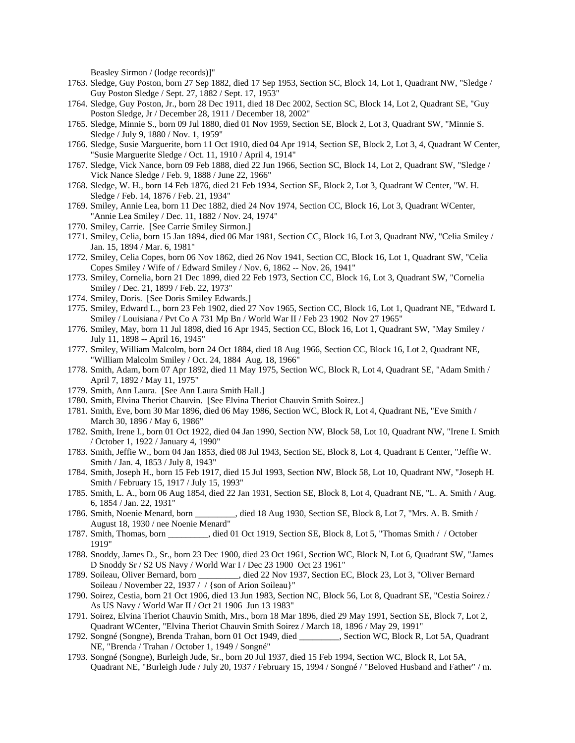Beasley Sirmon / (lodge records)]"

- 1763. Sledge, Guy Poston, born 27 Sep 1882, died 17 Sep 1953, Section SC, Block 14, Lot 1, Quadrant NW, "Sledge / Guy Poston Sledge / Sept. 27, 1882 / Sept. 17, 1953"
- 1764. Sledge, Guy Poston, Jr., born 28 Dec 1911, died 18 Dec 2002, Section SC, Block 14, Lot 2, Quadrant SE, "Guy Poston Sledge, Jr / December 28, 1911 / December 18, 2002"
- 1765. Sledge, Minnie S., born 09 Jul 1880, died 01 Nov 1959, Section SE, Block 2, Lot 3, Quadrant SW, "Minnie S. Sledge / July 9, 1880 / Nov. 1, 1959"
- 1766. Sledge, Susie Marguerite, born 11 Oct 1910, died 04 Apr 1914, Section SE, Block 2, Lot 3, 4, Quadrant W Center, "Susie Marguerite Sledge / Oct. 11, 1910 / April 4, 1914"
- 1767. Sledge, Vick Nance, born 09 Feb 1888, died 22 Jun 1966, Section SC, Block 14, Lot 2, Quadrant SW, "Sledge / Vick Nance Sledge / Feb. 9, 1888 / June 22, 1966"
- 1768. Sledge, W. H., born 14 Feb 1876, died 21 Feb 1934, Section SE, Block 2, Lot 3, Quadrant W Center, "W. H. Sledge / Feb. 14, 1876 / Feb. 21, 1934"
- 1769. Smiley, Annie Lea, born 11 Dec 1882, died 24 Nov 1974, Section CC, Block 16, Lot 3, Quadrant WCenter, "Annie Lea Smiley / Dec. 11, 1882 / Nov. 24, 1974"
- 1770. Smiley, Carrie. [See Carrie Smiley Sirmon.]
- 1771. Smiley, Celia, born 15 Jan 1894, died 06 Mar 1981, Section CC, Block 16, Lot 3, Quadrant NW, "Celia Smiley / Jan. 15, 1894 / Mar. 6, 1981"
- 1772. Smiley, Celia Copes, born 06 Nov 1862, died 26 Nov 1941, Section CC, Block 16, Lot 1, Quadrant SW, "Celia Copes Smiley / Wife of / Edward Smiley / Nov. 6, 1862 -- Nov. 26, 1941"
- 1773. Smiley, Cornelia, born 21 Dec 1899, died 22 Feb 1973, Section CC, Block 16, Lot 3, Quadrant SW, "Cornelia Smiley / Dec. 21, 1899 / Feb. 22, 1973"
- 1774. Smiley, Doris. [See Doris Smiley Edwards.]
- 1775. Smiley, Edward L., born 23 Feb 1902, died 27 Nov 1965, Section CC, Block 16, Lot 1, Quadrant NE, "Edward L Smiley / Louisiana / Pvt Co A 731 Mp Bn / World War II / Feb 23 1902 Nov 27 1965"
- 1776. Smiley, May, born 11 Jul 1898, died 16 Apr 1945, Section CC, Block 16, Lot 1, Quadrant SW, "May Smiley / July 11, 1898 -- April 16, 1945"
- 1777. Smiley, William Malcolm, born 24 Oct 1884, died 18 Aug 1966, Section CC, Block 16, Lot 2, Quadrant NE, "William Malcolm Smiley / Oct. 24, 1884 Aug. 18, 1966"
- 1778. Smith, Adam, born 07 Apr 1892, died 11 May 1975, Section WC, Block R, Lot 4, Quadrant SE, "Adam Smith / April 7, 1892 / May 11, 1975"
- 1779. Smith, Ann Laura. [See Ann Laura Smith Hall.]
- 1780. Smith, Elvina Theriot Chauvin. [See Elvina Theriot Chauvin Smith Soirez.]
- 1781. Smith, Eve, born 30 Mar 1896, died 06 May 1986, Section WC, Block R, Lot 4, Quadrant NE, "Eve Smith / March 30, 1896 / May 6, 1986"
- 1782. Smith, Irene I., born 01 Oct 1922, died 04 Jan 1990, Section NW, Block 58, Lot 10, Quadrant NW, "Irene I. Smith / October 1, 1922 / January 4, 1990"
- 1783. Smith, Jeffie W., born 04 Jan 1853, died 08 Jul 1943, Section SE, Block 8, Lot 4, Quadrant E Center, "Jeffie W. Smith / Jan. 4, 1853 / July 8, 1943"
- 1784. Smith, Joseph H., born 15 Feb 1917, died 15 Jul 1993, Section NW, Block 58, Lot 10, Quadrant NW, "Joseph H. Smith / February 15, 1917 / July 15, 1993"
- 1785. Smith, L. A., born 06 Aug 1854, died 22 Jan 1931, Section SE, Block 8, Lot 4, Quadrant NE, "L. A. Smith / Aug. 6, 1854 / Jan. 22, 1931"
- 1786. Smith, Noenie Menard, born \_\_\_\_\_\_\_\_\_, died 18 Aug 1930, Section SE, Block 8, Lot 7, "Mrs. A. B. Smith / August 18, 1930 / nee Noenie Menard"
- 1787. Smith, Thomas, born \_\_\_\_\_\_\_\_\_, died 01 Oct 1919, Section SE, Block 8, Lot 5, "Thomas Smith / / October 1919"
- 1788. Snoddy, James D., Sr., born 23 Dec 1900, died 23 Oct 1961, Section WC, Block N, Lot 6, Quadrant SW, "James D Snoddy Sr / S2 US Navy / World War I / Dec 23 1900 Oct 23 1961"
- 1789. Soileau, Oliver Bernard, born \_\_\_\_\_\_\_\_\_, died 22 Nov 1937, Section EC, Block 23, Lot 3, "Oliver Bernard Soileau / November 22, 1937 / / {son of Arion Soileau}"
- 1790. Soirez, Cestia, born 21 Oct 1906, died 13 Jun 1983, Section NC, Block 56, Lot 8, Quadrant SE, "Cestia Soirez / As US Navy / World War II / Oct 21 1906 Jun 13 1983"
- 1791. Soirez, Elvina Theriot Chauvin Smith, Mrs., born 18 Mar 1896, died 29 May 1991, Section SE, Block 7, Lot 2, Quadrant WCenter, "Elvina Theriot Chauvin Smith Soirez / March 18, 1896 / May 29, 1991"
- 1792. Songné (Songne), Brenda Trahan, born 01 Oct 1949, died \_\_\_\_\_\_\_\_\_, Section WC, Block R, Lot 5A, Quadrant NE, "Brenda / Trahan / October 1, 1949 / Songné"
- 1793. Songné (Songne), Burleigh Jude, Sr., born 20 Jul 1937, died 15 Feb 1994, Section WC, Block R, Lot 5A, Quadrant NE, "Burleigh Jude / July 20, 1937 / February 15, 1994 / Songné / "Beloved Husband and Father" / m.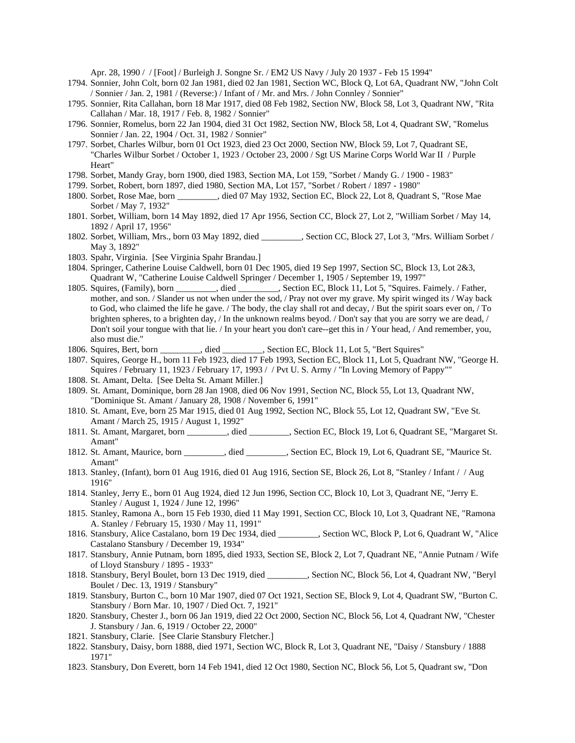Apr. 28, 1990 / / [Foot] / Burleigh J. Songne Sr. / EM2 US Navy / July 20 1937 - Feb 15 1994"

- 1794. Sonnier, John Colt, born 02 Jan 1981, died 02 Jan 1981, Section WC, Block Q, Lot 6A, Quadrant NW, "John Colt / Sonnier / Jan. 2, 1981 / (Reverse:) / Infant of / Mr. and Mrs. / John Connley / Sonnier"
- 1795. Sonnier, Rita Callahan, born 18 Mar 1917, died 08 Feb 1982, Section NW, Block 58, Lot 3, Quadrant NW, "Rita Callahan / Mar. 18, 1917 / Feb. 8, 1982 / Sonnier"
- 1796. Sonnier, Romelus, born 22 Jan 1904, died 31 Oct 1982, Section NW, Block 58, Lot 4, Quadrant SW, "Romelus Sonnier / Jan. 22, 1904 / Oct. 31, 1982 / Sonnier"
- 1797. Sorbet, Charles Wilbur, born 01 Oct 1923, died 23 Oct 2000, Section NW, Block 59, Lot 7, Quadrant SE, "Charles Wilbur Sorbet / October 1, 1923 / October 23, 2000 / Sgt US Marine Corps World War II / Purple Heart"
- 1798. Sorbet, Mandy Gray, born 1900, died 1983, Section MA, Lot 159, "Sorbet / Mandy G. / 1900 1983"
- 1799. Sorbet, Robert, born 1897, died 1980, Section MA, Lot 157, "Sorbet / Robert / 1897 1980"
- 1800. Sorbet, Rose Mae, born \_\_\_\_\_\_\_\_\_, died 07 May 1932, Section EC, Block 22, Lot 8, Quadrant S, "Rose Mae Sorbet / May 7, 1932"
- 1801. Sorbet, William, born 14 May 1892, died 17 Apr 1956, Section CC, Block 27, Lot 2, "William Sorbet / May 14, 1892 / April 17, 1956"
- 1802. Sorbet, William, Mrs., born 03 May 1892, died \_\_\_\_\_\_\_\_\_, Section CC, Block 27, Lot 3, "Mrs. William Sorbet / May 3, 1892"
- 1803. Spahr, Virginia. [See Virginia Spahr Brandau.]
- 1804. Springer, Catherine Louise Caldwell, born 01 Dec 1905, died 19 Sep 1997, Section SC, Block 13, Lot 2&3, Quadrant W, "Catherine Louise Caldwell Springer / December 1, 1905 / September 19, 1997"
- 1805. Squires, (Family), born \_\_\_\_\_\_\_\_\_, died \_\_\_\_\_\_\_\_\_, Section EC, Block 11, Lot 5, "Squires. Faimely. / Father, mother, and son. / Slander us not when under the sod, / Pray not over my grave. My spirit winged its / Way back to God, who claimed the life he gave. / The body, the clay shall rot and decay, / But the spirit soars ever on, / To brighten spheres, to a brighten day, / In the unknown realms beyod. / Don't say that you are sorry we are dead, / Don't soil your tongue with that lie. / In your heart you don't care--get this in / Your head, / And remember, you, also must die."
- 1806. Squires, Bert, born \_\_\_\_\_\_\_\_\_, died \_\_\_\_\_\_\_\_\_, Section EC, Block 11, Lot 5, "Bert Squires"
- 1807. Squires, George H., born 11 Feb 1923, died 17 Feb 1993, Section EC, Block 11, Lot 5, Quadrant NW, "George H. Squires / February 11, 1923 / February 17, 1993 / / Pvt U. S. Army / "In Loving Memory of Pappy""
- 1808. St. Amant, Delta. [See Delta St. Amant Miller.]
- 1809. St. Amant, Dominique, born 28 Jan 1908, died 06 Nov 1991, Section NC, Block 55, Lot 13, Quadrant NW, "Dominique St. Amant / January 28, 1908 / November 6, 1991"
- 1810. St. Amant, Eve, born 25 Mar 1915, died 01 Aug 1992, Section NC, Block 55, Lot 12, Quadrant SW, "Eve St. Amant / March 25, 1915 / August 1, 1992"
- 1811. St. Amant, Margaret, born \_\_\_\_\_\_\_\_\_, died \_\_\_\_\_\_\_\_\_, Section EC, Block 19, Lot 6, Quadrant SE, "Margaret St. Amant"
- 1812. St. Amant, Maurice, born \_\_\_\_\_\_\_\_\_, died \_\_\_\_\_\_\_\_\_, Section EC, Block 19, Lot 6, Quadrant SE, "Maurice St. Amant"
- 1813. Stanley, (Infant), born 01 Aug 1916, died 01 Aug 1916, Section SE, Block 26, Lot 8, "Stanley / Infant / / Aug 1916"
- 1814. Stanley, Jerry E., born 01 Aug 1924, died 12 Jun 1996, Section CC, Block 10, Lot 3, Quadrant NE, "Jerry E. Stanley / August 1, 1924 / June 12, 1996"
- 1815. Stanley, Ramona A., born 15 Feb 1930, died 11 May 1991, Section CC, Block 10, Lot 3, Quadrant NE, "Ramona A. Stanley / February 15, 1930 / May 11, 1991"
- 1816. Stansbury, Alice Castalano, born 19 Dec 1934, died \_\_\_\_\_\_\_\_\_, Section WC, Block P, Lot 6, Quadrant W, "Alice Castalano Stansbury / December 19, 1934"
- 1817. Stansbury, Annie Putnam, born 1895, died 1933, Section SE, Block 2, Lot 7, Quadrant NE, "Annie Putnam / Wife of Lloyd Stansbury / 1895 - 1933"
- 1818. Stansbury, Beryl Boulet, born 13 Dec 1919, died \_\_\_\_\_\_\_\_\_, Section NC, Block 56, Lot 4, Quadrant NW, "Beryl Boulet / Dec. 13, 1919 / Stansbury"
- 1819. Stansbury, Burton C., born 10 Mar 1907, died 07 Oct 1921, Section SE, Block 9, Lot 4, Quadrant SW, "Burton C. Stansbury / Born Mar. 10, 1907 / Died Oct. 7, 1921"
- 1820. Stansbury, Chester J., born 06 Jan 1919, died 22 Oct 2000, Section NC, Block 56, Lot 4, Quadrant NW, "Chester J. Stansbury / Jan. 6, 1919 / October 22, 2000"
- 1821. Stansbury, Clarie. [See Clarie Stansbury Fletcher.]
- 1822. Stansbury, Daisy, born 1888, died 1971, Section WC, Block R, Lot 3, Quadrant NE, "Daisy / Stansbury / 1888 1971"
- 1823. Stansbury, Don Everett, born 14 Feb 1941, died 12 Oct 1980, Section NC, Block 56, Lot 5, Quadrant sw, "Don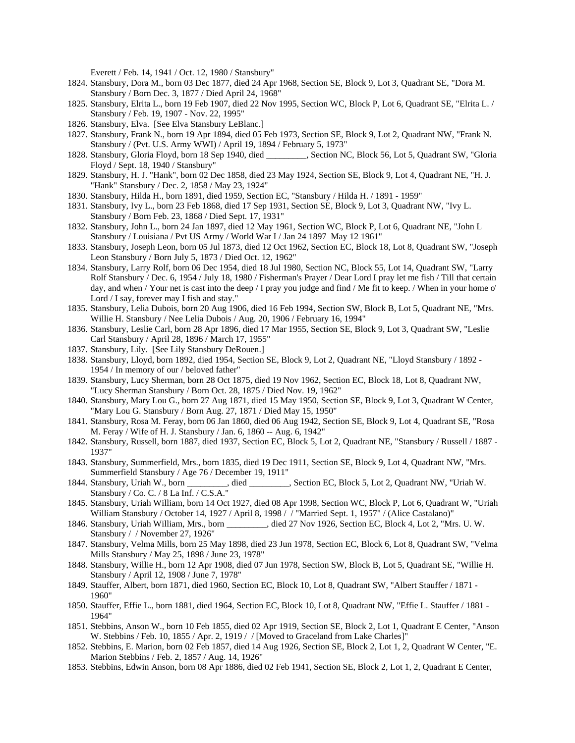Everett / Feb. 14, 1941 / Oct. 12, 1980 / Stansbury"

- 1824. Stansbury, Dora M., born 03 Dec 1877, died 24 Apr 1968, Section SE, Block 9, Lot 3, Quadrant SE, "Dora M. Stansbury / Born Dec. 3, 1877 / Died April 24, 1968"
- 1825. Stansbury, Elrita L., born 19 Feb 1907, died 22 Nov 1995, Section WC, Block P, Lot 6, Quadrant SE, "Elrita L. / Stansbury / Feb. 19, 1907 - Nov. 22, 1995"
- 1826. Stansbury, Elva. [See Elva Stansbury LeBlanc.]
- 1827. Stansbury, Frank N., born 19 Apr 1894, died 05 Feb 1973, Section SE, Block 9, Lot 2, Quadrant NW, "Frank N. Stansbury / (Pvt. U.S. Army WWI) / April 19, 1894 / February 5, 1973"
- 1828. Stansbury, Gloria Floyd, born 18 Sep 1940, died \_\_\_\_\_\_\_\_\_, Section NC, Block 56, Lot 5, Quadrant SW, "Gloria Floyd / Sept. 18, 1940 / Stansbury"
- 1829. Stansbury, H. J. "Hank", born 02 Dec 1858, died 23 May 1924, Section SE, Block 9, Lot 4, Quadrant NE, "H. J. "Hank" Stansbury / Dec. 2, 1858 / May 23, 1924"
- 1830. Stansbury, Hilda H., born 1891, died 1959, Section EC, "Stansbury / Hilda H. / 1891 1959"
- 1831. Stansbury, Ivy L., born 23 Feb 1868, died 17 Sep 1931, Section SE, Block 9, Lot 3, Quadrant NW, "Ivy L. Stansbury / Born Feb. 23, 1868 / Died Sept. 17, 1931"
- 1832. Stansbury, John L., born 24 Jan 1897, died 12 May 1961, Section WC, Block P, Lot 6, Quadrant NE, "John L Stansbury / Louisiana / Pvt US Army / World War I / Jan 24 1897 May 12 1961"
- 1833. Stansbury, Joseph Leon, born 05 Jul 1873, died 12 Oct 1962, Section EC, Block 18, Lot 8, Quadrant SW, "Joseph Leon Stansbury / Born July 5, 1873 / Died Oct. 12, 1962"
- 1834. Stansbury, Larry Rolf, born 06 Dec 1954, died 18 Jul 1980, Section NC, Block 55, Lot 14, Quadrant SW, "Larry Rolf Stansbury / Dec. 6, 1954 / July 18, 1980 / Fisherman's Prayer / Dear Lord I pray let me fish / Till that certain day, and when / Your net is cast into the deep / I pray you judge and find / Me fit to keep. / When in your home o' Lord / I say, forever may I fish and stay."
- 1835. Stansbury, Lelia Dubois, born 20 Aug 1906, died 16 Feb 1994, Section SW, Block B, Lot 5, Quadrant NE, "Mrs. Willie H. Stansbury / Nee Lelia Dubois / Aug. 20, 1906 / February 16, 1994"
- 1836. Stansbury, Leslie Carl, born 28 Apr 1896, died 17 Mar 1955, Section SE, Block 9, Lot 3, Quadrant SW, "Leslie Carl Stansbury / April 28, 1896 / March 17, 1955"
- 1837. Stansbury, Lily. [See Lily Stansbury DeRouen.]
- 1838. Stansbury, Lloyd, born 1892, died 1954, Section SE, Block 9, Lot 2, Quadrant NE, "Lloyd Stansbury / 1892 1954 / In memory of our / beloved father"
- 1839. Stansbury, Lucy Sherman, born 28 Oct 1875, died 19 Nov 1962, Section EC, Block 18, Lot 8, Quadrant NW, "Lucy Sherman Stansbury / Born Oct. 28, 1875 / Died Nov. 19, 1962"
- 1840. Stansbury, Mary Lou G., born 27 Aug 1871, died 15 May 1950, Section SE, Block 9, Lot 3, Quadrant W Center, "Mary Lou G. Stansbury / Born Aug. 27, 1871 / Died May 15, 1950"
- 1841. Stansbury, Rosa M. Feray, born 06 Jan 1860, died 06 Aug 1942, Section SE, Block 9, Lot 4, Quadrant SE, "Rosa M. Feray / Wife of H. J. Stansbury / Jan. 6, 1860 -- Aug. 6, 1942"
- 1842. Stansbury, Russell, born 1887, died 1937, Section EC, Block 5, Lot 2, Quadrant NE, "Stansbury / Russell / 1887 1937"
- 1843. Stansbury, Summerfield, Mrs., born 1835, died 19 Dec 1911, Section SE, Block 9, Lot 4, Quadrant NW, "Mrs. Summerfield Stansbury / Age 76 / December 19, 1911"
- 1844. Stansbury, Uriah W., born \_\_\_\_\_\_\_\_\_, died \_\_\_\_\_\_\_\_\_, Section EC, Block 5, Lot 2, Quadrant NW, "Uriah W. Stansbury / Co. C. / 8 La Inf. / C.S.A."
- 1845. Stansbury, Uriah William, born 14 Oct 1927, died 08 Apr 1998, Section WC, Block P, Lot 6, Quadrant W, "Uriah William Stansbury / October 14, 1927 / April 8, 1998 / / "Married Sept. 1, 1957" / (Alice Castalano)"
- 1846. Stansbury, Uriah William, Mrs., born \_\_\_\_\_\_\_\_\_, died 27 Nov 1926, Section EC, Block 4, Lot 2, "Mrs. U. W. Stansbury / / November 27, 1926"
- 1847. Stansbury, Velma Mills, born 25 May 1898, died 23 Jun 1978, Section EC, Block 6, Lot 8, Quadrant SW, "Velma Mills Stansbury / May 25, 1898 / June 23, 1978"
- 1848. Stansbury, Willie H., born 12 Apr 1908, died 07 Jun 1978, Section SW, Block B, Lot 5, Quadrant SE, "Willie H. Stansbury / April 12, 1908 / June 7, 1978"
- 1849. Stauffer, Albert, born 1871, died 1960, Section EC, Block 10, Lot 8, Quadrant SW, "Albert Stauffer / 1871 1960"
- 1850. Stauffer, Effie L., born 1881, died 1964, Section EC, Block 10, Lot 8, Quadrant NW, "Effie L. Stauffer / 1881 1964"
- 1851. Stebbins, Anson W., born 10 Feb 1855, died 02 Apr 1919, Section SE, Block 2, Lot 1, Quadrant E Center, "Anson W. Stebbins / Feb. 10, 1855 / Apr. 2, 1919 / / [Moved to Graceland from Lake Charles]"
- 1852. Stebbins, E. Marion, born 02 Feb 1857, died 14 Aug 1926, Section SE, Block 2, Lot 1, 2, Quadrant W Center, "E. Marion Stebbins / Feb. 2, 1857 / Aug. 14, 1926"
- 1853. Stebbins, Edwin Anson, born 08 Apr 1886, died 02 Feb 1941, Section SE, Block 2, Lot 1, 2, Quadrant E Center,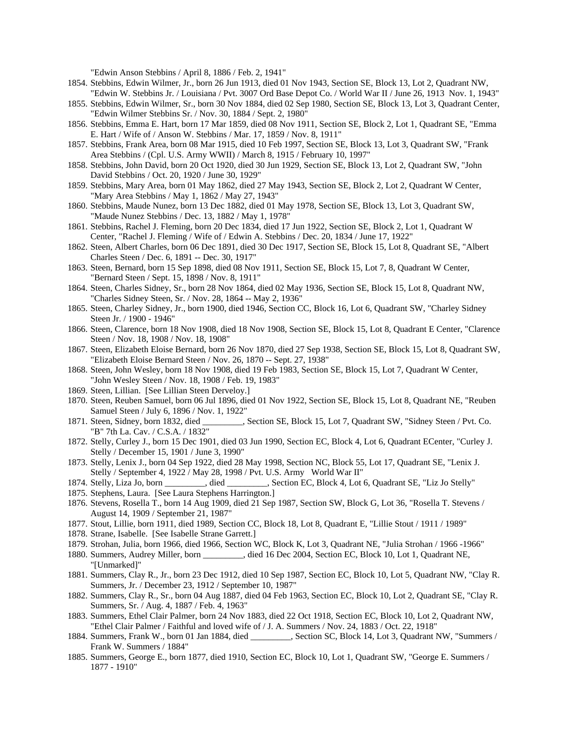"Edwin Anson Stebbins / April 8, 1886 / Feb. 2, 1941"

- 1854. Stebbins, Edwin Wilmer, Jr., born 26 Jun 1913, died 01 Nov 1943, Section SE, Block 13, Lot 2, Quadrant NW, "Edwin W. Stebbins Jr. / Louisiana / Pvt. 3007 Ord Base Depot Co. / World War II / June 26, 1913 Nov. 1, 1943"
- 1855. Stebbins, Edwin Wilmer, Sr., born 30 Nov 1884, died 02 Sep 1980, Section SE, Block 13, Lot 3, Quadrant Center, "Edwin Wilmer Stebbins Sr. / Nov. 30, 1884 / Sept. 2, 1980"
- 1856. Stebbins, Emma E. Hart, born 17 Mar 1859, died 08 Nov 1911, Section SE, Block 2, Lot 1, Quadrant SE, "Emma E. Hart / Wife of / Anson W. Stebbins / Mar. 17, 1859 / Nov. 8, 1911"
- 1857. Stebbins, Frank Area, born 08 Mar 1915, died 10 Feb 1997, Section SE, Block 13, Lot 3, Quadrant SW, "Frank Area Stebbins / (Cpl. U.S. Army WWII) / March 8, 1915 / February 10, 1997"
- 1858. Stebbins, John David, born 20 Oct 1920, died 30 Jun 1929, Section SE, Block 13, Lot 2, Quadrant SW, "John David Stebbins / Oct. 20, 1920 / June 30, 1929"
- 1859. Stebbins, Mary Area, born 01 May 1862, died 27 May 1943, Section SE, Block 2, Lot 2, Quadrant W Center, "Mary Area Stebbins / May 1, 1862 / May 27, 1943"
- 1860. Stebbins, Maude Nunez, born 13 Dec 1882, died 01 May 1978, Section SE, Block 13, Lot 3, Quadrant SW, "Maude Nunez Stebbins / Dec. 13, 1882 / May 1, 1978"
- 1861. Stebbins, Rachel J. Fleming, born 20 Dec 1834, died 17 Jun 1922, Section SE, Block 2, Lot 1, Quadrant W Center, "Rachel J. Fleming / Wife of / Edwin A. Stebbins / Dec. 20, 1834 / June 17, 1922"
- 1862. Steen, Albert Charles, born 06 Dec 1891, died 30 Dec 1917, Section SE, Block 15, Lot 8, Quadrant SE, "Albert Charles Steen / Dec. 6, 1891 -- Dec. 30, 1917"
- 1863. Steen, Bernard, born 15 Sep 1898, died 08 Nov 1911, Section SE, Block 15, Lot 7, 8, Quadrant W Center, "Bernard Steen / Sept. 15, 1898 / Nov. 8, 1911"
- 1864. Steen, Charles Sidney, Sr., born 28 Nov 1864, died 02 May 1936, Section SE, Block 15, Lot 8, Quadrant NW, "Charles Sidney Steen, Sr. / Nov. 28, 1864 -- May 2, 1936"
- 1865. Steen, Charley Sidney, Jr., born 1900, died 1946, Section CC, Block 16, Lot 6, Quadrant SW, "Charley Sidney Steen Jr. / 1900 - 1946"
- 1866. Steen, Clarence, born 18 Nov 1908, died 18 Nov 1908, Section SE, Block 15, Lot 8, Quadrant E Center, "Clarence Steen / Nov. 18, 1908 / Nov. 18, 1908"
- 1867. Steen, Elizabeth Eloise Bernard, born 26 Nov 1870, died 27 Sep 1938, Section SE, Block 15, Lot 8, Quadrant SW, "Elizabeth Eloise Bernard Steen / Nov. 26, 1870 -- Sept. 27, 1938"
- 1868. Steen, John Wesley, born 18 Nov 1908, died 19 Feb 1983, Section SE, Block 15, Lot 7, Quadrant W Center, "John Wesley Steen / Nov. 18, 1908 / Feb. 19, 1983"
- 1869. Steen, Lillian. [See Lillian Steen Derveloy.]
- 1870. Steen, Reuben Samuel, born 06 Jul 1896, died 01 Nov 1922, Section SE, Block 15, Lot 8, Quadrant NE, "Reuben Samuel Steen / July 6, 1896 / Nov. 1, 1922"
- 1871. Steen, Sidney, born 1832, died \_\_\_\_\_\_\_\_\_, Section SE, Block 15, Lot 7, Quadrant SW, "Sidney Steen / Pvt. Co. "B" 7th La. Cav. / C.S.A. / 1832"
- 1872. Stelly, Curley J., born 15 Dec 1901, died 03 Jun 1990, Section EC, Block 4, Lot 6, Quadrant ECenter, "Curley J. Stelly / December 15, 1901 / June 3, 1990"
- 1873. Stelly, Lenix J., born 04 Sep 1922, died 28 May 1998, Section NC, Block 55, Lot 17, Quadrant SE, "Lenix J. Stelly / September 4, 1922 / May 28, 1998 / Pvt. U.S. Army World War II"
- 1874. Stelly, Liza Jo, born \_\_\_\_\_\_\_\_\_, died \_\_\_\_\_\_\_\_\_, Section EC, Block 4, Lot 6, Quadrant SE, "Liz Jo Stelly"
- 1875. Stephens, Laura. [See Laura Stephens Harrington.]
- 1876. Stevens, Rosella T., born 14 Aug 1909, died 21 Sep 1987, Section SW, Block G, Lot 36, "Rosella T. Stevens / August 14, 1909 / September 21, 1987"
- 1877. Stout, Lillie, born 1911, died 1989, Section CC, Block 18, Lot 8, Quadrant E, "Lillie Stout / 1911 / 1989"
- 1878. Strane, Isabelle. [See Isabelle Strane Garrett.]
- 1879. Strohan, Julia, born 1966, died 1966, Section WC, Block K, Lot 3, Quadrant NE, "Julia Strohan / 1966 -1966"
- 1880. Summers, Audrey Miller, born \_\_\_\_\_\_\_\_\_, died 16 Dec 2004, Section EC, Block 10, Lot 1, Quadrant NE, "[Unmarked]"
- 1881. Summers, Clay R., Jr., born 23 Dec 1912, died 10 Sep 1987, Section EC, Block 10, Lot 5, Quadrant NW, "Clay R. Summers, Jr. / December 23, 1912 / September 10, 1987"
- 1882. Summers, Clay R., Sr., born 04 Aug 1887, died 04 Feb 1963, Section EC, Block 10, Lot 2, Quadrant SE, "Clay R. Summers, Sr. / Aug. 4, 1887 / Feb. 4, 1963"
- 1883. Summers, Ethel Clair Palmer, born 24 Nov 1883, died 22 Oct 1918, Section EC, Block 10, Lot 2, Quadrant NW, "Ethel Clair Palmer / Faithful and loved wife of / J. A. Summers / Nov. 24, 1883 / Oct. 22, 1918"
- 1884. Summers, Frank W., born 01 Jan 1884, died \_\_\_\_\_\_\_\_\_, Section SC, Block 14, Lot 3, Quadrant NW, "Summers / Frank W. Summers / 1884"
- 1885. Summers, George E., born 1877, died 1910, Section EC, Block 10, Lot 1, Quadrant SW, "George E. Summers / 1877 - 1910"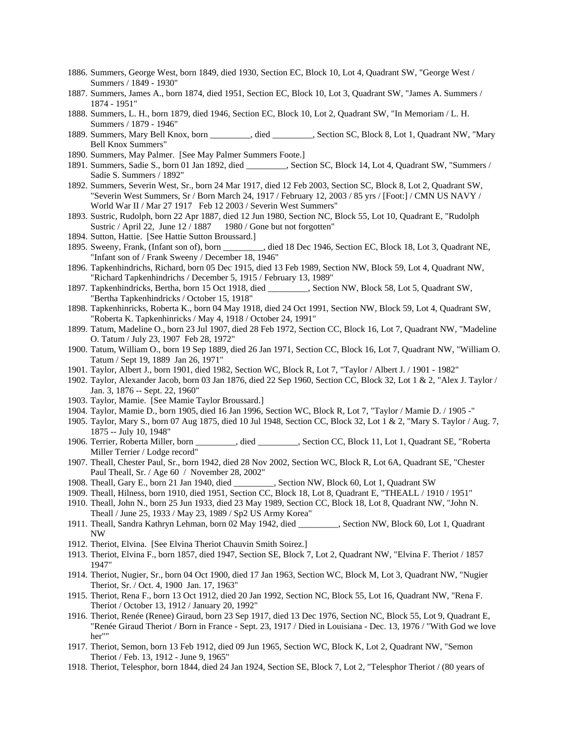- 1886. Summers, George West, born 1849, died 1930, Section EC, Block 10, Lot 4, Quadrant SW, "George West / Summers / 1849 - 1930"
- 1887. Summers, James A., born 1874, died 1951, Section EC, Block 10, Lot 3, Quadrant SW, "James A. Summers / 1874 - 1951"
- 1888. Summers, L. H., born 1879, died 1946, Section EC, Block 10, Lot 2, Quadrant SW, "In Memoriam / L. H. Summers / 1879 - 1946"
- 1889. Summers, Mary Bell Knox, born \_\_\_\_\_\_\_\_\_, died \_\_\_\_\_\_\_\_\_, Section SC, Block 8, Lot 1, Quadrant NW, "Mary Bell Knox Summers"
- 1890. Summers, May Palmer. [See May Palmer Summers Foote.]
- 1891. Summers, Sadie S., born 01 Jan 1892, died \_\_\_\_\_\_\_\_\_, Section SC, Block 14, Lot 4, Quadrant SW, "Summers / Sadie S. Summers / 1892"
- 1892. Summers, Severin West, Sr., born 24 Mar 1917, died 12 Feb 2003, Section SC, Block 8, Lot 2, Quadrant SW, "Severin West Summers, Sr / Born March 24, 1917 / February 12, 2003 / 85 yrs / [Foot:] / CMN US NAVY / World War II / Mar 27 1917 Feb 12 2003 / Severin West Summers"
- 1893. Sustric, Rudolph, born 22 Apr 1887, died 12 Jun 1980, Section NC, Block 55, Lot 10, Quadrant E, "Rudolph Sustric / April 22, June 12 / 1887 1980 / Gone but not forgotten"
- 1894. Sutton, Hattie. [See Hattie Sutton Broussard.]
- 1895. Sweeny, Frank, (Infant son of), born \_\_\_\_\_\_\_\_\_, died 18 Dec 1946, Section EC, Block 18, Lot 3, Quadrant NE, "Infant son of / Frank Sweeny / December 18, 1946"
- 1896. Tapkenhindrichs, Richard, born 05 Dec 1915, died 13 Feb 1989, Section NW, Block 59, Lot 4, Quadrant NW, "Richard Tapkenhindrichs / December 5, 1915 / February 13, 1989"
- 1897. Tapkenhindricks, Bertha, born 15 Oct 1918, died \_\_\_\_\_\_\_\_\_, Section NW, Block 58, Lot 5, Quadrant SW, "Bertha Tapkenhindricks / October 15, 1918"
- 1898. Tapkenhinricks, Roberta K., born 04 May 1918, died 24 Oct 1991, Section NW, Block 59, Lot 4, Quadrant SW, "Roberta K. Tapkenhinricks / May 4, 1918 / October 24, 1991"
- 1899. Tatum, Madeline O., born 23 Jul 1907, died 28 Feb 1972, Section CC, Block 16, Lot 7, Quadrant NW, "Madeline O. Tatum / July 23, 1907 Feb 28, 1972"
- 1900. Tatum, William O., born 19 Sep 1889, died 26 Jan 1971, Section CC, Block 16, Lot 7, Quadrant NW, "William O. Tatum / Sept 19, 1889 Jan 26, 1971"
- 1901. Taylor, Albert J., born 1901, died 1982, Section WC, Block R, Lot 7, "Taylor / Albert J. / 1901 1982"
- 1902. Taylor, Alexander Jacob, born 03 Jan 1876, died 22 Sep 1960, Section CC, Block 32, Lot 1 & 2, "Alex J. Taylor / Jan. 3, 1876 -- Sept. 22, 1960"
- 1903. Taylor, Mamie. [See Mamie Taylor Broussard.]
- 1904. Taylor, Mamie D., born 1905, died 16 Jan 1996, Section WC, Block R, Lot 7, "Taylor / Mamie D. / 1905 -"
- 1905. Taylor, Mary S., born 07 Aug 1875, died 10 Jul 1948, Section CC, Block 32, Lot 1 & 2, "Mary S. Taylor / Aug. 7, 1875 -- July 10, 1948"
- 1906. Terrier, Roberta Miller, born \_\_\_\_\_\_\_\_\_, died \_\_\_\_\_\_\_\_\_, Section CC, Block 11, Lot 1, Quadrant SE, "Roberta Miller Terrier / Lodge record"
- 1907. Theall, Chester Paul, Sr., born 1942, died 28 Nov 2002, Section WC, Block R, Lot 6A, Quadrant SE, "Chester Paul Theall, Sr. / Age 60 / November 28, 2002"
- 1908. Theall, Gary E., born 21 Jan 1940, died \_\_\_\_\_\_\_\_\_, Section NW, Block 60, Lot 1, Quadrant SW
- 1909. Theall, Hilness, born 1910, died 1951, Section CC, Block 18, Lot 8, Quadrant E, "THEALL / 1910 / 1951"
- 1910. Theall, John N., born 25 Jun 1933, died 23 May 1989, Section CC, Block 18, Lot 8, Quadrant NW, "John N. Theall / June 25, 1933 / May 23, 1989 / Sp2 US Army Korea"
- 1911. Theall, Sandra Kathryn Lehman, born 02 May 1942, died \_\_\_\_\_\_\_\_\_, Section NW, Block 60, Lot 1, Quadrant NW
- 1912. Theriot, Elvina. [See Elvina Theriot Chauvin Smith Soirez.]
- 1913. Theriot, Elvina F., born 1857, died 1947, Section SE, Block 7, Lot 2, Quadrant NW, "Elvina F. Theriot / 1857 1947"
- 1914. Theriot, Nugier, Sr., born 04 Oct 1900, died 17 Jan 1963, Section WC, Block M, Lot 3, Quadrant NW, "Nugier Theriot, Sr. / Oct. 4, 1900 Jan. 17, 1963"
- 1915. Theriot, Rena F., born 13 Oct 1912, died 20 Jan 1992, Section NC, Block 55, Lot 16, Quadrant NW, "Rena F. Theriot / October 13, 1912 / January 20, 1992"
- 1916. Theriot, Renée (Renee) Giraud, born 23 Sep 1917, died 13 Dec 1976, Section NC, Block 55, Lot 9, Quadrant E, "Renée Giraud Theriot / Born in France - Sept. 23, 1917 / Died in Louisiana - Dec. 13, 1976 / "With God we love her""
- 1917. Theriot, Semon, born 13 Feb 1912, died 09 Jun 1965, Section WC, Block K, Lot 2, Quadrant NW, "Semon Theriot / Feb. 13, 1912 - June 9, 1965"
- 1918. Theriot, Telesphor, born 1844, died 24 Jan 1924, Section SE, Block 7, Lot 2, "Telesphor Theriot / (80 years of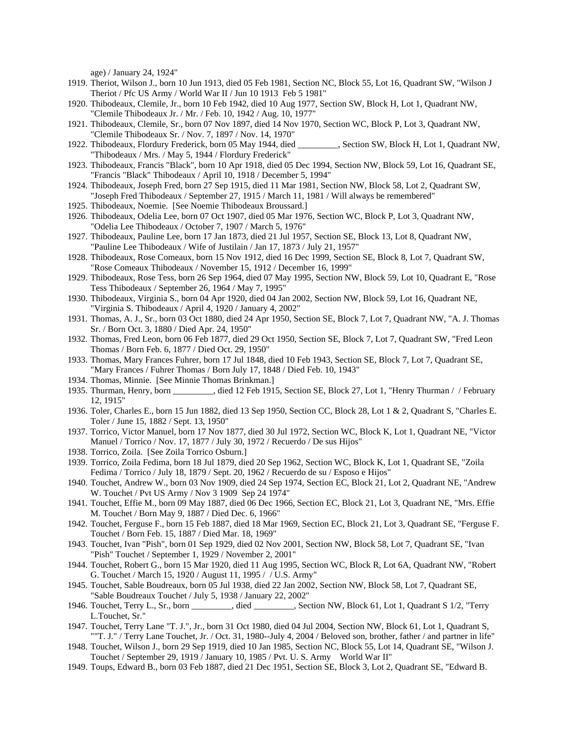age) / January 24, 1924"

- 1919. Theriot, Wilson J., born 10 Jun 1913, died 05 Feb 1981, Section NC, Block 55, Lot 16, Quadrant SW, "Wilson J Theriot / Pfc US Army / World War II / Jun 10 1913 Feb 5 1981"
- 1920. Thibodeaux, Clemile, Jr., born 10 Feb 1942, died 10 Aug 1977, Section SW, Block H, Lot 1, Quadrant NW, "Clemile Thibodeaux Jr. / Mr. / Feb. 10, 1942 / Aug. 10, 1977"
- 1921. Thibodeaux, Clemile, Sr., born 07 Nov 1897, died 14 Nov 1970, Section WC, Block P, Lot 3, Quadrant NW, "Clemile Thibodeaux Sr. / Nov. 7, 1897 / Nov. 14, 1970"
- 1922. Thibodeaux, Flordury Frederick, born 05 May 1944, died \_\_\_\_\_\_\_\_\_, Section SW, Block H, Lot 1, Quadrant NW, "Thibodeaux / Mrs. / May 5, 1944 / Flordury Frederick"
- 1923. Thibodeaux, Francis "Black", born 10 Apr 1918, died 05 Dec 1994, Section NW, Block 59, Lot 16, Quadrant SE, "Francis "Black" Thibodeaux / April 10, 1918 / December 5, 1994"
- 1924. Thibodeaux, Joseph Fred, born 27 Sep 1915, died 11 Mar 1981, Section NW, Block 58, Lot 2, Quadrant SW, "Joseph Fred Thibodeaux / September 27, 1915 / March 11, 1981 / Will always be remembered"
- 1925. Thibodeaux, Noemie. [See Noemie Thibodeaux Broussard.]
- 1926. Thibodeaux, Odelia Lee, born 07 Oct 1907, died 05 Mar 1976, Section WC, Block P, Lot 3, Quadrant NW, "Odelia Lee Thibodeaux / October 7, 1907 / March 5, 1976"
- 1927. Thibodeaux, Pauline Lee, born 17 Jan 1873, died 21 Jul 1957, Section SE, Block 13, Lot 8, Quadrant NW, "Pauline Lee Thibodeaux / Wife of Justilain / Jan 17, 1873 / July 21, 1957"
- 1928. Thibodeaux, Rose Comeaux, born 15 Nov 1912, died 16 Dec 1999, Section SE, Block 8, Lot 7, Quadrant SW, "Rose Comeaux Thibodeaux / November 15, 1912 / December 16, 1999"
- 1929. Thibodeaux, Rose Tess, born 26 Sep 1964, died 07 May 1995, Section NW, Block 59, Lot 10, Quadrant E, "Rose Tess Thibodeaux / September 26, 1964 / May 7, 1995"
- 1930. Thibodeaux, Virginia S., born 04 Apr 1920, died 04 Jan 2002, Section NW, Block 59, Lot 16, Quadrant NE, "Virginia S. Thibodeaux / April 4, 1920 / January 4, 2002"
- 1931. Thomas, A. J., Sr., born 03 Oct 1880, died 24 Apr 1950, Section SE, Block 7, Lot 7, Quadrant NW, "A. J. Thomas Sr. / Born Oct. 3, 1880 / Died Apr. 24, 1950"
- 1932. Thomas, Fred Leon, born 06 Feb 1877, died 29 Oct 1950, Section SE, Block 7, Lot 7, Quadrant SW, "Fred Leon Thomas / Born Feb. 6, 1877 / Died Oct. 29, 1950"
- 1933. Thomas, Mary Frances Fuhrer, born 17 Jul 1848, died 10 Feb 1943, Section SE, Block 7, Lot 7, Quadrant SE, "Mary Frances / Fuhrer Thomas / Born July 17, 1848 / Died Feb. 10, 1943"
- 1934. Thomas, Minnie. [See Minnie Thomas Brinkman.]
- 1935. Thurman, Henry, born \_\_\_\_\_\_\_\_\_, died 12 Feb 1915, Section SE, Block 27, Lot 1, "Henry Thurman / / February 12, 1915"
- 1936. Toler, Charles E., born 15 Jun 1882, died 13 Sep 1950, Section CC, Block 28, Lot 1 & 2, Quadrant S, "Charles E. Toler / June 15, 1882 / Sept. 13, 1950"
- 1937. Torrico, Victor Manuel, born 17 Nov 1877, died 30 Jul 1972, Section WC, Block K, Lot 1, Quadrant NE, "Victor Manuel / Torrico / Nov. 17, 1877 / July 30, 1972 / Recuerdo / De sus Hijos"
- 1938. Torrico, Zoila. [See Zoila Torrico Osburn.]
- 1939. Torrico, Zoila Fedima, born 18 Jul 1879, died 20 Sep 1962, Section WC, Block K, Lot 1, Quadrant SE, "Zoila Fedima / Torrico / July 18, 1879 / Sept. 20, 1962 / Recuerdo de su / Esposo e Hijos"
- 1940. Touchet, Andrew W., born 03 Nov 1909, died 24 Sep 1974, Section EC, Block 21, Lot 2, Quadrant NE, "Andrew W. Touchet / Pvt US Army / Nov 3 1909 Sep 24 1974"
- 1941. Touchet, Effie M., born 09 May 1887, died 06 Dec 1966, Section EC, Block 21, Lot 3, Quadrant NE, "Mrs. Effie M. Touchet / Born May 9, 1887 / Died Dec. 6, 1966"
- 1942. Touchet, Ferguse F., born 15 Feb 1887, died 18 Mar 1969, Section EC, Block 21, Lot 3, Quadrant SE, "Ferguse F. Touchet / Born Feb. 15, 1887 / Died Mar. 18, 1969"
- 1943. Touchet, Ivan "Pish", born 01 Sep 1929, died 02 Nov 2001, Section NW, Block 58, Lot 7, Quadrant SE, "Ivan "Pish" Touchet / September 1, 1929 / November 2, 2001"
- 1944. Touchet, Robert G., born 15 Mar 1920, died 11 Aug 1995, Section WC, Block R, Lot 6A, Quadrant NW, "Robert G. Touchet / March 15, 1920 / August 11, 1995 / / U.S. Army"
- 1945. Touchet, Sable Boudreaux, born 05 Jul 1938, died 22 Jan 2002, Section NW, Block 58, Lot 7, Quadrant SE, "Sable Boudreaux Touchet / July 5, 1938 / January 22, 2002"
- 1946. Touchet, Terry L., Sr., born \_\_\_\_\_\_\_\_\_, died \_\_\_\_\_\_\_\_\_, Section NW, Block 61, Lot 1, Quadrant S 1/2, "Terry L.Touchet, Sr."
- 1947. Touchet, Terry Lane "T. J.", Jr., born 31 Oct 1980, died 04 Jul 2004, Section NW, Block 61, Lot 1, Quadrant S, ""T. J." / Terry Lane Touchet, Jr. / Oct. 31, 1980--July 4, 2004 / Beloved son, brother, father / and partner in life"
- 1948. Touchet, Wilson J., born 29 Sep 1919, died 10 Jan 1985, Section NC, Block 55, Lot 14, Quadrant SE, "Wilson J. Touchet / September 29, 1919 / January 10, 1985 / Pvt. U. S. Army World War II"
- 1949. Toups, Edward B., born 03 Feb 1887, died 21 Dec 1951, Section SE, Block 3, Lot 2, Quadrant SE, "Edward B.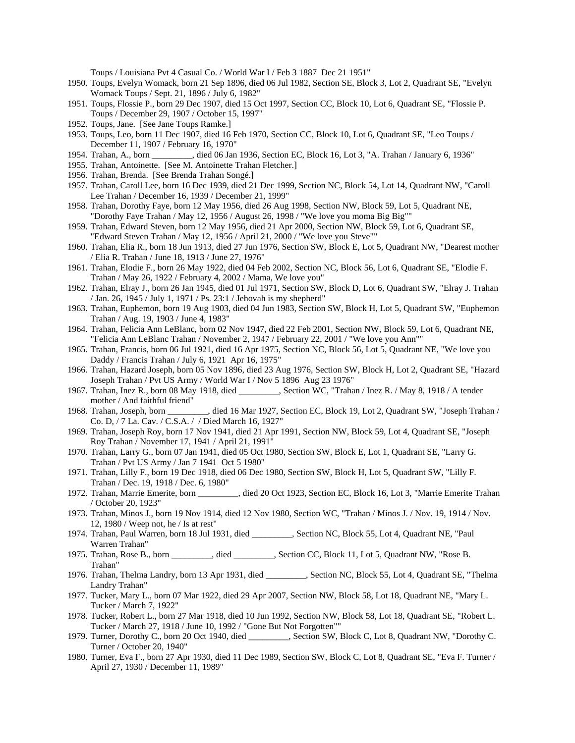Toups / Louisiana Pvt 4 Casual Co. / World War I / Feb 3 1887 Dec 21 1951"

- 1950. Toups, Evelyn Womack, born 21 Sep 1896, died 06 Jul 1982, Section SE, Block 3, Lot 2, Quadrant SE, "Evelyn Womack Toups / Sept. 21, 1896 / July 6, 1982"
- 1951. Toups, Flossie P., born 29 Dec 1907, died 15 Oct 1997, Section CC, Block 10, Lot 6, Quadrant SE, "Flossie P. Toups / December 29, 1907 / October 15, 1997"
- 1952. Toups, Jane. [See Jane Toups Ramke.]
- 1953. Toups, Leo, born 11 Dec 1907, died 16 Feb 1970, Section CC, Block 10, Lot 6, Quadrant SE, "Leo Toups / December 11, 1907 / February 16, 1970"
- 1954. Trahan, A., born \_\_\_\_\_\_\_\_\_, died 06 Jan 1936, Section EC, Block 16, Lot 3, "A. Trahan / January 6, 1936"
- 1955. Trahan, Antoinette. [See M. Antoinette Trahan Fletcher.]
- 1956. Trahan, Brenda. [See Brenda Trahan Songé.]
- 1957. Trahan, Caroll Lee, born 16 Dec 1939, died 21 Dec 1999, Section NC, Block 54, Lot 14, Quadrant NW, "Caroll Lee Trahan / December 16, 1939 / December 21, 1999"
- 1958. Trahan, Dorothy Faye, born 12 May 1956, died 26 Aug 1998, Section NW, Block 59, Lot 5, Quadrant NE, "Dorothy Faye Trahan / May 12, 1956 / August 26, 1998 / "We love you moma Big Big""
- 1959. Trahan, Edward Steven, born 12 May 1956, died 21 Apr 2000, Section NW, Block 59, Lot 6, Quadrant SE, "Edward Steven Trahan / May 12, 1956 / April 21, 2000 / "We love you Steve""
- 1960. Trahan, Elia R., born 18 Jun 1913, died 27 Jun 1976, Section SW, Block E, Lot 5, Quadrant NW, "Dearest mother / Elia R. Trahan / June 18, 1913 / June 27, 1976"
- 1961. Trahan, Elodie F., born 26 May 1922, died 04 Feb 2002, Section NC, Block 56, Lot 6, Quadrant SE, "Elodie F. Trahan / May 26, 1922 / February 4, 2002 / Mama, We love you"
- 1962. Trahan, Elray J., born 26 Jan 1945, died 01 Jul 1971, Section SW, Block D, Lot 6, Quadrant SW, "Elray J. Trahan / Jan. 26, 1945 / July 1, 1971 / Ps. 23:1 / Jehovah is my shepherd"
- 1963. Trahan, Euphemon, born 19 Aug 1903, died 04 Jun 1983, Section SW, Block H, Lot 5, Quadrant SW, "Euphemon Trahan / Aug. 19, 1903 / June 4, 1983"
- 1964. Trahan, Felicia Ann LeBlanc, born 02 Nov 1947, died 22 Feb 2001, Section NW, Block 59, Lot 6, Quadrant NE, "Felicia Ann LeBlanc Trahan / November 2, 1947 / February 22, 2001 / "We love you Ann""
- 1965. Trahan, Francis, born 06 Jul 1921, died 16 Apr 1975, Section NC, Block 56, Lot 5, Quadrant NE, "We love you Daddy / Francis Trahan / July 6, 1921 Apr 16, 1975"
- 1966. Trahan, Hazard Joseph, born 05 Nov 1896, died 23 Aug 1976, Section SW, Block H, Lot 2, Quadrant SE, "Hazard Joseph Trahan / Pvt US Army / World War I / Nov 5 1896 Aug 23 1976"
- 1967. Trahan, Inez R., born 08 May 1918, died \_\_\_\_\_\_\_\_\_, Section WC, "Trahan / Inez R. / May 8, 1918 / A tender mother / And faithful friend"
- 1968. Trahan, Joseph, born \_\_\_\_\_\_\_\_\_, died 16 Mar 1927, Section EC, Block 19, Lot 2, Quadrant SW, "Joseph Trahan / Co. D, / 7 La. Cav. / C.S.A. / / Died March 16, 1927"
- 1969. Trahan, Joseph Roy, born 17 Nov 1941, died 21 Apr 1991, Section NW, Block 59, Lot 4, Quadrant SE, "Joseph Roy Trahan / November 17, 1941 / April 21, 1991"
- 1970. Trahan, Larry G., born 07 Jan 1941, died 05 Oct 1980, Section SW, Block E, Lot 1, Quadrant SE, "Larry G. Trahan / Pvt US Army / Jan 7 1941 Oct 5 1980"
- 1971. Trahan, Lilly F., born 19 Dec 1918, died 06 Dec 1980, Section SW, Block H, Lot 5, Quadrant SW, "Lilly F. Trahan / Dec. 19, 1918 / Dec. 6, 1980"
- 1972. Trahan, Marrie Emerite, born \_\_\_\_\_\_\_\_\_, died 20 Oct 1923, Section EC, Block 16, Lot 3, "Marrie Emerite Trahan / October 20, 1923"
- 1973. Trahan, Minos J., born 19 Nov 1914, died 12 Nov 1980, Section WC, "Trahan / Minos J. / Nov. 19, 1914 / Nov. 12, 1980 / Weep not, he / Is at rest"
- 1974. Trahan, Paul Warren, born 18 Jul 1931, died \_\_\_\_\_\_\_\_\_, Section NC, Block 55, Lot 4, Quadrant NE, "Paul Warren Trahan"
- 1975. Trahan, Rose B., born \_\_\_\_\_\_\_\_\_, died \_\_\_\_\_\_\_\_\_, Section CC, Block 11, Lot 5, Quadrant NW, "Rose B. Trahan"
- 1976. Trahan, Thelma Landry, born 13 Apr 1931, died \_\_\_\_\_\_\_\_\_, Section NC, Block 55, Lot 4, Quadrant SE, "Thelma Landry Trahan"
- 1977. Tucker, Mary L., born 07 Mar 1922, died 29 Apr 2007, Section NW, Block 58, Lot 18, Quadrant NE, "Mary L. Tucker / March 7, 1922"
- 1978. Tucker, Robert L., born 27 Mar 1918, died 10 Jun 1992, Section NW, Block 58, Lot 18, Quadrant SE, "Robert L. Tucker / March 27, 1918 / June 10, 1992 / "Gone But Not Forgotten""
- 1979. Turner, Dorothy C., born 20 Oct 1940, died \_\_\_\_\_\_\_\_\_, Section SW, Block C, Lot 8, Quadrant NW, "Dorothy C. Turner / October 20, 1940"
- 1980. Turner, Eva F., born 27 Apr 1930, died 11 Dec 1989, Section SW, Block C, Lot 8, Quadrant SE, "Eva F. Turner / April 27, 1930 / December 11, 1989"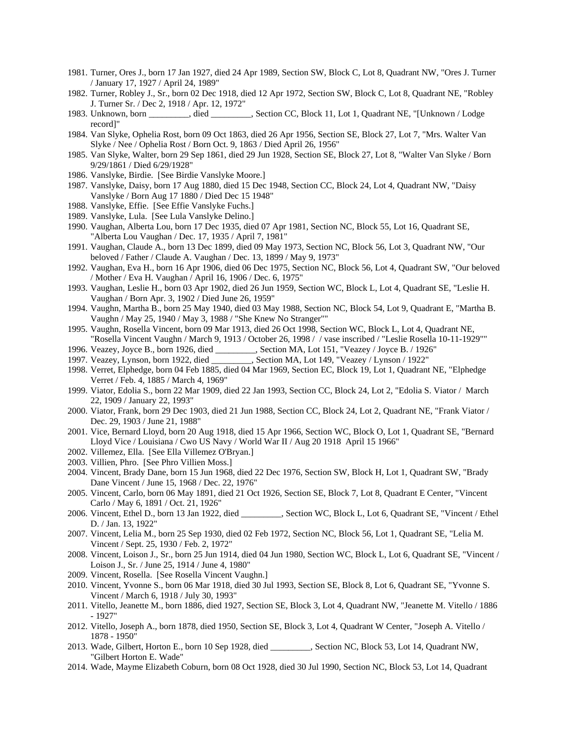- 1981. Turner, Ores J., born 17 Jan 1927, died 24 Apr 1989, Section SW, Block C, Lot 8, Quadrant NW, "Ores J. Turner / January 17, 1927 / April 24, 1989"
- 1982. Turner, Robley J., Sr., born 02 Dec 1918, died 12 Apr 1972, Section SW, Block C, Lot 8, Quadrant NE, "Robley J. Turner Sr. / Dec 2, 1918 / Apr. 12, 1972"
- 1983. Unknown, born \_\_\_\_\_\_\_\_\_, died \_\_\_\_\_\_\_\_\_, Section CC, Block 11, Lot 1, Quadrant NE, "[Unknown / Lodge record]"
- 1984. Van Slyke, Ophelia Rost, born 09 Oct 1863, died 26 Apr 1956, Section SE, Block 27, Lot 7, "Mrs. Walter Van Slyke / Nee / Ophelia Rost / Born Oct. 9, 1863 / Died April 26, 1956"
- 1985. Van Slyke, Walter, born 29 Sep 1861, died 29 Jun 1928, Section SE, Block 27, Lot 8, "Walter Van Slyke / Born 9/29/1861 / Died 6/29/1928"
- 1986. Vanslyke, Birdie. [See Birdie Vanslyke Moore.]
- 1987. Vanslyke, Daisy, born 17 Aug 1880, died 15 Dec 1948, Section CC, Block 24, Lot 4, Quadrant NW, "Daisy Vanslyke / Born Aug 17 1880 / Died Dec 15 1948"
- 1988. Vanslyke, Effie. [See Effie Vanslyke Fuchs.]
- 1989. Vanslyke, Lula. [See Lula Vanslyke Delino.]
- 1990. Vaughan, Alberta Lou, born 17 Dec 1935, died 07 Apr 1981, Section NC, Block 55, Lot 16, Quadrant SE, "Alberta Lou Vaughan / Dec. 17, 1935 / April 7, 1981"
- 1991. Vaughan, Claude A., born 13 Dec 1899, died 09 May 1973, Section NC, Block 56, Lot 3, Quadrant NW, "Our beloved / Father / Claude A. Vaughan / Dec. 13, 1899 / May 9, 1973"
- 1992. Vaughan, Eva H., born 16 Apr 1906, died 06 Dec 1975, Section NC, Block 56, Lot 4, Quadrant SW, "Our beloved / Mother / Eva H. Vaughan / April 16, 1906 / Dec. 6, 1975"
- 1993. Vaughan, Leslie H., born 03 Apr 1902, died 26 Jun 1959, Section WC, Block L, Lot 4, Quadrant SE, "Leslie H. Vaughan / Born Apr. 3, 1902 / Died June 26, 1959"
- 1994. Vaughn, Martha B., born 25 May 1940, died 03 May 1988, Section NC, Block 54, Lot 9, Quadrant E, "Martha B. Vaughn / May 25, 1940 / May 3, 1988 / "She Knew No Stranger""
- 1995. Vaughn, Rosella Vincent, born 09 Mar 1913, died 26 Oct 1998, Section WC, Block L, Lot 4, Quadrant NE, "Rosella Vincent Vaughn / March 9, 1913 / October 26, 1998 / / vase inscribed / "Leslie Rosella 10-11-1929""
- 1996. Veazey, Joyce B., born 1926, died \_\_\_\_\_\_\_\_\_, Section MA, Lot 151, "Veazey / Joyce B. / 1926"
- 1997. Veazey, Lynson, born 1922, died \_\_\_\_\_\_\_\_\_, Section MA, Lot 149, "Veazey / Lynson / 1922"
- 1998. Verret, Elphedge, born 04 Feb 1885, died 04 Mar 1969, Section EC, Block 19, Lot 1, Quadrant NE, "Elphedge Verret / Feb. 4, 1885 / March 4, 1969"
- 1999. Viator, Edolia S., born 22 Mar 1909, died 22 Jan 1993, Section CC, Block 24, Lot 2, "Edolia S. Viator / March 22, 1909 / January 22, 1993"
- 2000. Viator, Frank, born 29 Dec 1903, died 21 Jun 1988, Section CC, Block 24, Lot 2, Quadrant NE, "Frank Viator / Dec. 29, 1903 / June 21, 1988"
- 2001. Vice, Bernard Lloyd, born 20 Aug 1918, died 15 Apr 1966, Section WC, Block O, Lot 1, Quadrant SE, "Bernard Lloyd Vice / Louisiana / Cwo US Navy / World War II / Aug 20 1918 April 15 1966"
- 2002. Villemez, Ella. [See Ella Villemez O'Bryan.]
- 2003. Villien, Phro. [See Phro Villien Moss.]
- 2004. Vincent, Brady Dane, born 15 Jun 1968, died 22 Dec 1976, Section SW, Block H, Lot 1, Quadrant SW, "Brady Dane Vincent / June 15, 1968 / Dec. 22, 1976"
- 2005. Vincent, Carlo, born 06 May 1891, died 21 Oct 1926, Section SE, Block 7, Lot 8, Quadrant E Center, "Vincent Carlo / May 6, 1891 / Oct. 21, 1926"
- 2006. Vincent, Ethel D., born 13 Jan 1922, died \_\_\_\_\_\_\_\_\_, Section WC, Block L, Lot 6, Quadrant SE, "Vincent / Ethel D. / Jan. 13, 1922"
- 2007. Vincent, Lelia M., born 25 Sep 1930, died 02 Feb 1972, Section NC, Block 56, Lot 1, Quadrant SE, "Lelia M. Vincent / Sept. 25, 1930 / Feb. 2, 1972"
- 2008. Vincent, Loison J., Sr., born 25 Jun 1914, died 04 Jun 1980, Section WC, Block L, Lot 6, Quadrant SE, "Vincent / Loison J., Sr. / June 25, 1914 / June 4, 1980"
- 2009. Vincent, Rosella. [See Rosella Vincent Vaughn.]
- 2010. Vincent, Yvonne S., born 06 Mar 1918, died 30 Jul 1993, Section SE, Block 8, Lot 6, Quadrant SE, "Yvonne S. Vincent / March 6, 1918 / July 30, 1993"
- 2011. Vitello, Jeanette M., born 1886, died 1927, Section SE, Block 3, Lot 4, Quadrant NW, "Jeanette M. Vitello / 1886 - 1927"
- 2012. Vitello, Joseph A., born 1878, died 1950, Section SE, Block 3, Lot 4, Quadrant W Center, "Joseph A. Vitello / 1878 - 1950"
- 2013. Wade, Gilbert, Horton E., born 10 Sep 1928, died \_\_\_\_\_\_\_\_\_, Section NC, Block 53, Lot 14, Quadrant NW, "Gilbert Horton E. Wade"
- 2014. Wade, Mayme Elizabeth Coburn, born 08 Oct 1928, died 30 Jul 1990, Section NC, Block 53, Lot 14, Quadrant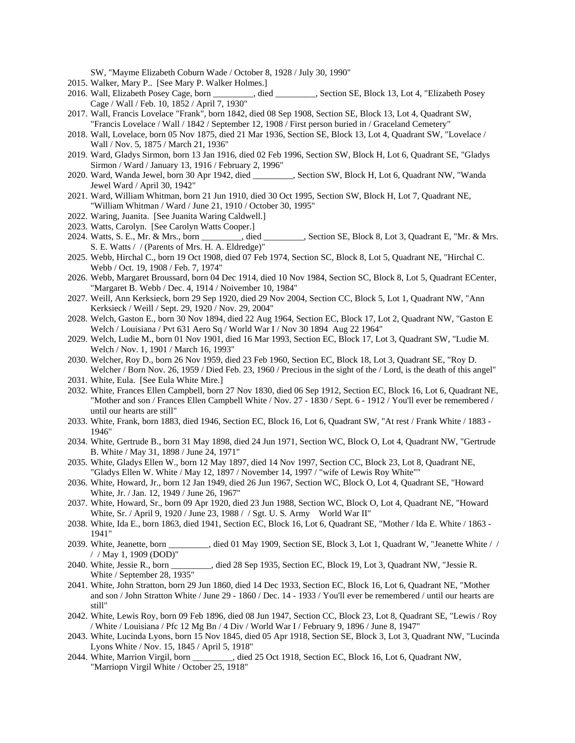SW, "Mayme Elizabeth Coburn Wade / October 8, 1928 / July 30, 1990"

- 2015. Walker, Mary P.. [See Mary P. Walker Holmes.]
- 2016. Wall, Elizabeth Posey Cage, born \_\_\_\_\_\_\_\_\_, died \_\_\_\_\_\_\_\_\_, Section SE, Block 13, Lot 4, "Elizabeth Posey Cage / Wall / Feb. 10, 1852 / April 7, 1930"
- 2017. Wall, Francis Lovelace "Frank", born 1842, died 08 Sep 1908, Section SE, Block 13, Lot 4, Quadrant SW, "Francis Lovelace / Wall / 1842 / September 12, 1908 / First person buried in / Graceland Cemetery"
- 2018. Wall, Lovelace, born 05 Nov 1875, died 21 Mar 1936, Section SE, Block 13, Lot 4, Quadrant SW, "Lovelace / Wall / Nov. 5, 1875 / March 21, 1936"
- 2019. Ward, Gladys Sirmon, born 13 Jan 1916, died 02 Feb 1996, Section SW, Block H, Lot 6, Quadrant SE, "Gladys Sirmon / Ward / January 13, 1916 / February 2, 1996"
- 2020. Ward, Wanda Jewel, born 30 Apr 1942, died \_\_\_\_\_\_\_\_\_, Section SW, Block H, Lot 6, Quadrant NW, "Wanda Jewel Ward / April 30, 1942"
- 2021. Ward, William Whitman, born 21 Jun 1910, died 30 Oct 1995, Section SW, Block H, Lot 7, Quadrant NE, "William Whitman / Ward / June 21, 1910 / October 30, 1995"
- 2022. Waring, Juanita. [See Juanita Waring Caldwell.]
- 2023. Watts, Carolyn. [See Carolyn Watts Cooper.]
- 2024. Watts, S. E., Mr. & Mrs., born \_\_\_\_\_\_\_\_\_, died \_\_\_\_\_\_\_\_\_, Section SE, Block 8, Lot 3, Quadrant E, "Mr. & Mrs. S. E. Watts / / (Parents of Mrs. H. A. Eldredge)"
- 2025. Webb, Hirchal C., born 19 Oct 1908, died 07 Feb 1974, Section SC, Block 8, Lot 5, Quadrant NE, "Hirchal C. Webb / Oct. 19, 1908 / Feb. 7, 1974"
- 2026. Webb, Margaret Broussard, born 04 Dec 1914, died 10 Nov 1984, Section SC, Block 8, Lot 5, Quadrant ECenter, "Margaret B. Webb / Dec. 4, 1914 / Noivember 10, 1984"
- 2027. Weill, Ann Kerksieck, born 29 Sep 1920, died 29 Nov 2004, Section CC, Block 5, Lot 1, Quadrant NW, "Ann Kerksieck / Weill / Sept. 29, 1920 / Nov. 29, 2004"
- 2028. Welch, Gaston E., born 30 Nov 1894, died 22 Aug 1964, Section EC, Block 17, Lot 2, Quadrant NW, "Gaston E Welch / Louisiana / Pvt 631 Aero Sq / World War I / Nov 30 1894 Aug 22 1964"
- 2029. Welch, Ludie M., born 01 Nov 1901, died 16 Mar 1993, Section EC, Block 17, Lot 3, Quadrant SW, "Ludie M. Welch / Nov. 1, 1901 / March 16, 1993"
- 2030. Welcher, Roy D., born 26 Nov 1959, died 23 Feb 1960, Section EC, Block 18, Lot 3, Quadrant SE, "Roy D. Welcher / Born Nov. 26, 1959 / Died Feb. 23, 1960 / Precious in the sight of the / Lord, is the death of this angel"
- 2031. White, Eula. [See Eula White Mire.]
- 2032. White, Frances Ellen Campbell, born 27 Nov 1830, died 06 Sep 1912, Section EC, Block 16, Lot 6, Quadrant NE, "Mother and son / Frances Ellen Campbell White / Nov. 27 - 1830 / Sept. 6 - 1912 / You'll ever be remembered / until our hearts are still"
- 2033. White, Frank, born 1883, died 1946, Section EC, Block 16, Lot 6, Quadrant SW, "At rest / Frank White / 1883 1946"
- 2034. White, Gertrude B., born 31 May 1898, died 24 Jun 1971, Section WC, Block O, Lot 4, Quadrant NW, "Gertrude B. White / May 31, 1898 / June 24, 1971"
- 2035. White, Gladys Ellen W., born 12 May 1897, died 14 Nov 1997, Section CC, Block 23, Lot 8, Quadrant NE, "Gladys Ellen W. White / May 12, 1897 / November 14, 1997 / "wife of Lewis Roy White""
- 2036. White, Howard, Jr., born 12 Jan 1949, died 26 Jun 1967, Section WC, Block O, Lot 4, Quadrant SE, "Howard White, Jr. / Jan. 12, 1949 / June 26, 1967"
- 2037. White, Howard, Sr., born 09 Apr 1920, died 23 Jun 1988, Section WC, Block O, Lot 4, Quadrant NE, "Howard White, Sr. / April 9, 1920 / June 23, 1988 / / Sgt. U. S. Army World War II"
- 2038. White, Ida E., born 1863, died 1941, Section EC, Block 16, Lot 6, Quadrant SE, "Mother / Ida E. White / 1863 1941"
- 2039. White, Jeanette, born \_\_\_\_\_\_\_\_\_, died 01 May 1909, Section SE, Block 3, Lot 1, Quadrant W, "Jeanette White / / / / May 1, 1909 (DOD)"
- 2040. White, Jessie R., born \_\_\_\_\_\_\_\_\_, died 28 Sep 1935, Section EC, Block 19, Lot 3, Quadrant NW, "Jessie R. White / September 28, 1935"
- 2041. White, John Stratton, born 29 Jun 1860, died 14 Dec 1933, Section EC, Block 16, Lot 6, Quadrant NE, "Mother and son / John Stratton White / June 29 - 1860 / Dec. 14 - 1933 / You'll ever be remembered / until our hearts are still"
- 2042. White, Lewis Roy, born 09 Feb 1896, died 08 Jun 1947, Section CC, Block 23, Lot 8, Quadrant SE, "Lewis / Roy / White / Louisiana / Pfc 12 Mg Bn / 4 Div / World War I / February 9, 1896 / June 8, 1947"
- 2043. White, Lucinda Lyons, born 15 Nov 1845, died 05 Apr 1918, Section SE, Block 3, Lot 3, Quadrant NW, "Lucinda Lyons White / Nov. 15, 1845 / April 5, 1918"
- 2044. White, Marrion Virgil, born \_\_\_\_\_\_\_\_\_, died 25 Oct 1918, Section EC, Block 16, Lot 6, Quadrant NW, "Marriopn Virgil White / October 25, 1918"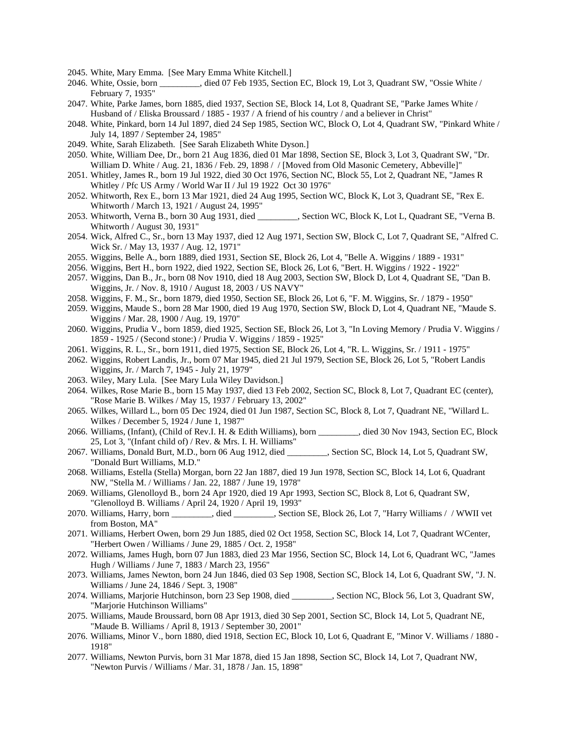- 2045. White, Mary Emma. [See Mary Emma White Kitchell.]
- 2046. White, Ossie, born \_\_\_\_\_\_\_\_\_, died 07 Feb 1935, Section EC, Block 19, Lot 3, Quadrant SW, "Ossie White / February 7, 1935"
- 2047. White, Parke James, born 1885, died 1937, Section SE, Block 14, Lot 8, Quadrant SE, "Parke James White / Husband of / Eliska Broussard / 1885 - 1937 / A friend of his country / and a believer in Christ"
- 2048. White, Pinkard, born 14 Jul 1897, died 24 Sep 1985, Section WC, Block O, Lot 4, Quadrant SW, "Pinkard White / July 14, 1897 / September 24, 1985"
- 2049. White, Sarah Elizabeth. [See Sarah Elizabeth White Dyson.]
- 2050. White, William Dee, Dr., born 21 Aug 1836, died 01 Mar 1898, Section SE, Block 3, Lot 3, Quadrant SW, "Dr. William D. White / Aug. 21, 1836 / Feb. 29, 1898 / / [Moved from Old Masonic Cemetery, Abbeville]"
- 2051. Whitley, James R., born 19 Jul 1922, died 30 Oct 1976, Section NC, Block 55, Lot 2, Quadrant NE, "James R Whitley / Pfc US Army / World War II / Jul 19 1922 Oct 30 1976"
- 2052. Whitworth, Rex E., born 13 Mar 1921, died 24 Aug 1995, Section WC, Block K, Lot 3, Quadrant SE, "Rex E. Whitworth / March 13, 1921 / August 24, 1995"
- 2053. Whitworth, Verna B., born 30 Aug 1931, died \_\_\_\_\_\_\_\_\_, Section WC, Block K, Lot L, Quadrant SE, "Verna B. Whitworth / August 30, 1931"
- 2054. Wick, Alfred C., Sr., born 13 May 1937, died 12 Aug 1971, Section SW, Block C, Lot 7, Quadrant SE, "Alfred C. Wick Sr. / May 13, 1937 / Aug. 12, 1971"
- 2055. Wiggins, Belle A., born 1889, died 1931, Section SE, Block 26, Lot 4, "Belle A. Wiggins / 1889 1931"
- 2056. Wiggins, Bert H., born 1922, died 1922, Section SE, Block 26, Lot 6, "Bert. H. Wiggins / 1922 1922"
- 2057. Wiggins, Dan B., Jr., born 08 Nov 1910, died 18 Aug 2003, Section SW, Block D, Lot 4, Quadrant SE, "Dan B. Wiggins, Jr. / Nov. 8, 1910 / August 18, 2003 / US NAVY"
- 2058. Wiggins, F. M., Sr., born 1879, died 1950, Section SE, Block 26, Lot 6, "F. M. Wiggins, Sr. / 1879 1950"
- 2059. Wiggins, Maude S., born 28 Mar 1900, died 19 Aug 1970, Section SW, Block D, Lot 4, Quadrant NE, "Maude S. Wiggins / Mar. 28, 1900 / Aug. 19, 1970"
- 2060. Wiggins, Prudia V., born 1859, died 1925, Section SE, Block 26, Lot 3, "In Loving Memory / Prudia V. Wiggins / 1859 - 1925 / (Second stone:) / Prudia V. Wiggins / 1859 - 1925"
- 2061. Wiggins, R. L., Sr., born 1911, died 1975, Section SE, Block 26, Lot 4, "R. L. Wiggins, Sr. / 1911 1975"
- 2062. Wiggins, Robert Landis, Jr., born 07 Mar 1945, died 21 Jul 1979, Section SE, Block 26, Lot 5, "Robert Landis Wiggins, Jr. / March 7, 1945 - July 21, 1979"
- 2063. Wiley, Mary Lula. [See Mary Lula Wiley Davidson.]
- 2064. Wilkes, Rose Marie B., born 15 May 1937, died 13 Feb 2002, Section SC, Block 8, Lot 7, Quadrant EC (center), "Rose Marie B. Wilkes / May 15, 1937 / February 13, 2002"
- 2065. Wilkes, Willard L., born 05 Dec 1924, died 01 Jun 1987, Section SC, Block 8, Lot 7, Quadrant NE, "Willard L. Wilkes / December 5, 1924 / June 1, 1987"
- 2066. Williams, (Infant), (Child of Rev.I. H. & Edith Williams), born \_\_\_\_\_\_\_\_\_, died 30 Nov 1943, Section EC, Block 25, Lot 3, "(Infant child of) / Rev. & Mrs. I. H. Williams"
- 2067. Williams, Donald Burt, M.D., born 06 Aug 1912, died \_\_\_\_\_\_\_\_\_, Section SC, Block 14, Lot 5, Quadrant SW, "Donald Burt Williams, M.D."
- 2068. Williams, Estella (Stella) Morgan, born 22 Jan 1887, died 19 Jun 1978, Section SC, Block 14, Lot 6, Quadrant NW, "Stella M. / Williams / Jan. 22, 1887 / June 19, 1978"
- 2069. Williams, Glenolloyd B., born 24 Apr 1920, died 19 Apr 1993, Section SC, Block 8, Lot 6, Quadrant SW, "Glenolloyd B. Williams / April 24, 1920 / April 19, 1993"
- 2070. Williams, Harry, born \_\_\_\_\_\_\_\_\_, died \_\_\_\_\_\_\_\_\_, Section SE, Block 26, Lot 7, "Harry Williams / / WWII vet from Boston, MA"
- 2071. Williams, Herbert Owen, born 29 Jun 1885, died 02 Oct 1958, Section SC, Block 14, Lot 7, Quadrant WCenter, "Herbert Owen / Williams / June 29, 1885 / Oct. 2, 1958"
- 2072. Williams, James Hugh, born 07 Jun 1883, died 23 Mar 1956, Section SC, Block 14, Lot 6, Quadrant WC, "James Hugh / Williams / June 7, 1883 / March 23, 1956"
- 2073. Williams, James Newton, born 24 Jun 1846, died 03 Sep 1908, Section SC, Block 14, Lot 6, Quadrant SW, "J. N. Williams / June 24, 1846 / Sept. 3, 1908"
- 2074. Williams, Marjorie Hutchinson, born 23 Sep 1908, died \_\_\_\_\_\_\_\_\_, Section NC, Block 56, Lot 3, Quadrant SW, "Marjorie Hutchinson Williams"
- 2075. Williams, Maude Broussard, born 08 Apr 1913, died 30 Sep 2001, Section SC, Block 14, Lot 5, Quadrant NE, "Maude B. Williams / April 8, 1913 / September 30, 2001"
- 2076. Williams, Minor V., born 1880, died 1918, Section EC, Block 10, Lot 6, Quadrant E, "Minor V. Williams / 1880 1918"
- 2077. Williams, Newton Purvis, born 31 Mar 1878, died 15 Jan 1898, Section SC, Block 14, Lot 7, Quadrant NW, "Newton Purvis / Williams / Mar. 31, 1878 / Jan. 15, 1898"